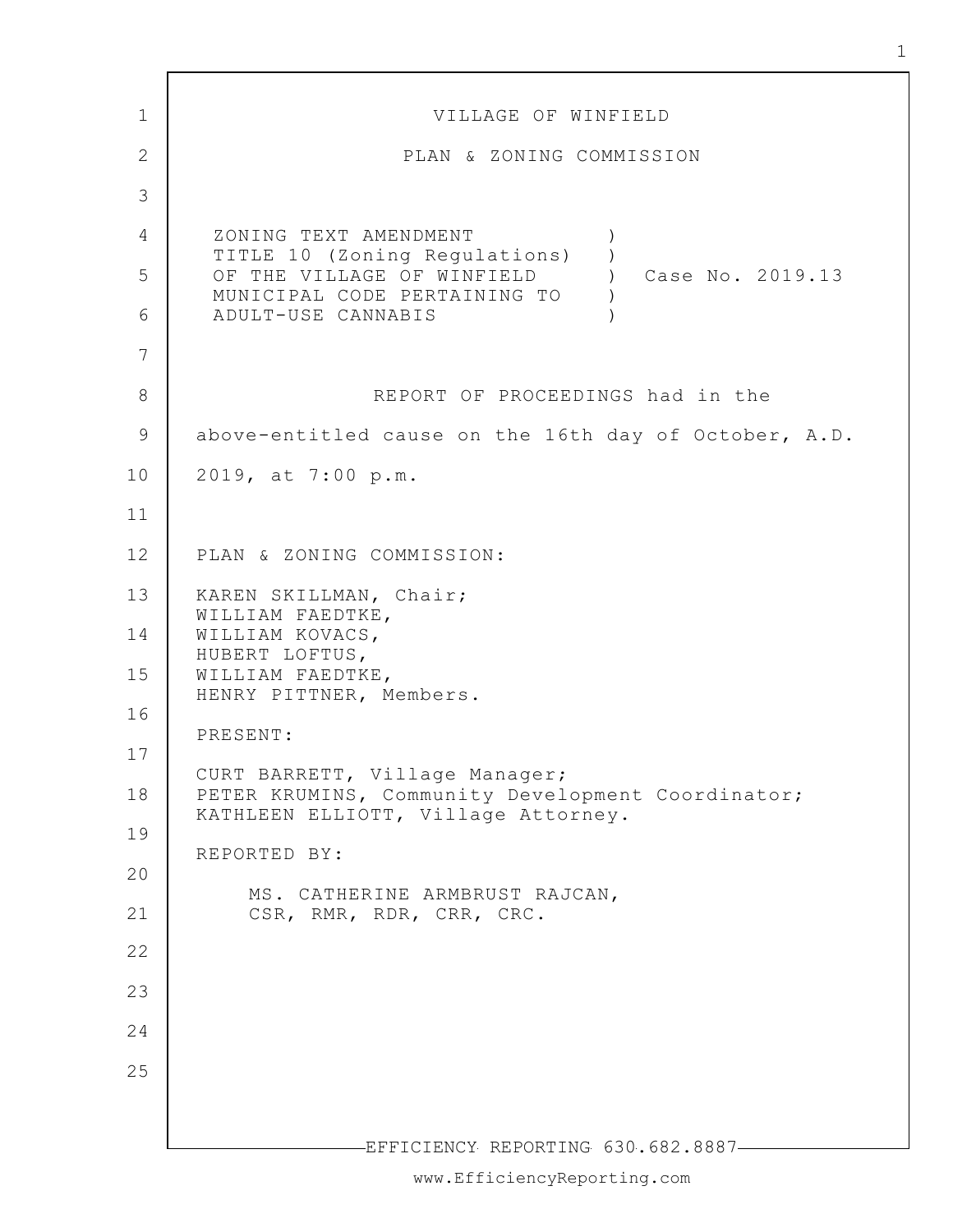1 2 3 4 5 6 7 8 9 10 11 12 13 14 15 16 17 18 19 20 21 22 23 24 25 -EFFICIENCY REPORTING 630.682.8887-VILLAGE OF WINFIELD PLAN & ZONING COMMISSION ZONING TEXT AMENDMENT TITLE 10 (Zoning Regulations) OF THE VILLAGE OF WINFIELD MUNICIPAL CODE PERTAINING TO ADULT-USE CANNABIS  $\left( \right)$ )  $)$ ) ) Case No. 2019.13 REPORT OF PROCEEDINGS had in the above-entitled cause on the 16th day of October, A.D. 2019, at 7:00 p.m. PLAN & ZONING COMMISSION: KAREN SKILLMAN, Chair; WILLIAM FAEDTKE, WILLIAM KOVACS, HUBERT LOFTUS, WILLIAM FAEDTKE, HENRY PITTNER, Members. PRESENT: CURT BARRETT, Village Manager; PETER KRUMINS, Community Development Coordinator; KATHLEEN ELLIOTT, Village Attorney. REPORTED BY: MS. CATHERINE ARMBRUST RAJCAN, CSR, RMR, RDR, CRR, CRC.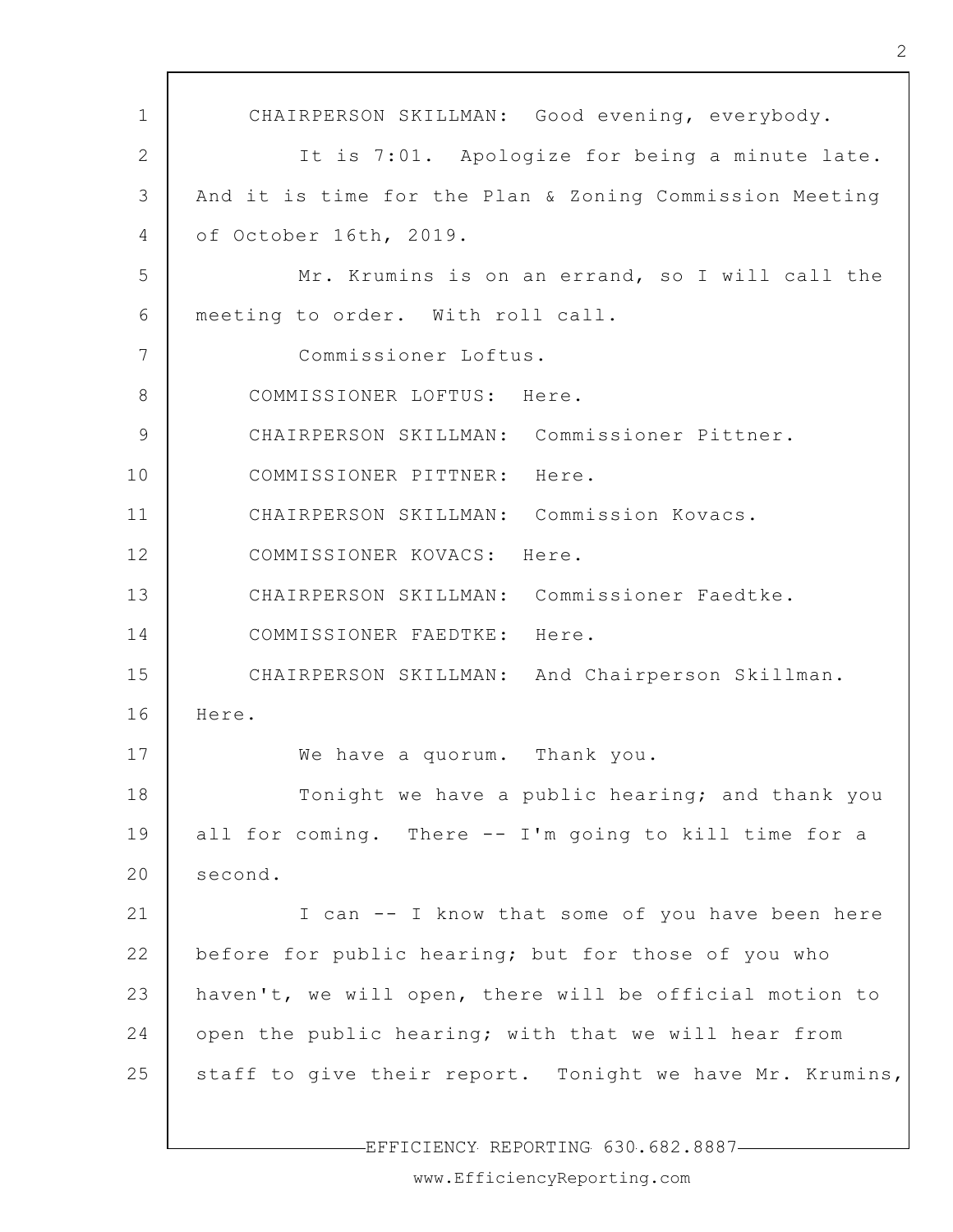1 2 3 4 5 6 7 8 9 10 11 12 13 14 15 16 17 18 19 20 21 22 23 24 25 CHAIRPERSON SKILLMAN: Good evening, everybody. It is 7:01. Apologize for being a minute late. And it is time for the Plan & Zoning Commission Meeting of October 16th, 2019. Mr. Krumins is on an errand, so I will call the meeting to order. With roll call. Commissioner Loftus. COMMISSIONER LOFTUS: Here. CHAIRPERSON SKILLMAN: Commissioner Pittner. COMMISSIONER PITTNER: Here. CHAIRPERSON SKILLMAN: Commission Kovacs. COMMISSIONER KOVACS: Here. CHAIRPERSON SKILLMAN: Commissioner Faedtke. COMMISSIONER FAEDTKE: Here. CHAIRPERSON SKILLMAN: And Chairperson Skillman. Here. We have a quorum. Thank you. Tonight we have a public hearing; and thank you all for coming. There -- I'm going to kill time for a second. I can -- I know that some of you have been here before for public hearing; but for those of you who haven't, we will open, there will be official motion to open the public hearing; with that we will hear from staff to give their report. Tonight we have Mr. Krumins,

EFFICIENCY REPORTING 630.682.8887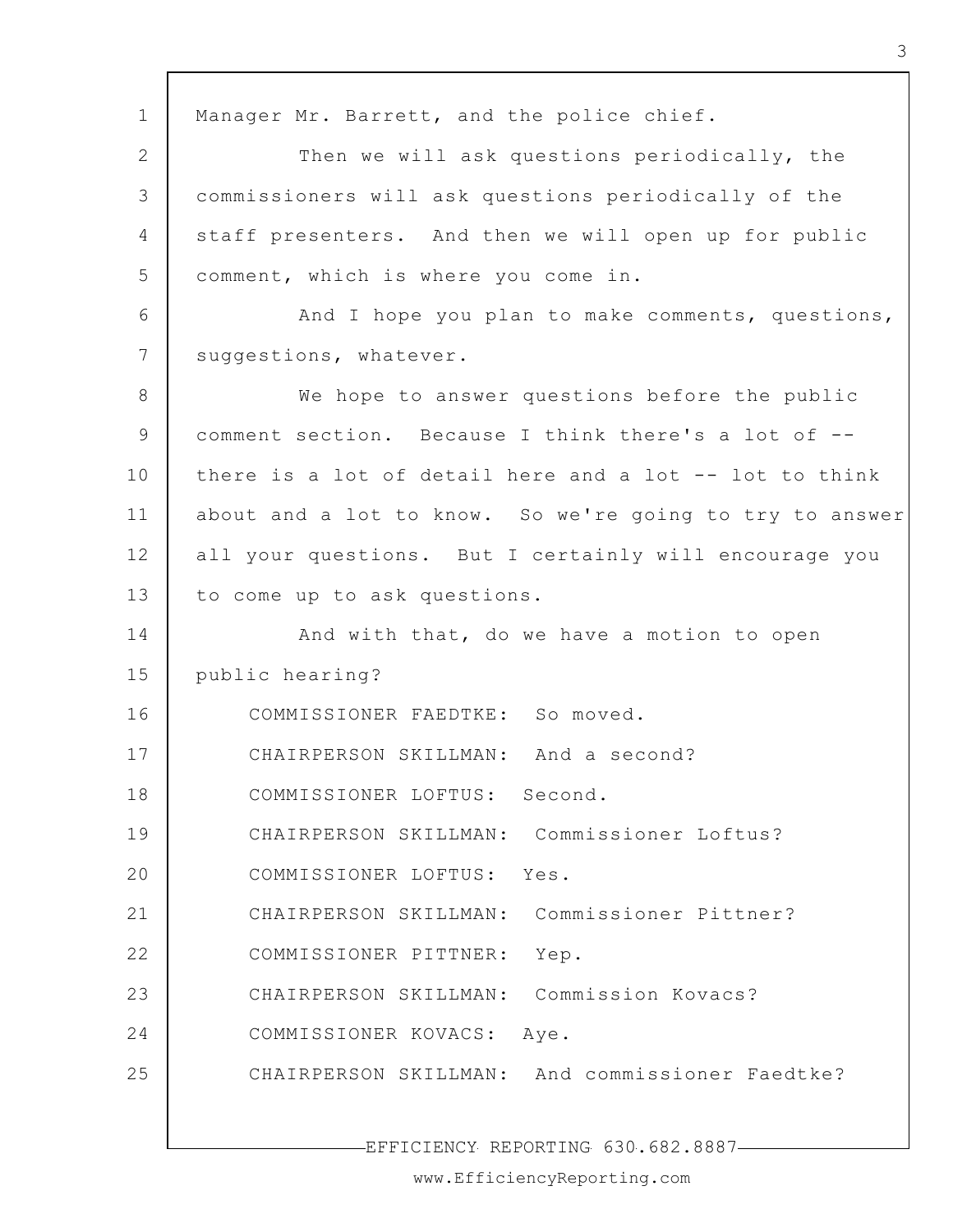1 2 3 4 5 6 7 8 9 10 11 12 13 14 15 16 17 18 19 20 21 22 23 24 25 EFFICIENCY REPORTING 630.682.8887 Manager Mr. Barrett, and the police chief. Then we will ask questions periodically, the commissioners will ask questions periodically of the staff presenters. And then we will open up for public comment, which is where you come in. And I hope you plan to make comments, questions, suggestions, whatever. We hope to answer questions before the public comment section. Because I think there's a lot of - there is a lot of detail here and a lot -- lot to think about and a lot to know. So we're going to try to answer all your questions. But I certainly will encourage you to come up to ask questions. And with that, do we have a motion to open public hearing? COMMISSIONER FAEDTKE: So moved. CHAIRPERSON SKILLMAN: And a second? COMMISSIONER LOFTUS: Second. CHAIRPERSON SKILLMAN: Commissioner Loftus? COMMISSIONER LOFTUS: Yes. CHAIRPERSON SKILLMAN: Commissioner Pittner? COMMISSIONER PITTNER: Yep. CHAIRPERSON SKILLMAN: Commission Kovacs? COMMISSIONER KOVACS: Aye. CHAIRPERSON SKILLMAN: And commissioner Faedtke?

3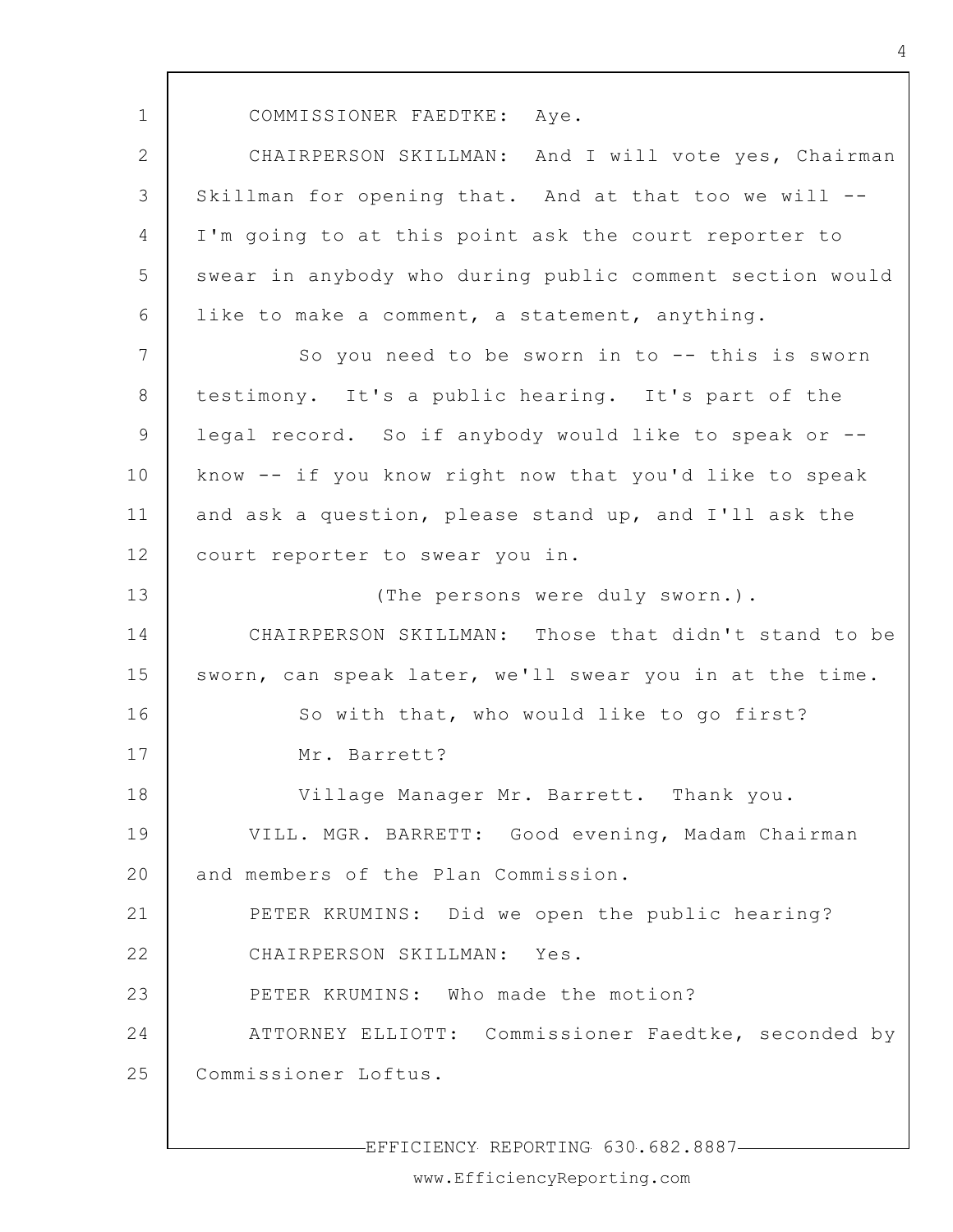1

COMMISSIONER FAEDTKE: Aye.

2 3 4 5 6 CHAIRPERSON SKILLMAN: And I will vote yes, Chairman Skillman for opening that. And at that too we will -- I'm going to at this point ask the court reporter to swear in anybody who during public comment section would like to make a comment, a statement, anything.

7 8 9 10 11 12 So you need to be sworn in to  $-$ - this is sworn testimony. It's a public hearing. It's part of the legal record. So if anybody would like to speak or - know -- if you know right now that you'd like to speak and ask a question, please stand up, and I'll ask the court reporter to swear you in.

13 14 15 16 17 18 19 20 21 22 23 24 25 (The persons were duly sworn.). CHAIRPERSON SKILLMAN: Those that didn't stand to be sworn, can speak later, we'll swear you in at the time. So with that, who would like to go first? Mr. Barrett? Village Manager Mr. Barrett. Thank you. VILL. MGR. BARRETT: Good evening, Madam Chairman and members of the Plan Commission. PETER KRUMINS: Did we open the public hearing? CHAIRPERSON SKILLMAN: Yes. PETER KRUMINS: Who made the motion? ATTORNEY ELLIOTT: Commissioner Faedtke, seconded by Commissioner Loftus.

EFFICIENCY REPORTING 630.682.8887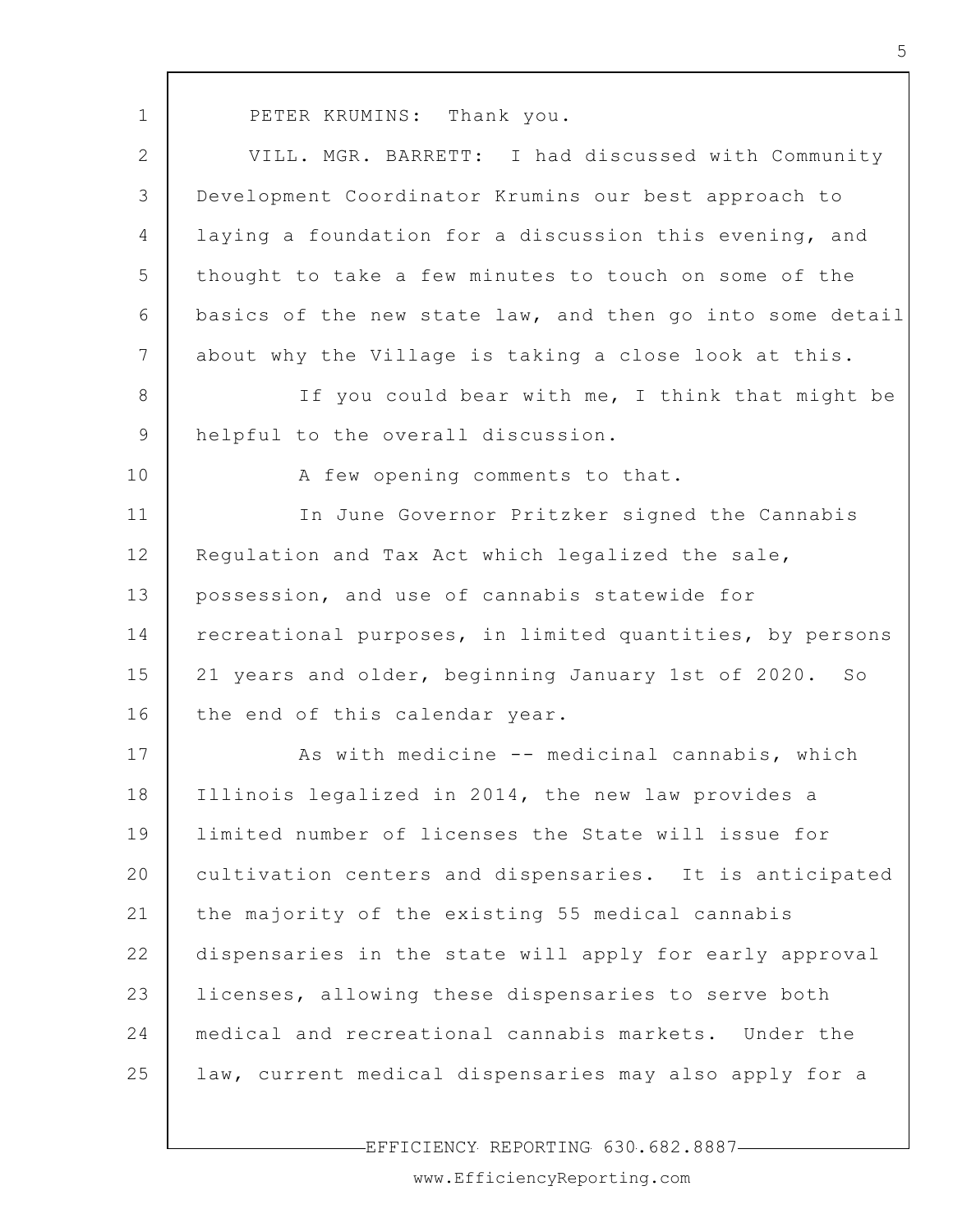| $\mathbf 1$    | PETER KRUMINS: Thank you.                                |
|----------------|----------------------------------------------------------|
| $\mathbf{2}$   | VILL. MGR. BARRETT: I had discussed with Community       |
| 3              | Development Coordinator Krumins our best approach to     |
| $\overline{4}$ | laying a foundation for a discussion this evening, and   |
| 5              | thought to take a few minutes to touch on some of the    |
| 6              | basics of the new state law, and then go into some deta: |
| 7              | about why the Village is taking a close look at this.    |
| 8              | If you could bear with me, I think that might be         |
| $\mathcal{G}$  | helpful to the overall discussion.                       |
| 10             | A few opening comments to that.                          |
| 11             | In June Governor Pritzker signed the Cannabis            |
| 12             | Regulation and Tax Act which legalized the sale,         |
| 13             | possession, and use of cannabis statewide for            |
| 14             | recreational purposes, in limited quantities, by persons |
| 15             | 21 years and older, beginning January 1st of 2020. So    |
| 16             | the end of this calendar year.                           |
| 17             | As with medicine -- medicinal cannabis, which            |
| 18             | Illinois legalized in 2014, the new law provides a       |
| 19             | limited number of licenses the State will issue for      |
| 20             | cultivation centers and dispensaries. It is anticipated  |
| 21             | the majority of the existing 55 medical cannabis         |
| 22             | dispensaries in the state will apply for early approval  |

17 18 19 20 21 22 23 24 25 cinal cannabis, which new law provides a tate will issue for ries. It is anticipated medical cannabis pply for early approval licenses, allowing these dispensaries to serve both medical and recreational cannabis markets. Under the law, current medical dispensaries may also apply for a

-EFFICIENCY REPORTING 630.682.8887-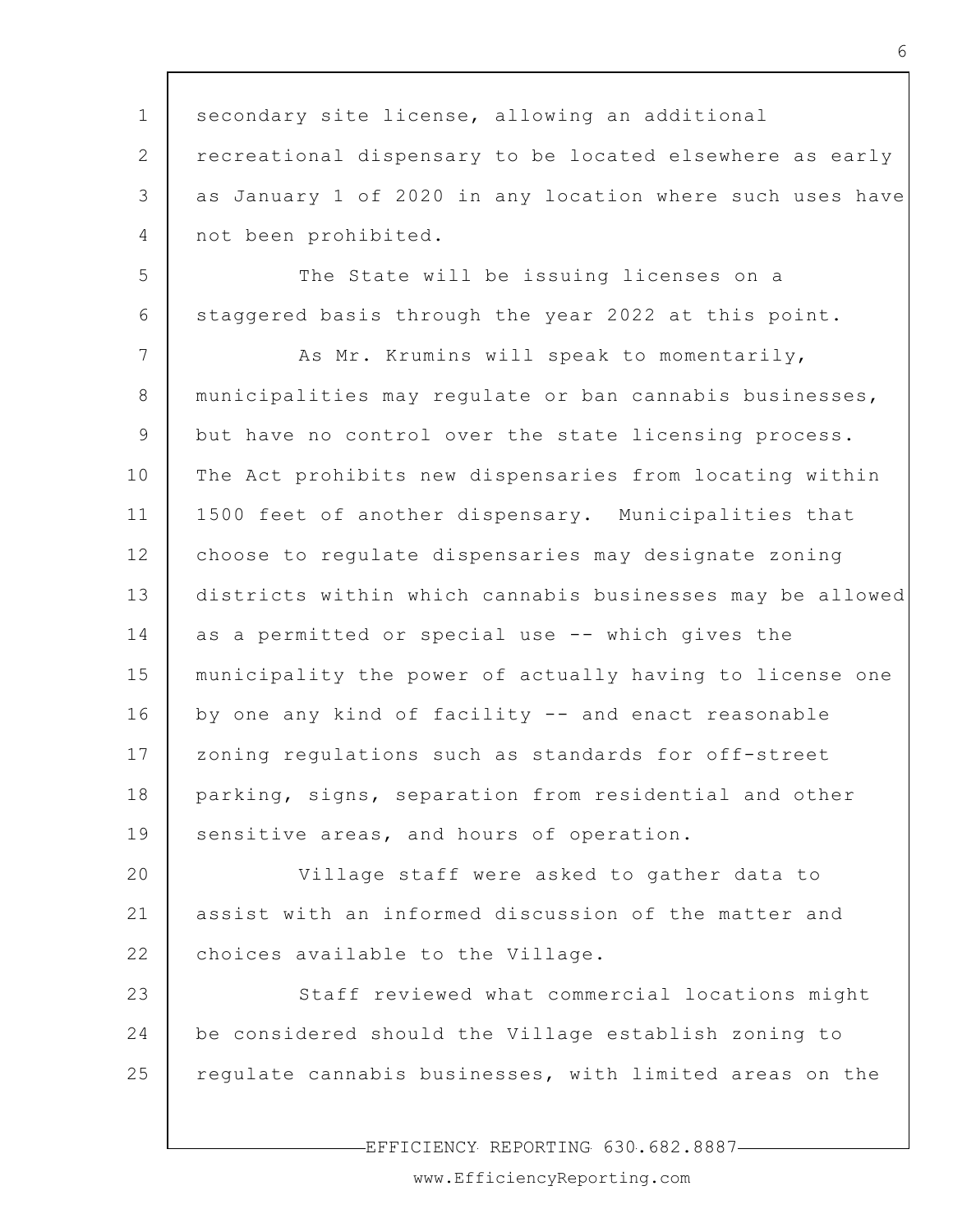1 2 3 4 5 6 7 8 9 10 11 12 13 14 15 16 17 18 19 20 21 22 23 24 25 secondary site license, allowing an additional recreational dispensary to be located elsewhere as early as January 1 of 2020 in any location where such uses have not been prohibited. The State will be issuing licenses on a staggered basis through the year 2022 at this point. As Mr. Krumins will speak to momentarily, municipalities may regulate or ban cannabis businesses, but have no control over the state licensing process. The Act prohibits new dispensaries from locating within 1500 feet of another dispensary. Municipalities that choose to regulate dispensaries may designate zoning districts within which cannabis businesses may be allowed as a permitted or special use -- which gives the municipality the power of actually having to license one by one any kind of facility -- and enact reasonable zoning regulations such as standards for off-street parking, signs, separation from residential and other sensitive areas, and hours of operation. Village staff were asked to gather data to assist with an informed discussion of the matter and choices available to the Village. Staff reviewed what commercial locations might be considered should the Village establish zoning to regulate cannabis businesses, with limited areas on the

EFFICIENCY REPORTING 630.682.8887

www.EfficiencyReporting.com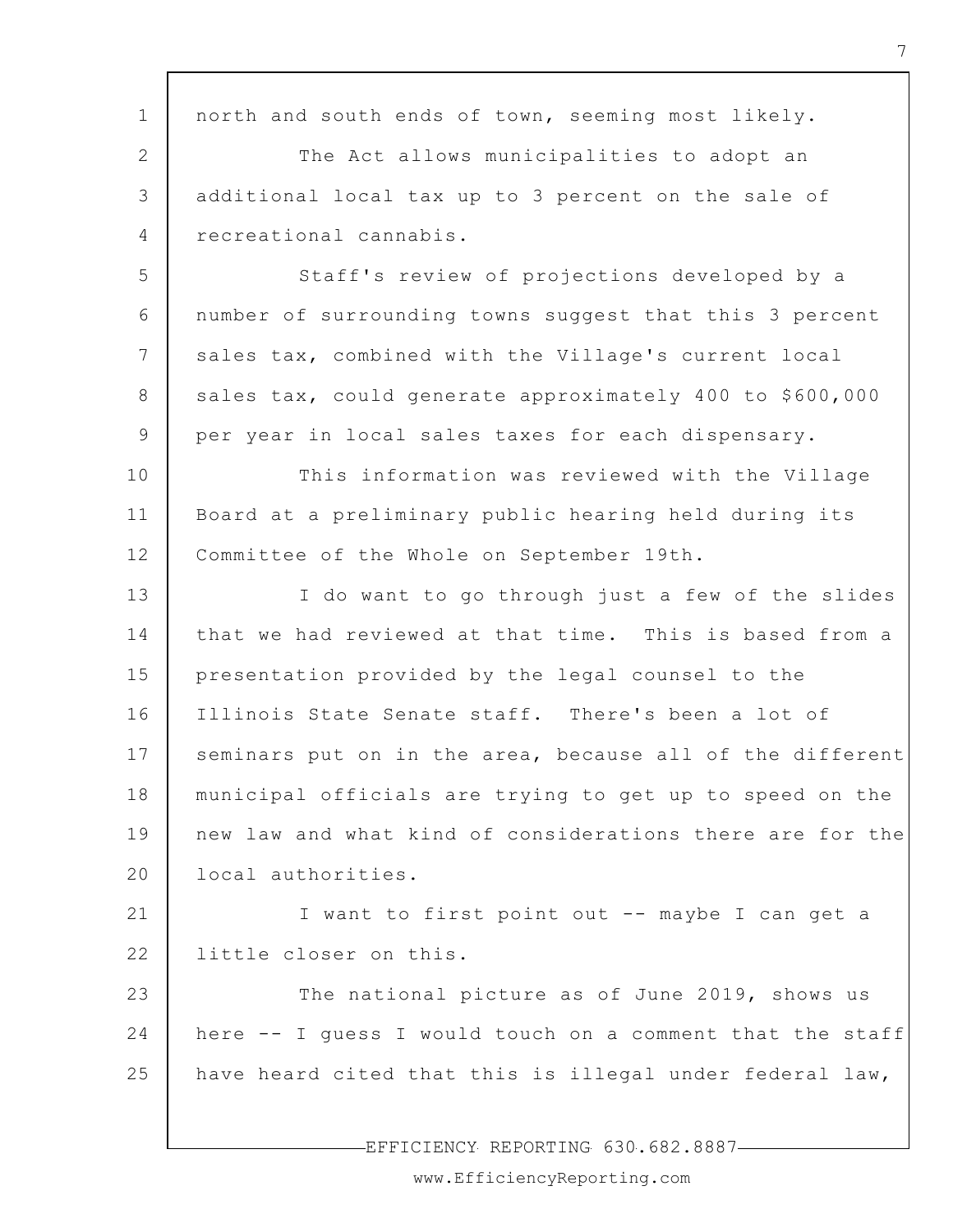| $\mathbf 1$    | north and south ends of town, seeming most likely.        |
|----------------|-----------------------------------------------------------|
| $\mathbf{2}$   | The Act allows municipalities to adopt an                 |
| 3              | additional local tax up to 3 percent on the sale of       |
| $\overline{4}$ | recreational cannabis.                                    |
| 5              | Staff's review of projections developed by a              |
| 6              | number of surrounding towns suggest that this 3 percent   |
| 7              | sales tax, combined with the Village's current local      |
| $8\,$          | sales tax, could generate approximately 400 to \$600,000  |
| 9              | per year in local sales taxes for each dispensary.        |
| 10             | This information was reviewed with the Village            |
| 11             | Board at a preliminary public hearing held during its     |
| 12             | Committee of the Whole on September 19th.                 |
| 13             | I do want to go through just a few of the slides          |
| 14             | that we had reviewed at that time. This is based from a   |
| 15             | presentation provided by the legal counsel to the         |
| 16             | Illinois State Senate staff. There's been a lot of        |
| 17             | seminars put on in the area, because all of the different |
| 18             | municipal officials are trying to get up to speed on the  |
| 19             | new law and what kind of considerations there are for the |
| 20             | local authorities.                                        |
| 21             | I want to first point out -- maybe I can get a            |
| 22             | little closer on this.                                    |
| 23             | The national picture as of June 2019, shows us            |
| 24             | here -- I guess I would touch on a comment that the staff |
| 25             | have heard cited that this is illegal under federal law,  |
|                |                                                           |

-EFFICIENCY REPORTING 630.682.8887-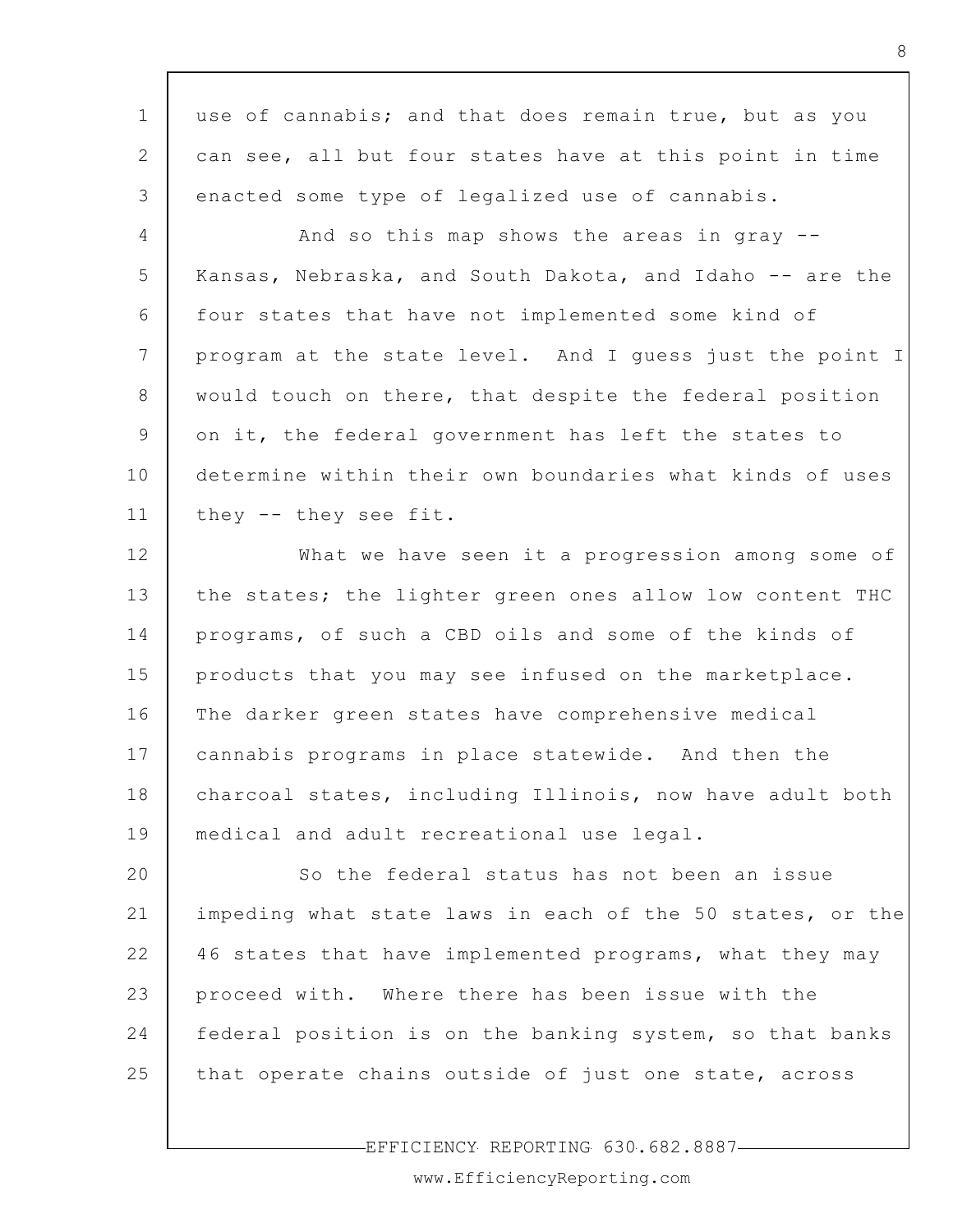| $\mathbf 1$  | use of cannabis; and that does remain true, but as you    |
|--------------|-----------------------------------------------------------|
| $\mathbf{2}$ | can see, all but four states have at this point in time   |
| 3            | enacted some type of legalized use of cannabis.           |
| 4            | And so this map shows the areas in gray --                |
| 5            | Kansas, Nebraska, and South Dakota, and Idaho -- are the  |
| 6            | four states that have not implemented some kind of        |
| 7            | program at the state level. And I guess just the point I  |
| 8            | would touch on there, that despite the federal position   |
| 9            | on it, the federal government has left the states to      |
| 10           | determine within their own boundaries what kinds of uses  |
| 11           | they -- they see fit.                                     |
| 12           | What we have seen it a progression among some of          |
| 13           | the states; the lighter green ones allow low content THC  |
| 14           | programs, of such a CBD oils and some of the kinds of     |
| 15           | products that you may see infused on the marketplace.     |
| 16           | The darker green states have comprehensive medical        |
| 17           | cannabis programs in place statewide. And then the        |
| 18           | charcoal states, including Illinois, now have adult both  |
| 19           | medical and adult recreational use legal.                 |
| 20           | So the federal status has not been an issue               |
| 21           | impeding what state laws in each of the 50 states, or the |
| 22           | 46 states that have implemented programs, what they may   |
| 23           | proceed with. Where there has been issue with the         |
| 24           | federal position is on the banking system, so that banks  |
| 25           | that operate chains outside of just one state, across     |
|              |                                                           |

EFFICIENCY REPORTING 630.682.8887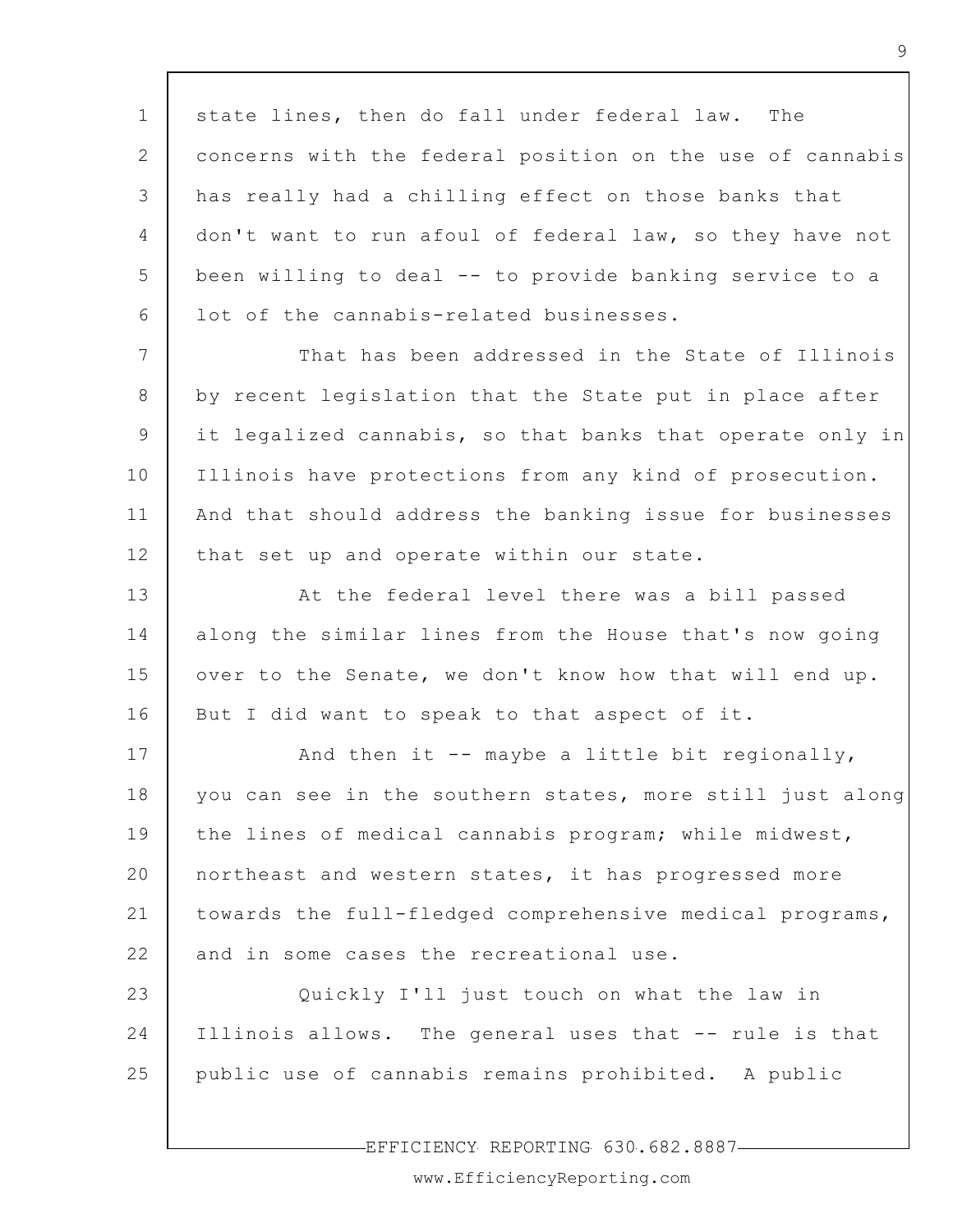1 2 3 4 5 6 state lines, then do fall under federal law. The concerns with the federal position on the use of cannabis has really had a chilling effect on those banks that don't want to run afoul of federal law, so they have not been willing to deal -- to provide banking service to a lot of the cannabis-related businesses.

7 8 9 10 11 12 That has been addressed in the State of Illinois by recent legislation that the State put in place after it legalized cannabis, so that banks that operate only in Illinois have protections from any kind of prosecution. And that should address the banking issue for businesses that set up and operate within our state.

13 14 15 16 At the federal level there was a bill passed along the similar lines from the House that's now going over to the Senate, we don't know how that will end up. But I did want to speak to that aspect of it.

17 18 19 20 21 22 And then it  $--$  maybe a little bit regionally, you can see in the southern states, more still just along the lines of medical cannabis program; while midwest, northeast and western states, it has progressed more towards the full-fledged comprehensive medical programs, and in some cases the recreational use.

23 24 25 Quickly I'll just touch on what the law in Illinois allows. The general uses that -- rule is that public use of cannabis remains prohibited. A public

EFFICIENCY REPORTING 630.682.8887

www.EfficiencyReporting.com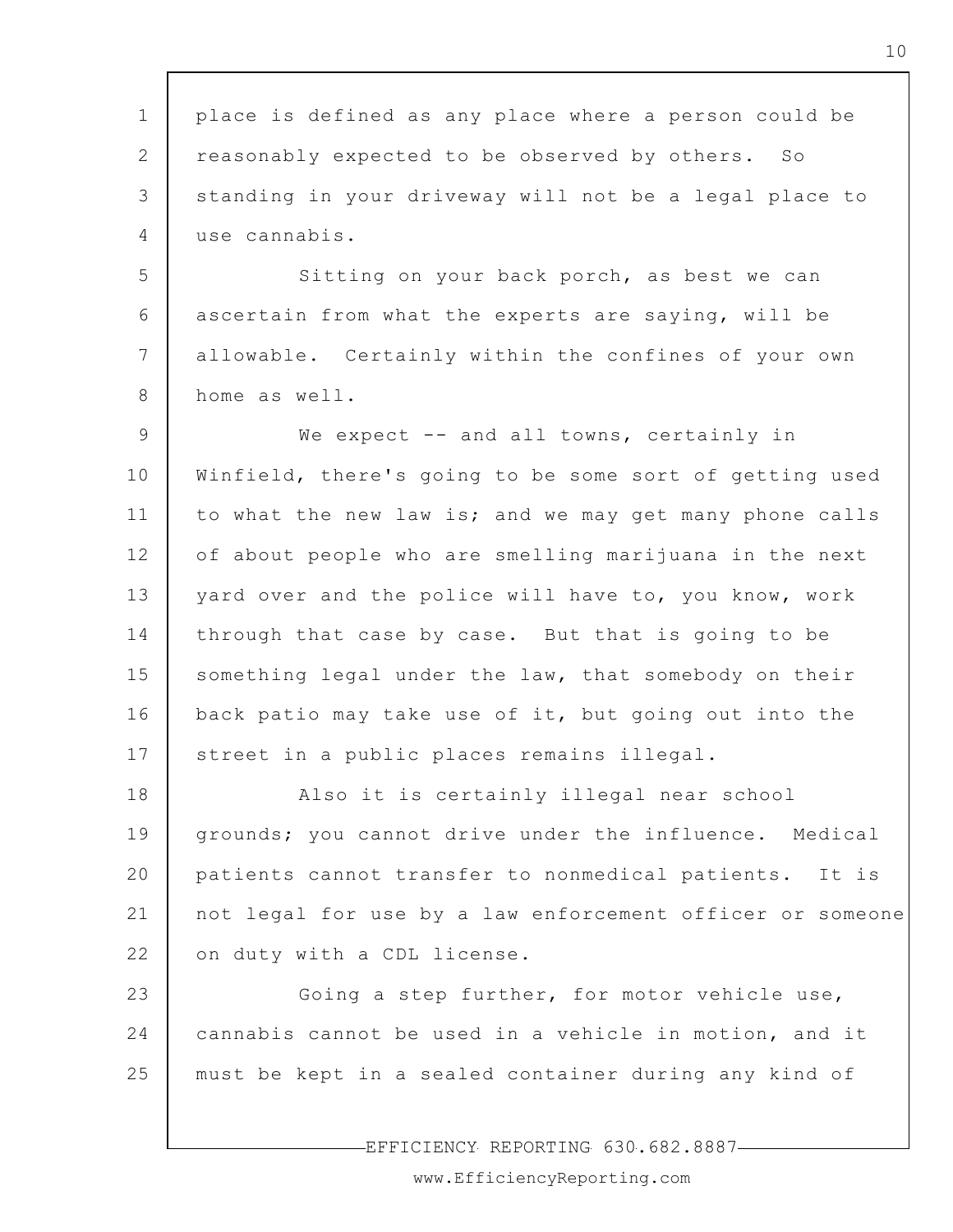| $\mathbf{1}$    | place is defined as any place where a person could be     |
|-----------------|-----------------------------------------------------------|
| 2               | reasonably expected to be observed by others. So          |
| 3               | standing in your driveway will not be a legal place to    |
| 4               | use cannabis.                                             |
| 5               | Sitting on your back porch, as best we can                |
| 6               | ascertain from what the experts are saying, will be       |
| $7\phantom{.0}$ | allowable. Certainly within the confines of your own      |
| 8               | home as well.                                             |
| 9               | We expect $--$ and all towns, certainly in                |
| 10              | Winfield, there's going to be some sort of getting used   |
| 11              | to what the new law is; and we may get many phone calls   |
| 12              | of about people who are smelling marijuana in the next    |
| 13              | yard over and the police will have to, you know, work     |
| 14              | through that case by case. But that is going to be        |
| 15              | something legal under the law, that somebody on their     |
| 16              | back patio may take use of it, but going out into the     |
| 17              | street in a public places remains illegal.                |
| 18              | Also it is certainly illegal near school                  |
| 19              | grounds; you cannot drive under the influence. Medical    |
| 20              | patients cannot transfer to nonmedical patients. It is    |
| 21              | not legal for use by a law enforcement officer or someone |
| 22              | on duty with a CDL license.                               |
| 23              | Going a step further, for motor vehicle use,              |
| 24              | cannabis cannot be used in a vehicle in motion, and it    |
| 25              | must be kept in a sealed container during any kind of     |
|                 |                                                           |
|                 | EFFICIENCY REPORTING 630.682.8887-                        |

 $\mathsf{r}$ 

www.EfficiencyReporting.com

 $\overline{\phantom{a}}$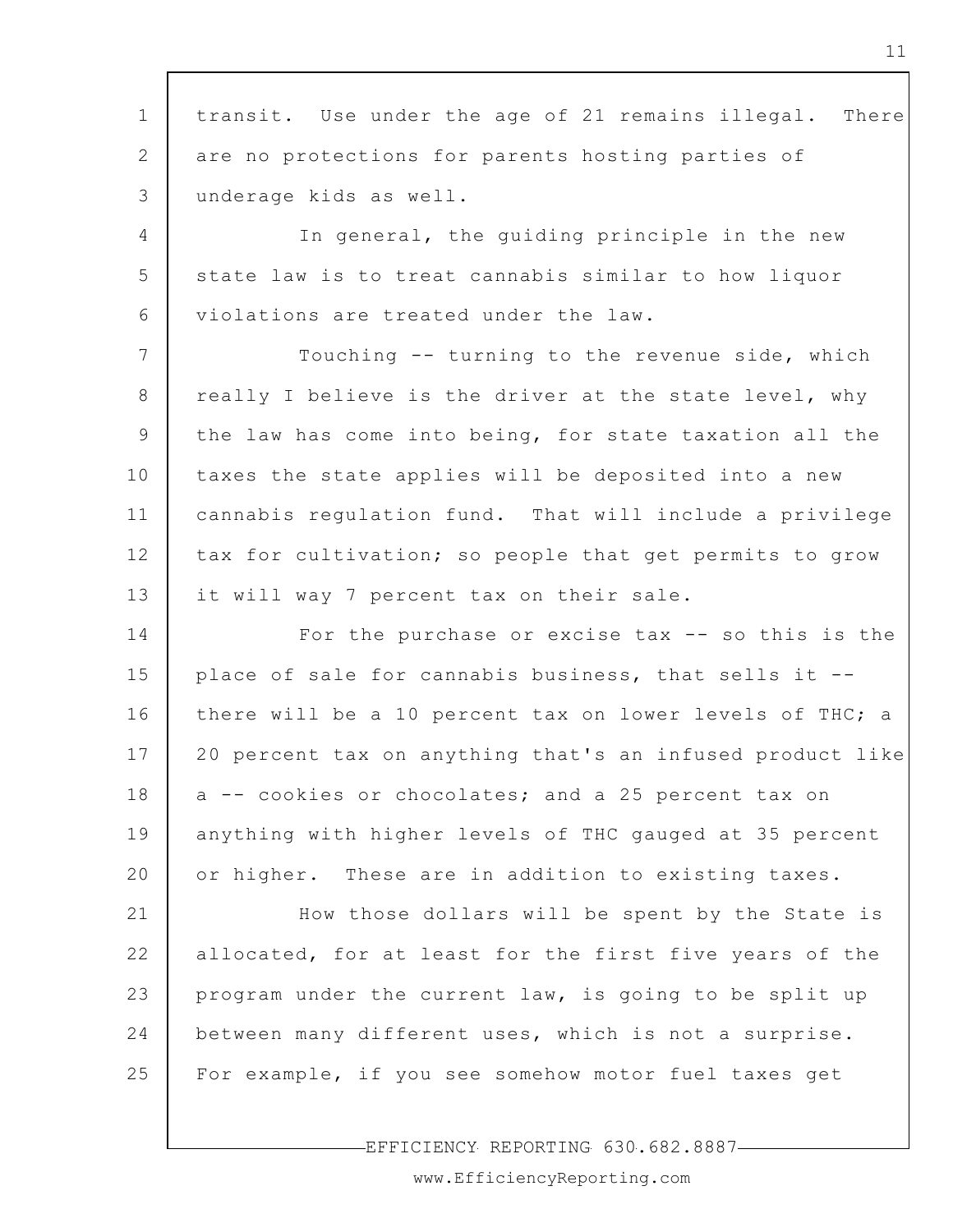1 2 3 4 5 6 7 8 9 10 11 12 13 14 15 16 17 18 19 20 21 22 23 24 25 transit. Use under the age of 21 remains illegal. There are no protections for parents hosting parties of underage kids as well. In general, the guiding principle in the new state law is to treat cannabis similar to how liquor violations are treated under the law. Touching -- turning to the revenue side, which really I believe is the driver at the state level, why the law has come into being, for state taxation all the taxes the state applies will be deposited into a new cannabis regulation fund. That will include a privilege tax for cultivation; so people that get permits to grow it will way 7 percent tax on their sale. For the purchase or excise tax -- so this is the place of sale for cannabis business, that sells it - there will be a 10 percent tax on lower levels of THC; a 20 percent tax on anything that's an infused product like a -- cookies or chocolates; and a 25 percent tax on anything with higher levels of THC gauged at 35 percent or higher. These are in addition to existing taxes. How those dollars will be spent by the State is allocated, for at least for the first five years of the program under the current law, is going to be split up between many different uses, which is not a surprise. For example, if you see somehow motor fuel taxes get

EFFICIENCY REPORTING 630.682.8887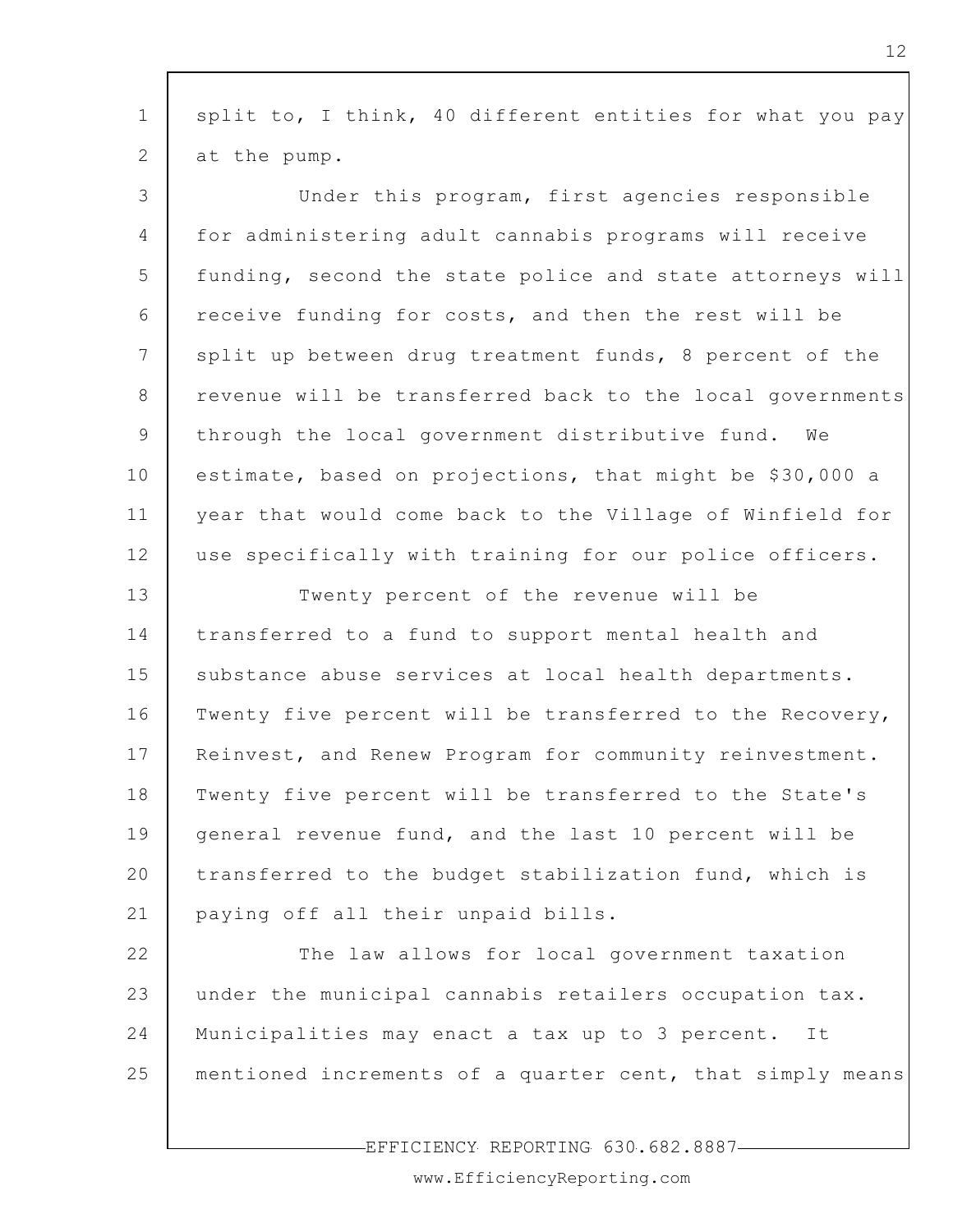| $\mathbf 1$ | split to, I think, 40 different entities for what you pay |
|-------------|-----------------------------------------------------------|
| 2           | at the pump.                                              |
| 3           | Under this program, first agencies responsible            |
| 4           | for administering adult cannabis programs will receive    |
| 5           | funding, second the state police and state attorneys will |
| 6           | receive funding for costs, and then the rest will be      |
| 7           | split up between drug treatment funds, 8 percent of the   |
| 8           | revenue will be transferred back to the local governments |
| 9           | through the local government distributive fund.<br>We     |
| 10          | estimate, based on projections, that might be \$30,000 a  |
| 11          | year that would come back to the Village of Winfield for  |
| 12          | use specifically with training for our police officers.   |
| 13          | Twenty percent of the revenue will be                     |
| 14          | transferred to a fund to support mental health and        |
| 15          | substance abuse services at local health departments.     |
| 16          | Twenty five percent will be transferred to the Recovery,  |
| 17          | Reinvest, and Renew Program for community reinvestment.   |
| 18          | Twenty five percent will be transferred to the State's    |
| 19          | general revenue fund, and the last 10 percent will be     |
| 20          | transferred to the budget stabilization fund, which is    |
| 21          | paying off all their unpaid bills.                        |
| 22          | The law allows for local government taxation              |
| 23          | under the municipal cannabis retailers occupation tax.    |
| 24          | Municipalities may enact a tax up to 3 percent.<br>It     |
| 25          | mentioned increments of a quarter cent, that simply means |
|             |                                                           |

EFFICIENCY REPORTING 630.682.8887

www.EfficiencyReporting.com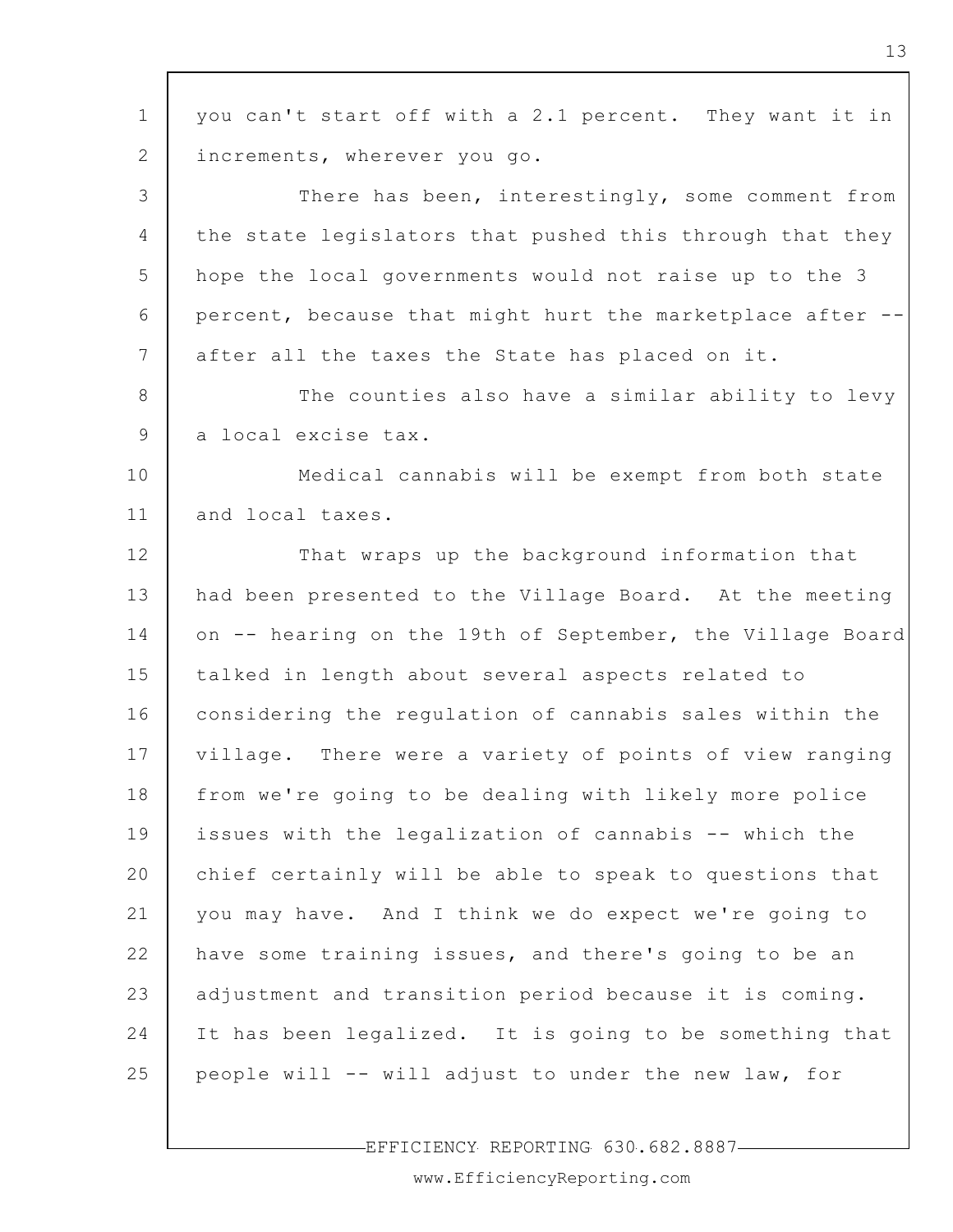| $\mathbf 1$ | you can't start off with a 2.1 percent. They want it in   |
|-------------|-----------------------------------------------------------|
| 2           | increments, wherever you go.                              |
| 3           | There has been, interestingly, some comment from          |
| 4           | the state legislators that pushed this through that they  |
| 5           | hope the local governments would not raise up to the 3    |
| 6           | percent, because that might hurt the marketplace after -- |
| 7           | after all the taxes the State has placed on it.           |
| 8           | The counties also have a similar ability to levy          |
| 9           | a local excise tax.                                       |
| 10          | Medical cannabis will be exempt from both state           |
| 11          | and local taxes.                                          |
| 12          | That wraps up the background information that             |
| 13          | had been presented to the Village Board. At the meeting   |
| 14          | on -- hearing on the 19th of September, the Village Board |
| 15          | talked in length about several aspects related to         |
| 16          | considering the regulation of cannabis sales within the   |
| 17          | village. There were a variety of points of view ranging   |
| 18          | from we're going to be dealing with likely more police    |
| 19          | issues with the legalization of cannabis -- which the     |
| 20          | chief certainly will be able to speak to questions that   |
| 21          | you may have. And I think we do expect we're going to     |
| 22          | have some training issues, and there's going to be an     |
| 23          | adjustment and transition period because it is coming.    |
| 24          | It has been legalized. It is going to be something that   |
| 25          | people will -- will adjust to under the new law, for      |
|             |                                                           |

EFFICIENCY REPORTING 630.682.8887

www.EfficiencyReporting.com

 $\mathbf{I}$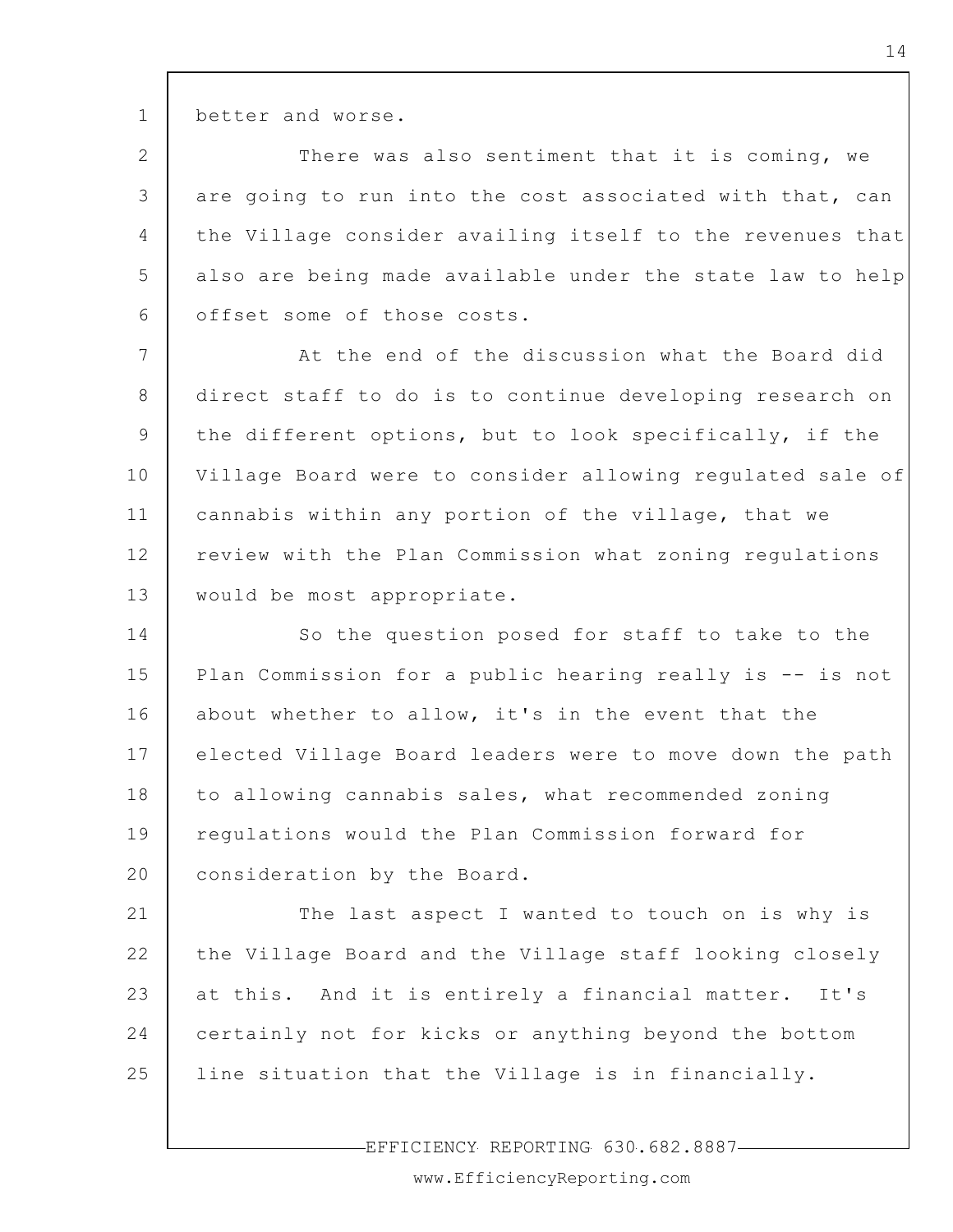better and worse.

1

2 3 4 5 6 There was also sentiment that it is coming, we are going to run into the cost associated with that, can the Village consider availing itself to the revenues that also are being made available under the state law to help offset some of those costs.

7 8 9 10 11 12 13 At the end of the discussion what the Board did direct staff to do is to continue developing research on the different options, but to look specifically, if the Village Board were to consider allowing regulated sale of cannabis within any portion of the village, that we review with the Plan Commission what zoning regulations would be most appropriate.

14 15 16 17 18 19 20 So the question posed for staff to take to the Plan Commission for a public hearing really is -- is not about whether to allow, it's in the event that the elected Village Board leaders were to move down the path to allowing cannabis sales, what recommended zoning regulations would the Plan Commission forward for consideration by the Board.

21 22 23 24 25 The last aspect I wanted to touch on is why is the Village Board and the Village staff looking closely at this. And it is entirely a financial matter. It's certainly not for kicks or anything beyond the bottom line situation that the Village is in financially.

EFFICIENCY REPORTING 630.682.8887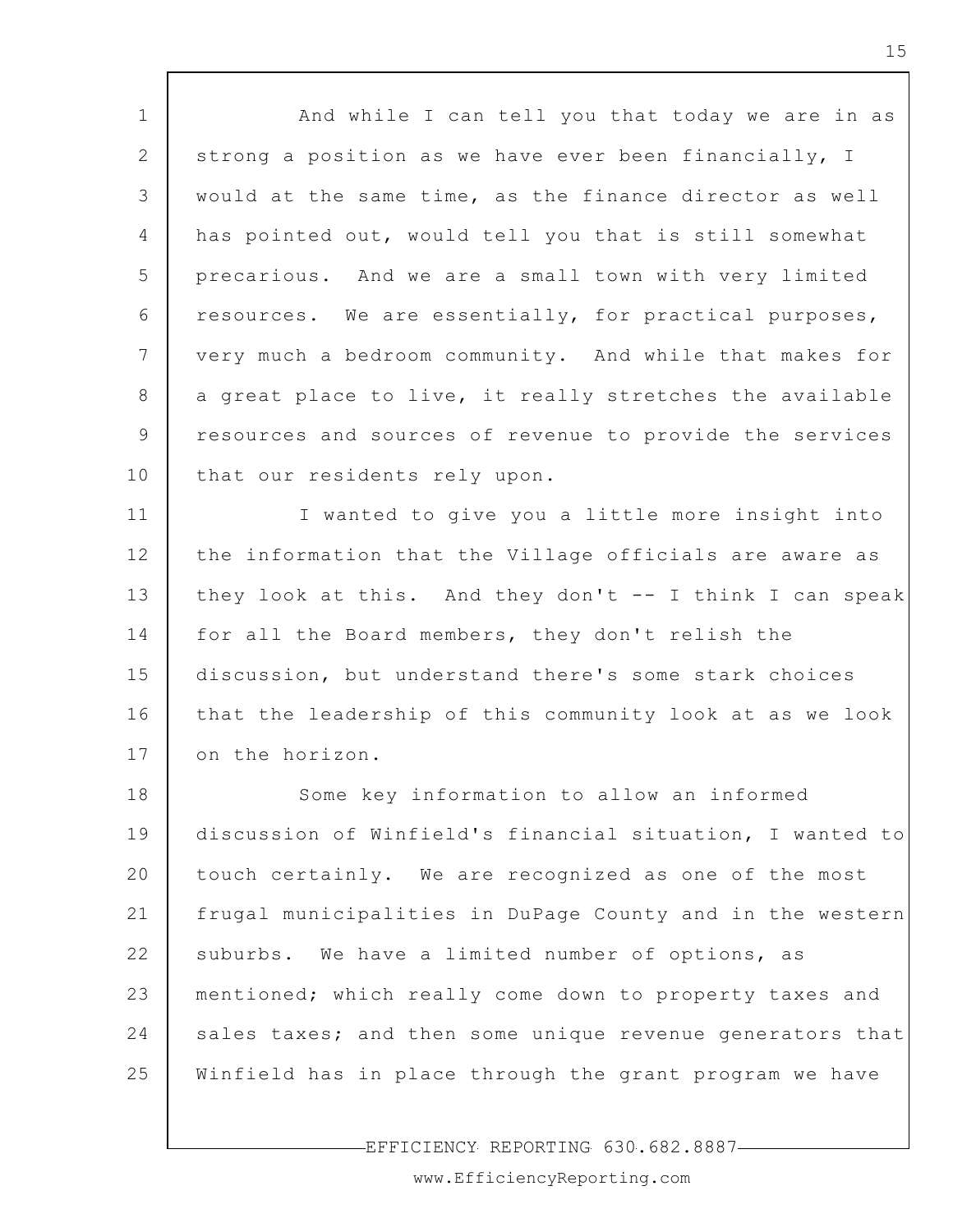1 2 3 4 5 6 7 8 9 10 11 12 13 14 15 16 17 18 19 20 21 22 23 24 25 And while I can tell you that today we are in as strong a position as we have ever been financially, I would at the same time, as the finance director as well has pointed out, would tell you that is still somewhat precarious. And we are a small town with very limited resources. We are essentially, for practical purposes, very much a bedroom community. And while that makes for a great place to live, it really stretches the available resources and sources of revenue to provide the services that our residents rely upon. I wanted to give you a little more insight into the information that the Village officials are aware as they look at this. And they don't -- I think I can speak for all the Board members, they don't relish the discussion, but understand there's some stark choices that the leadership of this community look at as we look on the horizon. Some key information to allow an informed discussion of Winfield's financial situation, I wanted to touch certainly. We are recognized as one of the most frugal municipalities in DuPage County and in the western suburbs. We have a limited number of options, as mentioned; which really come down to property taxes and sales taxes; and then some unique revenue generators that Winfield has in place through the grant program we have

EFFICIENCY REPORTING 630.682.8887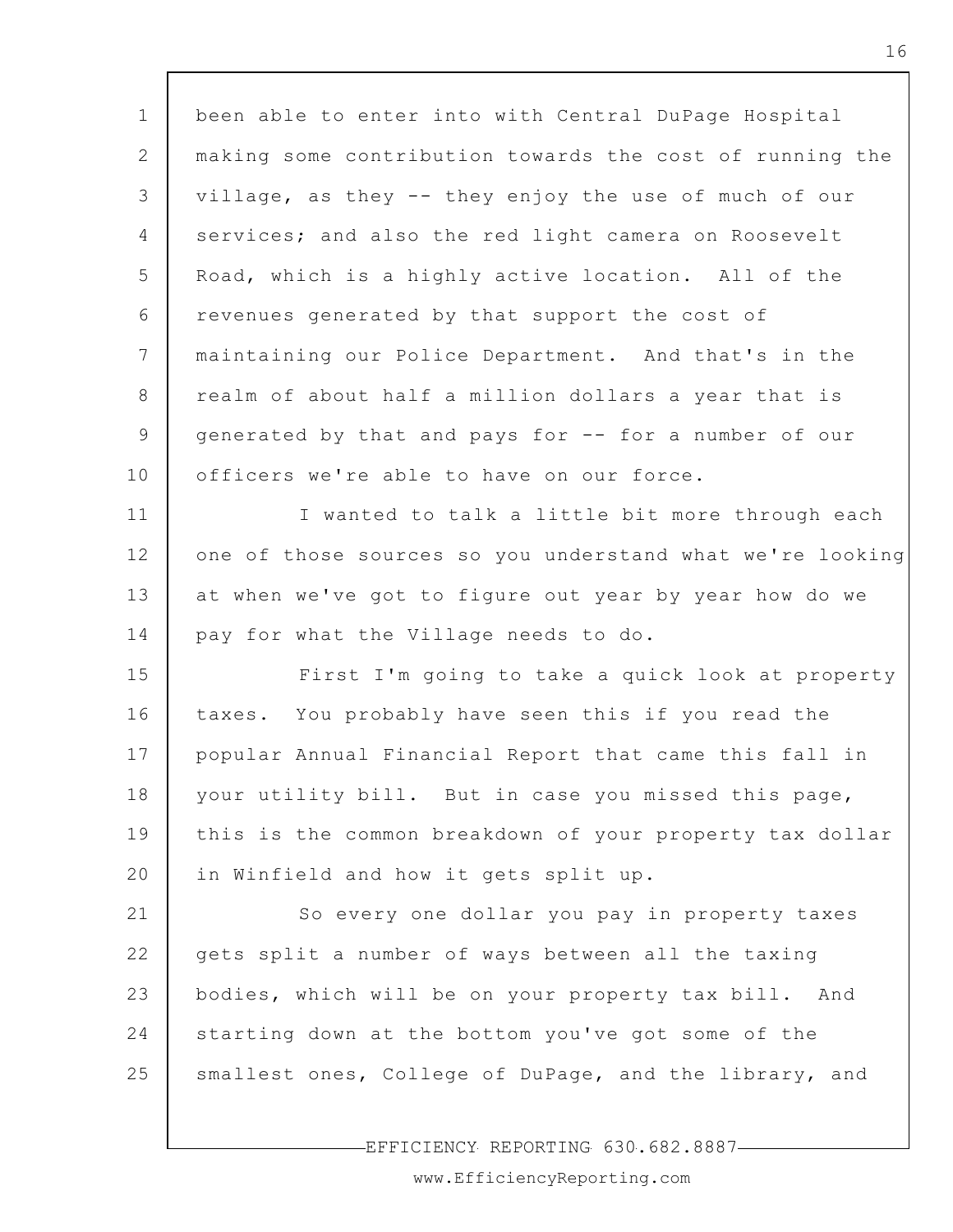| $\mathbf 1$  | been able to enter into with Central DuPage Hospital      |
|--------------|-----------------------------------------------------------|
| $\mathbf{2}$ | making some contribution towards the cost of running the  |
| 3            | village, as they -- they enjoy the use of much of our     |
| 4            | services; and also the red light camera on Roosevelt      |
| 5            | Road, which is a highly active location. All of the       |
| 6            | revenues generated by that support the cost of            |
| 7            | maintaining our Police Department. And that's in the      |
| 8            | realm of about half a million dollars a year that is      |
| 9            | generated by that and pays for -- for a number of our     |
| 10           | officers we're able to have on our force.                 |
| 11           | I wanted to talk a little bit more through each           |
| 12           | one of those sources so you understand what we're looking |
| 13           | at when we've got to figure out year by year how do we    |
| 14           | pay for what the Village needs to do.                     |
| 15           | First I'm going to take a quick look at property          |
| 16           | taxes. You probably have seen this if you read the        |
| 17           | popular Annual Financial Report that came this fall in    |
| 18           | your utility bill. But in case you missed this page,      |
| 19           | this is the common breakdown of your property tax dollar  |
| 20           | in Winfield and how it gets split up.                     |
| 21           | So every one dollar you pay in property taxes             |
| 22           | gets split a number of ways between all the taxing        |
| 23           | bodies, which will be on your property tax bill. And      |
| 24           | starting down at the bottom you've got some of the        |
| 25           | smallest ones, College of DuPage, and the library, and    |
|              |                                                           |

Г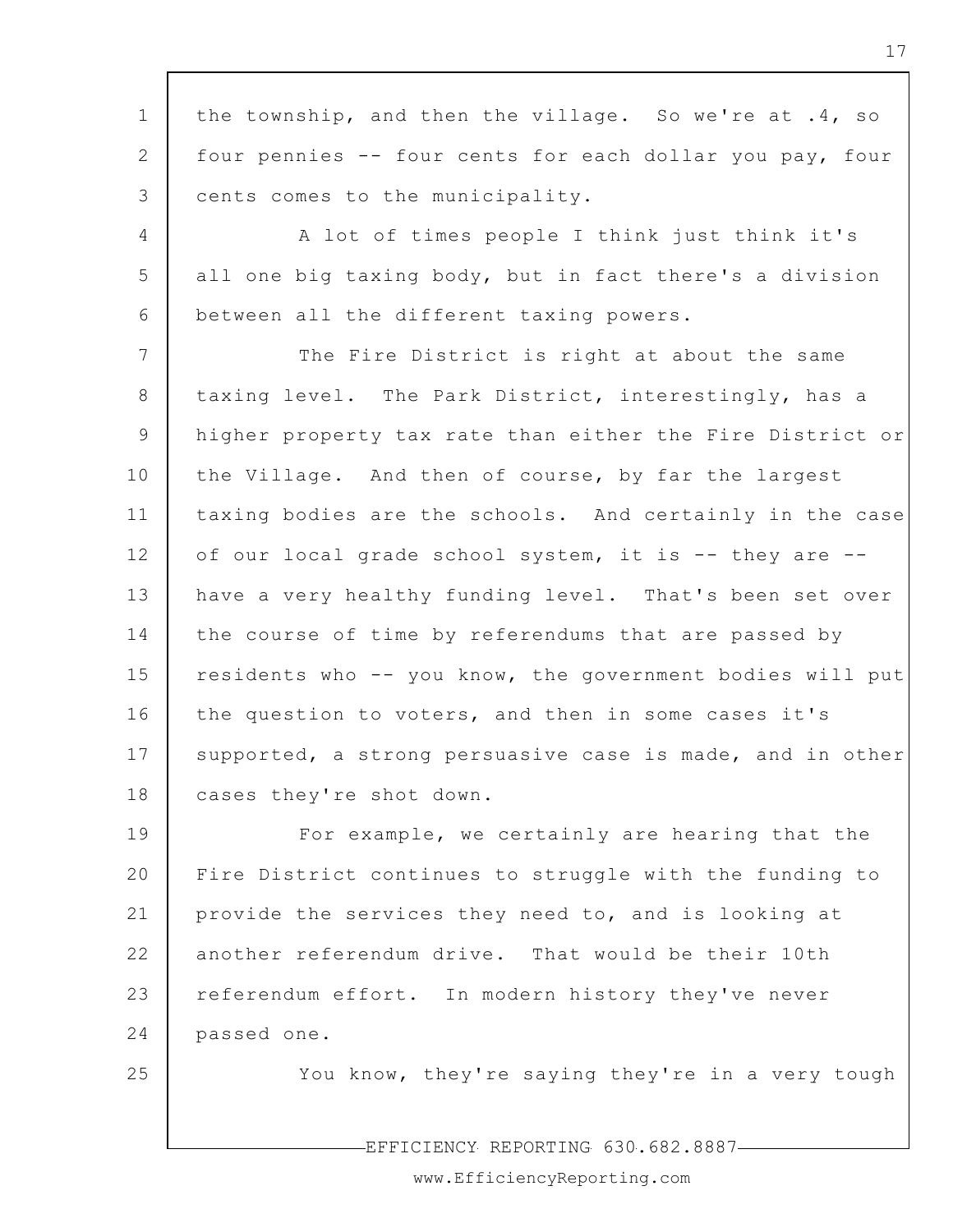1 2 3 4 5 6 7 8 9 10 11 12 13 14 15 16 17 18 19 20 21 22 23 24 25 the township, and then the village. So we're at .4, so four pennies -- four cents for each dollar you pay, four cents comes to the municipality. A lot of times people I think just think it's all one big taxing body, but in fact there's a division between all the different taxing powers. The Fire District is right at about the same taxing level. The Park District, interestingly, has a higher property tax rate than either the Fire District or the Village. And then of course, by far the largest taxing bodies are the schools. And certainly in the case of our local grade school system, it is -- they are - have a very healthy funding level. That's been set over the course of time by referendums that are passed by residents who -- you know, the government bodies will put the question to voters, and then in some cases it's supported, a strong persuasive case is made, and in other cases they're shot down. For example, we certainly are hearing that the Fire District continues to struggle with the funding to provide the services they need to, and is looking at another referendum drive. That would be their 10th referendum effort. In modern history they've never passed one. You know, they're saying they're in a very tough

EFFICIENCY REPORTING 630.682.8887

www.EfficiencyReporting.com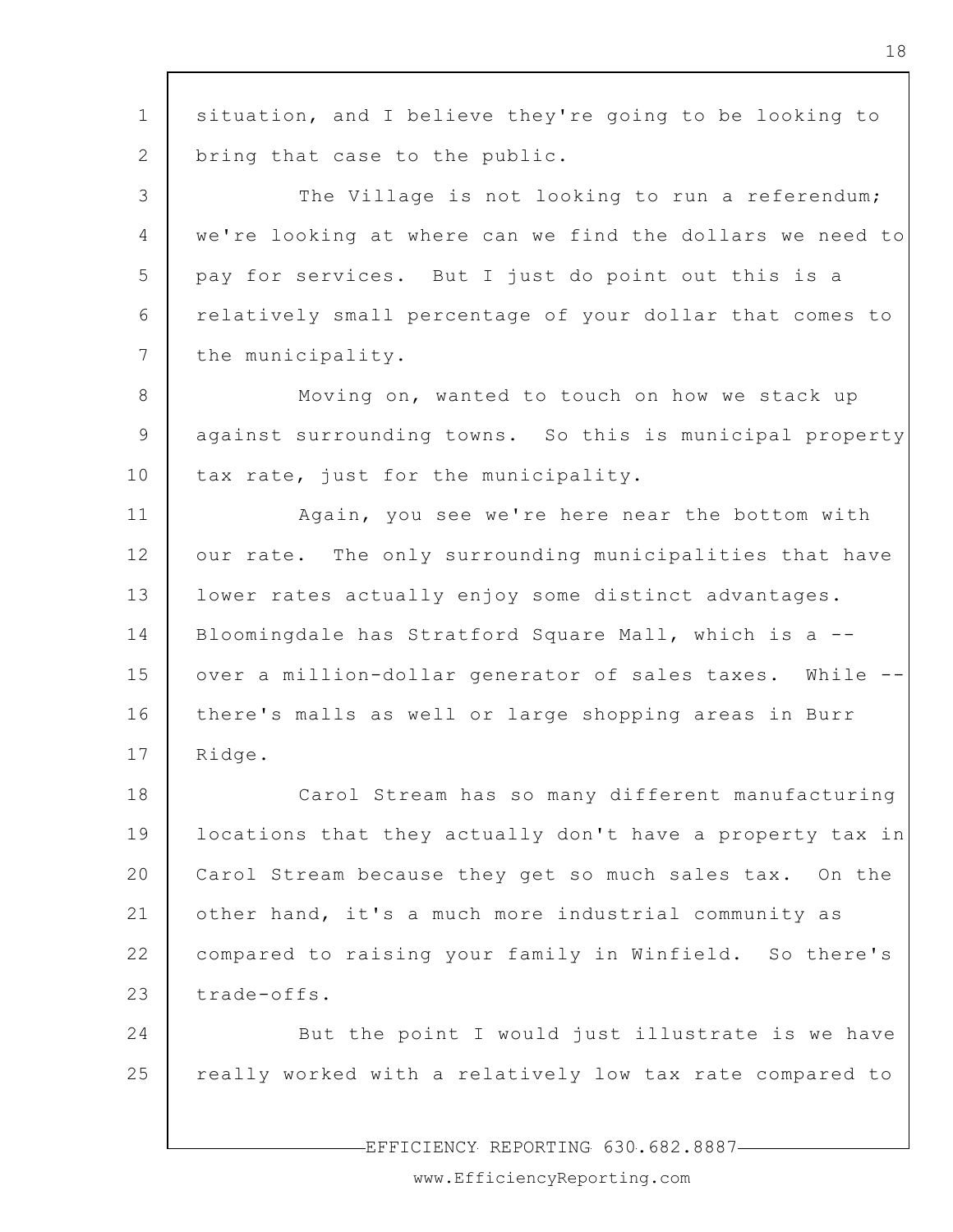1 2 3 4 5 6 7 8 9 10 11 12 13 14 15 16 17 18 19 20 21 22 23 24 25 situation, and I believe they're going to be looking to bring that case to the public. The Village is not looking to run a referendum; we're looking at where can we find the dollars we need to pay for services. But I just do point out this is a relatively small percentage of your dollar that comes to the municipality. Moving on, wanted to touch on how we stack up against surrounding towns. So this is municipal property tax rate, just for the municipality. Again, you see we're here near the bottom with our rate. The only surrounding municipalities that have lower rates actually enjoy some distinct advantages. Bloomingdale has Stratford Square Mall, which is a - over a million-dollar generator of sales taxes. While - there's malls as well or large shopping areas in Burr Ridge. Carol Stream has so many different manufacturing locations that they actually don't have a property tax in Carol Stream because they get so much sales tax. On the other hand, it's a much more industrial community as compared to raising your family in Winfield. So there's trade-offs. But the point I would just illustrate is we have really worked with a relatively low tax rate compared to

18

EFFICIENCY REPORTING 630.682.8887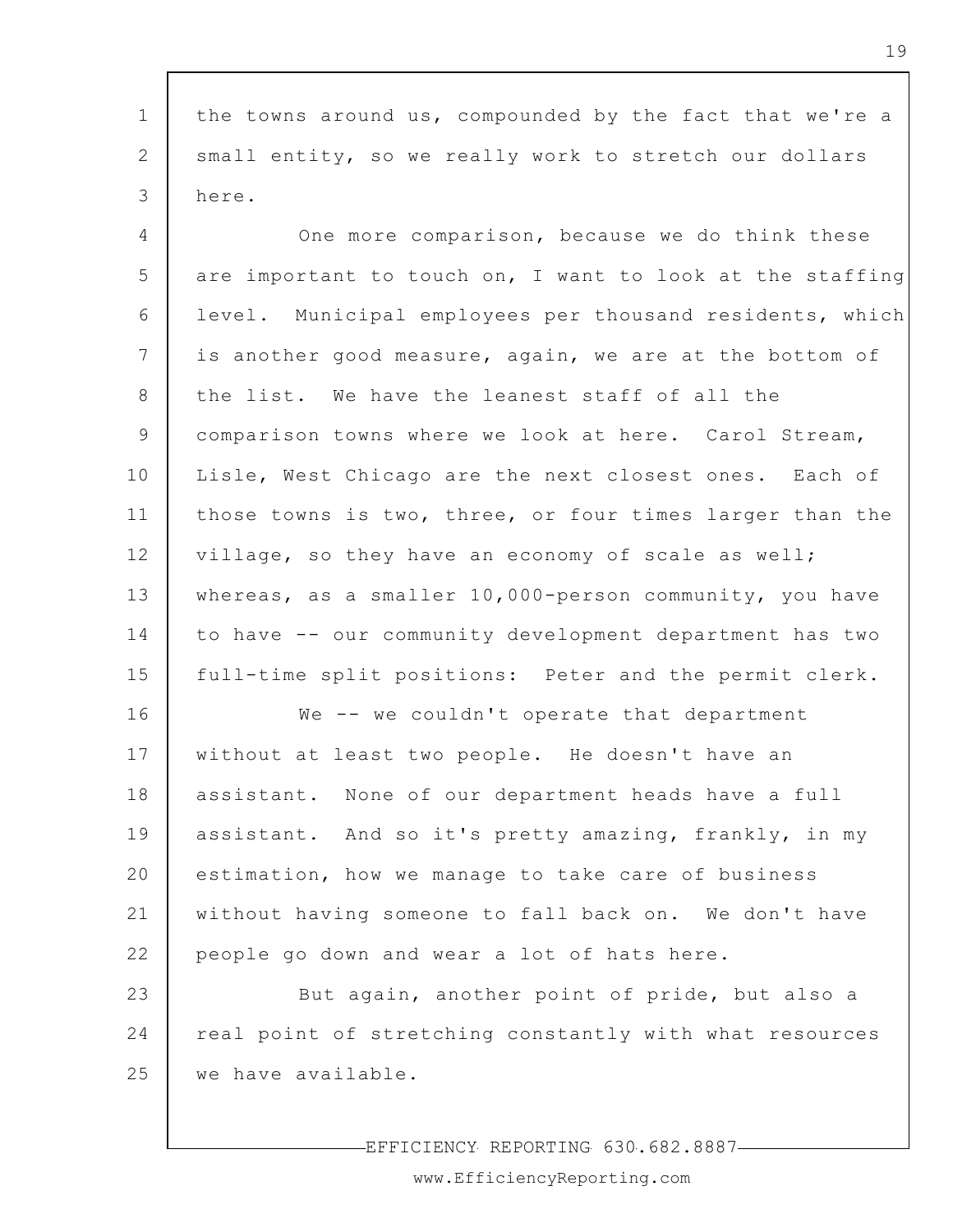1 2 3 4 5 6 7 8 9 10 11 12 13 14 15 the towns around us, compounded by the fact that we're a small entity, so we really work to stretch our dollars here. One more comparison, because we do think these are important to touch on, I want to look at the staffing level. Municipal employees per thousand residents, which is another good measure, again, we are at the bottom of the list. We have the leanest staff of all the comparison towns where we look at here. Carol Stream, Lisle, West Chicago are the next closest ones. Each of those towns is two, three, or four times larger than the village, so they have an economy of scale as well; whereas, as a smaller 10,000-person community, you have to have -- our community development department has two full-time split positions: Peter and the permit clerk.

16 17 18 19 20 21 22 We -- we couldn't operate that department without at least two people. He doesn't have an assistant. None of our department heads have a full assistant. And so it's pretty amazing, frankly, in my estimation, how we manage to take care of business without having someone to fall back on. We don't have people go down and wear a lot of hats here.

23 24 25 But again, another point of pride, but also a real point of stretching constantly with what resources we have available.

-EFFICIENCY REPORTING 630.682.8887-

www.EfficiencyReporting.com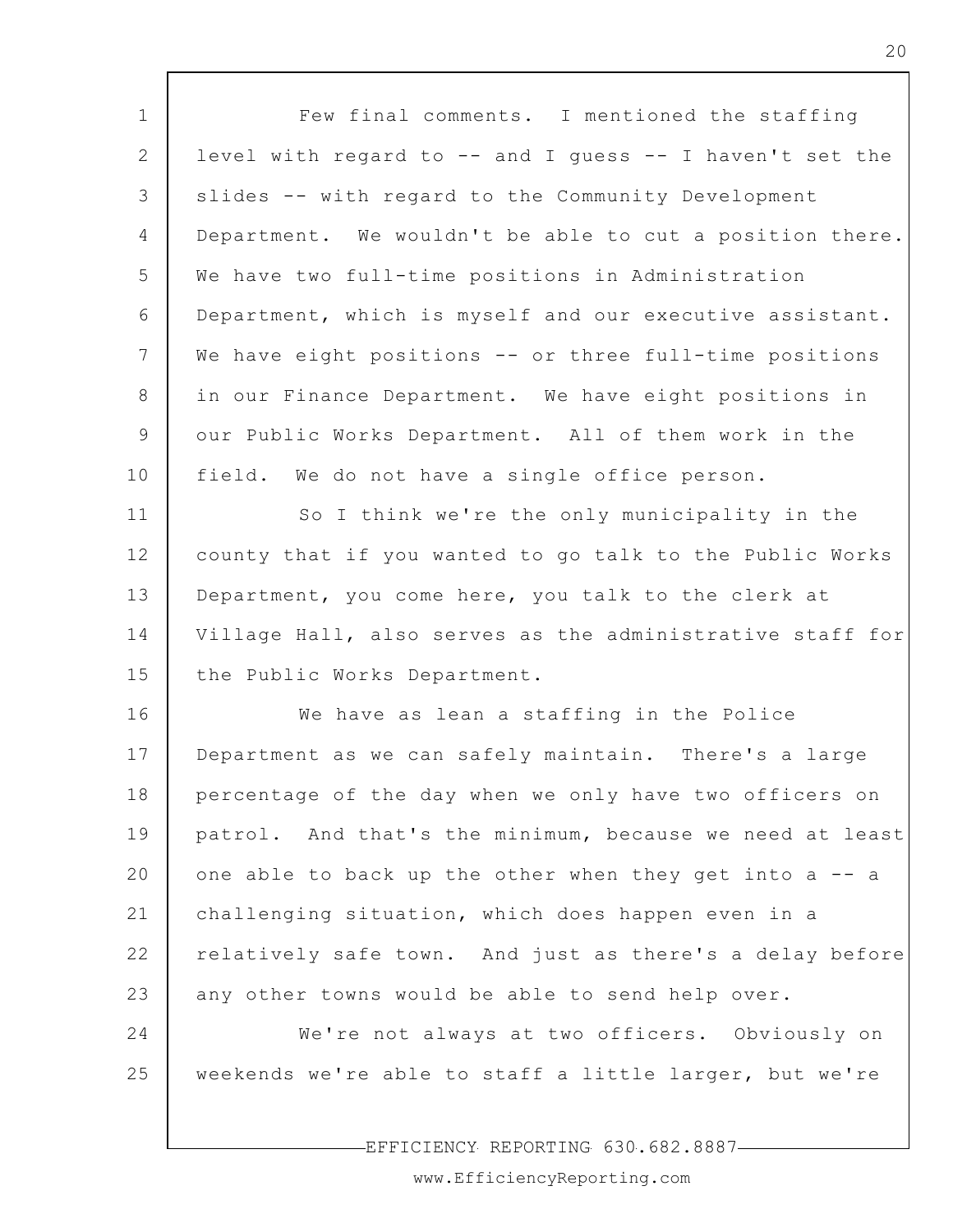| $\mathbf 1$    | Few final comments. I mentioned the staffing              |
|----------------|-----------------------------------------------------------|
| 2              | level with regard to -- and I guess -- I haven't set the  |
| 3              | slides -- with regard to the Community Development        |
| $\overline{4}$ | Department. We wouldn't be able to cut a position there.  |
| 5              | We have two full-time positions in Administration         |
| 6              | Department, which is myself and our executive assistant.  |
| 7              | We have eight positions -- or three full-time positions   |
| 8              | in our Finance Department. We have eight positions in     |
| 9              | our Public Works Department. All of them work in the      |
| 10             | field. We do not have a single office person.             |
| 11             | So I think we're the only municipality in the             |
| 12             | county that if you wanted to go talk to the Public Works  |
| 13             | Department, you come here, you talk to the clerk at       |
| 14             | Village Hall, also serves as the administrative staff for |
| 15             | the Public Works Department.                              |
| 16             | We have as lean a staffing in the Police                  |
| 17             | Department as we can safely maintain. There's a large     |
| 18             | percentage of the day when we only have two officers on   |
| 19             | patrol. And that's the minimum, because we need at least  |
| 20             | one able to back up the other when they get into a -- a   |
| 21             | challenging situation, which does happen even in a        |
| 22             | relatively safe town. And just as there's a delay before  |
| 23             | any other towns would be able to send help over.          |
| 24             | We're not always at two officers. Obviously on            |
| 25             | weekends we're able to staff a little larger, but we're   |
|                |                                                           |

EFFICIENCY REPORTING 630.682.8887

 $\mathsf{L}$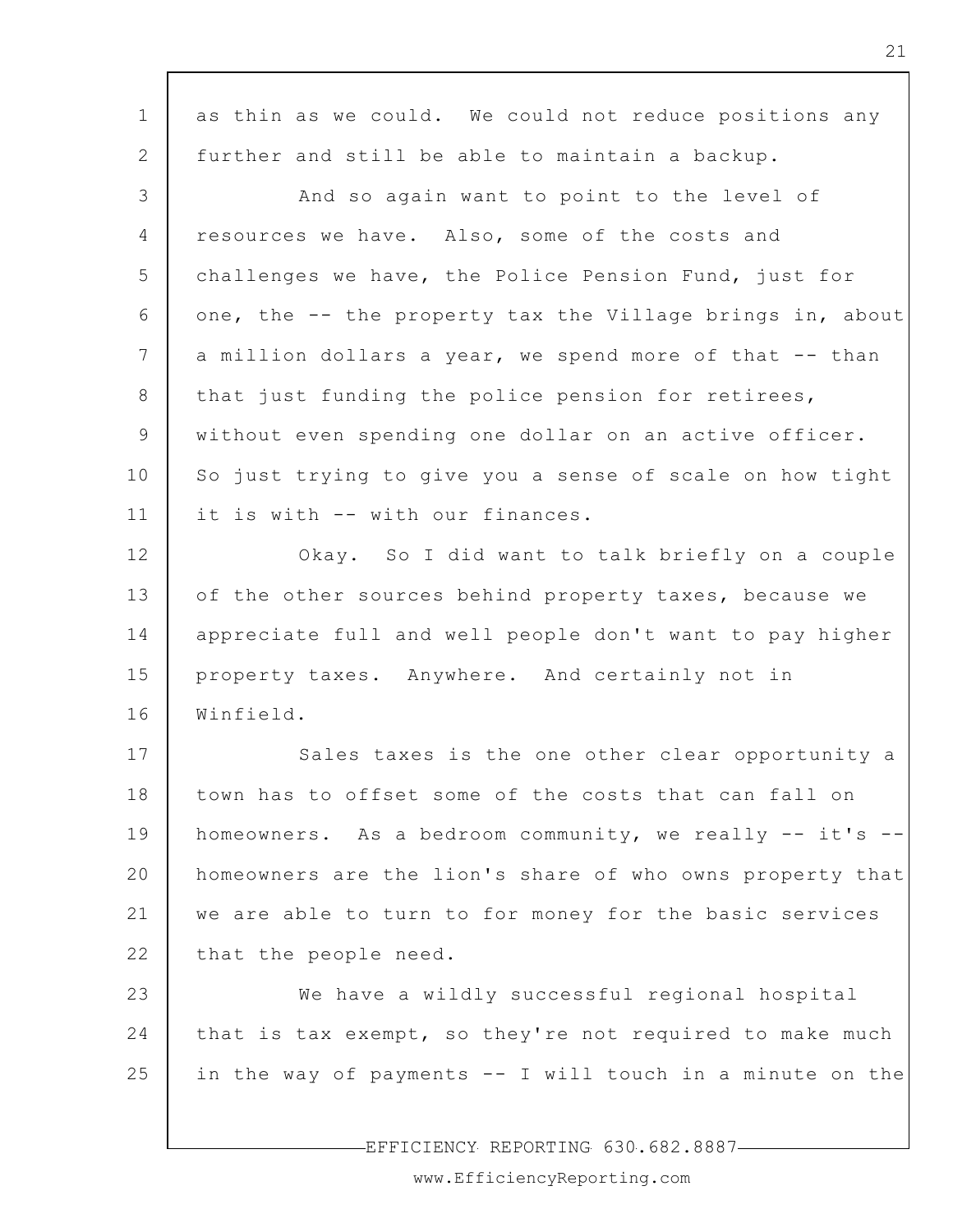| $\mathbf 1$     | as thin as we could. We could not reduce positions any    |
|-----------------|-----------------------------------------------------------|
| 2               | further and still be able to maintain a backup.           |
| 3               | And so again want to point to the level of                |
| 4               | resources we have. Also, some of the costs and            |
| 5               | challenges we have, the Police Pension Fund, just for     |
| 6               | one, the -- the property tax the Village brings in, about |
| $7\phantom{.0}$ | a million dollars a year, we spend more of that -- than   |
| 8               | that just funding the police pension for retirees,        |
| 9               | without even spending one dollar on an active officer.    |
| 10              | So just trying to give you a sense of scale on how tight  |
| 11              | it is with -- with our finances.                          |
| 12              | Okay. So I did want to talk briefly on a couple           |
| 13              | of the other sources behind property taxes, because we    |
| 14              | appreciate full and well people don't want to pay higher  |
| 15              | property taxes. Anywhere. And certainly not in            |
| 16              | Winfield.                                                 |
| 17              | Sales taxes is the one other clear opportunity a          |
| 18              | town has to offset some of the costs that can fall on     |
| 19              | homeowners. As a bedroom community, we really -- it's --  |
| 20              | homeowners are the lion's share of who owns property that |
| 21              | we are able to turn to for money for the basic services   |
| 22              | that the people need.                                     |
| 23              | We have a wildly successful regional hospital             |
| 24              | that is tax exempt, so they're not required to make much  |
| 25              | in the way of payments -- I will touch in a minute on the |
|                 |                                                           |
|                 | EFFICIENCY REPORTING 630.682.8887-                        |

 $\overline{\phantom{a}}$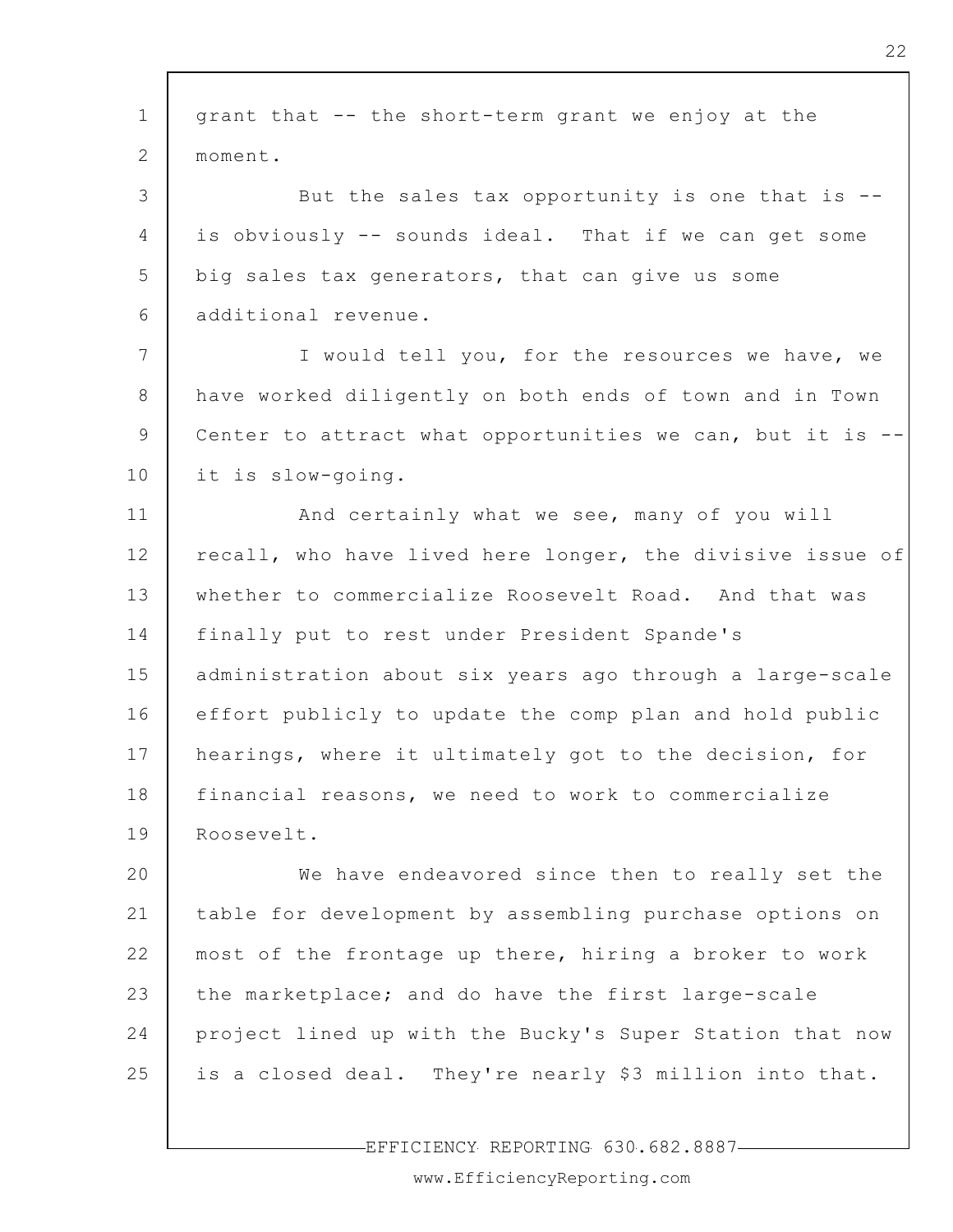| $\mathbf 1$    | grant that -- the short-term grant we enjoy at the        |
|----------------|-----------------------------------------------------------|
| 2              | moment.                                                   |
| 3              | But the sales tax opportunity is one that is --           |
| $\overline{4}$ | is obviously -- sounds ideal. That if we can get some     |
| 5              | big sales tax generators, that can give us some           |
| 6              | additional revenue.                                       |
| 7              | I would tell you, for the resources we have, we           |
| 8              | have worked diligently on both ends of town and in Town   |
| 9              | Center to attract what opportunities we can, but it is    |
| 10             | it is slow-going.                                         |
| 11             | And certainly what we see, many of you will               |
| 12             | recall, who have lived here longer, the divisive issue of |
| 13             | whether to commercialize Roosevelt Road. And that was     |
| 14             | finally put to rest under President Spande's              |
| 15             | administration about six years ago through a large-scale  |
| 16             | effort publicly to update the comp plan and hold public   |
| 17             | hearings, where it ultimately got to the decision, for    |
| 18             | financial reasons, we need to work to commercialize       |
| 19             | Roosevelt.                                                |
| 20             | We have endeavored since then to really set the           |
| 21             | table for development by assembling purchase options on   |
| 22             | most of the frontage up there, hiring a broker to work    |
| 23             | the marketplace; and do have the first large-scale        |
| 24             | project lined up with the Bucky's Super Station that now  |
| 25             | is a closed deal. They're nearly \$3 million into that.   |
|                |                                                           |

-EFFICIENCY REPORTING 630.682.8887-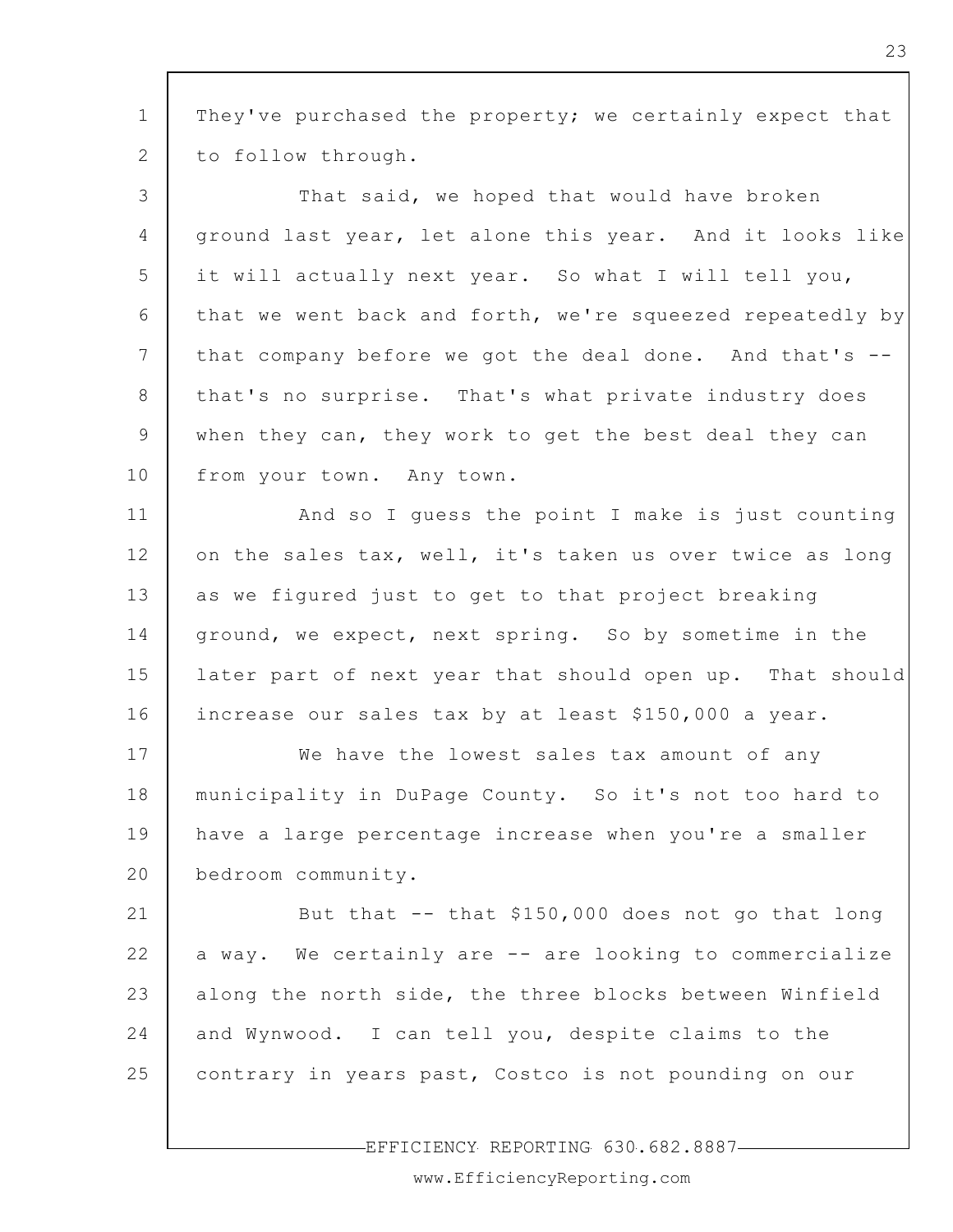1 2 They've purchased the property; we certainly expect that to follow through.

3 4 5 6 7 8 9 10 That said, we hoped that would have broken ground last year, let alone this year. And it looks like it will actually next year. So what I will tell you, that we went back and forth, we're squeezed repeatedly by that company before we got the deal done. And that's - that's no surprise. That's what private industry does when they can, they work to get the best deal they can from your town. Any town.

11 12 13 14 15 16 And so I guess the point I make is just counting on the sales tax, well, it's taken us over twice as long as we figured just to get to that project breaking ground, we expect, next spring. So by sometime in the later part of next year that should open up. That should increase our sales tax by at least \$150,000 a year.

17 18 19 20 We have the lowest sales tax amount of any municipality in DuPage County. So it's not too hard to have a large percentage increase when you're a smaller bedroom community.

21 22 23 24 25 But that -- that \$150,000 does not go that long a way. We certainly are -- are looking to commercialize along the north side, the three blocks between Winfield and Wynwood. I can tell you, despite claims to the contrary in years past, Costco is not pounding on our

EFFICIENCY REPORTING 630.682.8887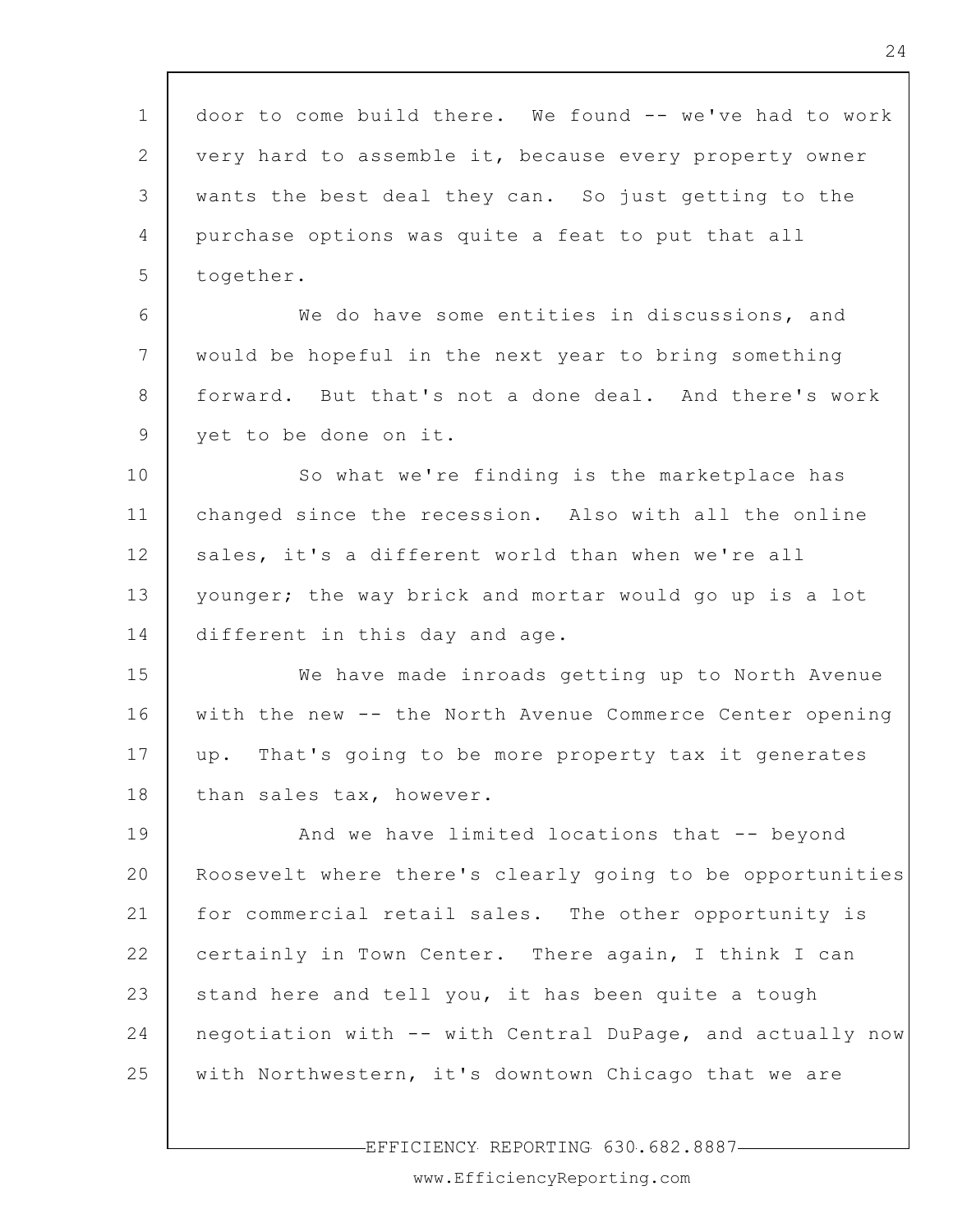1 2 3 4 5 6 7 8 9 10 11 12 13 14 15 16 17 18 19 20 21 22 23 24 25 door to come build there. We found -- we've had to work very hard to assemble it, because every property owner wants the best deal they can. So just getting to the purchase options was quite a feat to put that all together. We do have some entities in discussions, and would be hopeful in the next year to bring something forward. But that's not a done deal. And there's work yet to be done on it. So what we're finding is the marketplace has changed since the recession. Also with all the online sales, it's a different world than when we're all younger; the way brick and mortar would go up is a lot different in this day and age. We have made inroads getting up to North Avenue with the new -- the North Avenue Commerce Center opening up. That's going to be more property tax it generates than sales tax, however. And we have limited locations that -- beyond Roosevelt where there's clearly going to be opportunities for commercial retail sales. The other opportunity is certainly in Town Center. There again, I think I can stand here and tell you, it has been quite a tough negotiation with -- with Central DuPage, and actually now with Northwestern, it's downtown Chicago that we are

EFFICIENCY REPORTING 630.682.8887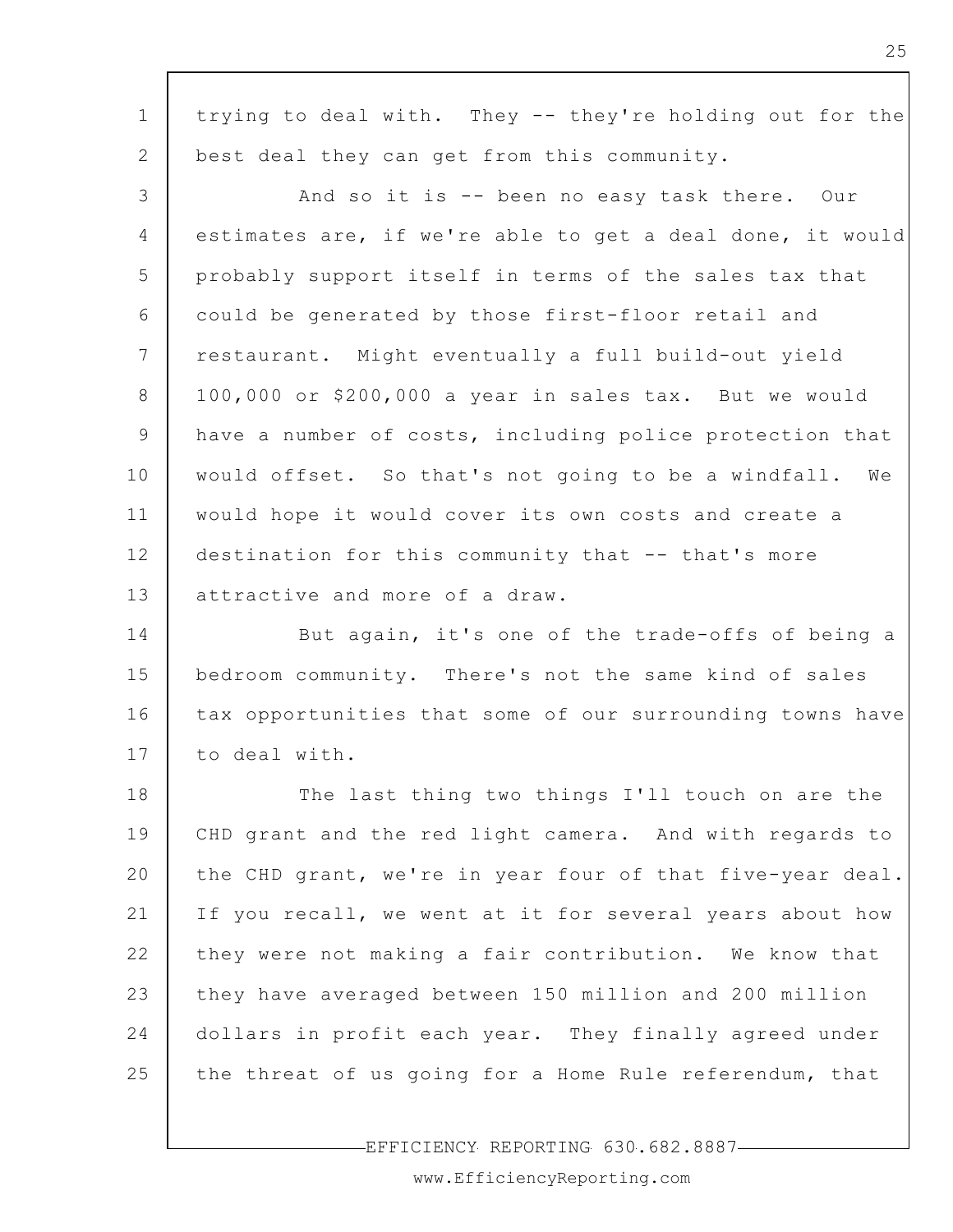| $\mathbf 1$     | trying to deal with. They -- they're holding out for the  |
|-----------------|-----------------------------------------------------------|
| 2               | best deal they can get from this community.               |
| 3               | And so it is -- been no easy task there. Our              |
| 4               | estimates are, if we're able to get a deal done, it would |
| 5               | probably support itself in terms of the sales tax that    |
| 6               | could be generated by those first-floor retail and        |
| $7\phantom{.0}$ | restaurant. Might eventually a full build-out yield       |
| 8               | 100,000 or \$200,000 a year in sales tax. But we would    |
| 9               | have a number of costs, including police protection that  |
| 10              | would offset. So that's not going to be a windfall. We    |
| 11              | would hope it would cover its own costs and create a      |
| 12              | destination for this community that -- that's more        |
| 13              | attractive and more of a draw.                            |
| 14              | But again, it's one of the trade-offs of being a          |
| 15              | bedroom community. There's not the same kind of sales     |
| 16              | tax opportunities that some of our surrounding towns have |
| 17              | to deal with.                                             |
| 18              | The last thing two things I'll touch on are the           |
| 19              | CHD grant and the red light camera. And with regards to   |
| 20              | the CHD grant, we're in year four of that five-year deal. |
| 21              | If you recall, we went at it for several years about how  |
| 22              | they were not making a fair contribution. We know that    |
| 23              | they have averaged between 150 million and 200 million    |
| 24              | dollars in profit each year. They finally agreed under    |
| 25              | the threat of us going for a Home Rule referendum, that   |
|                 |                                                           |

EFFICIENCY REPORTING 630.682.8887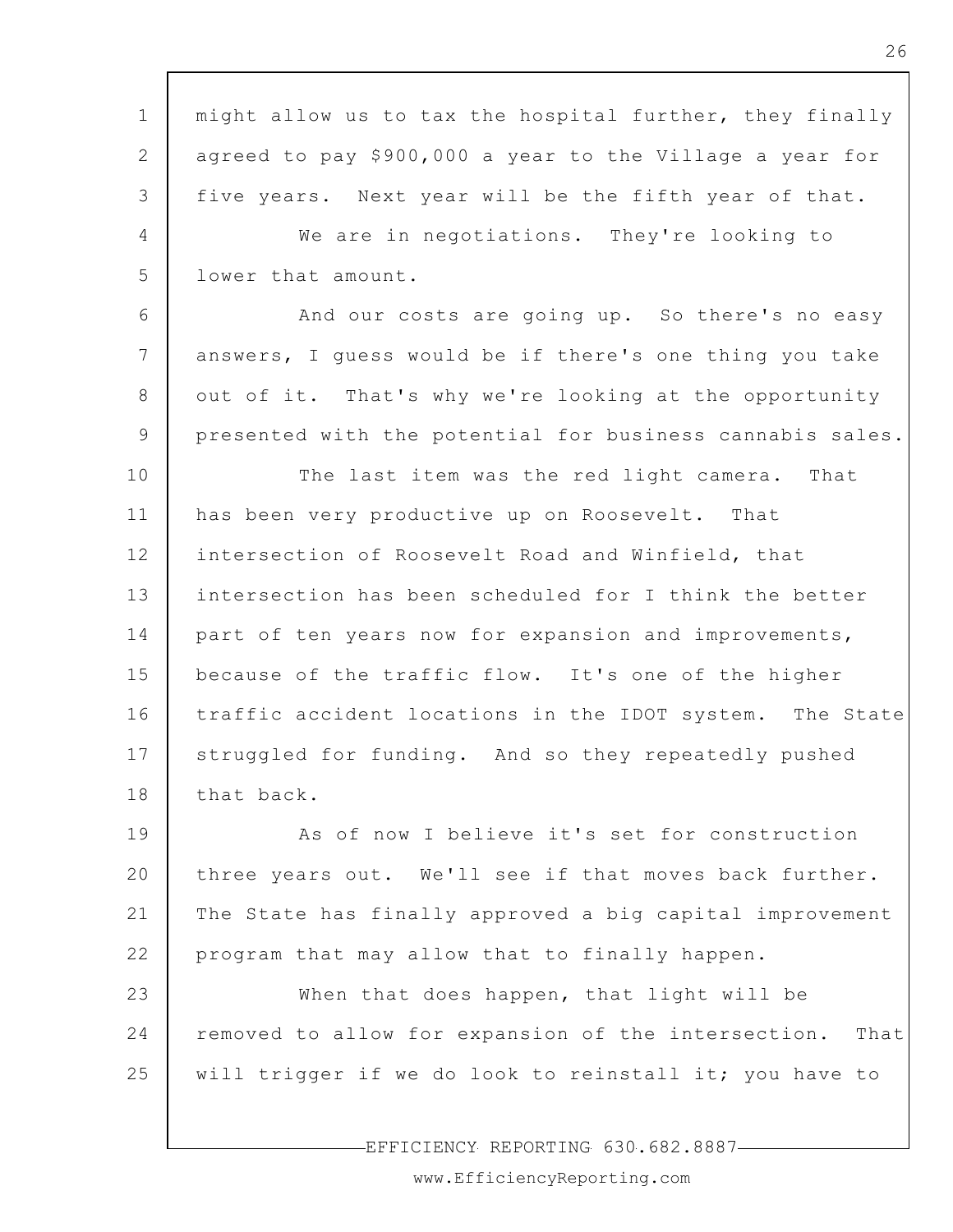1 2 3 4 5 6 7 8 9 10 11 12 13 14 15 16 17 18 19 20 21 22 23 24 25 might allow us to tax the hospital further, they finally agreed to pay \$900,000 a year to the Village a year for five years. Next year will be the fifth year of that. We are in negotiations. They're looking to lower that amount. And our costs are going up. So there's no easy answers, I guess would be if there's one thing you take out of it. That's why we're looking at the opportunity presented with the potential for business cannabis sales. The last item was the red light camera. That has been very productive up on Roosevelt. That intersection of Roosevelt Road and Winfield, that intersection has been scheduled for I think the better part of ten years now for expansion and improvements, because of the traffic flow. It's one of the higher traffic accident locations in the IDOT system. The State struggled for funding. And so they repeatedly pushed that back. As of now I believe it's set for construction three years out. We'll see if that moves back further. The State has finally approved a big capital improvement program that may allow that to finally happen. When that does happen, that light will be removed to allow for expansion of the intersection. That will trigger if we do look to reinstall it; you have to

EFFICIENCY REPORTING 630.682.8887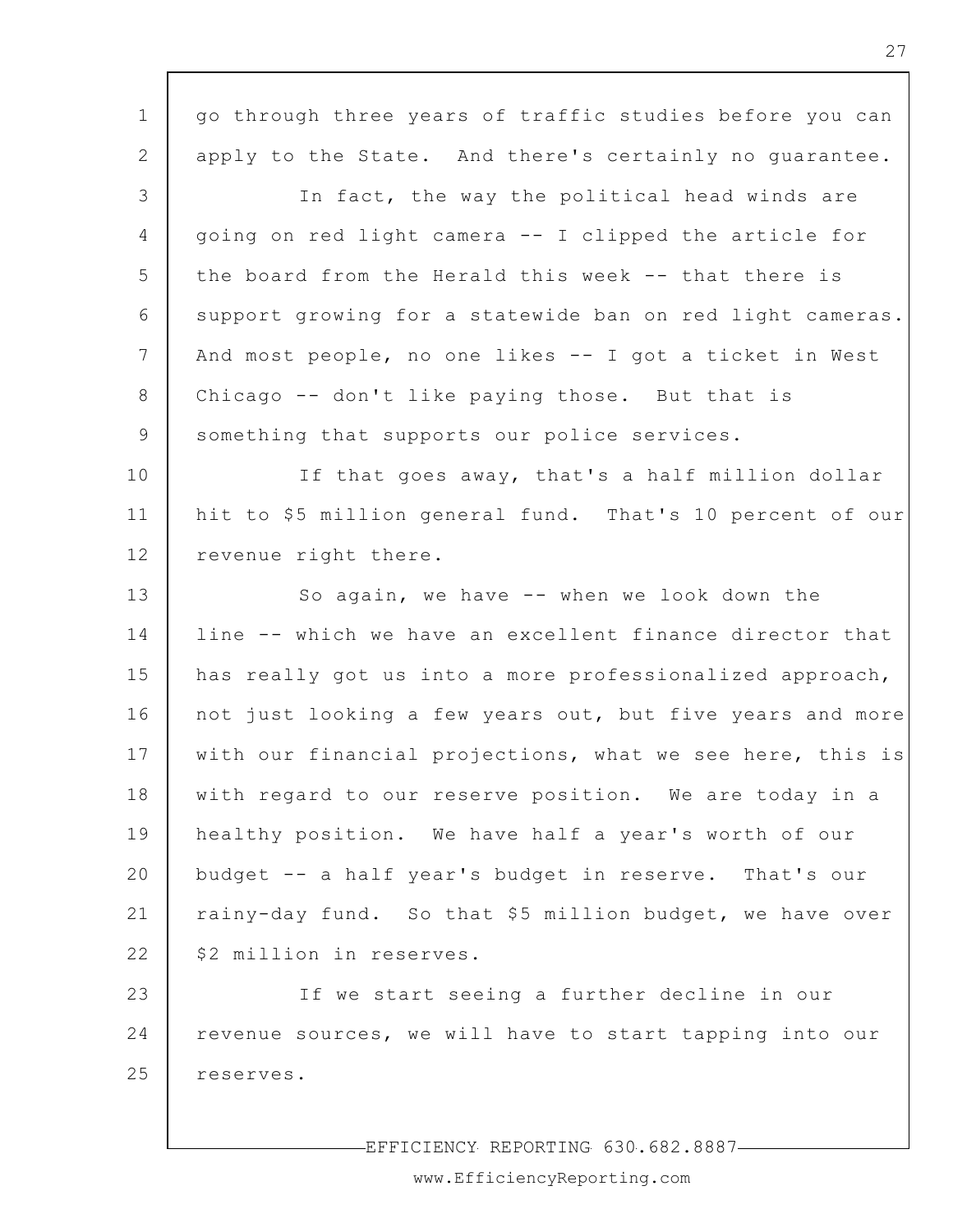| $\mathbf 1$     | go through three years of traffic studies before you can  |
|-----------------|-----------------------------------------------------------|
| 2               | apply to the State. And there's certainly no guarantee.   |
| 3               | In fact, the way the political head winds are             |
| 4               | going on red light camera -- I clipped the article for    |
| 5               | the board from the Herald this week -- that there is      |
| 6               | support growing for a statewide ban on red light cameras. |
| $7\phantom{.0}$ | And most people, no one likes -- I got a ticket in West   |
| 8               | Chicago -- don't like paying those. But that is           |
| 9               | something that supports our police services.              |
| 10              | If that goes away, that's a half million dollar           |
| 11              | hit to \$5 million general fund. That's 10 percent of our |
| 12              | revenue right there.                                      |
| 13              | So again, we have -- when we look down the                |
| 14              | line -- which we have an excellent finance director that  |
| 15              | has really got us into a more professionalized approach,  |
| 16              | not just looking a few years out, but five years and more |
| 17              | with our financial projections, what we see here, this is |
| 18              | with regard to our reserve position. We are today in a    |
| 19              | healthy position. We have half a year's worth of our      |
| 20              | budget -- a half year's budget in reserve. That's our     |
| 21              | rainy-day fund. So that \$5 million budget, we have over  |
| 22              | \$2 million in reserves.                                  |
| 23              | If we start seeing a further decline in our               |
| 24              | revenue sources, we will have to start tapping into our   |
| 25              | reserves.                                                 |
|                 |                                                           |

-EFFICIENCY REPORTING 630.682.8887-

┑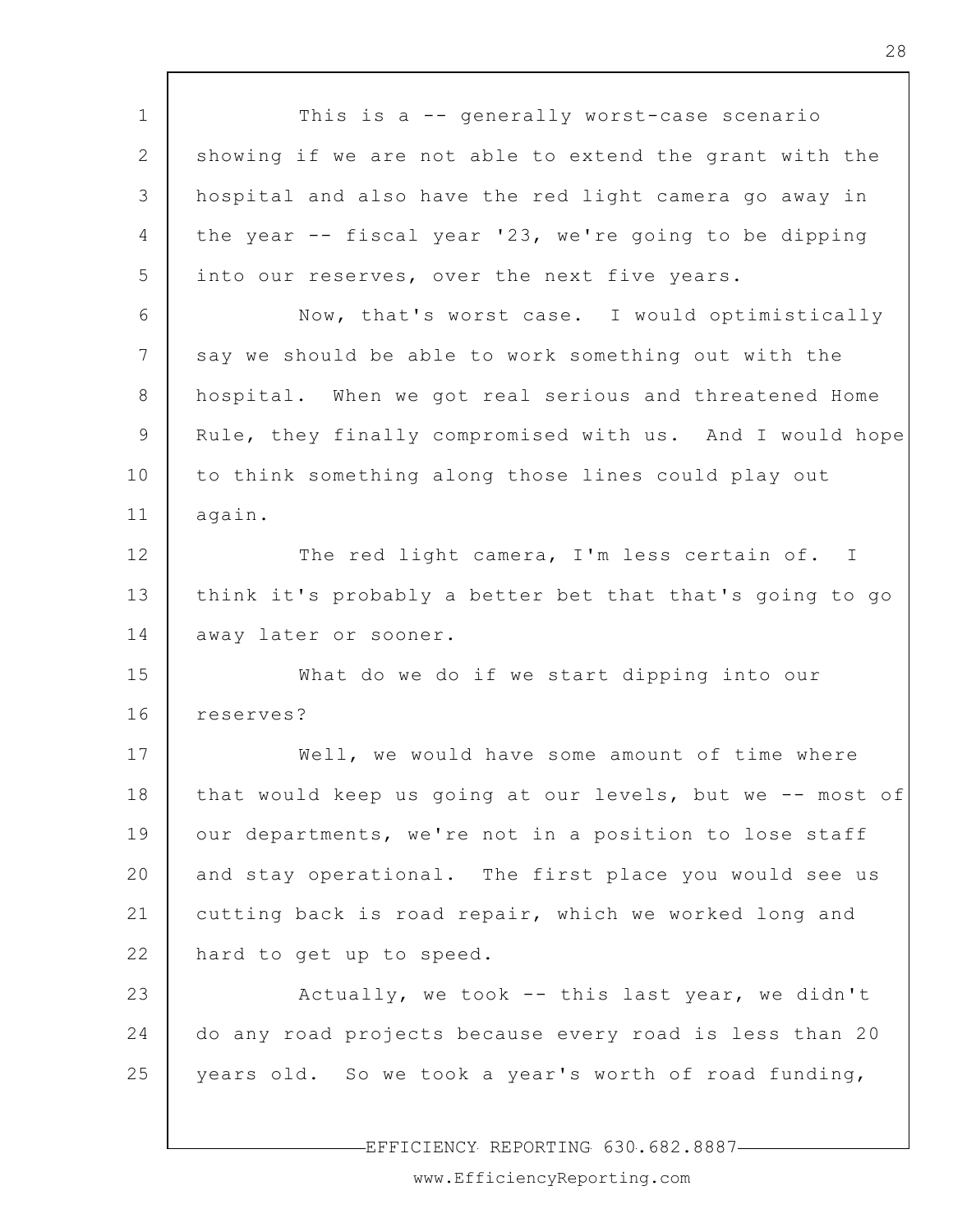1 2 3 4 5 6 7 8 9 10 11 12 13 14 15 16 17 18 19 20 21 22 23 24 25 This is a -- generally worst-case scenario showing if we are not able to extend the grant with the hospital and also have the red light camera go away in the year -- fiscal year '23, we're going to be dipping into our reserves, over the next five years. Now, that's worst case. I would optimistically say we should be able to work something out with the hospital. When we got real serious and threatened Home Rule, they finally compromised with us. And I would hope to think something along those lines could play out again. The red light camera, I'm less certain of. I think it's probably a better bet that that's going to go away later or sooner. What do we do if we start dipping into our reserves? Well, we would have some amount of time where that would keep us going at our levels, but we -- most of our departments, we're not in a position to lose staff and stay operational. The first place you would see us cutting back is road repair, which we worked long and hard to get up to speed. Actually, we took -- this last year, we didn't do any road projects because every road is less than 20 years old. So we took a year's worth of road funding,

EFFICIENCY REPORTING 630.682.8887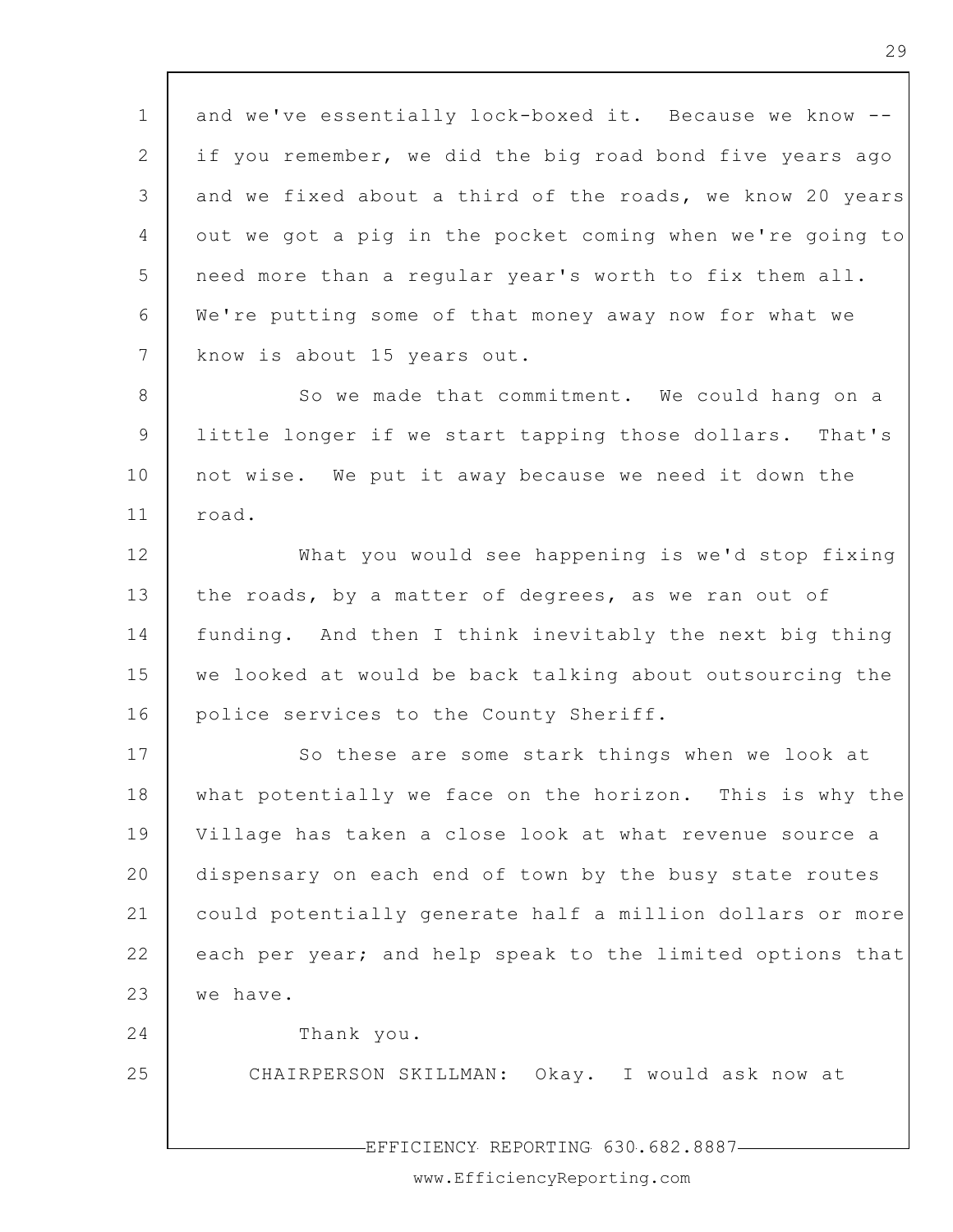1 2 3 4 5 6 7 8 9 10 11 12 13 14 15 16 17 18 19 20 21 22 23 24 25 EFFICIENCY REPORTING 630.682.8887 and we've essentially lock-boxed it. Because we know - if you remember, we did the big road bond five years ago and we fixed about a third of the roads, we know 20 years out we got a pig in the pocket coming when we're going to need more than a regular year's worth to fix them all. We're putting some of that money away now for what we know is about 15 years out. So we made that commitment. We could hang on a little longer if we start tapping those dollars. That's not wise. We put it away because we need it down the road. What you would see happening is we'd stop fixing the roads, by a matter of degrees, as we ran out of funding. And then I think inevitably the next big thing we looked at would be back talking about outsourcing the police services to the County Sheriff. So these are some stark things when we look at what potentially we face on the horizon. This is why the Village has taken a close look at what revenue source a dispensary on each end of town by the busy state routes could potentially generate half a million dollars or more each per year; and help speak to the limited options that we have. Thank you. CHAIRPERSON SKILLMAN: Okay. I would ask now at

www.EfficiencyReporting.com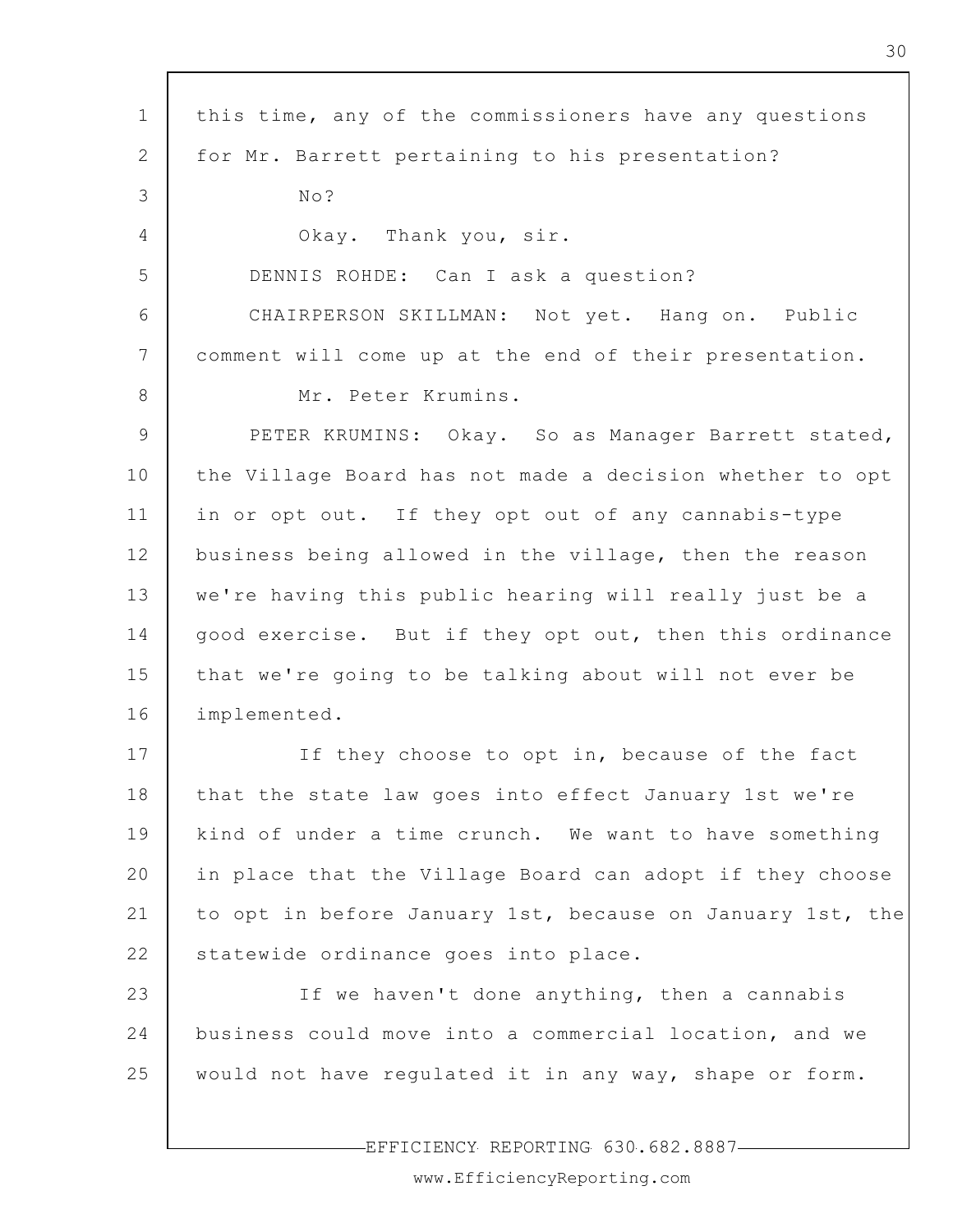| $\mathbf 1$     | this time, any of the commissioners have any questions    |
|-----------------|-----------------------------------------------------------|
| 2               | for Mr. Barrett pertaining to his presentation?           |
| 3               | No?                                                       |
| 4               | Okay. Thank you, sir.                                     |
| 5               | DENNIS ROHDE: Can I ask a question?                       |
| 6               | CHAIRPERSON SKILLMAN: Not yet. Hang on. Public            |
| $7\phantom{.0}$ | comment will come up at the end of their presentation.    |
| 8               | Mr. Peter Krumins.                                        |
| 9               | PETER KRUMINS: Okay. So as Manager Barrett stated,        |
| 10              | the Village Board has not made a decision whether to opt  |
| 11              | in or opt out. If they opt out of any cannabis-type       |
| 12              | business being allowed in the village, then the reason    |
| 13              | we're having this public hearing will really just be a    |
| 14              | good exercise. But if they opt out, then this ordinance   |
| 15              | that we're going to be talking about will not ever be     |
| 16              | implemented.                                              |
| 17              | If they choose to opt in, because of the fact             |
| 18              | that the state law goes into effect January 1st we're     |
| 19              | kind of under a time crunch. We want to have something    |
| 20              | in place that the Village Board can adopt if they choose  |
| 21              | to opt in before January 1st, because on January 1st, the |
| 22              | statewide ordinance goes into place.                      |
| 23              | If we haven't done anything, then a cannabis              |
| 24              | business could move into a commercial location, and we    |
| 25              | would not have regulated it in any way, shape or form.    |
|                 |                                                           |

 $\overline{\phantom{a}}$ 

EFFICIENCY REPORTING 630.682.8887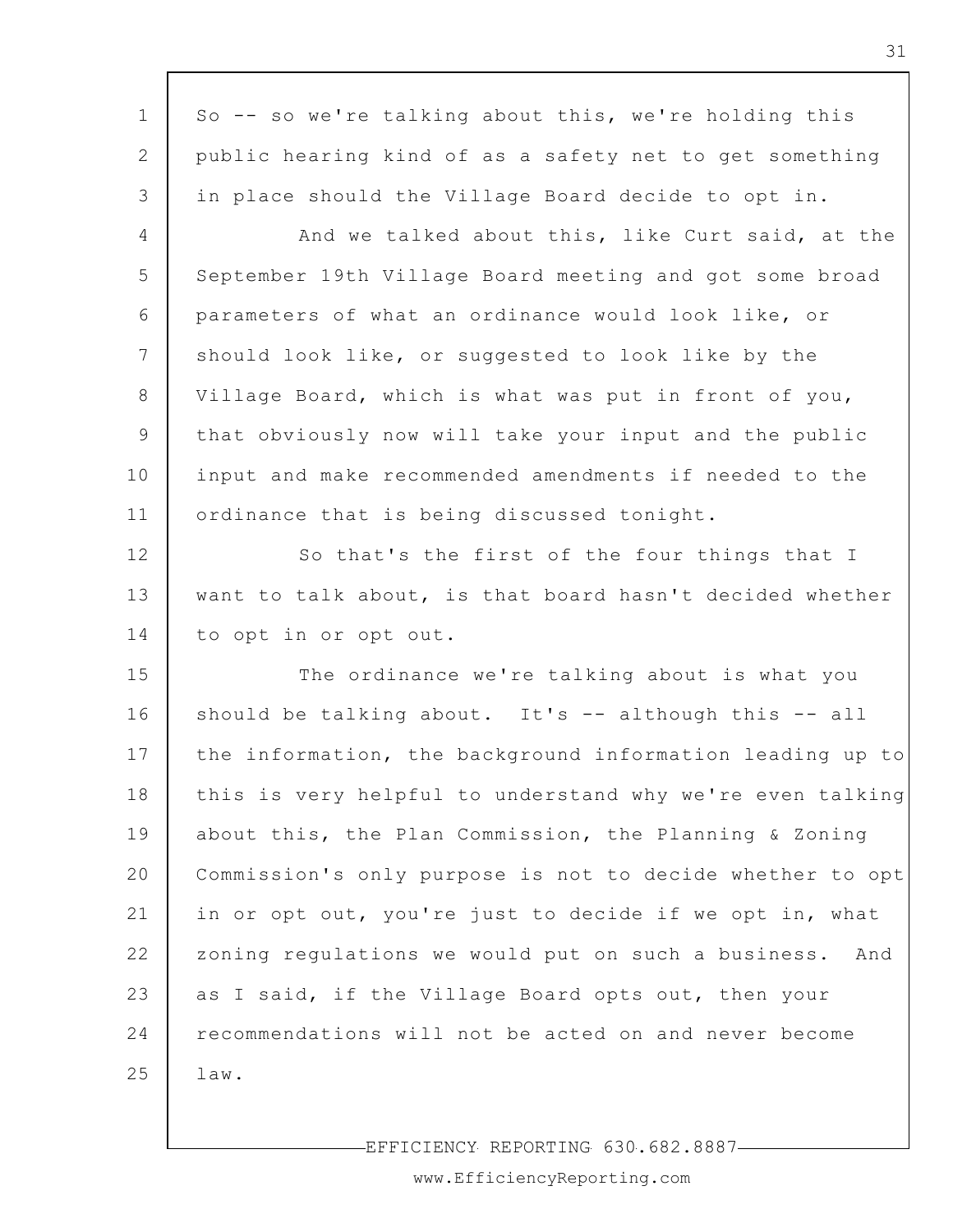| $\mathbf 1$     | So -- so we're talking about this, we're holding this      |
|-----------------|------------------------------------------------------------|
| $\mathbf{2}$    | public hearing kind of as a safety net to get something    |
| 3               | in place should the Village Board decide to opt in.        |
| 4               | And we talked about this, like Curt said, at the           |
| 5               | September 19th Village Board meeting and got some broad    |
| 6               | parameters of what an ordinance would look like, or        |
| $7\phantom{.0}$ | should look like, or suggested to look like by the         |
| 8               | Village Board, which is what was put in front of you,      |
| 9               | that obviously now will take your input and the public     |
| 10              | input and make recommended amendments if needed to the     |
| 11              | ordinance that is being discussed tonight.                 |
| 12              | So that's the first of the four things that I              |
| 13              | want to talk about, is that board hasn't decided whether   |
| 14              | to opt in or opt out.                                      |
| 15              | The ordinance we're talking about is what you              |
| 16              | should be talking about. It's -- although this -- all      |
| 17              | the information, the background information leading up to  |
| 18              | this is very helpful to understand why we're even talking  |
| 19              | about this, the Plan Commission, the Planning & Zoning     |
| 20              | Commission's only purpose is not to decide whether to opt  |
| 21              | in or opt out, you're just to decide if we opt in, what    |
| 22              | zoning regulations we would put on such a business.<br>And |
| 23              | as I said, if the Village Board opts out, then your        |
| 24              | recommendations will not be acted on and never become      |
| 25              | $law$ .                                                    |
|                 |                                                            |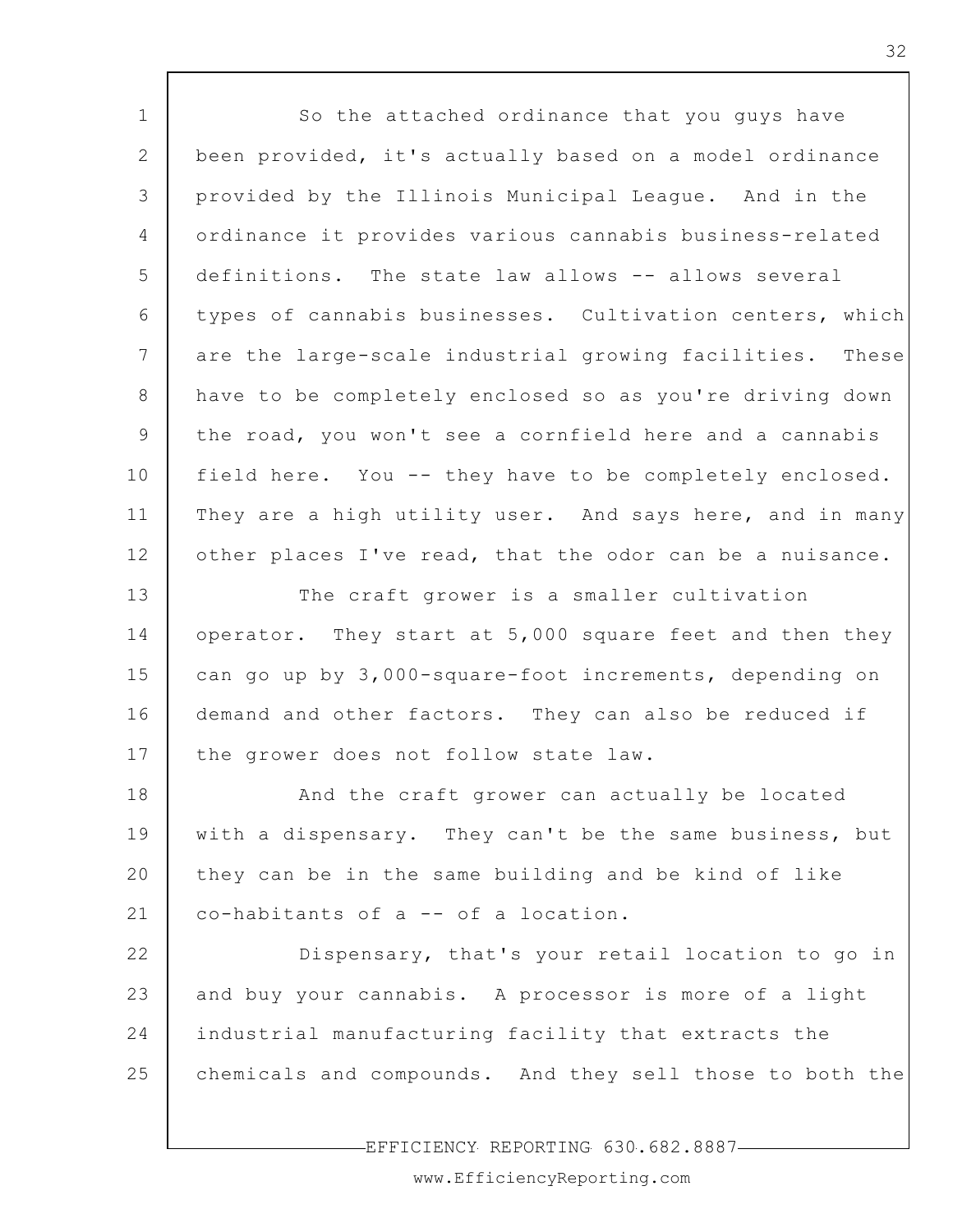| $\mathbf 1$    | So the attached ordinance that you guys have             |
|----------------|----------------------------------------------------------|
| $\mathbf{2}$   | been provided, it's actually based on a model ordinance  |
| 3              | provided by the Illinois Municipal League. And in the    |
| $\overline{4}$ | ordinance it provides various cannabis business-related  |
| 5              | definitions. The state law allows -- allows several      |
| 6              | types of cannabis businesses. Cultivation centers, which |
| 7              | are the large-scale industrial growing facilities. These |
| 8              | have to be completely enclosed so as you're driving down |
| 9              | the road, you won't see a cornfield here and a cannabis  |
| 10             | field here. You -- they have to be completely enclosed.  |
| 11             | They are a high utility user. And says here, and in many |
| 12             | other places I've read, that the odor can be a nuisance. |
| 13             | The craft grower is a smaller cultivation                |
| 14             | operator. They start at 5,000 square feet and then they  |
| 15             | can go up by 3,000-square-foot increments, depending on  |
| 16             | demand and other factors. They can also be reduced if    |
| 17             | the grower does not follow state law.                    |
| 18             | And the craft grower can actually be located             |
| 19             | with a dispensary. They can't be the same business, but  |
| 20             | they can be in the same building and be kind of like     |
| 21             | co-habitants of a -- of a location.                      |
| 22             | Dispensary, that's your retail location to go in         |
| 23             | and buy your cannabis. A processor is more of a light    |
| 24             | industrial manufacturing facility that extracts the      |
| 25             | chemicals and compounds. And they sell those to both the |
|                |                                                          |

EFFICIENCY REPORTING 630.682.8887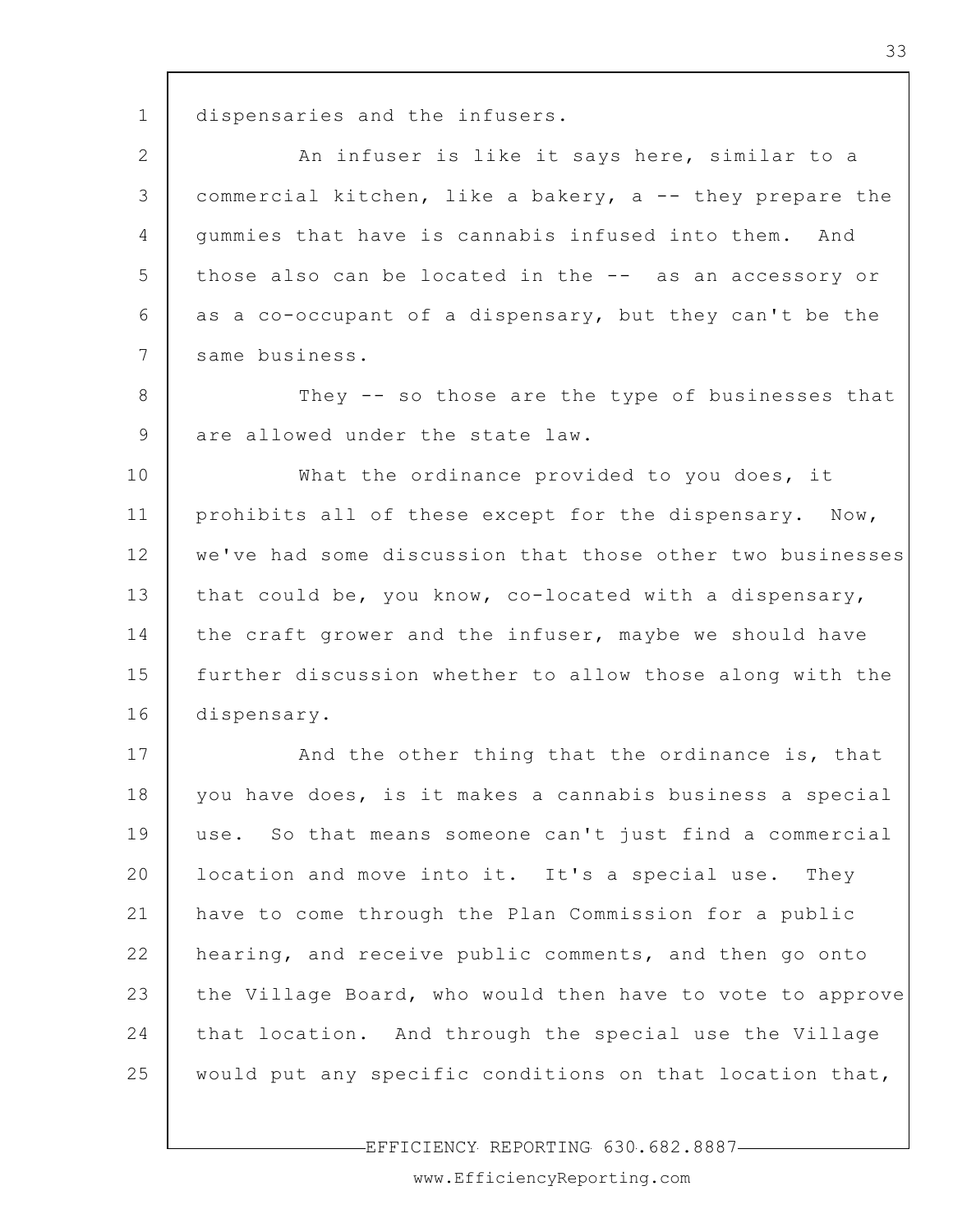1 dispensaries and the infusers.

2 3 4 5 6 7 An infuser is like it says here, similar to a commercial kitchen, like a bakery, a -- they prepare the gummies that have is cannabis infused into them. And those also can be located in the -- as an accessory or as a co-occupant of a dispensary, but they can't be the same business.

8 9 They -- so those are the type of businesses that are allowed under the state law.

10 11 12 13 14 15 16 What the ordinance provided to you does, it prohibits all of these except for the dispensary. Now, we've had some discussion that those other two businesses that could be, you know, co-located with a dispensary, the craft grower and the infuser, maybe we should have further discussion whether to allow those along with the dispensary.

17 18 19 20 21 22 23 24 25 And the other thing that the ordinance is, that you have does, is it makes a cannabis business a special use. So that means someone can't just find a commercial location and move into it. It's a special use. They have to come through the Plan Commission for a public hearing, and receive public comments, and then go onto the Village Board, who would then have to vote to approve that location. And through the special use the Village would put any specific conditions on that location that,

EFFICIENCY REPORTING 630.682.8887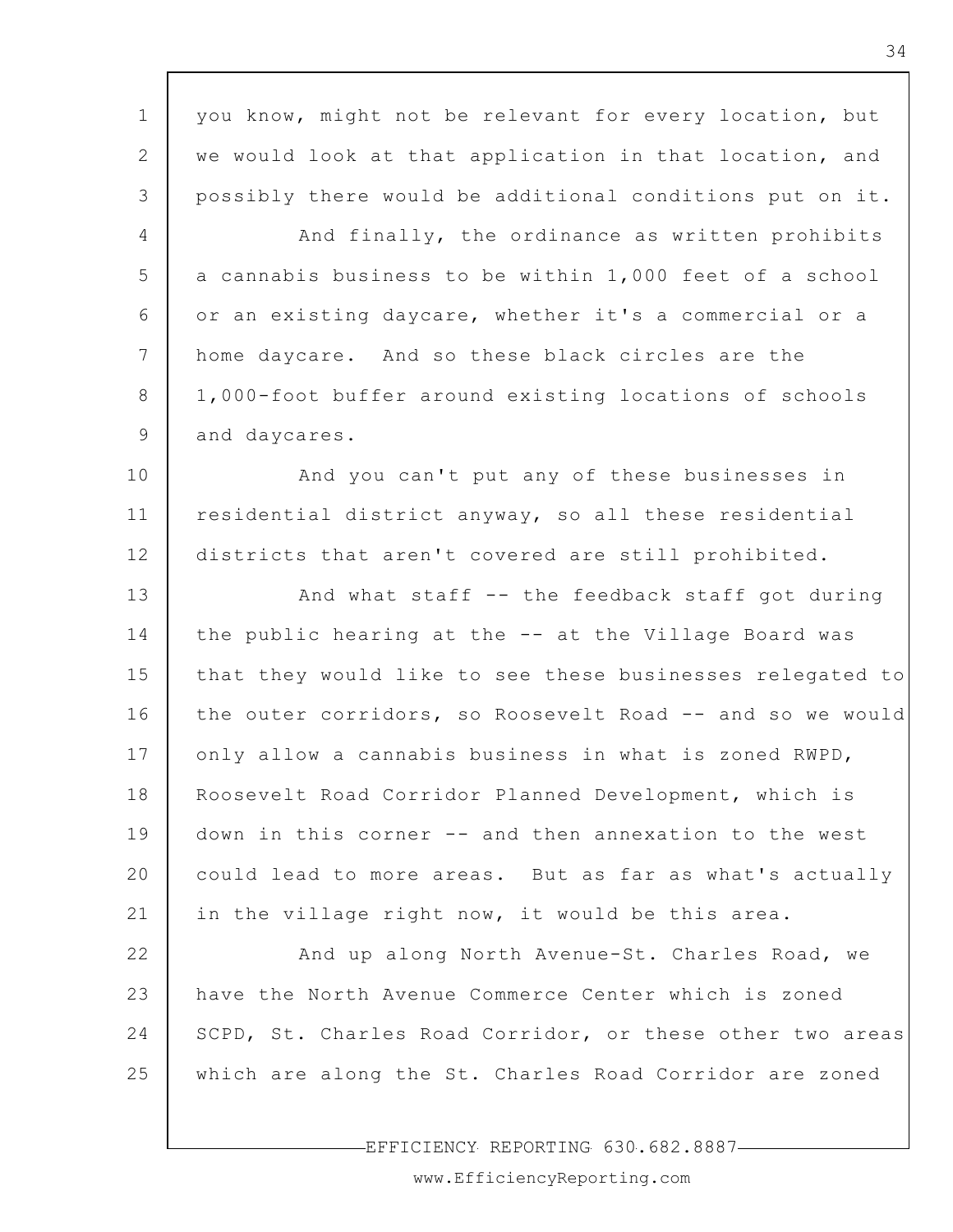1 2 3 4 5 6 7 8 9 10 11 12 13 14 15 16 17 18 19 20 21 22 23 24 25 you know, might not be relevant for every location, but we would look at that application in that location, and possibly there would be additional conditions put on it. And finally, the ordinance as written prohibits a cannabis business to be within 1,000 feet of a school or an existing daycare, whether it's a commercial or a home daycare. And so these black circles are the 1,000-foot buffer around existing locations of schools and daycares. And you can't put any of these businesses in residential district anyway, so all these residential districts that aren't covered are still prohibited. And what staff -- the feedback staff got during the public hearing at the -- at the Village Board was that they would like to see these businesses relegated to the outer corridors, so Roosevelt Road -- and so we would only allow a cannabis business in what is zoned RWPD, Roosevelt Road Corridor Planned Development, which is down in this corner -- and then annexation to the west could lead to more areas. But as far as what's actually in the village right now, it would be this area. And up along North Avenue-St. Charles Road, we have the North Avenue Commerce Center which is zoned SCPD, St. Charles Road Corridor, or these other two areas which are along the St. Charles Road Corridor are zoned

EFFICIENCY REPORTING 630.682.8887

www.EfficiencyReporting.com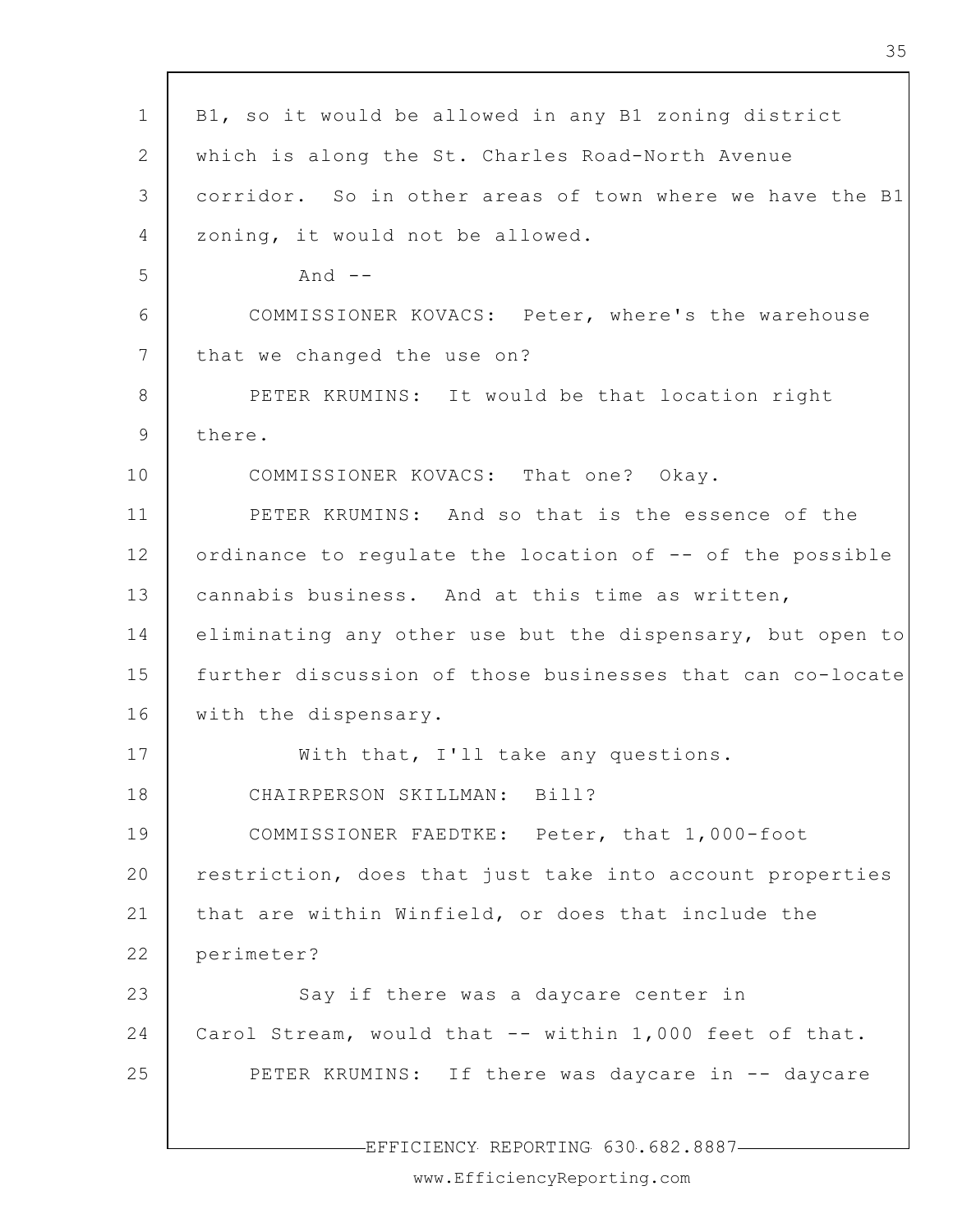| $\mathbf 1$     | B1, so it would be allowed in any B1 zoning district      |
|-----------------|-----------------------------------------------------------|
| $\overline{2}$  | which is along the St. Charles Road-North Avenue          |
| 3               | corridor. So in other areas of town where we have the B1  |
| 4               | zoning, it would not be allowed.                          |
| 5               | And $--$                                                  |
| 6               | COMMISSIONER KOVACS: Peter, where's the warehouse         |
| $7\phantom{.0}$ | that we changed the use on?                               |
| 8               | PETER KRUMINS: It would be that location right            |
| 9               | there.                                                    |
| 10              | COMMISSIONER KOVACS: That one? Okay.                      |
| 11              | PETER KRUMINS: And so that is the essence of the          |
|                 |                                                           |
| 12              | ordinance to regulate the location of -- of the possible  |
| 13              | cannabis business. And at this time as written,           |
| 14              | eliminating any other use but the dispensary, but open to |
| 15              | further discussion of those businesses that can co-locate |
| 16              | with the dispensary.                                      |
| 17              | With that, I'll take any questions.                       |
| 18              | Bill?<br>CHAIRPERSON SKILLMAN:                            |
| 19              | COMMISSIONER FAEDTKE: Peter, that 1,000-foot              |
| 20              | restriction, does that just take into account properties  |
| 21              | that are within Winfield, or does that include the        |
| 22              | perimeter?                                                |
| 23              | Say if there was a daycare center in                      |
| 24              | Carol Stream, would that -- within 1,000 feet of that.    |
| 25              | PETER KRUMINS: If there was daycare in -- daycare         |
|                 |                                                           |
|                 | EFFICIENCY REPORTING 630.682.8887-                        |

www.EfficiencyReporting.com

 $\overline{\phantom{a}}$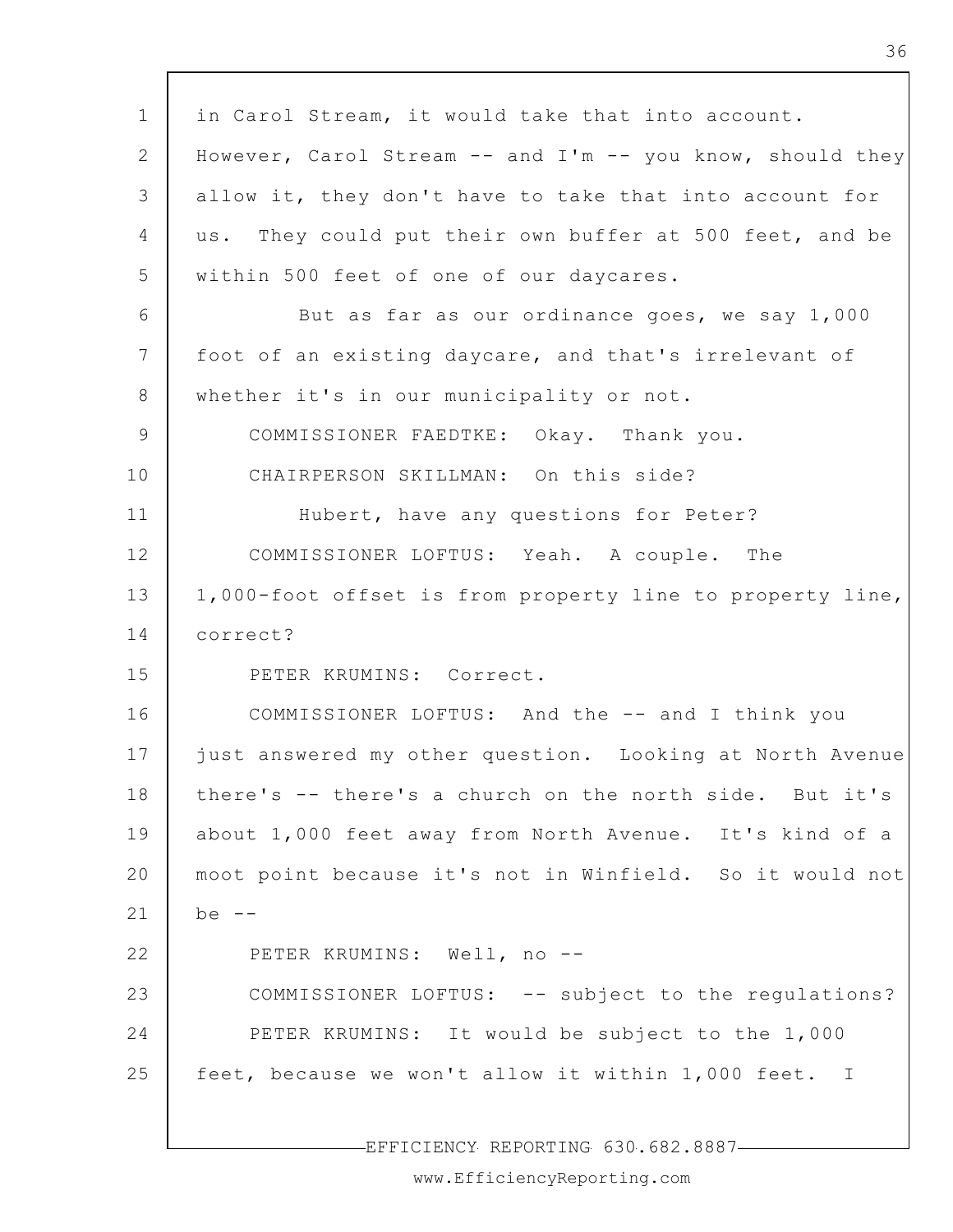1 2 3 4 5 6 7 8 9 10 11 12 13 14 15 16 17 18 19 20 21 22 23 24 25 in Carol Stream, it would take that into account. However, Carol Stream -- and I'm -- you know, should they allow it, they don't have to take that into account for us. They could put their own buffer at 500 feet, and be within 500 feet of one of our daycares. But as far as our ordinance goes, we say 1,000 foot of an existing daycare, and that's irrelevant of whether it's in our municipality or not. COMMISSIONER FAEDTKE: Okay. Thank you. CHAIRPERSON SKILLMAN: On this side? Hubert, have any questions for Peter? COMMISSIONER LOFTUS: Yeah. A couple. The 1,000-foot offset is from property line to property line, correct? PETER KRUMINS: Correct. COMMISSIONER LOFTUS: And the -- and I think you just answered my other question. Looking at North Avenue there's -- there's a church on the north side. But it's about 1,000 feet away from North Avenue. It's kind of a moot point because it's not in Winfield. So it would not  $he =$ PETER KRUMINS: Well, no --COMMISSIONER LOFTUS: -- subject to the regulations? PETER KRUMINS: It would be subject to the 1,000 feet, because we won't allow it within 1,000 feet. I

EFFICIENCY REPORTING 630.682.8887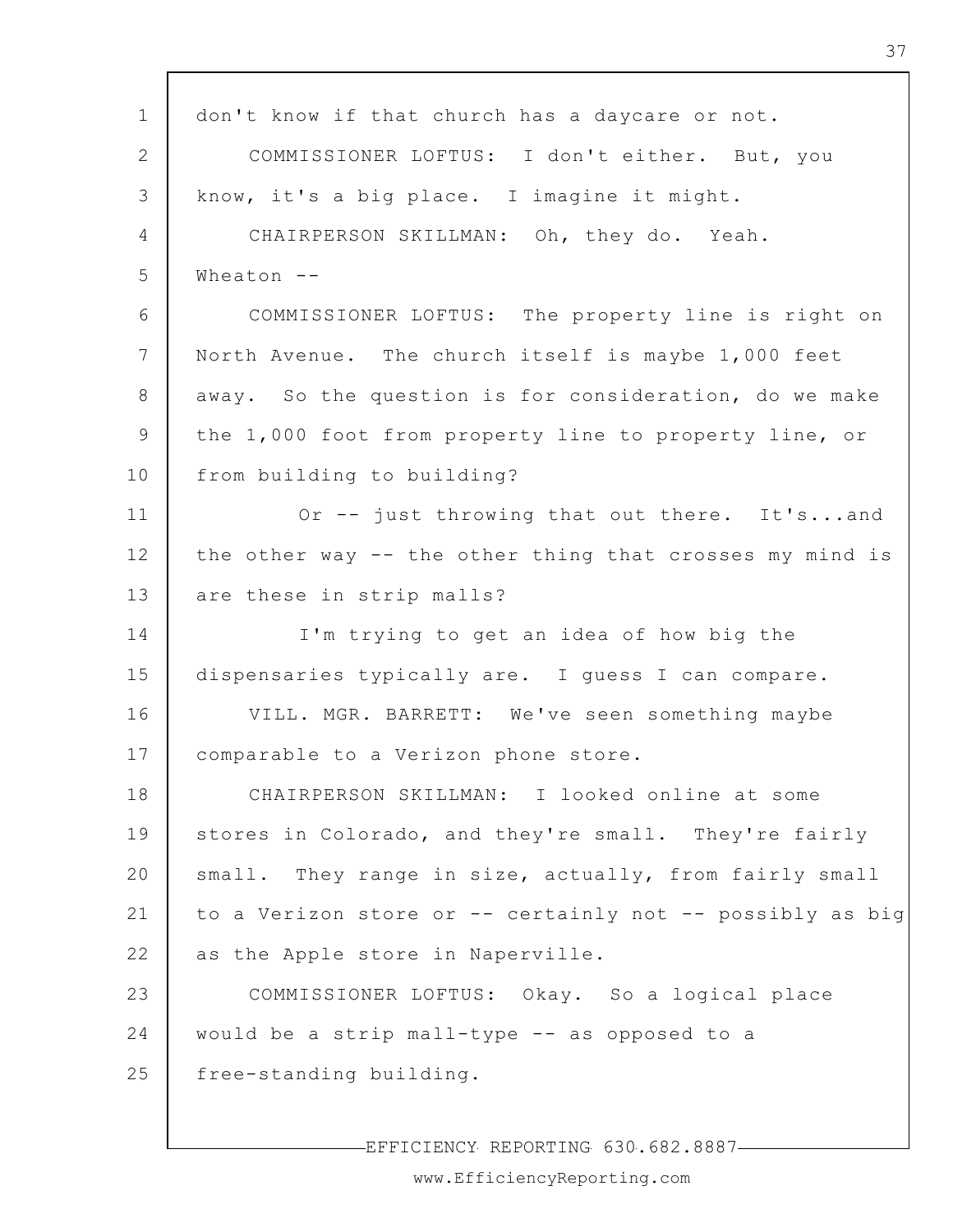| $\mathbf 1$     | don't know if that church has a daycare or not.           |
|-----------------|-----------------------------------------------------------|
| 2               | COMMISSIONER LOFTUS: I don't either. But, you             |
| 3               | know, it's a big place. I imagine it might.               |
| 4               | CHAIRPERSON SKILLMAN: Oh, they do. Yeah.                  |
| 5               | Wheaton $-$                                               |
| 6               | COMMISSIONER LOFTUS: The property line is right on        |
| $7\phantom{.0}$ | North Avenue. The church itself is maybe 1,000 feet       |
| 8               | away. So the question is for consideration, do we make    |
| 9               | the 1,000 foot from property line to property line, or    |
| 10              | from building to building?                                |
| 11              | Or -- just throwing that out there. It'sand               |
| 12              | the other way -- the other thing that crosses my mind is  |
| 13              | are these in strip malls?                                 |
| 14              | I'm trying to get an idea of how big the                  |
| 15              | dispensaries typically are. I guess I can compare.        |
| 16              | VILL. MGR. BARRETT: We've seen something maybe            |
| 17              | comparable to a Verizon phone store.                      |
| 18              | CHAIRPERSON SKILLMAN: I looked online at some             |
| 19              | stores in Colorado, and they're small. They're fairly     |
| 20              | small. They range in size, actually, from fairly small    |
| 21              | to a Verizon store or -- certainly not -- possibly as big |
| 22              | as the Apple store in Naperville.                         |
| 23              | COMMISSIONER LOFTUS: Okay. So a logical place             |
| 24              | would be a strip mall-type -- as opposed to a             |
| 25              | free-standing building.                                   |
|                 |                                                           |

EFFICIENCY REPORTING 630.682.8887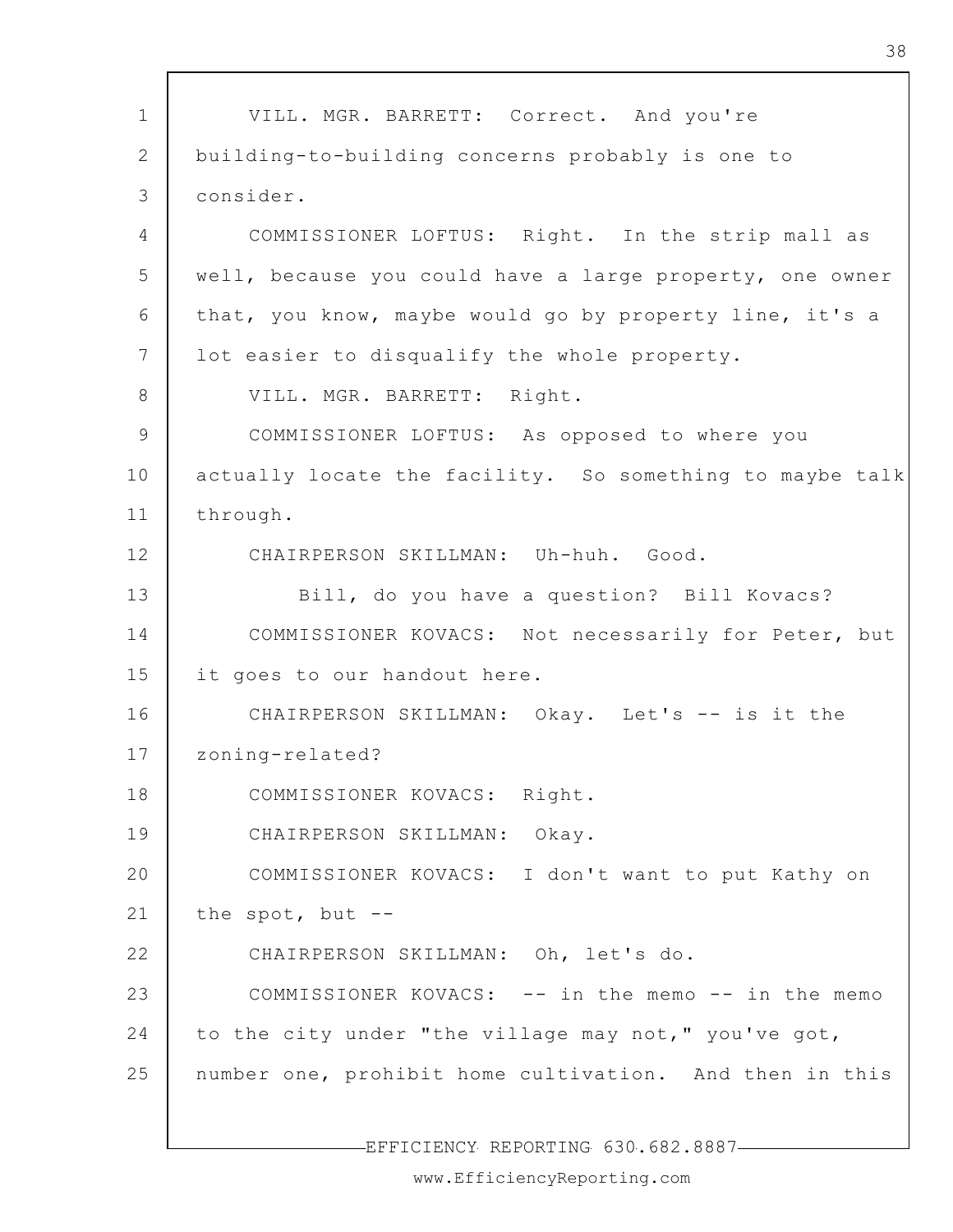1 2 3 4 5 6 7 8 9 10 11 12 13 14 15 16 17 18 19 20 21 22 23 24 25 VILL. MGR. BARRETT: Correct. And you're building-to-building concerns probably is one to consider. COMMISSIONER LOFTUS: Right. In the strip mall as well, because you could have a large property, one owner that, you know, maybe would go by property line, it's a lot easier to disqualify the whole property. VILL. MGR. BARRETT: Right. COMMISSIONER LOFTUS: As opposed to where you actually locate the facility. So something to maybe talk through. CHAIRPERSON SKILLMAN: Uh-huh. Good. Bill, do you have a question? Bill Kovacs? COMMISSIONER KOVACS: Not necessarily for Peter, but it goes to our handout here. CHAIRPERSON SKILLMAN: Okay. Let's -- is it the zoning-related? COMMISSIONER KOVACS: Right. CHAIRPERSON SKILLMAN: Okay. COMMISSIONER KOVACS: I don't want to put Kathy on the spot, but  $-$ -CHAIRPERSON SKILLMAN: Oh, let's do. COMMISSIONER KOVACS: -- in the memo -- in the memo to the city under "the village may not," you've got, number one, prohibit home cultivation. And then in this

EFFICIENCY REPORTING 630.682.8887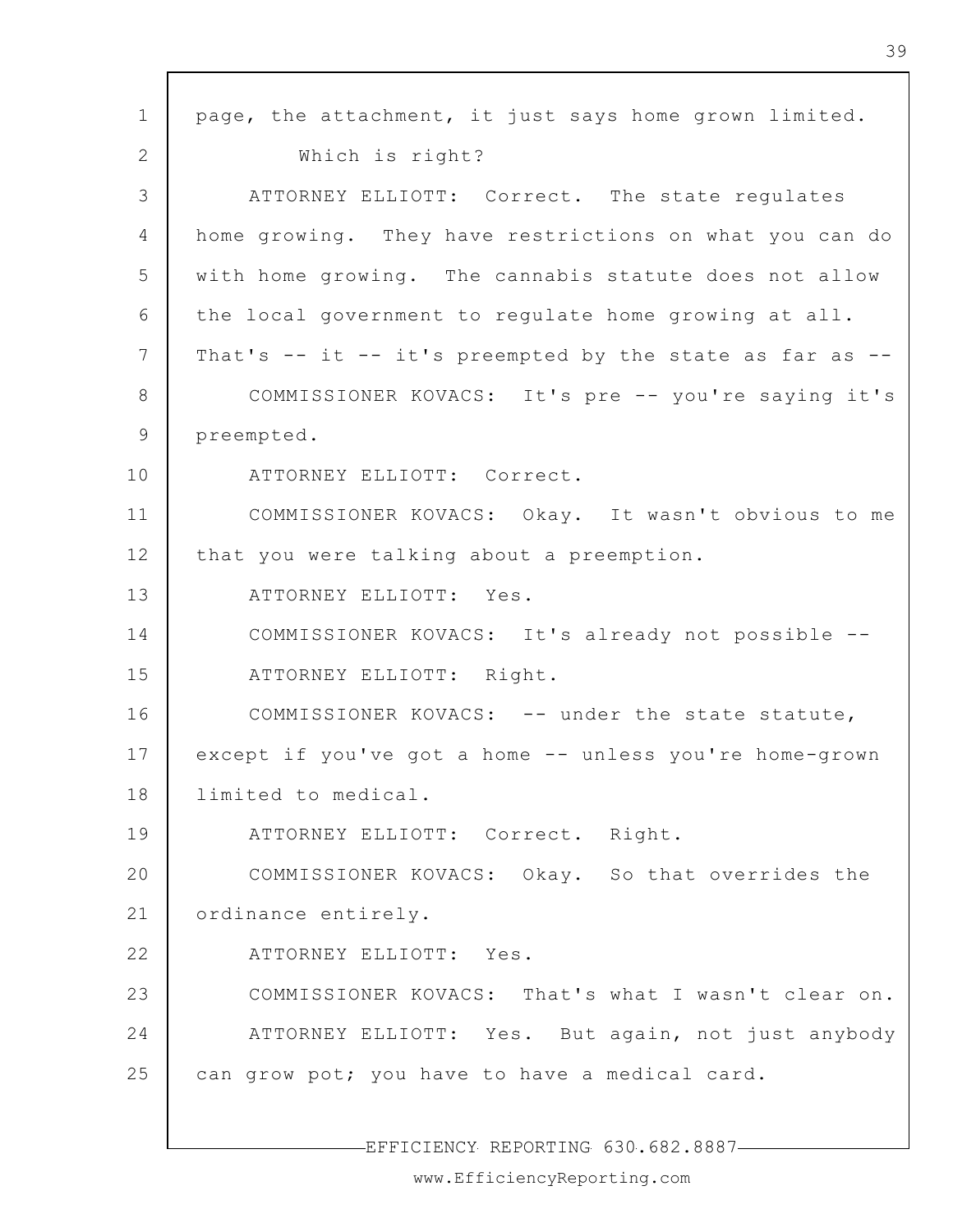| $\mathbf 1$     | page, the attachment, it just says home grown limited.   |
|-----------------|----------------------------------------------------------|
| 2               | Which is right?                                          |
| 3               | ATTORNEY ELLIOTT: Correct. The state regulates           |
| 4               | home growing. They have restrictions on what you can do  |
| 5               | with home growing. The cannabis statute does not allow   |
| 6               | the local government to regulate home growing at all.    |
| $7\phantom{.0}$ | That's -- it -- it's preempted by the state as far as -- |
| 8               | COMMISSIONER KOVACS: It's pre -- you're saying it's      |
| 9               | preempted.                                               |
| 10              | ATTORNEY ELLIOTT: Correct.                               |
| 11              | COMMISSIONER KOVACS: Okay. It wasn't obvious to me       |
| 12              | that you were talking about a preemption.                |
| 13              | ATTORNEY ELLIOTT: Yes.                                   |
| 14              | COMMISSIONER KOVACS: It's already not possible --        |
| 15              | ATTORNEY ELLIOTT: Right.                                 |
| 16              | COMMISSIONER KOVACS: -- under the state statute,         |
| 17              | except if you've got a home -- unless you're home-grown  |
| 18              | limited to medical.                                      |
| 19              | ATTORNEY ELLIOTT: Correct. Right.                        |
| 20              | COMMISSIONER KOVACS: Okay. So that overrides the         |
| 21              | ordinance entirely.                                      |
| 22              | ATTORNEY ELLIOTT: Yes.                                   |
| 23              | COMMISSIONER KOVACS: That's what I wasn't clear on.      |
| 24              | ATTORNEY ELLIOTT: Yes. But again, not just anybody       |
| 25              | can grow pot; you have to have a medical card.           |
|                 |                                                          |

 $\mathsf{r}$ 

-EFFICIENCY REPORTING 630.682.8887-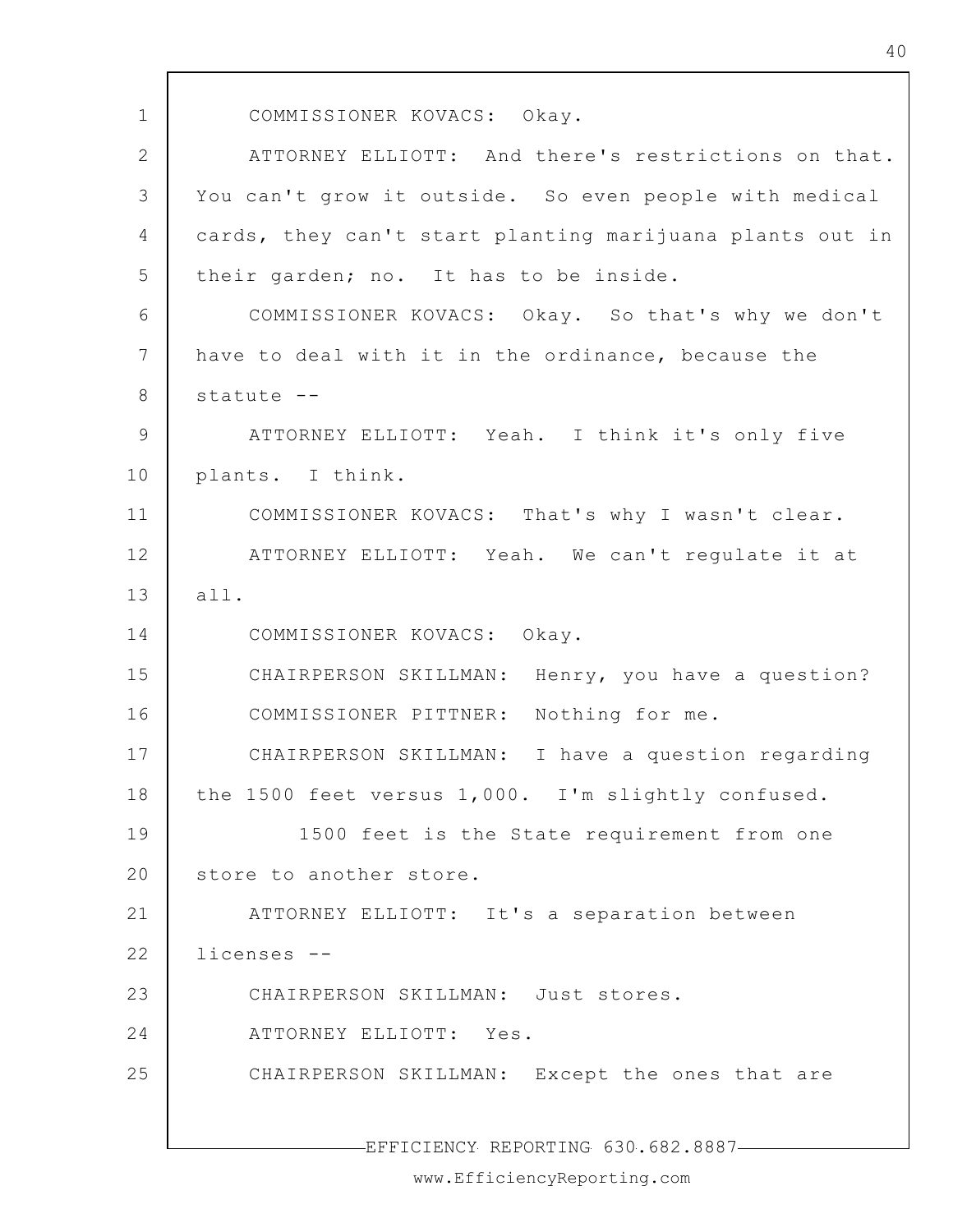1 2 3 4 5 6 7 8 9 10 11 12 13 14 15 16 17 18 19 20 21 22 23 24 25 EFFICIENCY REPORTING 630.682.8887 COMMISSIONER KOVACS: Okay. ATTORNEY ELLIOTT: And there's restrictions on that. You can't grow it outside. So even people with medical cards, they can't start planting marijuana plants out in their garden; no. It has to be inside. COMMISSIONER KOVACS: Okay. So that's why we don't have to deal with it in the ordinance, because the statute -- ATTORNEY ELLIOTT: Yeah. I think it's only five plants. I think. COMMISSIONER KOVACS: That's why I wasn't clear. ATTORNEY ELLIOTT: Yeah. We can't regulate it at all. COMMISSIONER KOVACS: Okay. CHAIRPERSON SKILLMAN: Henry, you have a question? COMMISSIONER PITTNER: Nothing for me. CHAIRPERSON SKILLMAN: I have a question regarding the 1500 feet versus 1,000. I'm slightly confused. 1500 feet is the State requirement from one store to another store. ATTORNEY ELLIOTT: It's a separation between licenses -- CHAIRPERSON SKILLMAN: Just stores. ATTORNEY ELLIOTT: Yes. CHAIRPERSON SKILLMAN: Except the ones that are

40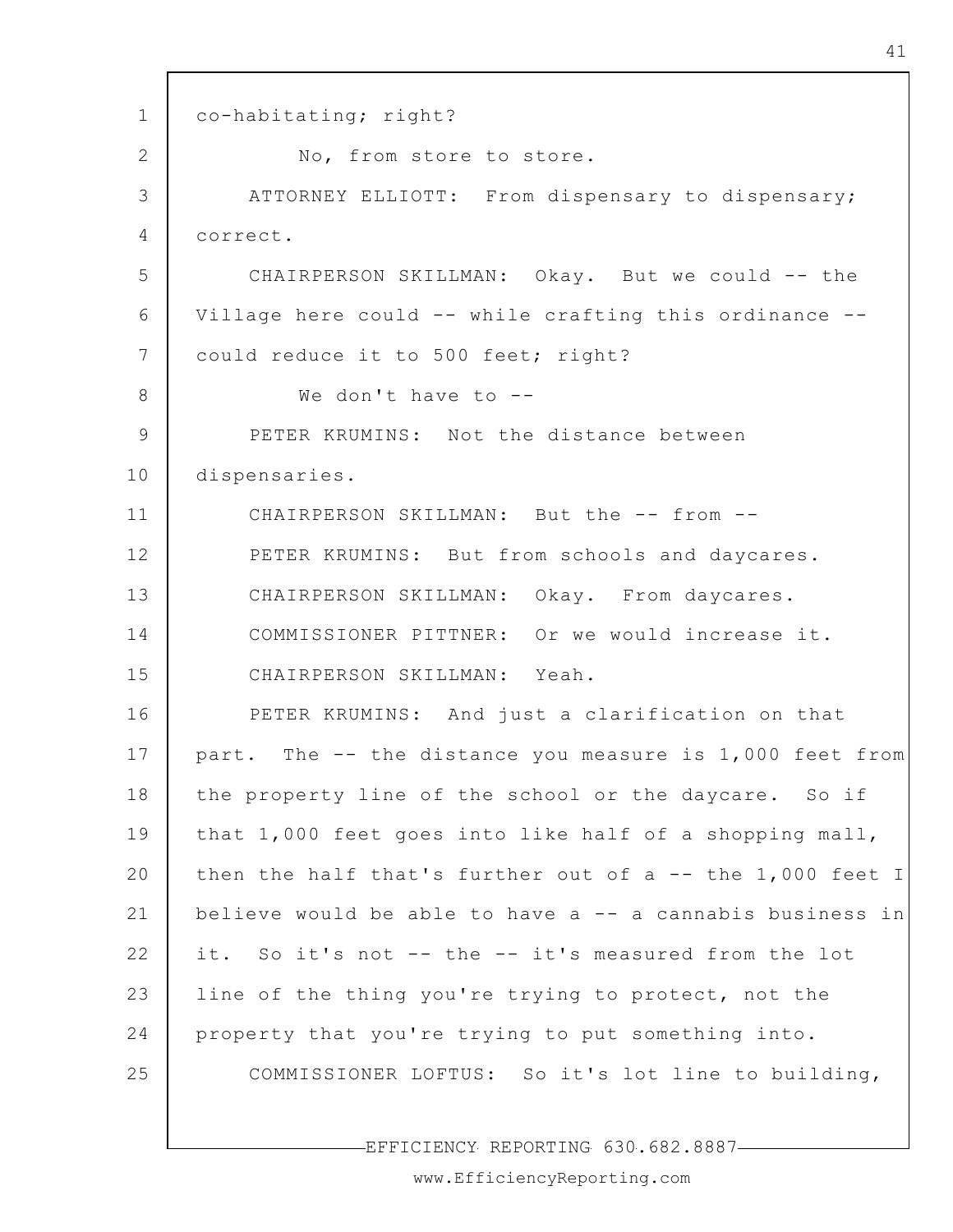1 2 3 4 5 6 7 8 9 10 11 12 13 14 15 16 17 18 19 20 21 22 23 24 25 co-habitating; right? No, from store to store. ATTORNEY ELLIOTT: From dispensary to dispensary; correct. CHAIRPERSON SKILLMAN: Okay. But we could -- the Village here could -- while crafting this ordinance - could reduce it to 500 feet; right? We don't have to --PETER KRUMINS: Not the distance between dispensaries. CHAIRPERSON SKILLMAN: But the -- from --PETER KRUMINS: But from schools and daycares. CHAIRPERSON SKILLMAN: Okay. From daycares. COMMISSIONER PITTNER: Or we would increase it. CHAIRPERSON SKILLMAN: Yeah. PETER KRUMINS: And just a clarification on that part. The -- the distance you measure is 1,000 feet from the property line of the school or the daycare. So if that 1,000 feet goes into like half of a shopping mall, then the half that's further out of a -- the 1,000 feet I believe would be able to have a -- a cannabis business in it. So it's not -- the -- it's measured from the lot line of the thing you're trying to protect, not the property that you're trying to put something into. COMMISSIONER LOFTUS: So it's lot line to building,

EFFICIENCY REPORTING 630.682.8887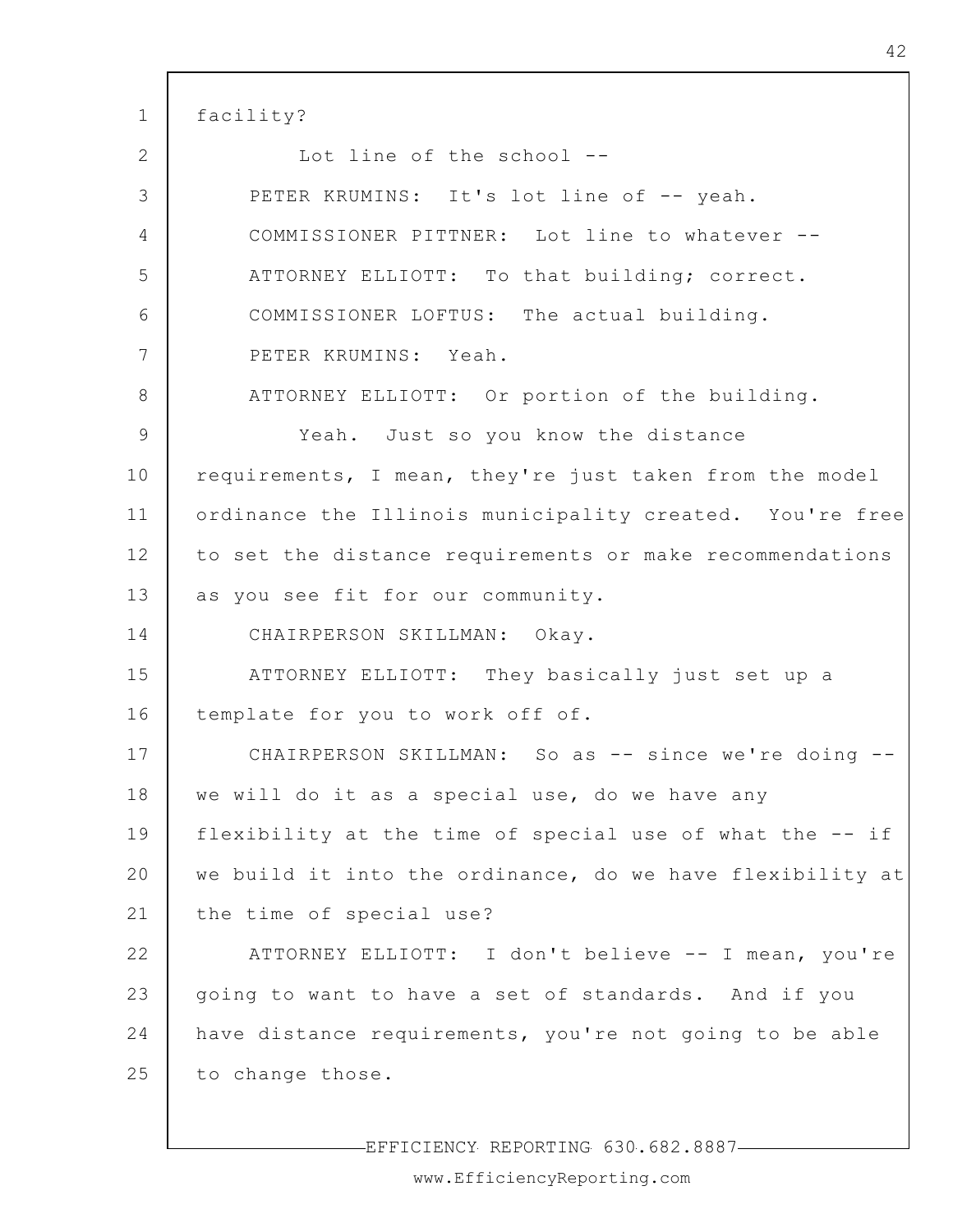1 2 3 4 5 6 7 8 9 10 11 12 13 14 15 16 17 18 19 20 21 22 23 24 25 facility? Lot line of the school -- PETER KRUMINS: It's lot line of -- yeah. COMMISSIONER PITTNER: Lot line to whatever -- ATTORNEY ELLIOTT: To that building; correct. COMMISSIONER LOFTUS: The actual building. PETER KRUMINS: Yeah. ATTORNEY ELLIOTT: Or portion of the building. Yeah. Just so you know the distance requirements, I mean, they're just taken from the model ordinance the Illinois municipality created. You're free to set the distance requirements or make recommendations as you see fit for our community. CHAIRPERSON SKILLMAN: Okay. ATTORNEY ELLIOTT: They basically just set up a template for you to work off of. CHAIRPERSON SKILLMAN: So as -- since we're doing - we will do it as a special use, do we have any flexibility at the time of special use of what the -- if we build it into the ordinance, do we have flexibility at the time of special use? ATTORNEY ELLIOTT: I don't believe -- I mean, you're going to want to have a set of standards. And if you have distance requirements, you're not going to be able to change those.

EFFICIENCY REPORTING 630.682.8887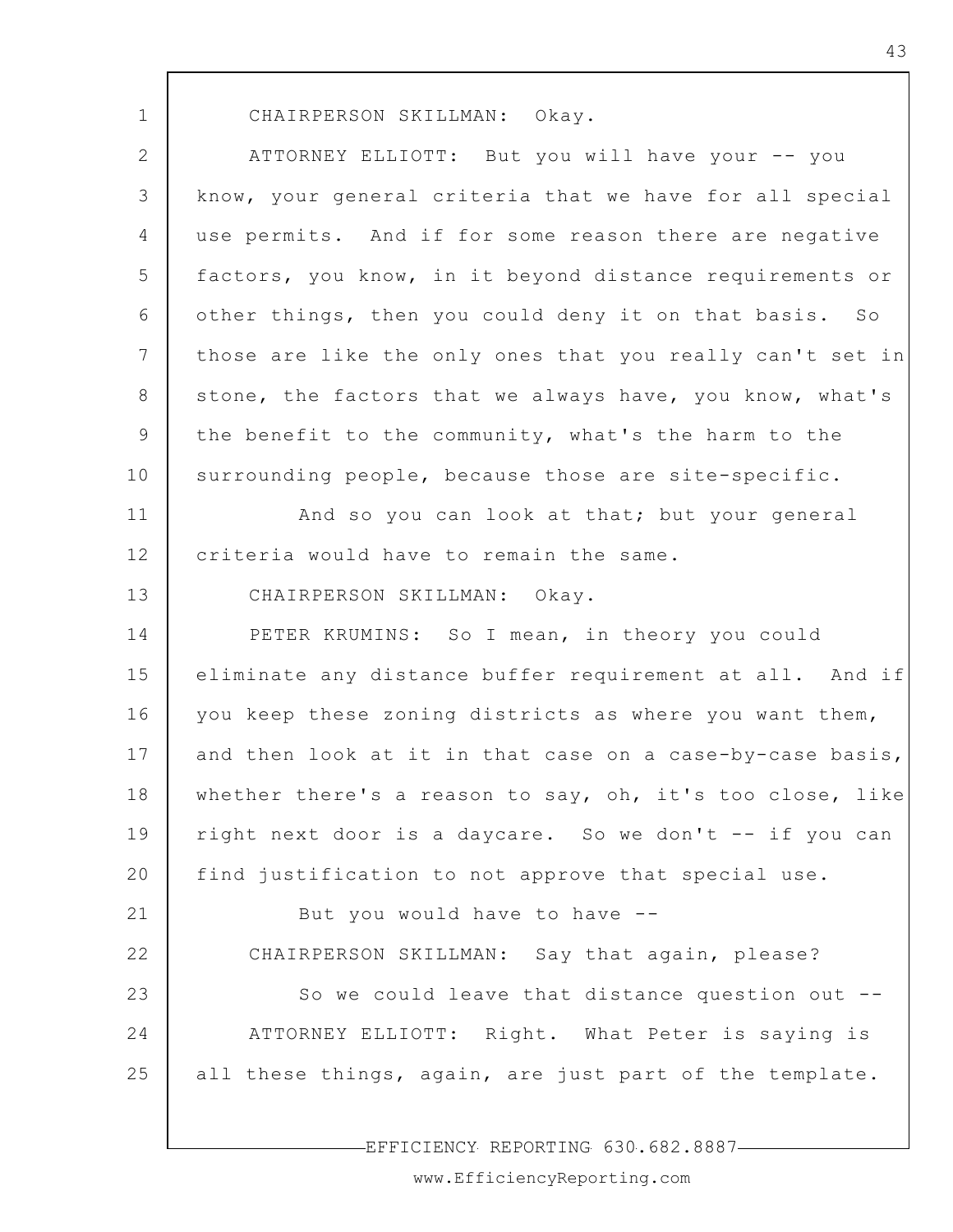| v   |
|-----|
| . . |

CHAIRPERSON SKILLMAN: Okay.

2 3 4 5 6 7 8 9 10 11 12 13 14 15 16 17 18 19 20 21 22 23 24 25 ATTORNEY ELLIOTT: But you will have your -- you know, your general criteria that we have for all special use permits. And if for some reason there are negative factors, you know, in it beyond distance requirements or other things, then you could deny it on that basis. So those are like the only ones that you really can't set in stone, the factors that we always have, you know, what's the benefit to the community, what's the harm to the surrounding people, because those are site-specific. And so you can look at that; but your general criteria would have to remain the same. CHAIRPERSON SKILLMAN: Okay. PETER KRUMINS: So I mean, in theory you could eliminate any distance buffer requirement at all. And if you keep these zoning districts as where you want them, and then look at it in that case on a case-by-case basis, whether there's a reason to say, oh, it's too close, like right next door is a daycare. So we don't -- if you can find justification to not approve that special use. But you would have to have -- CHAIRPERSON SKILLMAN: Say that again, please? So we could leave that distance question out -- ATTORNEY ELLIOTT: Right. What Peter is saying is all these things, again, are just part of the template.

EFFICIENCY REPORTING 630.682.8887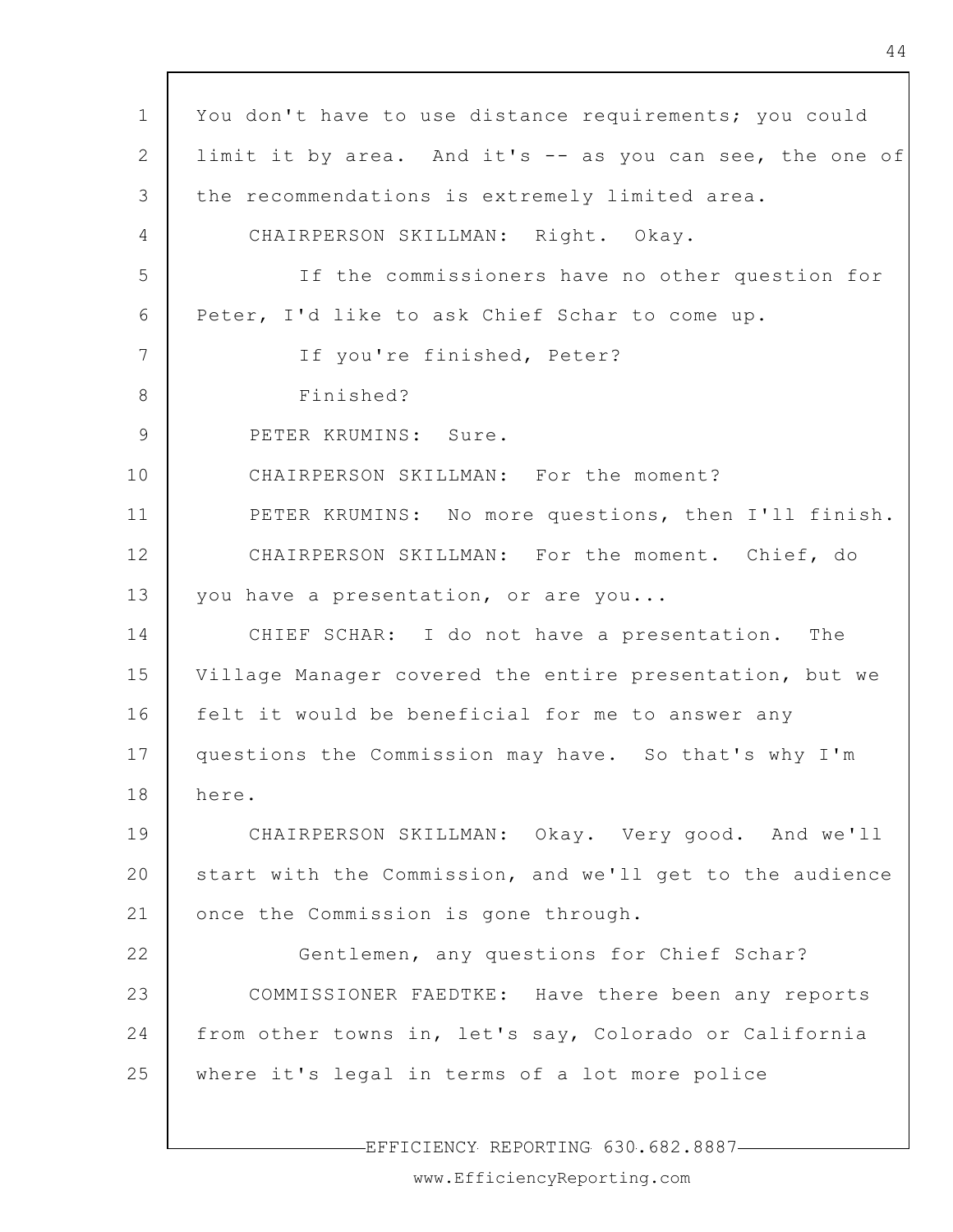| $\mathbf 1$     | You don't have to use distance requirements; you could   |
|-----------------|----------------------------------------------------------|
| 2               | limit it by area. And it's -- as you can see, the one of |
| 3               | the recommendations is extremely limited area.           |
| 4               | CHAIRPERSON SKILLMAN: Right. Okay.                       |
| 5               | If the commissioners have no other question for          |
| 6               | Peter, I'd like to ask Chief Schar to come up.           |
| $7\phantom{.0}$ | If you're finished, Peter?                               |
| 8               | Finished?                                                |
| 9               | PETER KRUMINS: Sure.                                     |
| 10              | CHAIRPERSON SKILLMAN: For the moment?                    |
| 11              | PETER KRUMINS: No more questions, then I'll finish.      |
| 12              | CHAIRPERSON SKILLMAN: For the moment. Chief, do          |
| 13              | you have a presentation, or are you                      |
| 14              | CHIEF SCHAR: I do not have a presentation. The           |
| 15              | Village Manager covered the entire presentation, but we  |
| 16              | felt it would be beneficial for me to answer any         |
| 17              | questions the Commission may have. So that's why I'm     |
| 18              | here.                                                    |
| 19              | CHAIRPERSON SKILLMAN: Okay. Very good. And we'll         |
| 20              | start with the Commission, and we'll get to the audience |
| 21              | once the Commission is gone through.                     |
| 22              | Gentlemen, any questions for Chief Schar?                |
| 23              | COMMISSIONER FAEDTKE: Have there been any reports        |
| 24              | from other towns in, let's say, Colorado or California   |
| 25              | where it's legal in terms of a lot more police           |
|                 |                                                          |

 $\Gamma$ 

-EFFICIENCY REPORTING 630.682.8887-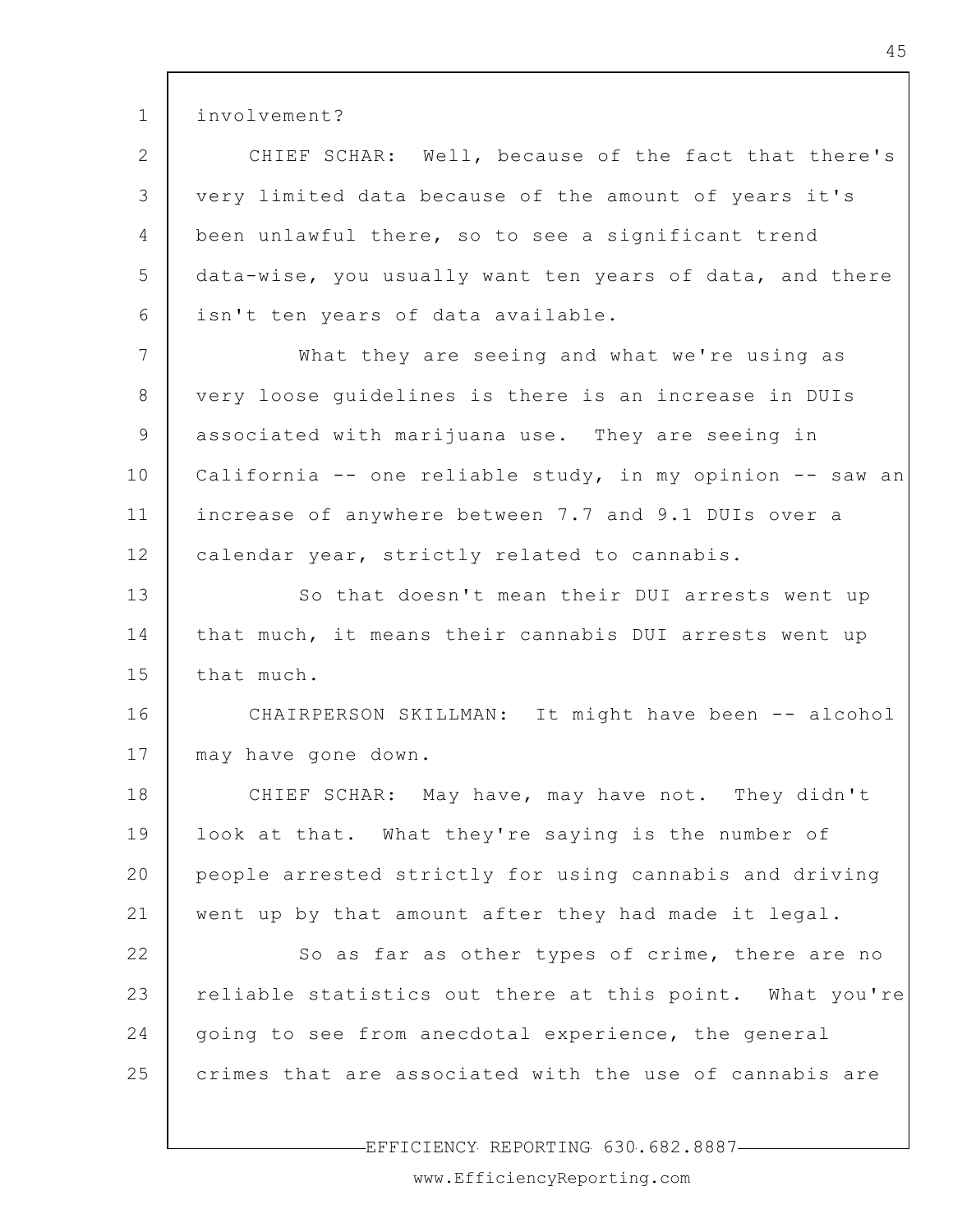involvement? CHIEF SCHAR: Well, because of the fact that there's very limited data because of the amount of years it's

1

2

3

4 5 6 been unlawful there, so to see a significant trend data-wise, you usually want ten years of data, and there isn't ten years of data available.

7 8 9 10 11 12 What they are seeing and what we're using as very loose guidelines is there is an increase in DUIs associated with marijuana use. They are seeing in California -- one reliable study, in my opinion -- saw an increase of anywhere between 7.7 and 9.1 DUIs over a calendar year, strictly related to cannabis.

13 14 15 So that doesn't mean their DUI arrests went up that much, it means their cannabis DUI arrests went up that much.

16 17 CHAIRPERSON SKILLMAN: It might have been -- alcohol may have gone down.

18 19 20 21 CHIEF SCHAR: May have, may have not. They didn't look at that. What they're saying is the number of people arrested strictly for using cannabis and driving went up by that amount after they had made it legal.

22 23 24 25 So as far as other types of crime, there are no reliable statistics out there at this point. What you're going to see from anecdotal experience, the general crimes that are associated with the use of cannabis are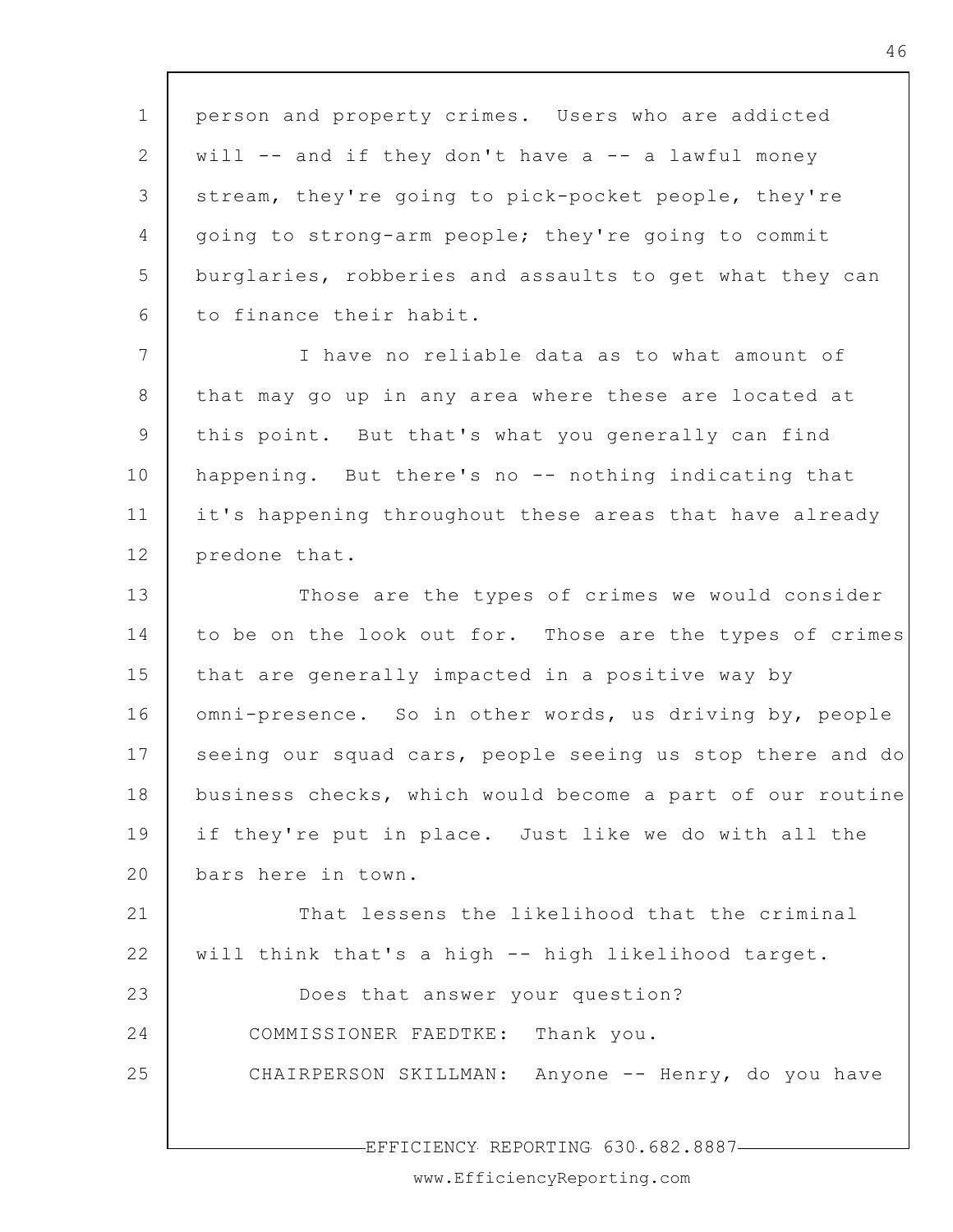1 2 3 4 5 6 7 8 9 10 11 12 13 14 15 16 17 18 19 20 21 22 23 24 25 EFFICIENCY REPORTING 630.682.8887 person and property crimes. Users who are addicted will -- and if they don't have a -- a lawful money stream, they're going to pick-pocket people, they're going to strong-arm people; they're going to commit burglaries, robberies and assaults to get what they can to finance their habit. I have no reliable data as to what amount of that may go up in any area where these are located at this point. But that's what you generally can find happening. But there's no -- nothing indicating that it's happening throughout these areas that have already predone that. Those are the types of crimes we would consider to be on the look out for. Those are the types of crimes that are generally impacted in a positive way by omni-presence. So in other words, us driving by, people seeing our squad cars, people seeing us stop there and do business checks, which would become a part of our routine if they're put in place. Just like we do with all the bars here in town. That lessens the likelihood that the criminal will think that's a high -- high likelihood target. Does that answer your question? COMMISSIONER FAEDTKE: Thank you. CHAIRPERSON SKILLMAN: Anyone -- Henry, do you have

www.EfficiencyReporting.com

46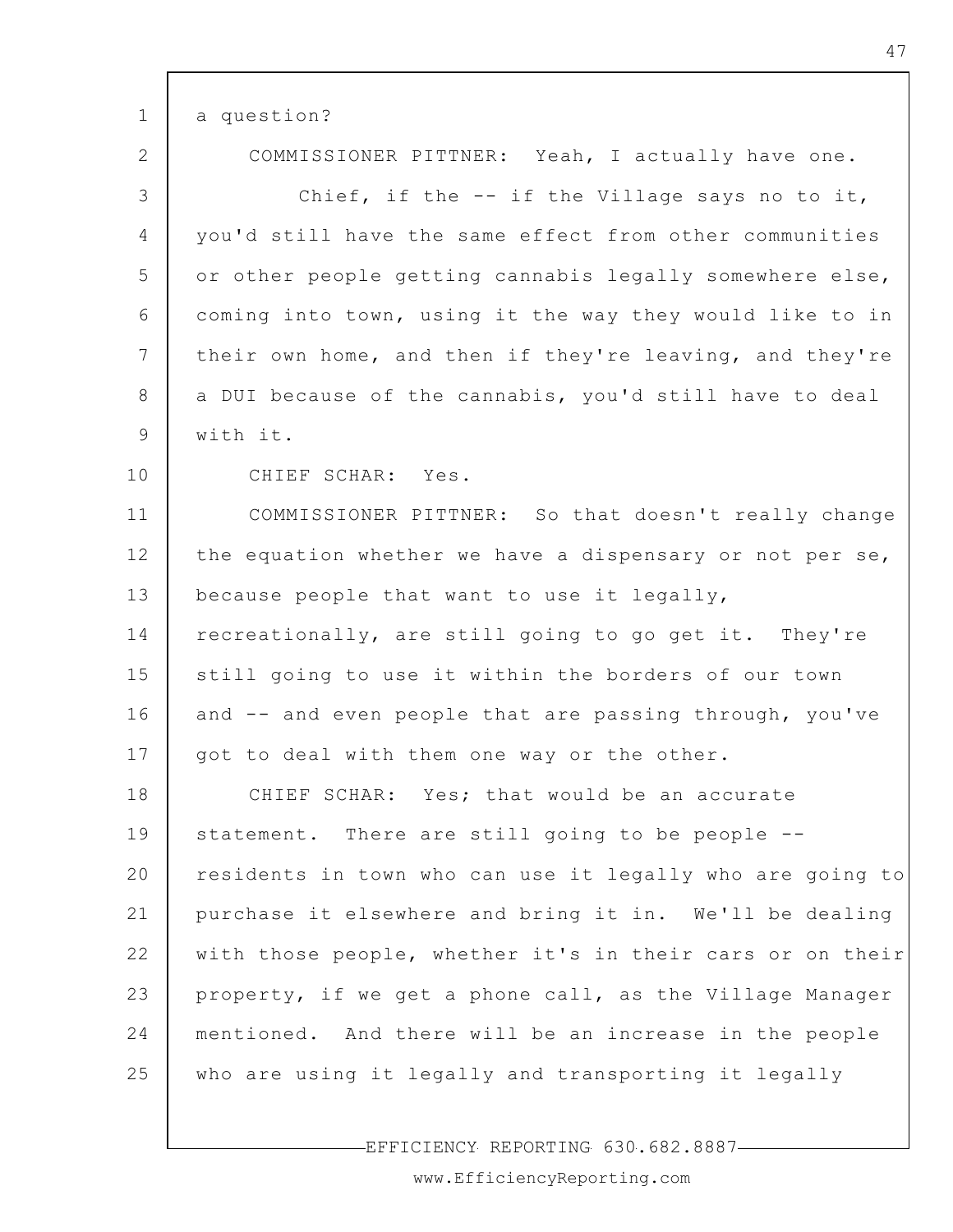| $\mathbf{1}$    | a question?                                               |
|-----------------|-----------------------------------------------------------|
| $\overline{2}$  | COMMISSIONER PITTNER: Yeah, I actually have one.          |
| 3               | Chief, if the -- if the Village says no to it,            |
| $\overline{4}$  | you'd still have the same effect from other communities   |
| 5               | or other people getting cannabis legally somewhere else,  |
| 6               | coming into town, using it the way they would like to in  |
| $7\phantom{.0}$ | their own home, and then if they're leaving, and they're  |
| 8               | a DUI because of the cannabis, you'd still have to deal   |
| 9               | with it.                                                  |
| 10              | CHIEF SCHAR: Yes.                                         |
| 11              | COMMISSIONER PITTNER: So that doesn't really change       |
| 12              | the equation whether we have a dispensary or not per se,  |
| 13              | because people that want to use it legally,               |
| 14              | recreationally, are still going to go get it. They're     |
| 15              | still going to use it within the borders of our town      |
| 16              | and -- and even people that are passing through, you've   |
| 17              | got to deal with them one way or the other.               |
| 18              | CHIEF SCHAR: Yes; that would be an accurate               |
| 19              | statement. There are still going to be people --          |
| 20              | residents in town who can use it legally who are going to |
| 21              | purchase it elsewhere and bring it in. We'll be dealing   |
| 22              | with those people, whether it's in their cars or on their |
| 23              | property, if we get a phone call, as the Village Manager  |
| 24              | mentioned. And there will be an increase in the people    |
| 25              | who are using it legally and transporting it legally      |
|                 |                                                           |

 $\Gamma$ 

EFFICIENCY REPORTING 630.682.8887

www.EfficiencyReporting.com

٦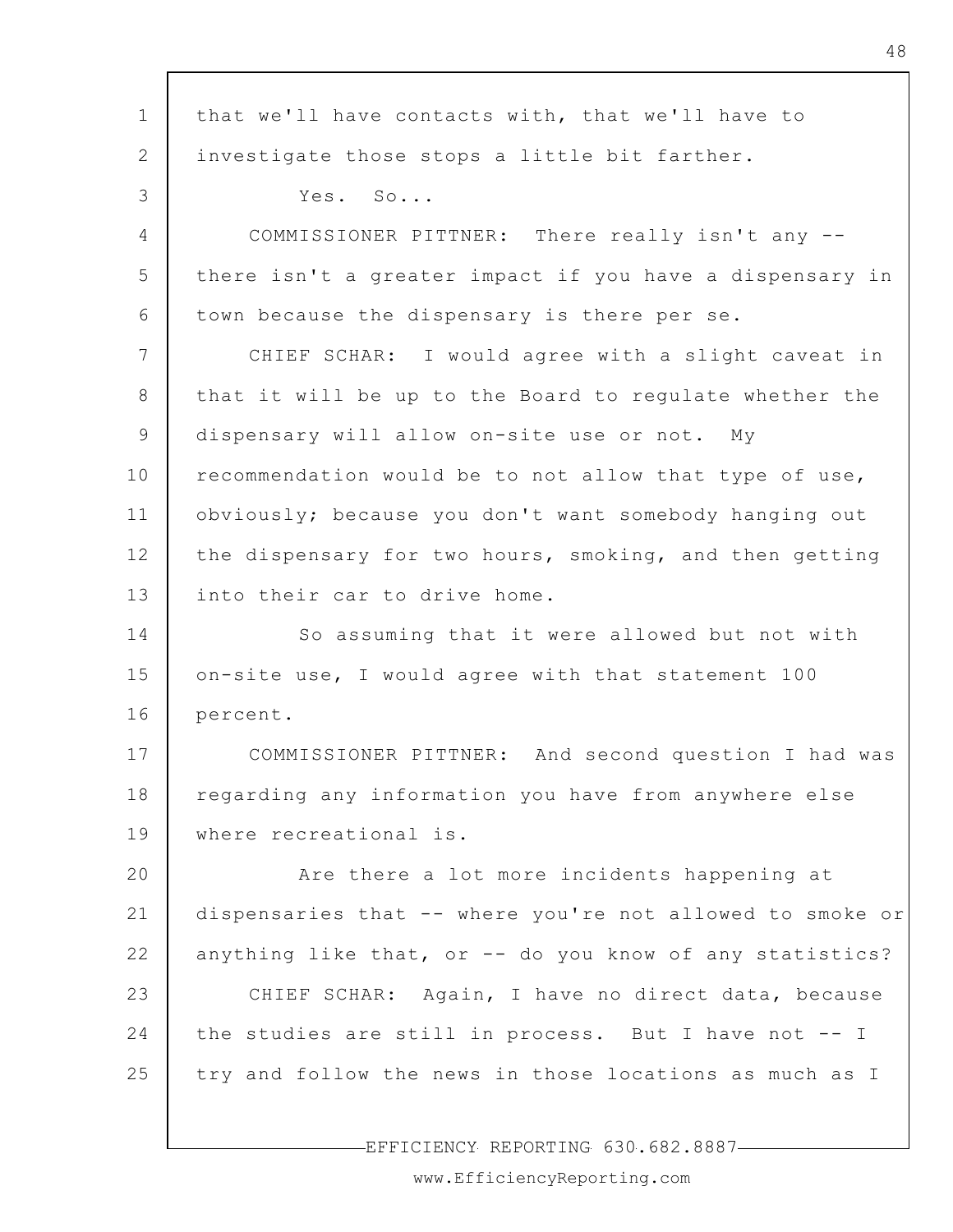1 2 3 4 5 6 7 8 9 10 11 12 13 14 15 16 17 18 19 20 21 22 23 24 25 that we'll have contacts with, that we'll have to investigate those stops a little bit farther. Yes. So... COMMISSIONER PITTNER: There really isn't any - there isn't a greater impact if you have a dispensary in town because the dispensary is there per se. CHIEF SCHAR: I would agree with a slight caveat in that it will be up to the Board to regulate whether the dispensary will allow on-site use or not. My recommendation would be to not allow that type of use, obviously; because you don't want somebody hanging out the dispensary for two hours, smoking, and then getting into their car to drive home. So assuming that it were allowed but not with on-site use, I would agree with that statement 100 percent. COMMISSIONER PITTNER: And second question I had was regarding any information you have from anywhere else where recreational is. Are there a lot more incidents happening at dispensaries that -- where you're not allowed to smoke or anything like that, or -- do you know of any statistics? CHIEF SCHAR: Again, I have no direct data, because the studies are still in process. But I have not -- I try and follow the news in those locations as much as I

EFFICIENCY REPORTING 630.682.8887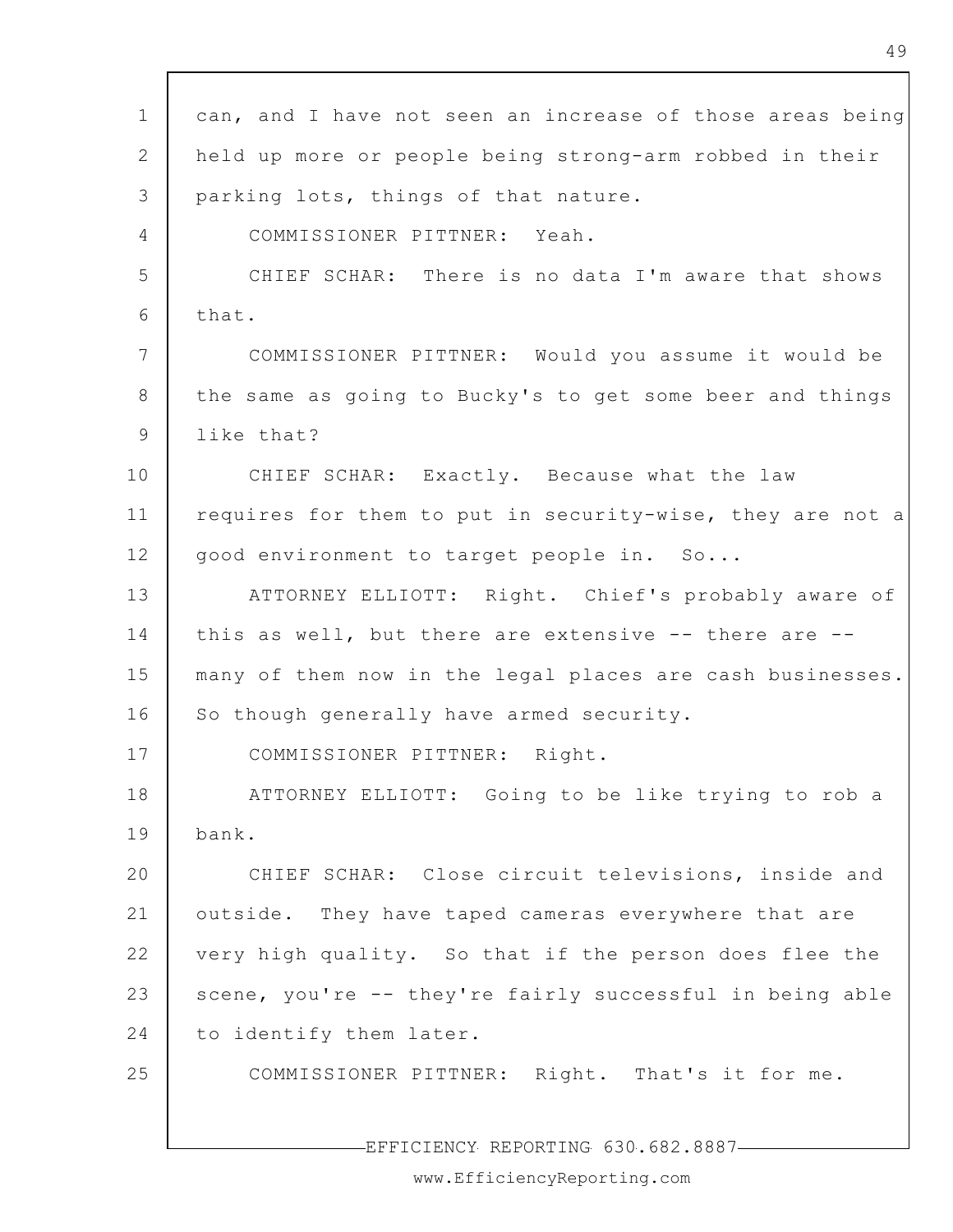| $\mathbf 1$     | can, and I have not seen an increase of those areas being |
|-----------------|-----------------------------------------------------------|
| 2               | held up more or people being strong-arm robbed in their   |
| 3               | parking lots, things of that nature.                      |
| $\overline{4}$  | COMMISSIONER PITTNER: Yeah.                               |
| 5               | CHIEF SCHAR: There is no data I'm aware that shows        |
| 6               | that.                                                     |
| $7\phantom{.0}$ | COMMISSIONER PITTNER: Would you assume it would be        |
| 8               | the same as going to Bucky's to get some beer and things  |
| 9               | like that?                                                |
| 10              | CHIEF SCHAR: Exactly. Because what the law                |
| 11              | requires for them to put in security-wise, they are not a |
| 12              | good environment to target people in. So                  |
| 13              | ATTORNEY ELLIOTT: Right. Chief's probably aware of        |
| 14              | this as well, but there are extensive -- there are --     |
| 15              | many of them now in the legal places are cash businesses. |
| 16              | So though generally have armed security.                  |
| 17              | COMMISSIONER PITTNER: Right.                              |
| 18              | ATTORNEY ELLIOTT: Going to be like trying to rob a        |
| 19              | bank.                                                     |
| 20              | CHIEF SCHAR: Close circuit televisions, inside and        |
| 21              | outside. They have taped cameras everywhere that are      |
| 22              | very high quality. So that if the person does flee the    |
| 23              | scene, you're -- they're fairly successful in being able  |
| 24              | to identify them later.                                   |
| 25              | COMMISSIONER PITTNER: Right. That's it for me.            |
|                 |                                                           |

 $\mathsf{r}$ 

-EFFICIENCY REPORTING 630.682.8887-

www.EfficiencyReporting.com

 $\mathbf{r}$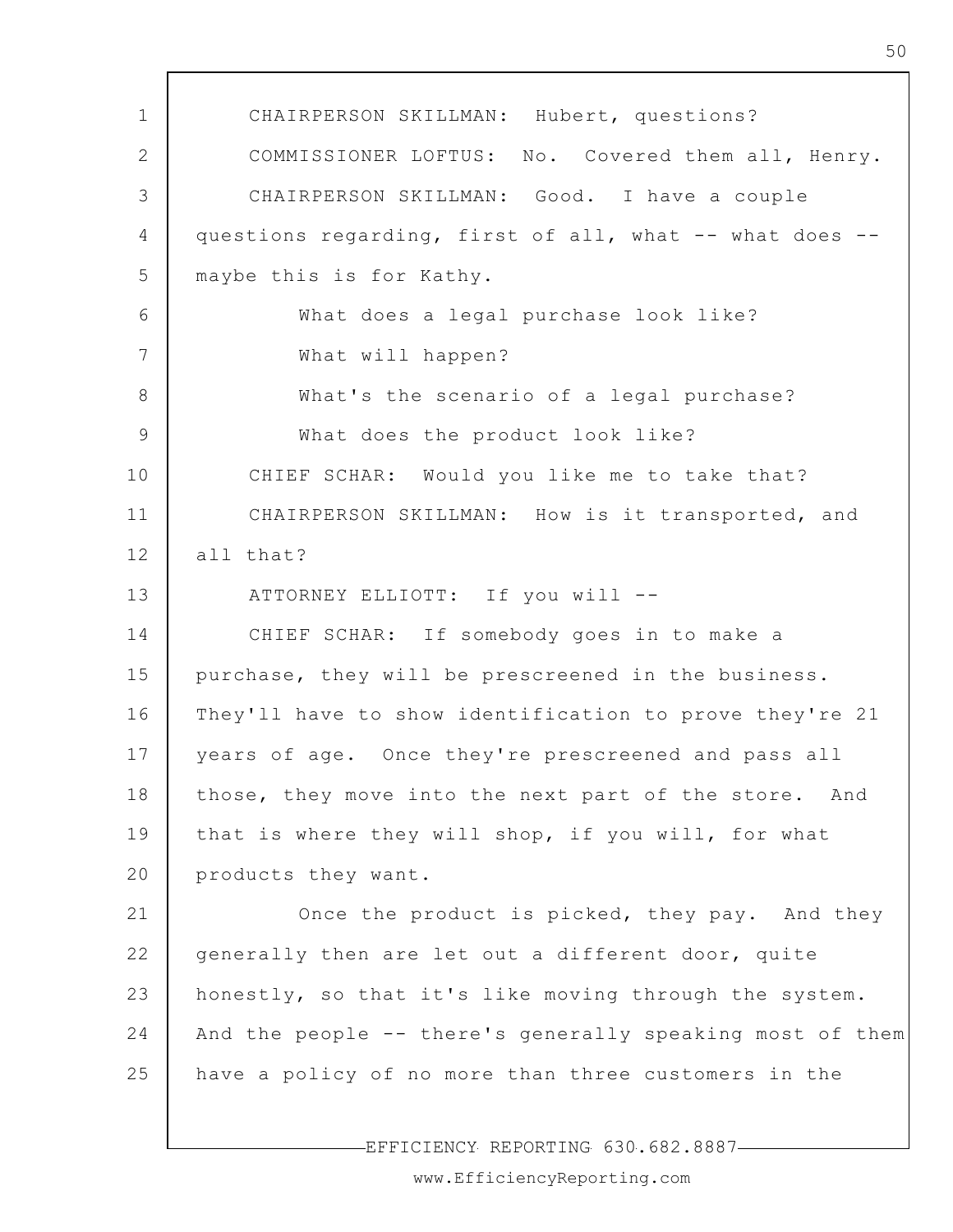1 2 3 4 5 6 7 8 9 10 11 12 13 14 15 16 17 18 19 20 21 22 23 24 25 CHAIRPERSON SKILLMAN: Hubert, questions? COMMISSIONER LOFTUS: No. Covered them all, Henry. CHAIRPERSON SKILLMAN: Good. I have a couple questions regarding, first of all, what -- what does - maybe this is for Kathy. What does a legal purchase look like? What will happen? What's the scenario of a legal purchase? What does the product look like? CHIEF SCHAR: Would you like me to take that? CHAIRPERSON SKILLMAN: How is it transported, and all that? ATTORNEY ELLIOTT: If you will -- CHIEF SCHAR: If somebody goes in to make a purchase, they will be prescreened in the business. They'll have to show identification to prove they're 21 years of age. Once they're prescreened and pass all those, they move into the next part of the store. And that is where they will shop, if you will, for what products they want. Once the product is picked, they pay. And they generally then are let out a different door, quite honestly, so that it's like moving through the system. And the people -- there's generally speaking most of them have a policy of no more than three customers in the

EFFICIENCY REPORTING 630.682.8887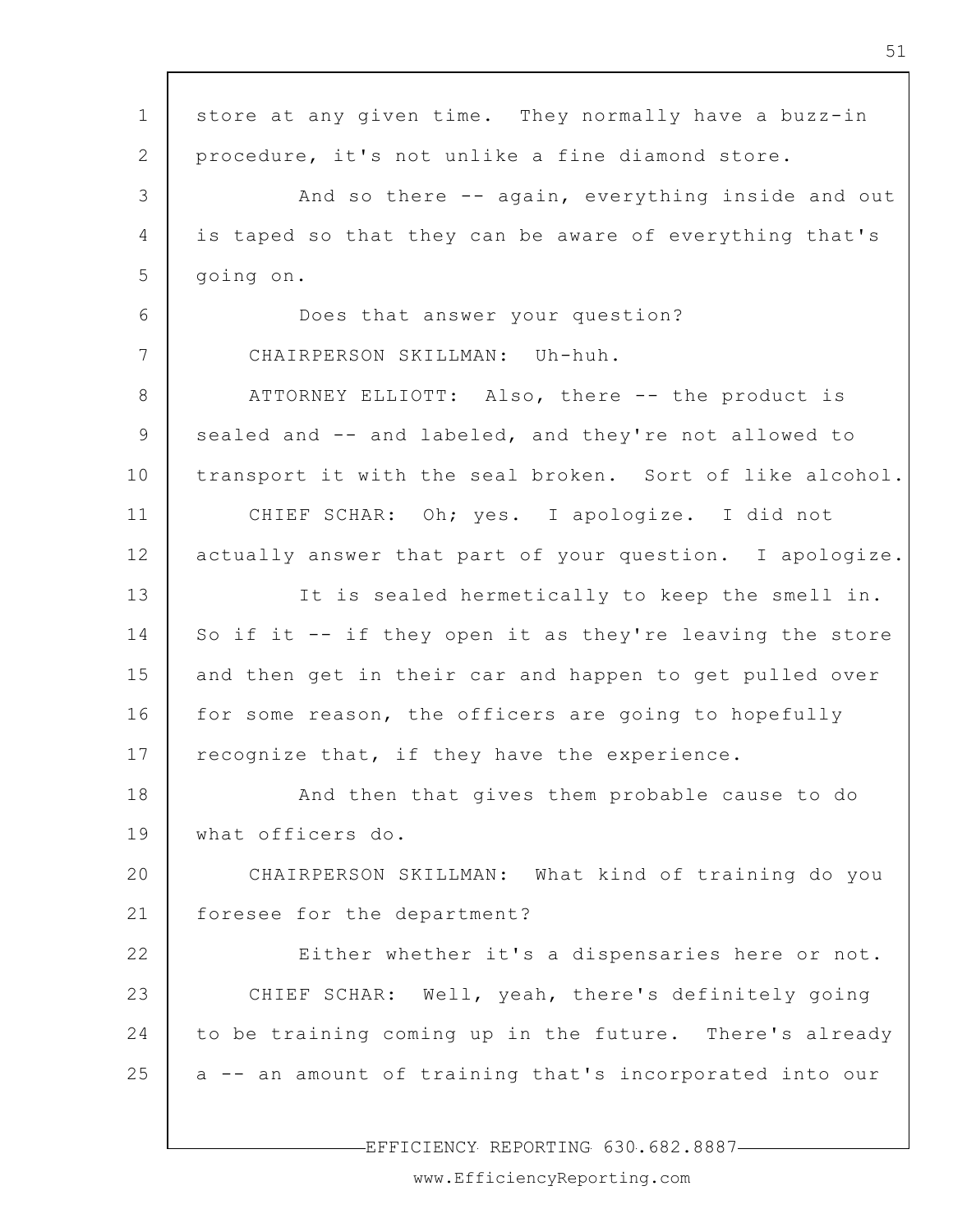1 2 3 4 5 6 7 8 9 10 11 12 13 14 15 16 17 18 19 20 21 22 23 24 25 store at any given time. They normally have a buzz-in procedure, it's not unlike a fine diamond store. And so there -- again, everything inside and out is taped so that they can be aware of everything that's going on. Does that answer your question? CHAIRPERSON SKILLMAN: Uh-huh. ATTORNEY ELLIOTT: Also, there -- the product is sealed and -- and labeled, and they're not allowed to transport it with the seal broken. Sort of like alcohol. CHIEF SCHAR: Oh; yes. I apologize. I did not actually answer that part of your question. I apologize. It is sealed hermetically to keep the smell in. So if it -- if they open it as they're leaving the store and then get in their car and happen to get pulled over for some reason, the officers are going to hopefully recognize that, if they have the experience. And then that gives them probable cause to do what officers do. CHAIRPERSON SKILLMAN: What kind of training do you foresee for the department? Either whether it's a dispensaries here or not. CHIEF SCHAR: Well, yeah, there's definitely going to be training coming up in the future. There's already a -- an amount of training that's incorporated into our

-EFFICIENCY REPORTING 630.682.8887-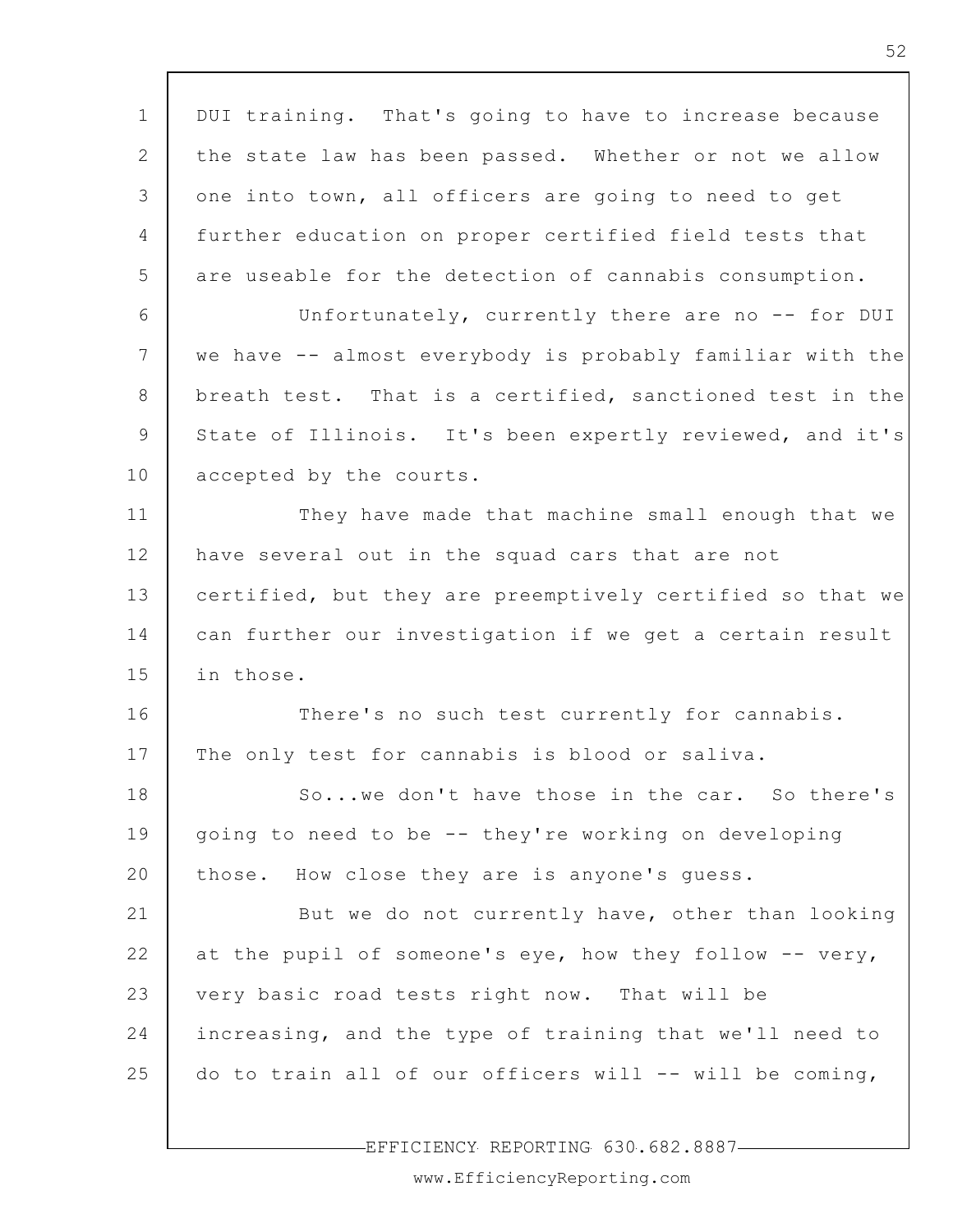| $\mathbf 1$     | DUI training. That's going to have to increase because    |
|-----------------|-----------------------------------------------------------|
| 2               | the state law has been passed. Whether or not we allow    |
| 3               | one into town, all officers are going to need to get      |
| 4               | further education on proper certified field tests that    |
| 5               | are useable for the detection of cannabis consumption.    |
| 6               | Unfortunately, currently there are no -- for DUI          |
| $7\phantom{.0}$ | we have -- almost everybody is probably familiar with the |
| 8               | breath test. That is a certified, sanctioned test in the  |
| 9               | State of Illinois. It's been expertly reviewed, and it's  |
| 10              | accepted by the courts.                                   |
| 11              | They have made that machine small enough that we          |
| 12              | have several out in the squad cars that are not           |
| 13              | certified, but they are preemptively certified so that we |
| 14              | can further our investigation if we get a certain result  |
| 15              | in those.                                                 |
| 16              | There's no such test currently for cannabis.              |
| 17              | The only test for cannabis is blood or saliva.            |
| 18              | Sowe don't have those in the car. So there's              |
| 19              | going to need to be -- they're working on developing      |
| 20              | those. How close they are is anyone's guess.              |
| 21              | But we do not currently have, other than looking          |
| 22              | at the pupil of someone's eye, how they follow -- very,   |
| 23              | very basic road tests right now. That will be             |
| 24              | increasing, and the type of training that we'll need to   |
| 25              | do to train all of our officers will -- will be coming,   |
|                 |                                                           |

 $\Gamma$ 

EFFICIENCY REPORTING 630.682.8887

 $\overline{\phantom{a}}$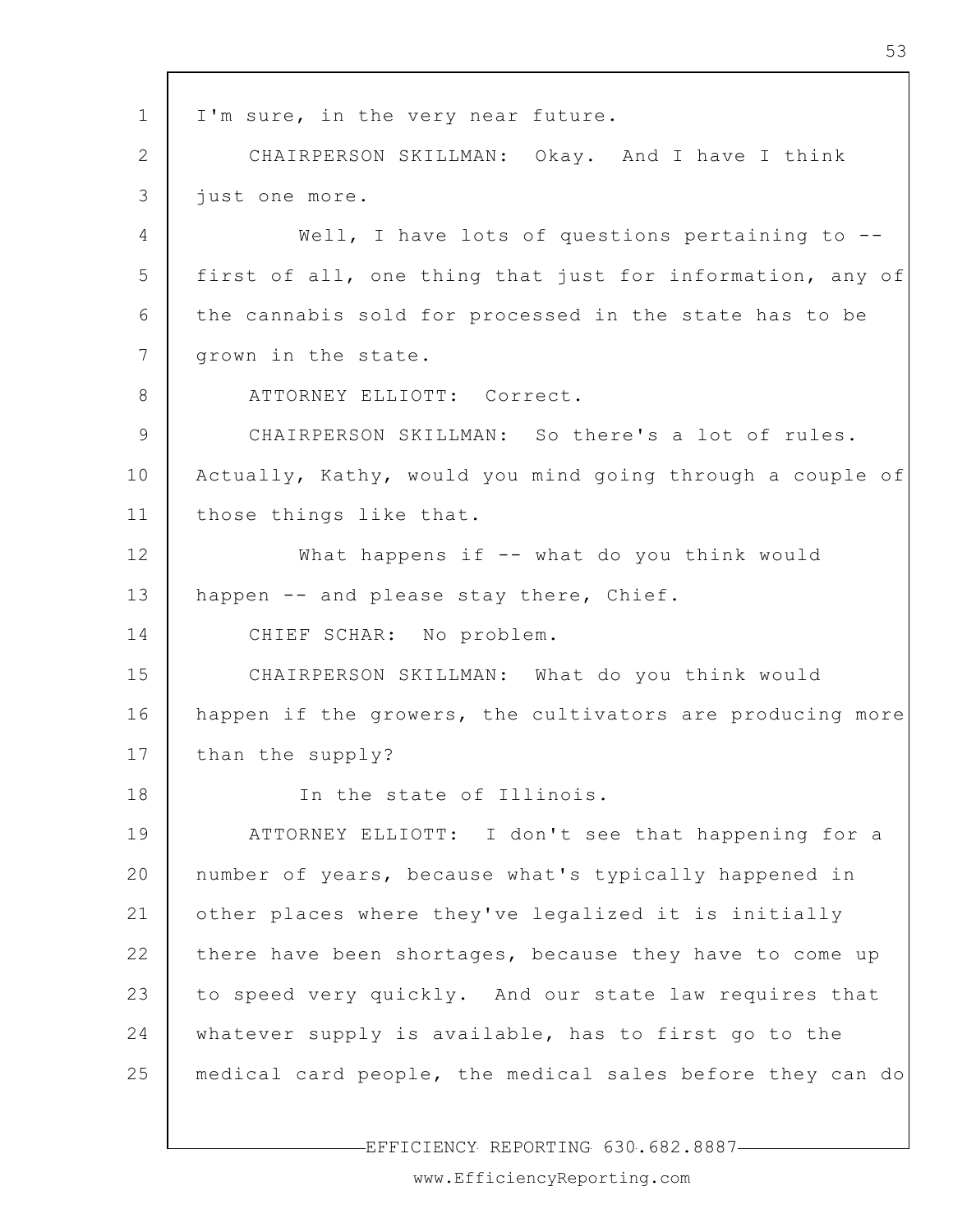1 2 3 4 5 6 7 8 9 10 11 12 13 14 15 16 17 18 19 20 21 22 23 24 25 I'm sure, in the very near future. CHAIRPERSON SKILLMAN: Okay. And I have I think just one more. Well, I have lots of questions pertaining to -first of all, one thing that just for information, any of the cannabis sold for processed in the state has to be grown in the state. ATTORNEY ELLIOTT: Correct. CHAIRPERSON SKILLMAN: So there's a lot of rules. Actually, Kathy, would you mind going through a couple of those things like that. What happens if -- what do you think would happen -- and please stay there, Chief. CHIEF SCHAR: No problem. CHAIRPERSON SKILLMAN: What do you think would happen if the growers, the cultivators are producing more than the supply? In the state of Illinois. ATTORNEY ELLIOTT: I don't see that happening for a number of years, because what's typically happened in other places where they've legalized it is initially there have been shortages, because they have to come up to speed very quickly. And our state law requires that whatever supply is available, has to first go to the medical card people, the medical sales before they can do

EFFICIENCY REPORTING 630.682.8887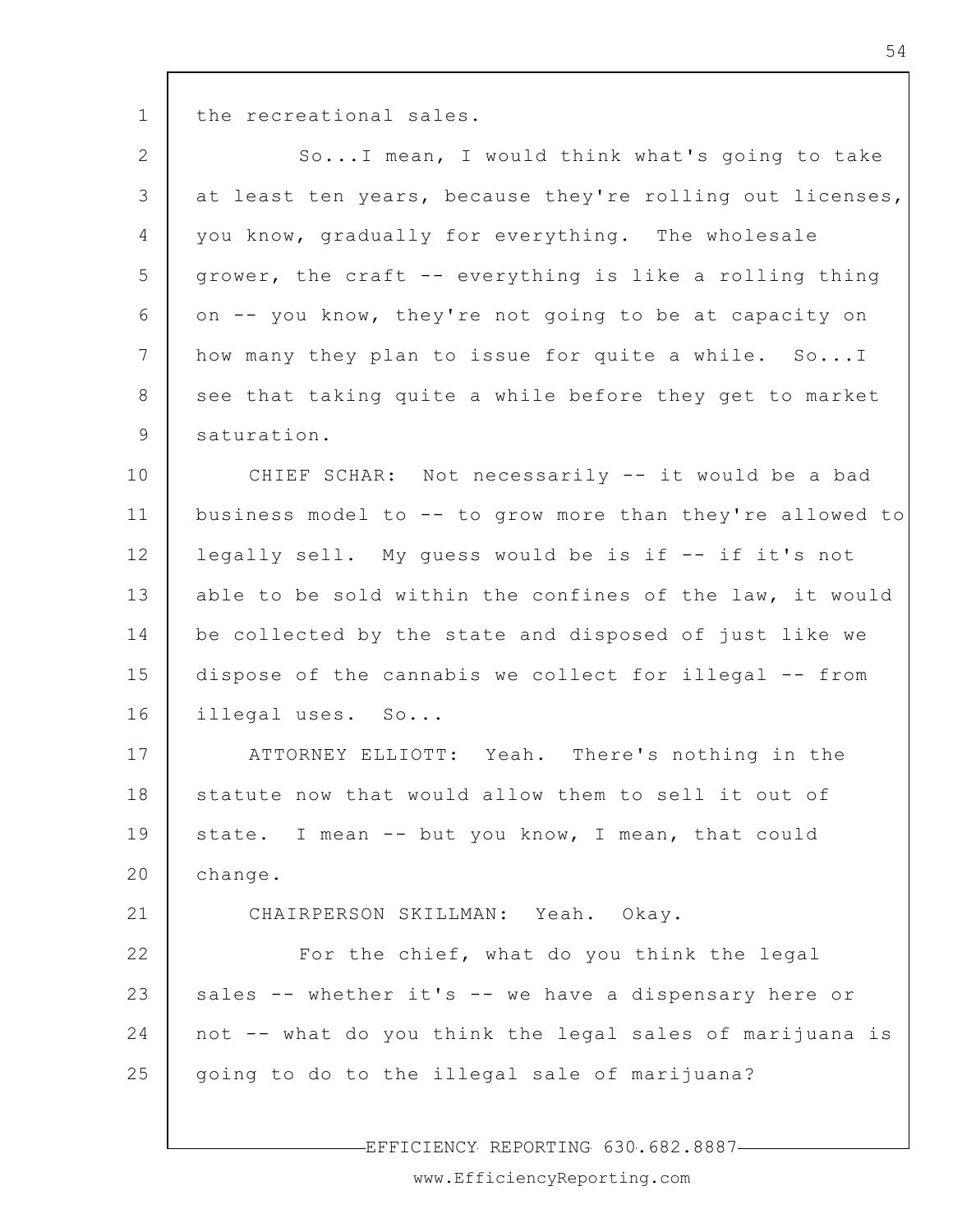the recreational sales.

1

21

2 3 4 5 6 7 8 9 So...I mean, I would think what's going to take at least ten years, because they're rolling out licenses, you know, gradually for everything. The wholesale grower, the craft -- everything is like a rolling thing on -- you know, they're not going to be at capacity on how many they plan to issue for quite a while. So...I see that taking quite a while before they get to market saturation.

10 11 12 13 14 15 16 CHIEF SCHAR: Not necessarily -- it would be a bad business model to -- to grow more than they're allowed to legally sell. My guess would be is if -- if it's not able to be sold within the confines of the law, it would be collected by the state and disposed of just like we dispose of the cannabis we collect for illegal -- from illegal uses. So...

17 18 19 20 ATTORNEY ELLIOTT: Yeah. There's nothing in the statute now that would allow them to sell it out of state. I mean -- but you know, I mean, that could change.

CHAIRPERSON SKILLMAN: Yeah. Okay.

22 23 24 25 For the chief, what do you think the legal sales -- whether it's -- we have a dispensary here or not -- what do you think the legal sales of marijuana is going to do to the illegal sale of marijuana?

EFFICIENCY REPORTING 630.682.8887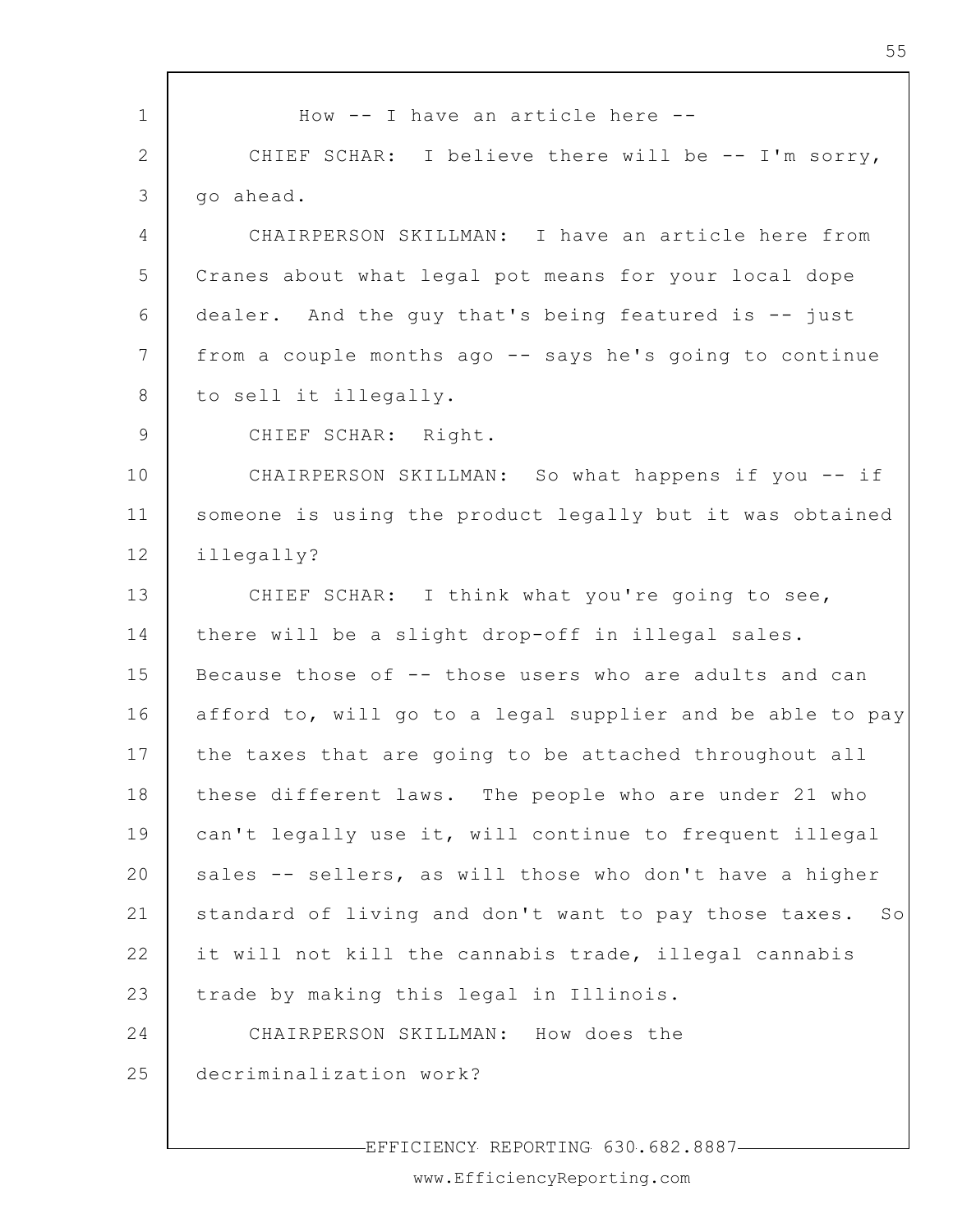1 2 3 4 5 6 7 8 9 10 11 12 13 14 15 16 17 18 19 20 21 22 23 24 25 How -- I have an article here -- CHIEF SCHAR: I believe there will be -- I'm sorry, go ahead. CHAIRPERSON SKILLMAN: I have an article here from Cranes about what legal pot means for your local dope dealer. And the guy that's being featured is -- just from a couple months ago -- says he's going to continue to sell it illegally. CHIEF SCHAR: Right. CHAIRPERSON SKILLMAN: So what happens if you -- if someone is using the product legally but it was obtained illegally? CHIEF SCHAR: I think what you're going to see, there will be a slight drop-off in illegal sales. Because those of -- those users who are adults and can afford to, will go to a legal supplier and be able to pay the taxes that are going to be attached throughout all these different laws. The people who are under 21 who can't legally use it, will continue to frequent illegal sales -- sellers, as will those who don't have a higher standard of living and don't want to pay those taxes. So it will not kill the cannabis trade, illegal cannabis trade by making this legal in Illinois. CHAIRPERSON SKILLMAN: How does the decriminalization work?

EFFICIENCY REPORTING 630.682.8887

www.EfficiencyReporting.com

55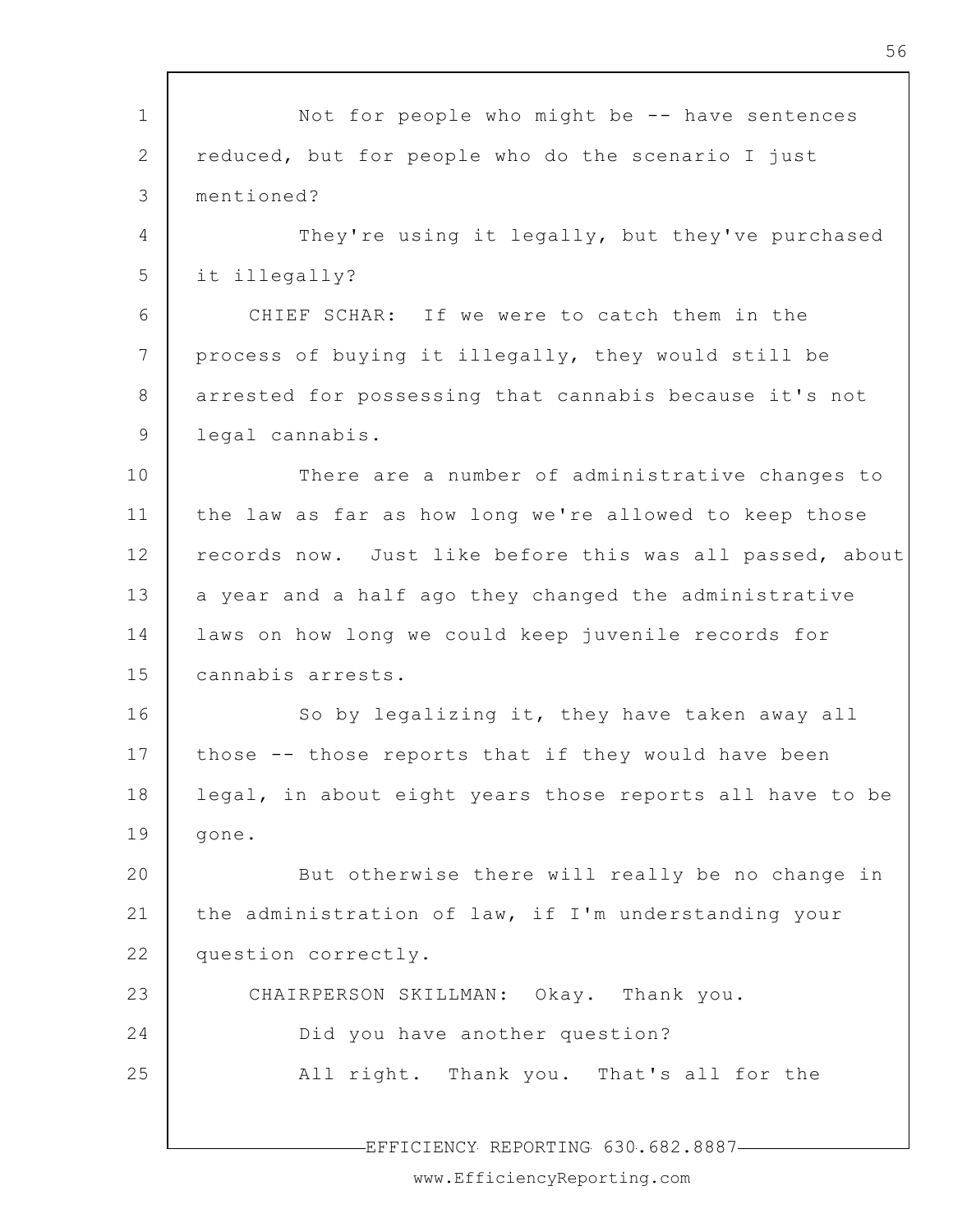| $\mathbf 1$           | Not for people who might be -- have sentences            |
|-----------------------|----------------------------------------------------------|
| $\mathbf{2}^{\prime}$ | reduced, but for people who do the scenario I just       |
| 3                     | mentioned?                                               |
| 4                     | They're using it legally, but they've purchased          |
| 5                     | it illegally?                                            |
| 6                     | CHIEF SCHAR: If we were to catch them in the             |
|                       |                                                          |
| $7\phantom{.0}$       | process of buying it illegally, they would still be      |
| 8                     | arrested for possessing that cannabis because it's not   |
| 9                     | legal cannabis.                                          |
| 10                    | There are a number of administrative changes to          |
| 11                    | the law as far as how long we're allowed to keep those   |
| 12                    | records now. Just like before this was all passed, about |
| 13                    | a year and a half ago they changed the administrative    |
| 14                    | laws on how long we could keep juvenile records for      |
| 15                    | cannabis arrests.                                        |
| 16                    | So by legalizing it, they have taken away all            |
| 17                    | those -- those reports that if they would have been      |
| 18                    | legal, in about eight years those reports all have to be |
| 19                    | gone.                                                    |
| 20                    | But otherwise there will really be no change in          |
| 21                    | the administration of law, if I'm understanding your     |
| 22                    | question correctly.                                      |
| 23                    | CHAIRPERSON SKILLMAN: Okay. Thank you.                   |
| 24                    | Did you have another question?                           |
| 25                    | All right. Thank you. That's all for the                 |
|                       |                                                          |
|                       | EFFICIENCY REPORTING 630.682.8887-                       |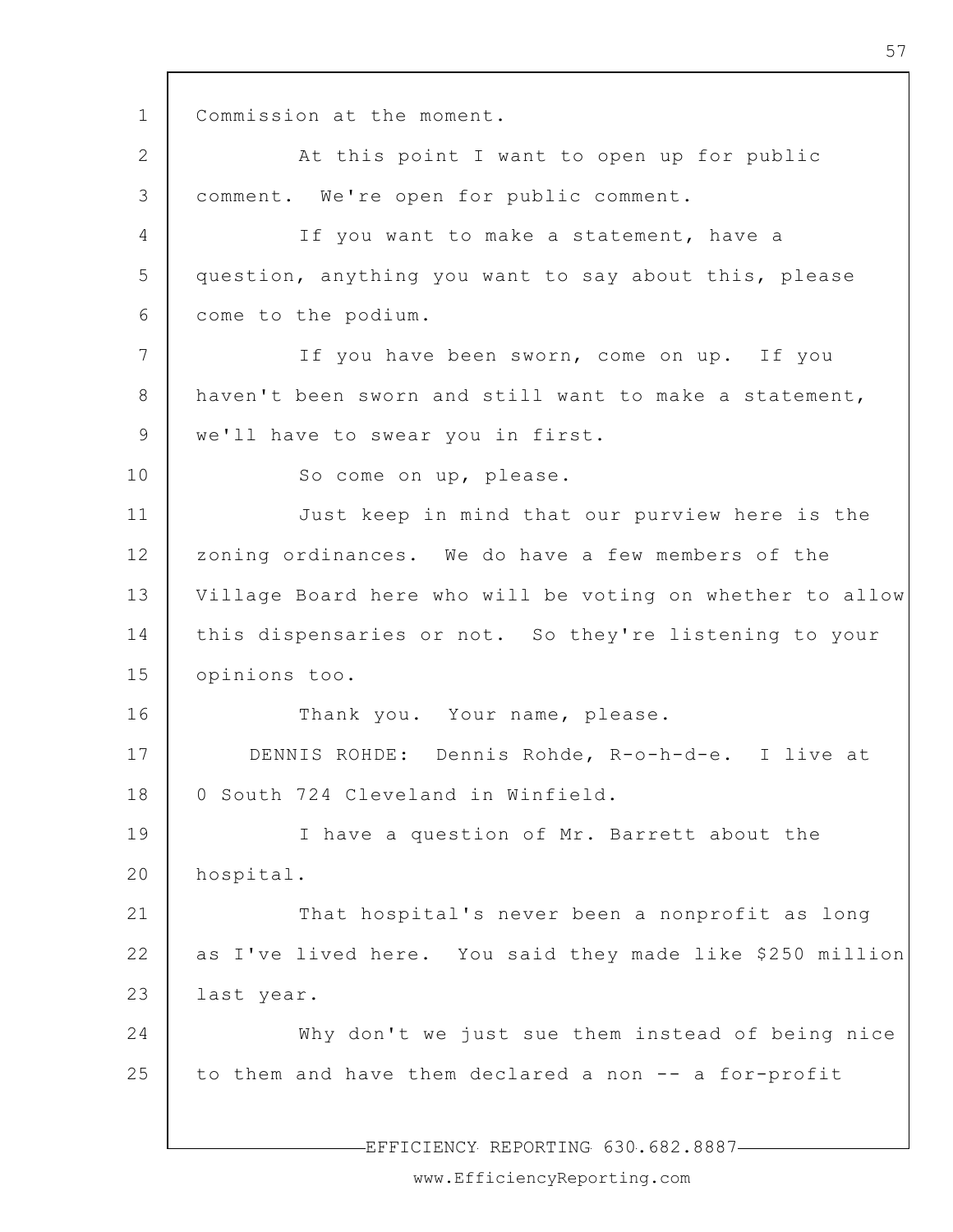1 2 3 4 5 6 7 8 9 10 11 12 13 14 15 16 17 18 19 20 21 22 23 24 25 EFFICIENCY REPORTING 630.682.8887 Commission at the moment. At this point I want to open up for public comment. We're open for public comment. If you want to make a statement, have a question, anything you want to say about this, please come to the podium. If you have been sworn, come on up. If you haven't been sworn and still want to make a statement, we'll have to swear you in first. So come on up, please. Just keep in mind that our purview here is the zoning ordinances. We do have a few members of the Village Board here who will be voting on whether to allow this dispensaries or not. So they're listening to your opinions too. Thank you. Your name, please. DENNIS ROHDE: Dennis Rohde, R-o-h-d-e. I live at 0 South 724 Cleveland in Winfield. I have a question of Mr. Barrett about the hospital. That hospital's never been a nonprofit as long as I've lived here. You said they made like \$250 million last year. Why don't we just sue them instead of being nice to them and have them declared a non -- a for-profit

57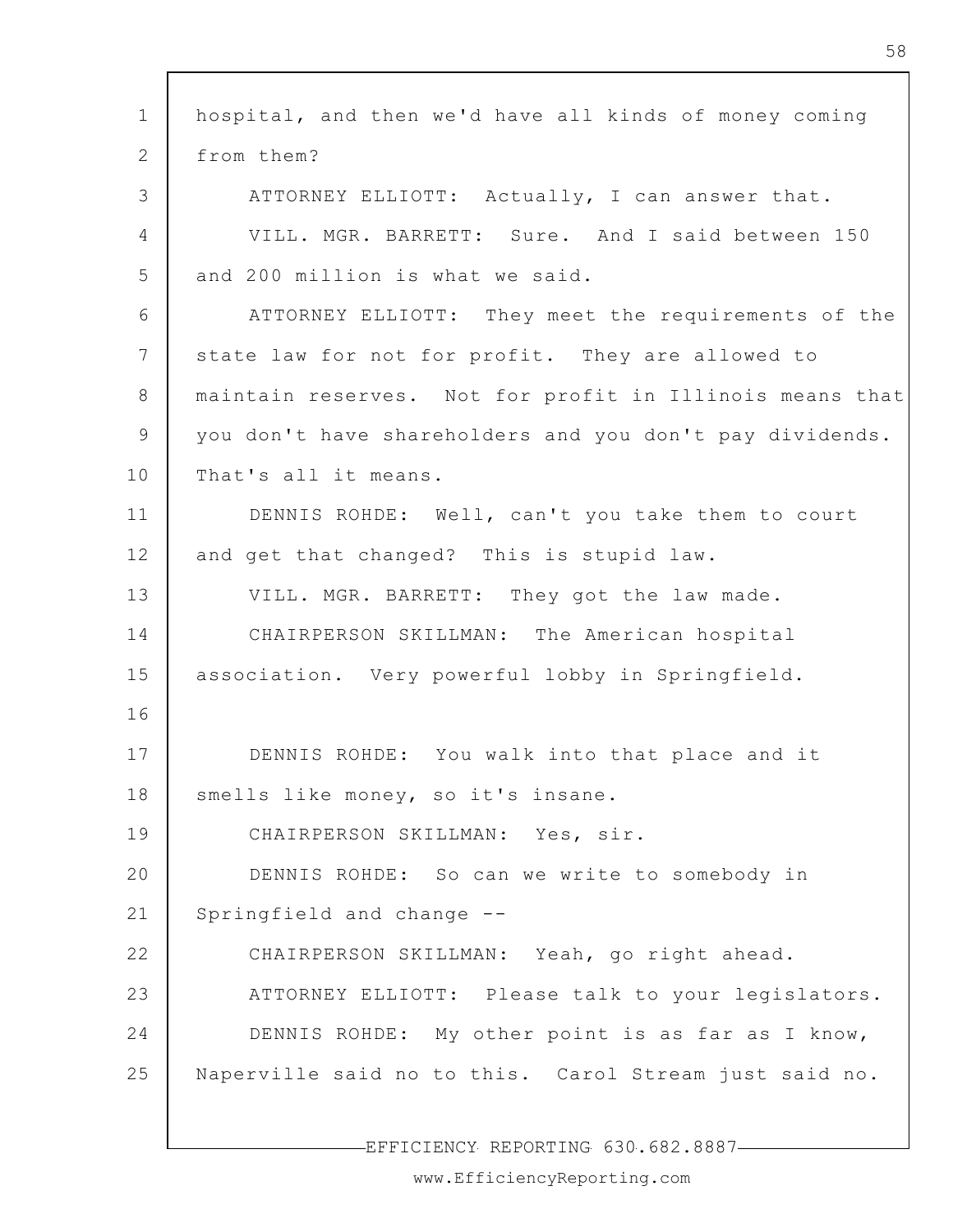1  $\mathcal{P}$ 3 4 5 6 7 8 9 10 11 12 13 14 15 16 17 18 19 20 21 22 23 24 25 hospital, and then we'd have all kinds of money coming from them? ATTORNEY ELLIOTT: Actually, I can answer that. VILL. MGR. BARRETT: Sure. And I said between 150 and 200 million is what we said. ATTORNEY ELLIOTT: They meet the requirements of the state law for not for profit. They are allowed to maintain reserves. Not for profit in Illinois means that you don't have shareholders and you don't pay dividends. That's all it means. DENNIS ROHDE: Well, can't you take them to court and get that changed? This is stupid law. VILL. MGR. BARRETT: They got the law made. CHAIRPERSON SKILLMAN: The American hospital association. Very powerful lobby in Springfield. DENNIS ROHDE: You walk into that place and it smells like money, so it's insane. CHAIRPERSON SKILLMAN: Yes, sir. DENNIS ROHDE: So can we write to somebody in Springfield and change -- CHAIRPERSON SKILLMAN: Yeah, go right ahead. ATTORNEY ELLIOTT: Please talk to your legislators. DENNIS ROHDE: My other point is as far as I know, Naperville said no to this. Carol Stream just said no.

EFFICIENCY REPORTING 630.682.8887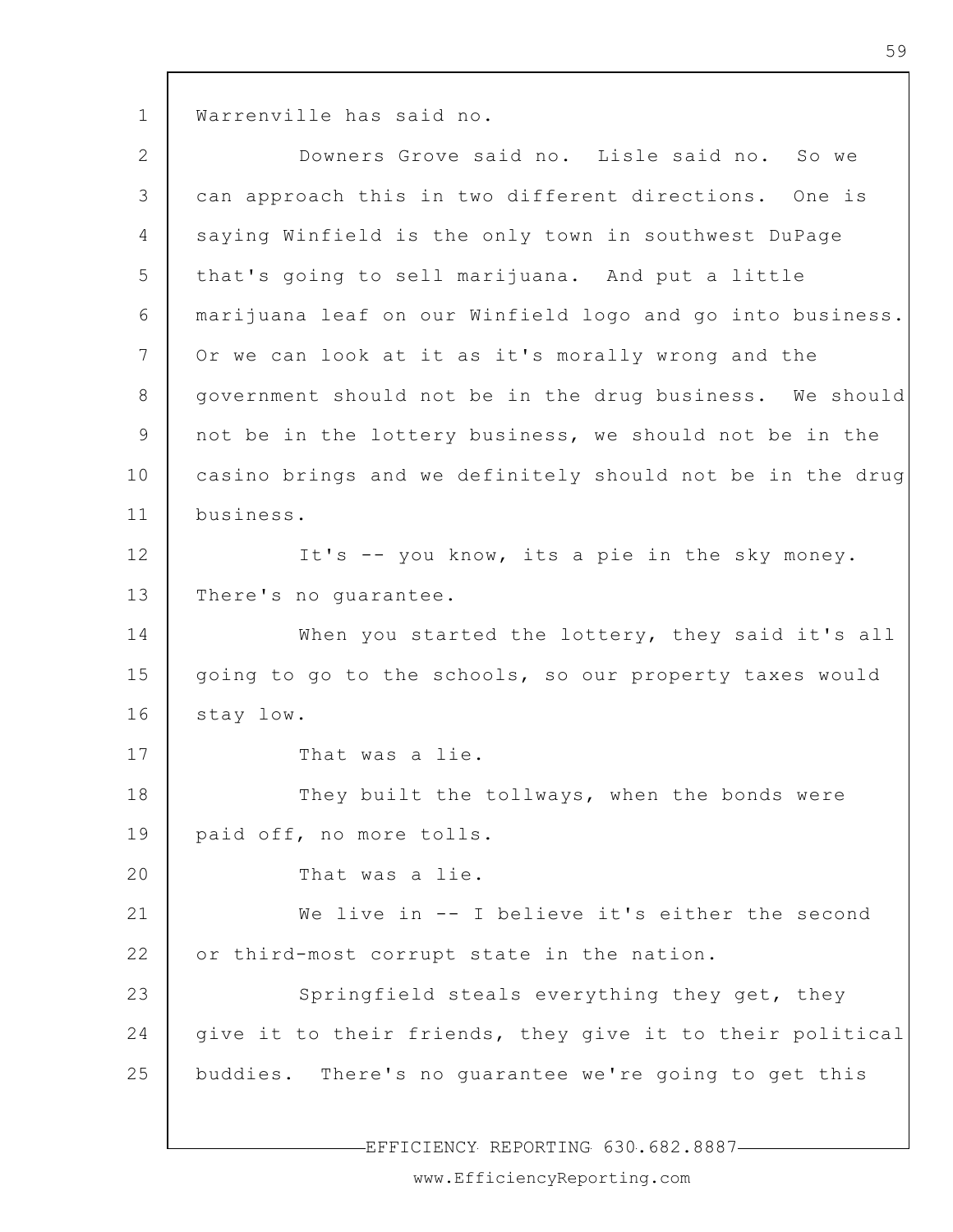1 Warrenville has said no.

| $\mathbf{2}$    | Downers Grove said no. Lisle said no. So we               |
|-----------------|-----------------------------------------------------------|
| 3               | can approach this in two different directions. One is     |
| 4               | saying Winfield is the only town in southwest DuPage      |
| 5               | that's going to sell marijuana. And put a little          |
| 6               | marijuana leaf on our Winfield logo and go into business. |
| $7\phantom{.0}$ | Or we can look at it as it's morally wrong and the        |
| 8               | government should not be in the drug business. We should  |
| 9               | not be in the lottery business, we should not be in the   |
| 10              | casino brings and we definitely should not be in the drug |
| 11              | business.                                                 |
| 12              | It's -- you know, its a pie in the sky money.             |
| 13              | There's no guarantee.                                     |
| 14              | When you started the lottery, they said it's all          |
| 15              | going to go to the schools, so our property taxes would   |
| 16              | stay low.                                                 |
| 17              | That was a lie.                                           |
| 18              | They built the tollways, when the bonds were              |
| 19              | paid off, no more tolls.                                  |
| 20              | That was a lie.                                           |
| 21              | We live in -- I believe it's either the second            |
| 22              | or third-most corrupt state in the nation.                |
| 23              | Springfield steals everything they get, they              |
| 24              | give it to their friends, they give it to their political |
| 25              | buddies. There's no guarantee we're going to get this     |
|                 |                                                           |

-EFFICIENCY REPORTING 630.682.8887-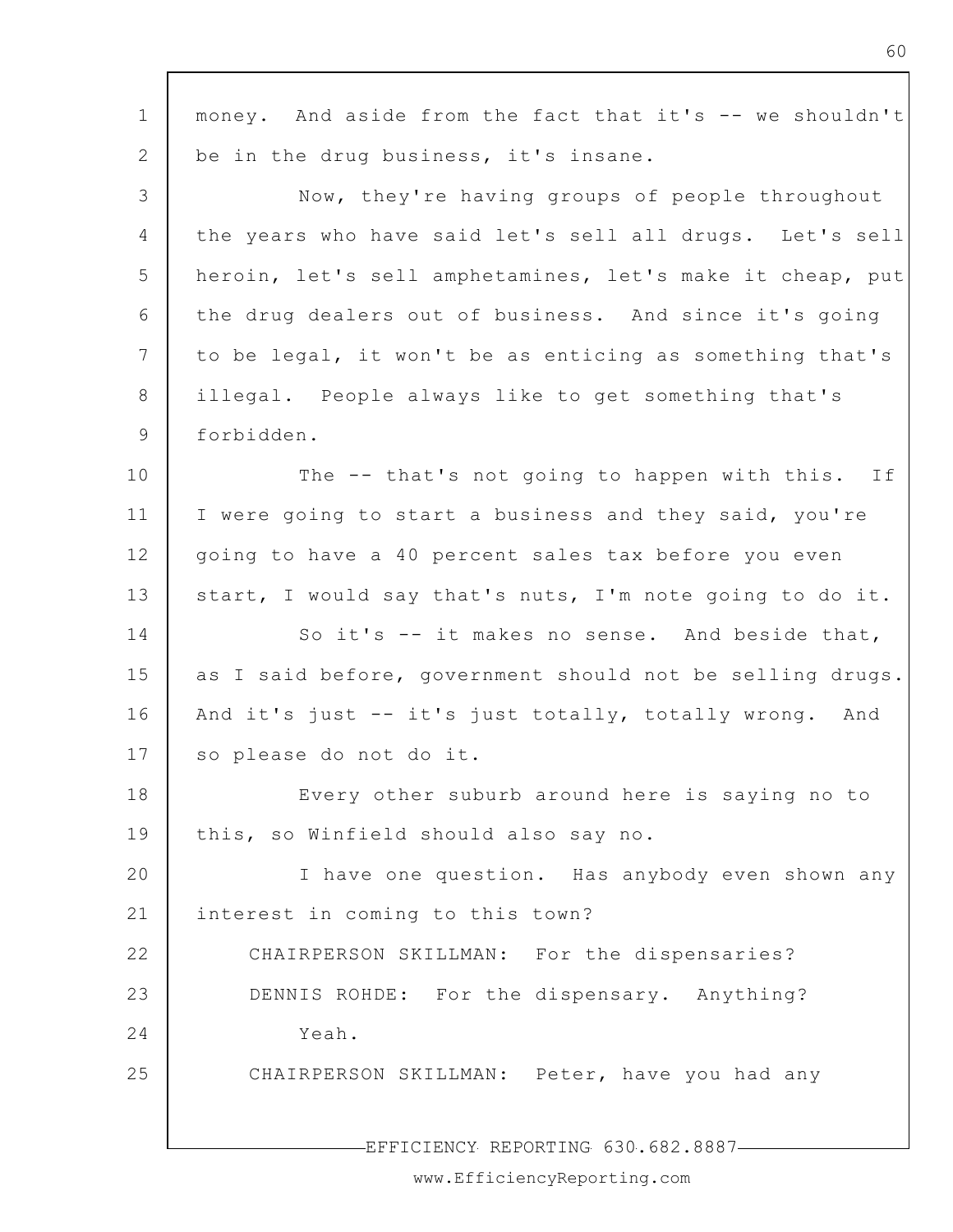| $\mathbf 1$   | money. And aside from the fact that it's -- we shouldn't  |
|---------------|-----------------------------------------------------------|
| 2             | be in the drug business, it's insane.                     |
| 3             | Now, they're having groups of people throughout           |
| 4             | the years who have said let's sell all drugs. Let's sell  |
| 5             | heroin, let's sell amphetamines, let's make it cheap, put |
| 6             | the drug dealers out of business. And since it's going    |
| 7             | to be legal, it won't be as enticing as something that's  |
| 8             | illegal. People always like to get something that's       |
| $\mathcal{G}$ | forbidden.                                                |
| 10            | The -- that's not going to happen with this. If           |
| 11            | I were going to start a business and they said, you're    |
| 12            | going to have a 40 percent sales tax before you even      |
| 13            | start, I would say that's nuts, I'm note going to do it.  |
| 14            | So it's -- it makes no sense. And beside that,            |
| 15            | as I said before, government should not be selling drugs. |
| 16            | And it's just -- it's just totally, totally wrong. And    |
| 17            | so please do not do it.                                   |
| 18            | Every other suburb around here is saying no to            |
| 19            | this, so Winfield should also say no.                     |
| 20            | I have one question. Has anybody even shown any           |
| 21            | interest in coming to this town?                          |
| 22            | CHAIRPERSON SKILLMAN: For the dispensaries?               |
| 23            | DENNIS ROHDE: For the dispensary. Anything?               |
| 24            | Yeah.                                                     |
| 25            | CHAIRPERSON SKILLMAN: Peter, have you had any             |
|               |                                                           |
|               | EFFICIENCY REPORTING 630.682.8887-                        |

www.EfficiencyReporting.com

60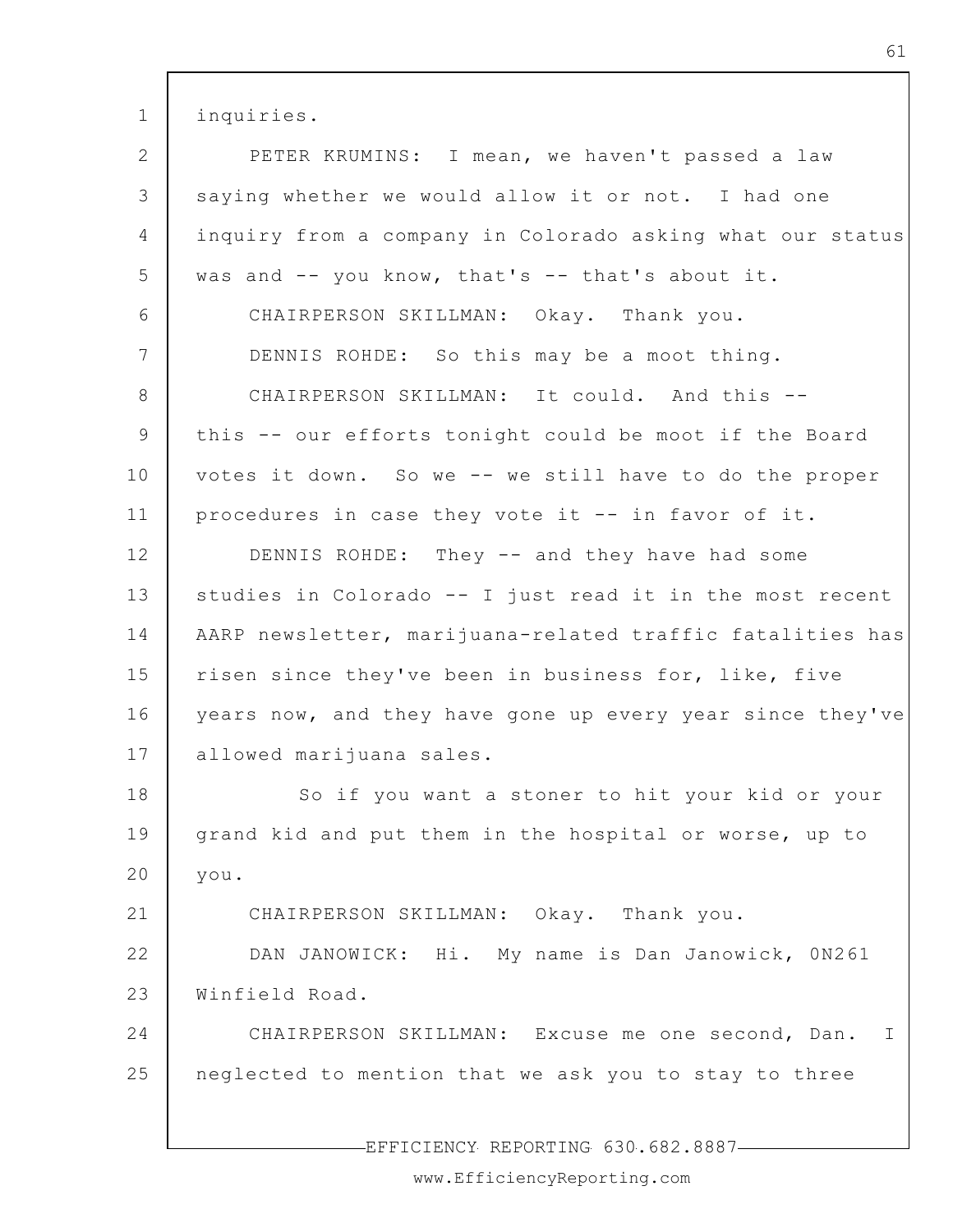1 inquiries.

| $\mathbf{2}$    | PETER KRUMINS: I mean, we haven't passed a law            |
|-----------------|-----------------------------------------------------------|
| 3               | saying whether we would allow it or not. I had one        |
| $\overline{4}$  | inquiry from a company in Colorado asking what our status |
| 5               | was and -- you know, that's -- that's about it.           |
| 6               | CHAIRPERSON SKILLMAN: Okay. Thank you.                    |
| 7               | DENNIS ROHDE: So this may be a moot thing.                |
| 8               | CHAIRPERSON SKILLMAN: It could. And this --               |
| 9               | this -- our efforts tonight could be moot if the Board    |
| 10              | votes it down. So we -- we still have to do the proper    |
| 11              | procedures in case they vote it -- in favor of it.        |
| 12 <sup>°</sup> | DENNIS ROHDE: They -- and they have had some              |
| 13              | studies in Colorado -- I just read it in the most recent  |
| 14              | AARP newsletter, marijuana-related traffic fatalities has |
| 15              | risen since they've been in business for, like, five      |
| 16              | years now, and they have gone up every year since they've |
| 17              | allowed marijuana sales.                                  |
| 18              | So if you want a stoner to hit your kid or your           |
| 19              | grand kid and put them in the hospital or worse, up to    |
| 20              | you.                                                      |
| 21              | CHAIRPERSON SKILLMAN: Okay. Thank you.                    |
| 22              | DAN JANOWICK: Hi. My name is Dan Janowick, 0N261          |
| 23              | Winfield Road.                                            |
| 24              | CHAIRPERSON SKILLMAN: Excuse me one second, Dan.<br>I.    |
| 25              | neglected to mention that we ask you to stay to three     |
|                 |                                                           |

EFFICIENCY REPORTING 630.682.8887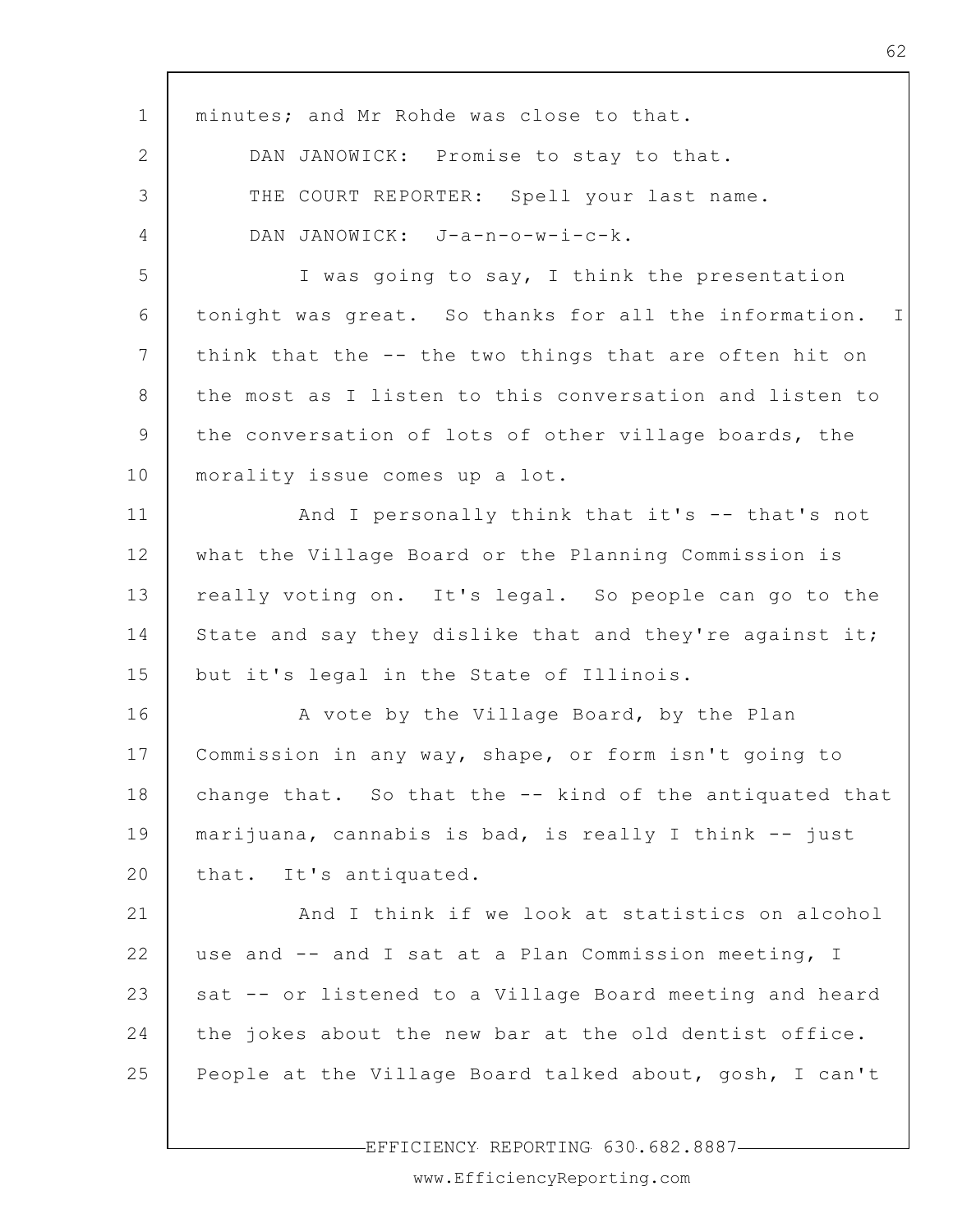| $\mathbf 1$     | minutes; and Mr Rohde was close to that.                             |
|-----------------|----------------------------------------------------------------------|
| $\mathbf{2}$    | DAN JANOWICK: Promise to stay to that.                               |
| 3               | THE COURT REPORTER: Spell your last name.                            |
| 4               | DAN JANOWICK: J-a-n-o-w-i-c-k.                                       |
| 5               | I was going to say, I think the presentation                         |
| 6               | tonight was great. So thanks for all the information.<br>$\mathbf I$ |
| $7\phantom{.0}$ | think that the -- the two things that are often hit on               |
| 8               | the most as I listen to this conversation and listen to              |
| 9               | the conversation of lots of other village boards, the                |
| 10              | morality issue comes up a lot.                                       |
| 11              | And I personally think that it's -- that's not                       |
| 12              | what the Village Board or the Planning Commission is                 |
| 13              | really voting on. It's legal. So people can go to the                |
| 14              | State and say they dislike that and they're against it;              |
| 15              | but it's legal in the State of Illinois.                             |
| 16              | A vote by the Village Board, by the Plan                             |
| 17              | Commission in any way, shape, or form isn't going to                 |
| 18              | change that. So that the -- kind of the antiquated that              |
| 19              | marijuana, cannabis is bad, is really I think -- just                |
| 20              | that. It's antiquated.                                               |
| 21              | And I think if we look at statistics on alcohol                      |
| 22              | use and -- and I sat at a Plan Commission meeting, I                 |
| 23              | sat -- or listened to a Village Board meeting and heard              |
| 24              | the jokes about the new bar at the old dentist office.               |
| 25              | People at the Village Board talked about, gosh, I can't              |
|                 |                                                                      |

-EFFICIENCY REPORTING 630.682.8887-

62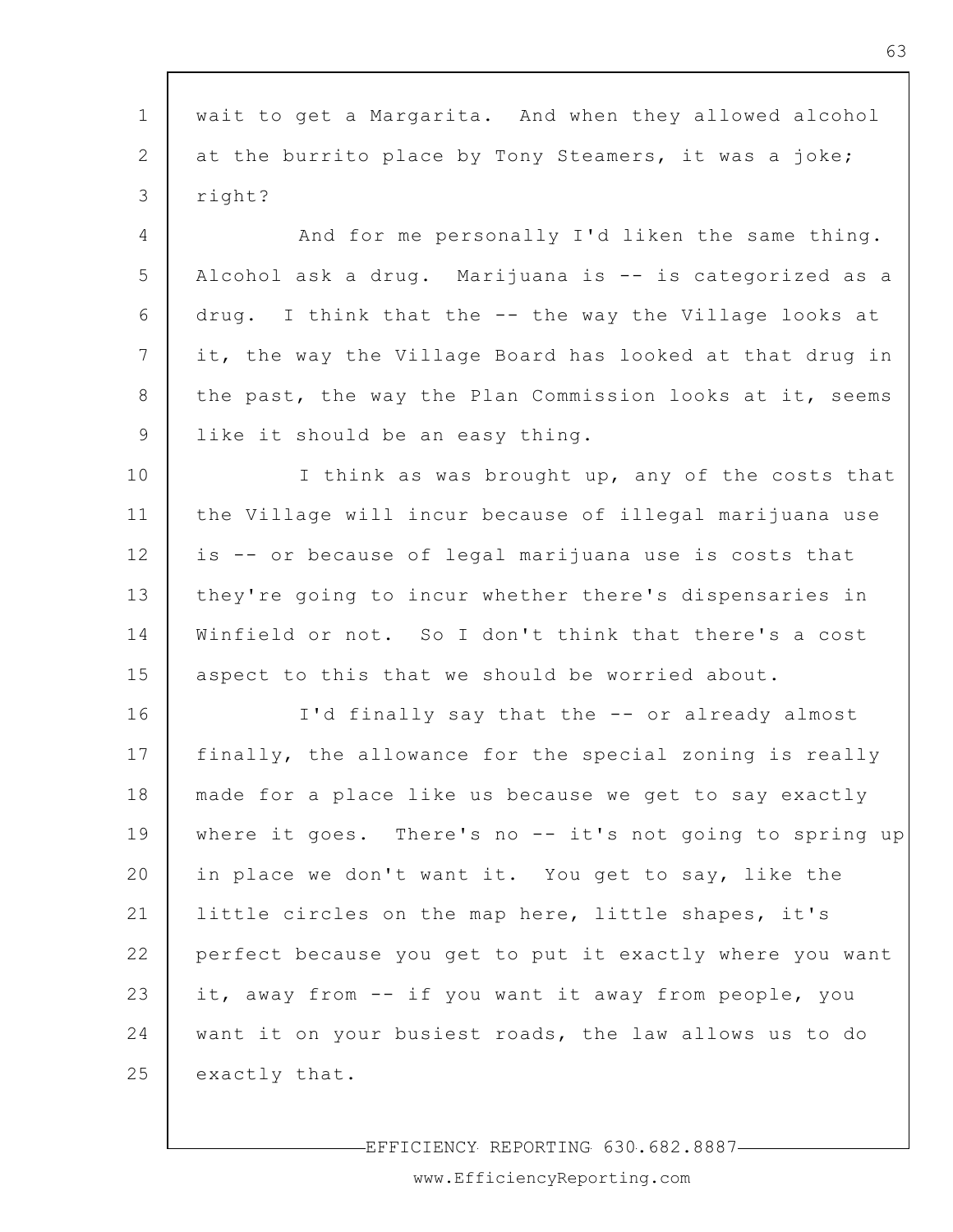| $\mathbf 1$    | wait to get a Margarita. And when they allowed alcohol    |
|----------------|-----------------------------------------------------------|
| 2              | at the burrito place by Tony Steamers, it was a joke;     |
| 3              | right?                                                    |
| $\overline{4}$ | And for me personally I'd liken the same thing.           |
| 5              | Alcohol ask a drug. Marijuana is -- is categorized as a   |
| 6              | drug. I think that the -- the way the Village looks at    |
| 7              | it, the way the Village Board has looked at that drug in  |
| 8              | the past, the way the Plan Commission looks at it, seems  |
| 9              | like it should be an easy thing.                          |
| 10             | I think as was brought up, any of the costs that          |
| 11             | the Village will incur because of illegal marijuana use   |
| 12             | is -- or because of legal marijuana use is costs that     |
| 13             | they're going to incur whether there's dispensaries in    |
| 14             | Winfield or not. So I don't think that there's a cost     |
| 15             | aspect to this that we should be worried about.           |
| 16             | I'd finally say that the -- or already almost             |
| 17             | finally, the allowance for the special zoning is really   |
| 18             | made for a place like us because we get to say exactly    |
| 19             | where it goes. There's no $-$ it's not going to spring up |
| 20             | in place we don't want it. You get to say, like the       |
| 21             | little circles on the map here, little shapes, it's       |
| 22             | perfect because you get to put it exactly where you want  |
| 23             | it, away from -- if you want it away from people, you     |
| 24             | want it on your busiest roads, the law allows us to do    |
| 25             | exactly that.                                             |
|                |                                                           |

EFFICIENCY REPORTING 630.682.8887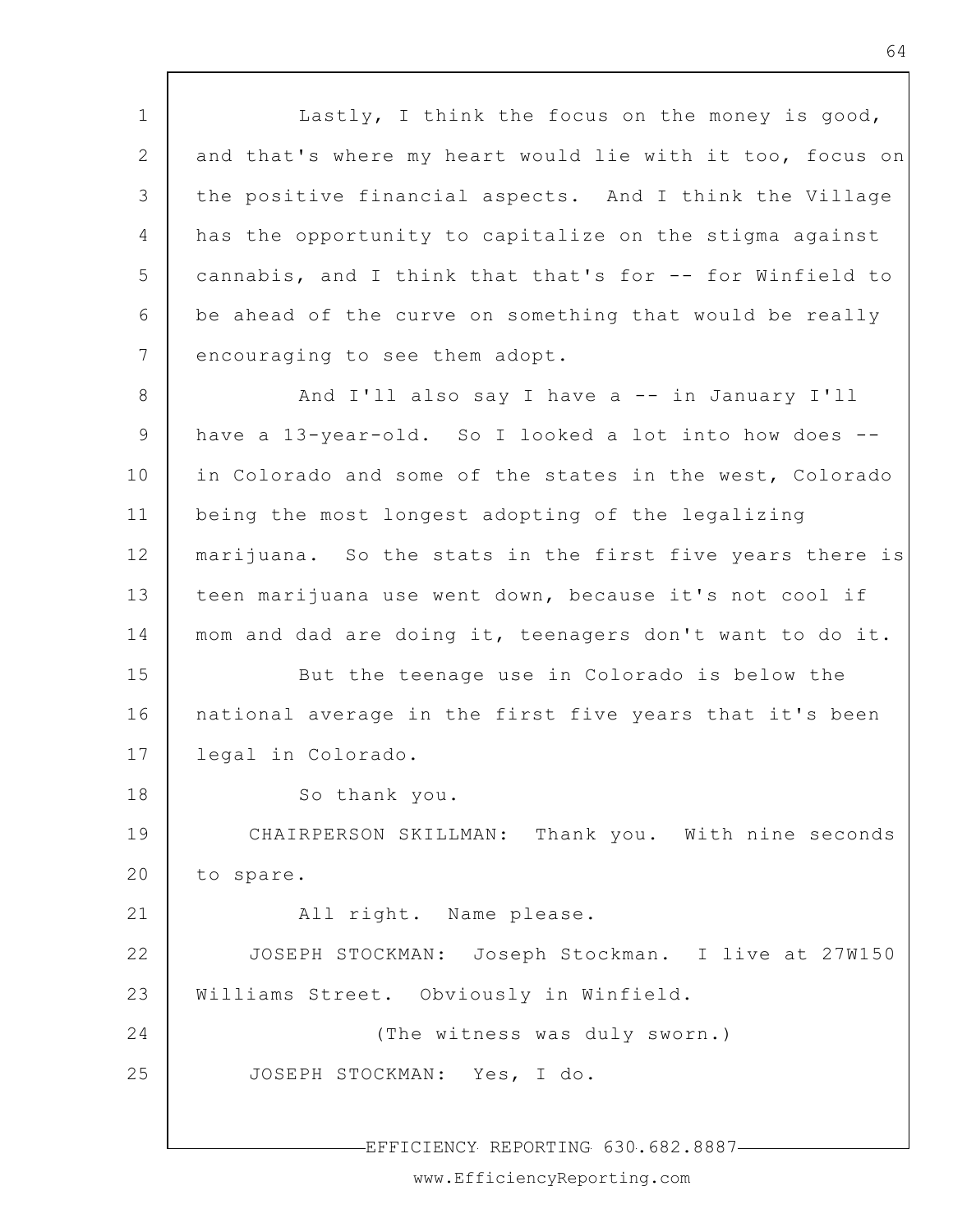1 2 3 4 5 6 7 Lastly, I think the focus on the money is good, and that's where my heart would lie with it too, focus on the positive financial aspects. And I think the Village has the opportunity to capitalize on the stigma against cannabis, and I think that that's for -- for Winfield to be ahead of the curve on something that would be really encouraging to see them adopt.

8 9 10 11 12 13 14 15 16 And I'll also say I have a -- in January I'll have a 13-year-old. So I looked a lot into how does -in Colorado and some of the states in the west, Colorado being the most longest adopting of the legalizing marijuana. So the stats in the first five years there is teen marijuana use went down, because it's not cool if mom and dad are doing it, teenagers don't want to do it. But the teenage use in Colorado is below the national average in the first five years that it's been

17 legal in Colorado.

18

21

So thank you.

19 20 CHAIRPERSON SKILLMAN: Thank you. With nine seconds to spare.

All right. Name please.

22 23 JOSEPH STOCKMAN: Joseph Stockman. I live at 27W150 Williams Street. Obviously in Winfield.

24 25 (The witness was duly sworn.) JOSEPH STOCKMAN: Yes, I do.

EFFICIENCY REPORTING 630.682.8887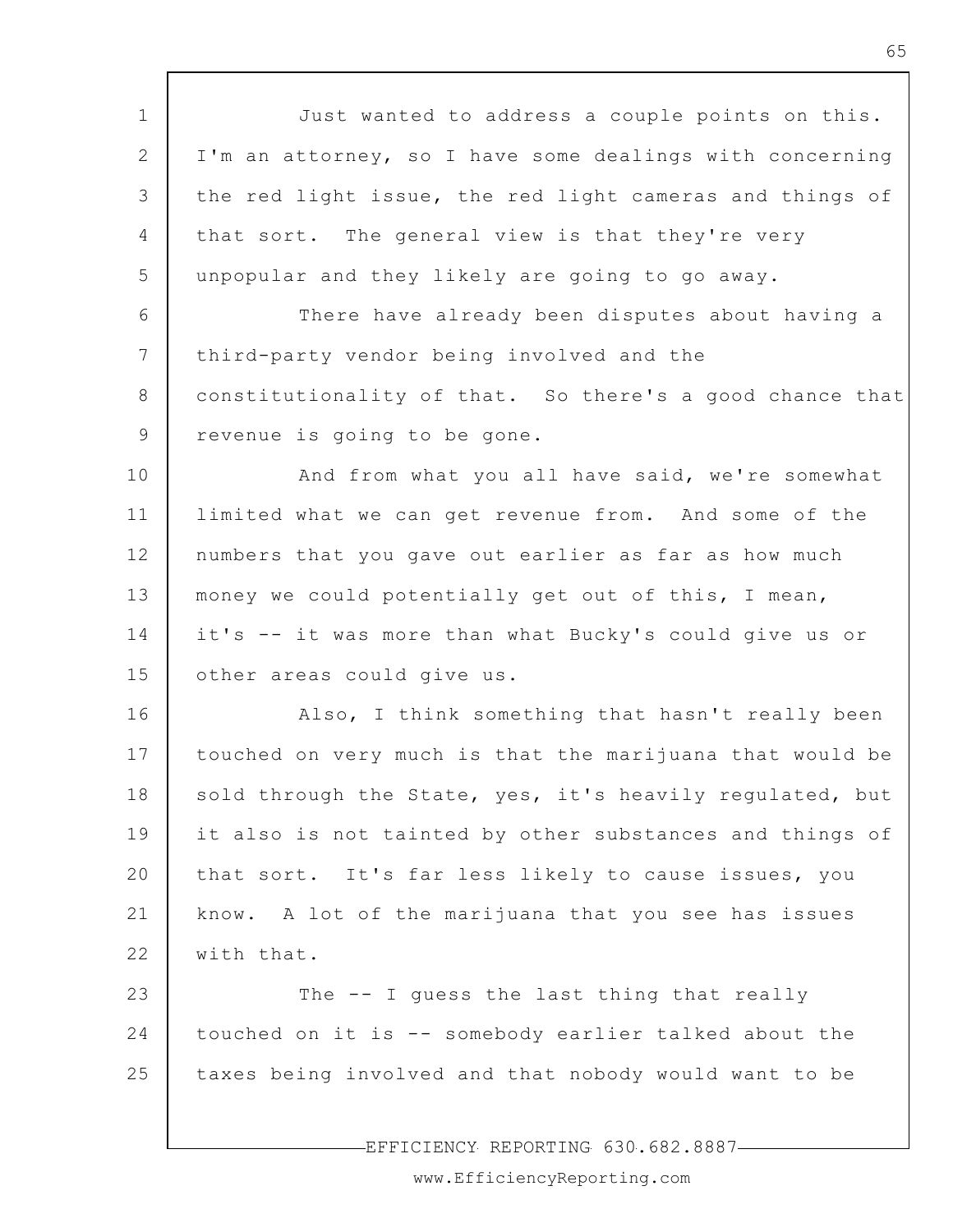1 2 3 4 5 6 7 8 9 10 11 12 13 14 15 16 17 18 19 20 21 22 23 24 25 EFFICIENCY REPORTING 630.682.8887 Just wanted to address a couple points on this. I'm an attorney, so I have some dealings with concerning the red light issue, the red light cameras and things of that sort. The general view is that they're very unpopular and they likely are going to go away. There have already been disputes about having a third-party vendor being involved and the constitutionality of that. So there's a good chance that revenue is going to be gone. And from what you all have said, we're somewhat limited what we can get revenue from. And some of the numbers that you gave out earlier as far as how much money we could potentially get out of this, I mean, it's -- it was more than what Bucky's could give us or other areas could give us. Also, I think something that hasn't really been touched on very much is that the marijuana that would be sold through the State, yes, it's heavily regulated, but it also is not tainted by other substances and things of that sort. It's far less likely to cause issues, you know. A lot of the marijuana that you see has issues with that. The -- I quess the last thing that really touched on it is -- somebody earlier talked about the taxes being involved and that nobody would want to be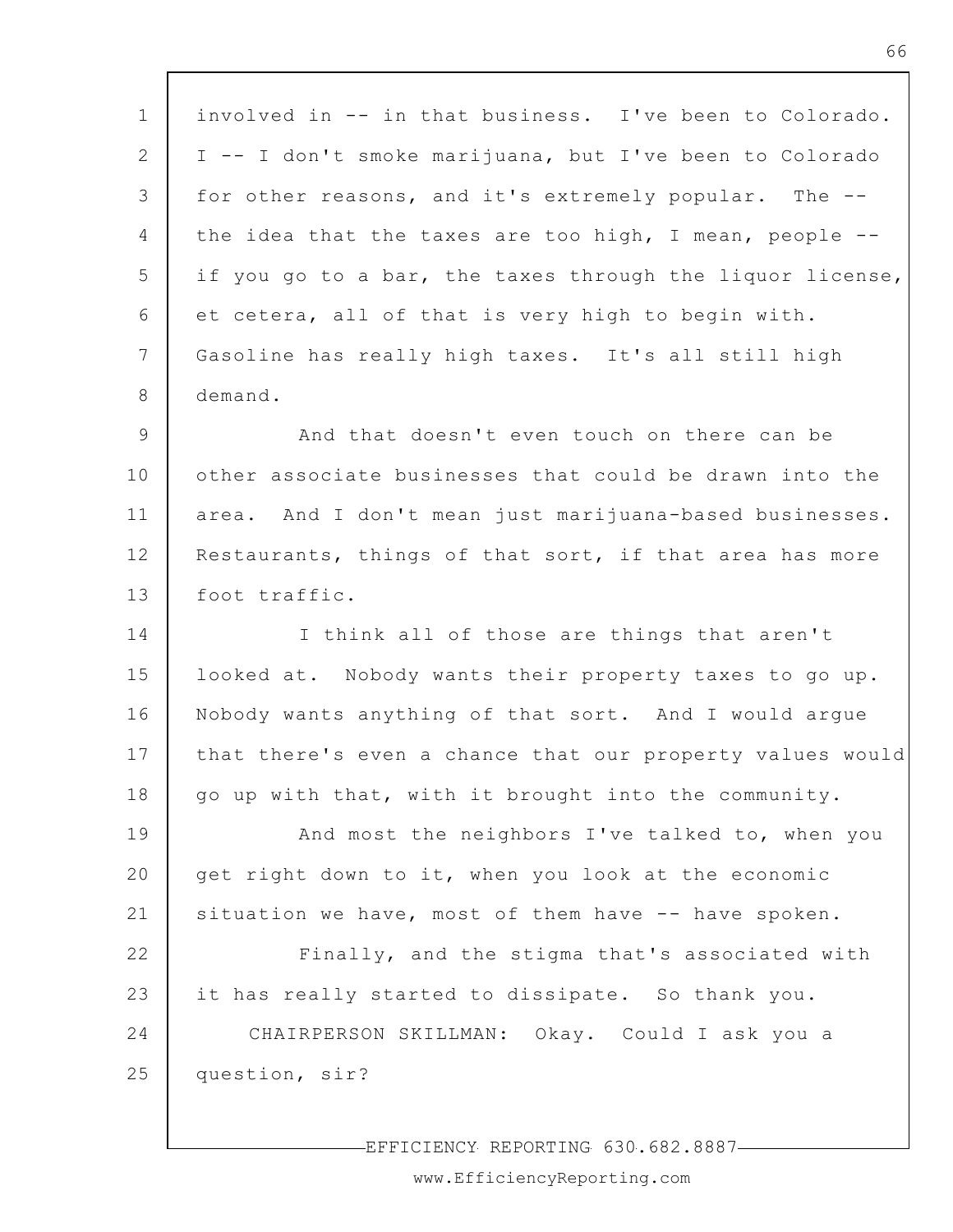1 2 3 4 5 6 7 8 9 10 11 12 13 14 15 16 17 18 19 20 21 22 23 24 25 involved in -- in that business. I've been to Colorado. I -- I don't smoke marijuana, but I've been to Colorado for other reasons, and it's extremely popular. The - the idea that the taxes are too high, I mean, people - if you go to a bar, the taxes through the liquor license, et cetera, all of that is very high to begin with. Gasoline has really high taxes. It's all still high demand. And that doesn't even touch on there can be other associate businesses that could be drawn into the area. And I don't mean just marijuana-based businesses. Restaurants, things of that sort, if that area has more foot traffic. I think all of those are things that aren't looked at. Nobody wants their property taxes to go up. Nobody wants anything of that sort. And I would argue that there's even a chance that our property values would go up with that, with it brought into the community. And most the neighbors I've talked to, when you get right down to it, when you look at the economic situation we have, most of them have -- have spoken. Finally, and the stigma that's associated with it has really started to dissipate. So thank you. CHAIRPERSON SKILLMAN: Okay. Could I ask you a question, sir?

EFFICIENCY REPORTING 630.682.8887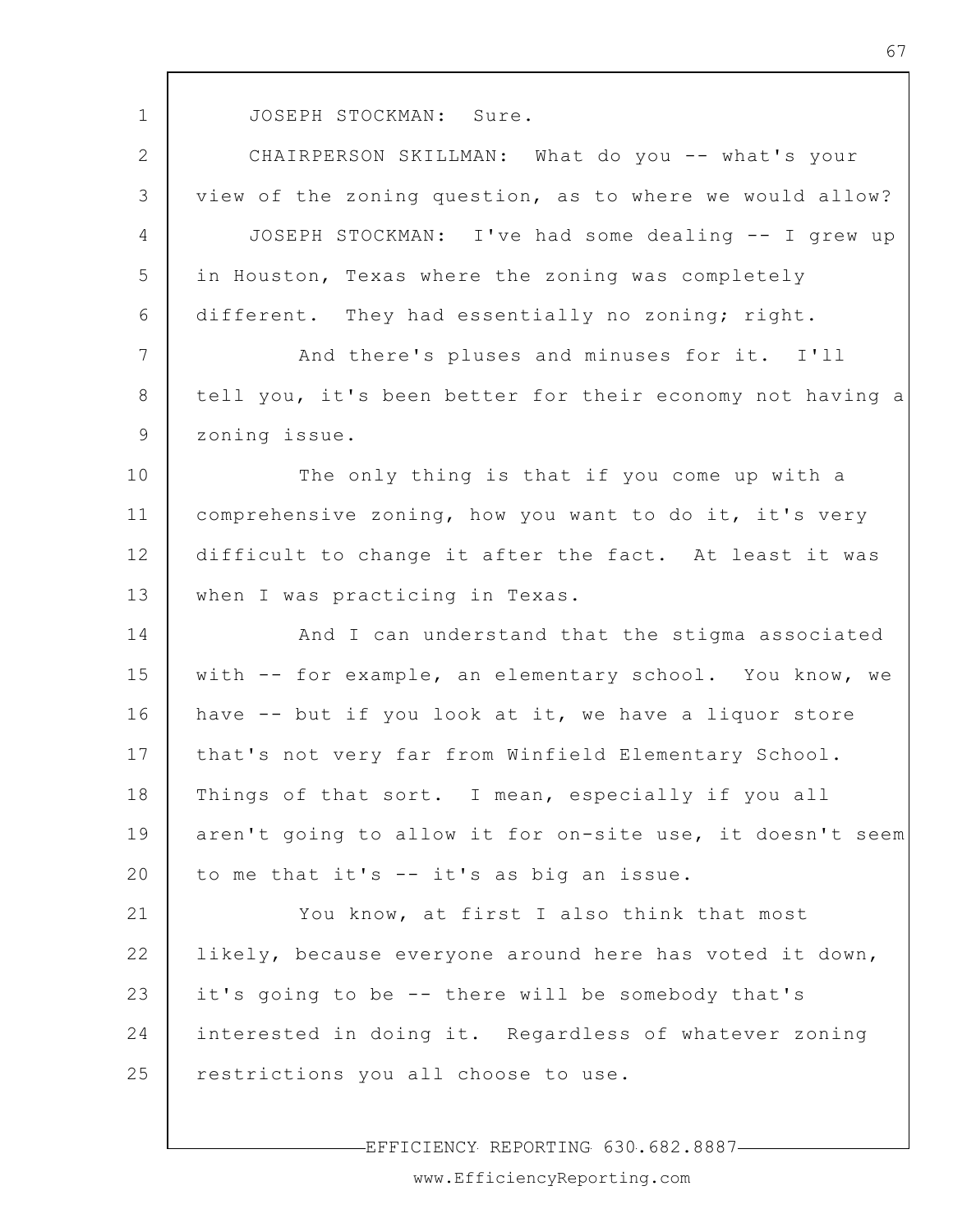1

JOSEPH STOCKMAN: Sure.

2 3 4 5 6 7 8 9 10 11 12 13 14 CHAIRPERSON SKILLMAN: What do you -- what's your view of the zoning question, as to where we would allow? JOSEPH STOCKMAN: I've had some dealing -- I grew up in Houston, Texas where the zoning was completely different. They had essentially no zoning; right. And there's pluses and minuses for it. I'll tell you, it's been better for their economy not having a zoning issue. The only thing is that if you come up with a comprehensive zoning, how you want to do it, it's very difficult to change it after the fact. At least it was when I was practicing in Texas. And I can understand that the stigma associated

15 16 17 18 19 20 with -- for example, an elementary school. You know, we have -- but if you look at it, we have a liquor store that's not very far from Winfield Elementary School. Things of that sort. I mean, especially if you all aren't going to allow it for on-site use, it doesn't seem to me that it's -- it's as big an issue.

21 22 23 24 25 You know, at first I also think that most likely, because everyone around here has voted it down, it's going to be -- there will be somebody that's interested in doing it. Regardless of whatever zoning restrictions you all choose to use.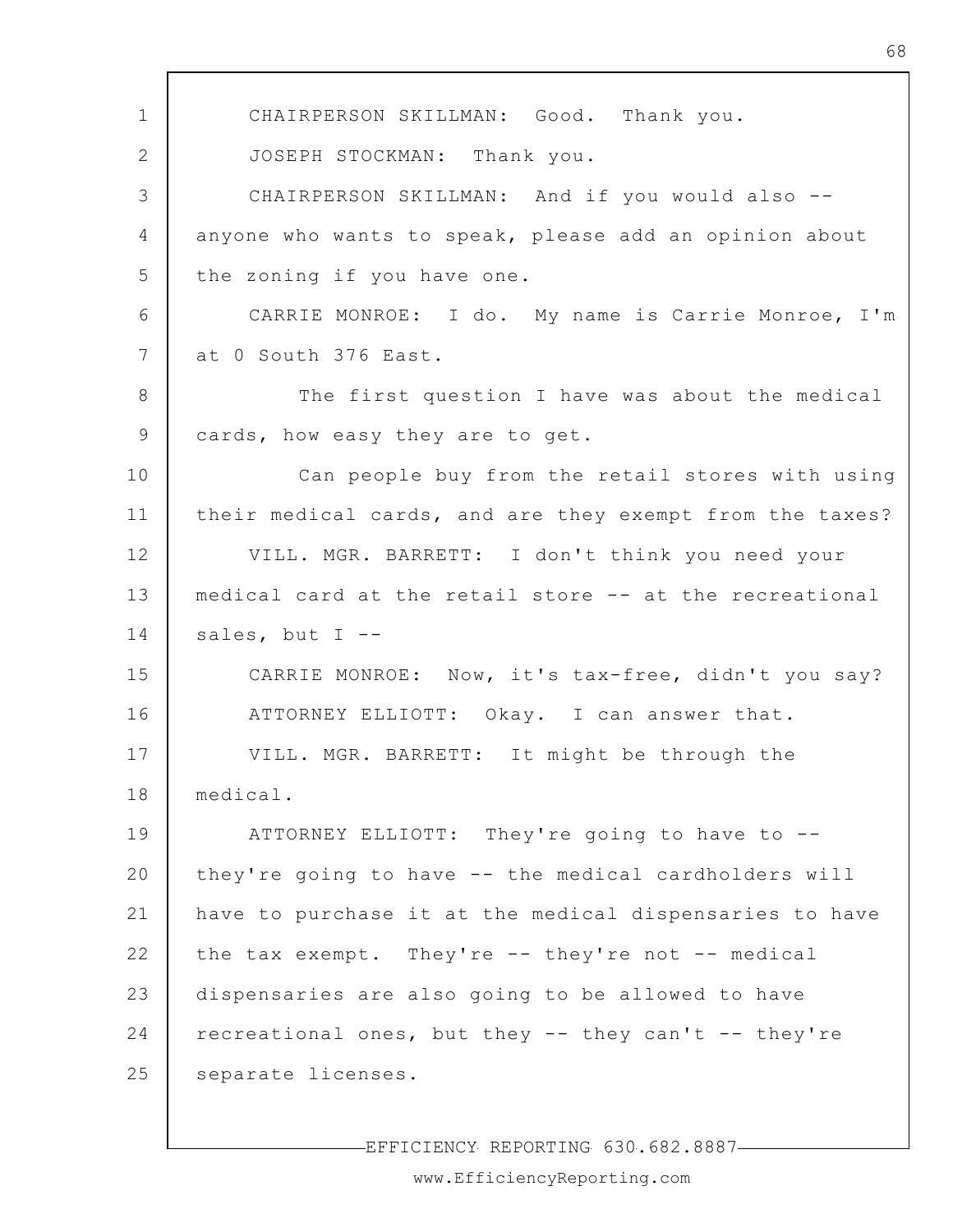1 2 3 4 5 6 7 8 9 10 11 12 13 14 15 16 17 18 19 20 21 22 23 24 25 CHAIRPERSON SKILLMAN: Good. Thank you. JOSEPH STOCKMAN: Thank you. CHAIRPERSON SKILLMAN: And if you would also - anyone who wants to speak, please add an opinion about the zoning if you have one. CARRIE MONROE: I do. My name is Carrie Monroe, I'm at 0 South 376 East. The first question I have was about the medical cards, how easy they are to get. Can people buy from the retail stores with using their medical cards, and are they exempt from the taxes? VILL. MGR. BARRETT: I don't think you need your medical card at the retail store -- at the recreational sales, but I --CARRIE MONROE: Now, it's tax-free, didn't you say? ATTORNEY ELLIOTT: Okay. I can answer that. VILL. MGR. BARRETT: It might be through the medical. ATTORNEY ELLIOTT: They're going to have to - they're going to have -- the medical cardholders will have to purchase it at the medical dispensaries to have the tax exempt. They're -- they're not -- medical dispensaries are also going to be allowed to have recreational ones, but they -- they can't -- they're separate licenses.

EFFICIENCY REPORTING 630.682.8887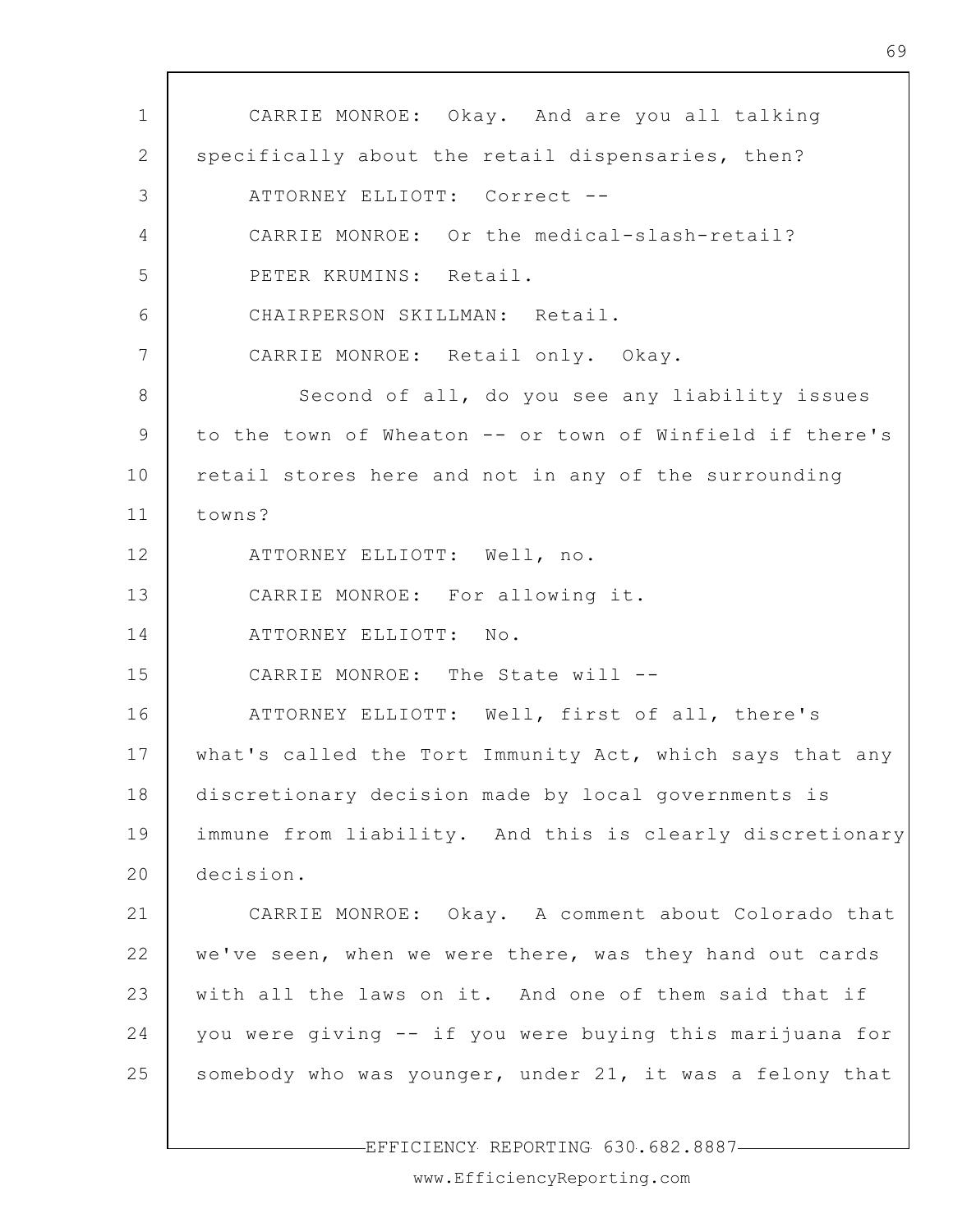1 2 3 4 5 6 7 8 9 10 11 12 13 14 15 16 17 18 19 20 21 22 23 24 25 CARRIE MONROE: Okay. And are you all talking specifically about the retail dispensaries, then? ATTORNEY ELLIOTT: Correct -- CARRIE MONROE: Or the medical-slash-retail? PETER KRUMINS: Retail. CHAIRPERSON SKILLMAN: Retail. CARRIE MONROE: Retail only. Okay. Second of all, do you see any liability issues to the town of Wheaton -- or town of Winfield if there's retail stores here and not in any of the surrounding towns? ATTORNEY ELLIOTT: Well, no. CARRIE MONROE: For allowing it. ATTORNEY ELLIOTT: No. CARRIE MONROE: The State will -- ATTORNEY ELLIOTT: Well, first of all, there's what's called the Tort Immunity Act, which says that any discretionary decision made by local governments is immune from liability. And this is clearly discretionary decision. CARRIE MONROE: Okay. A comment about Colorado that we've seen, when we were there, was they hand out cards with all the laws on it. And one of them said that if you were giving -- if you were buying this marijuana for somebody who was younger, under 21, it was a felony that

EFFICIENCY REPORTING 630.682.8887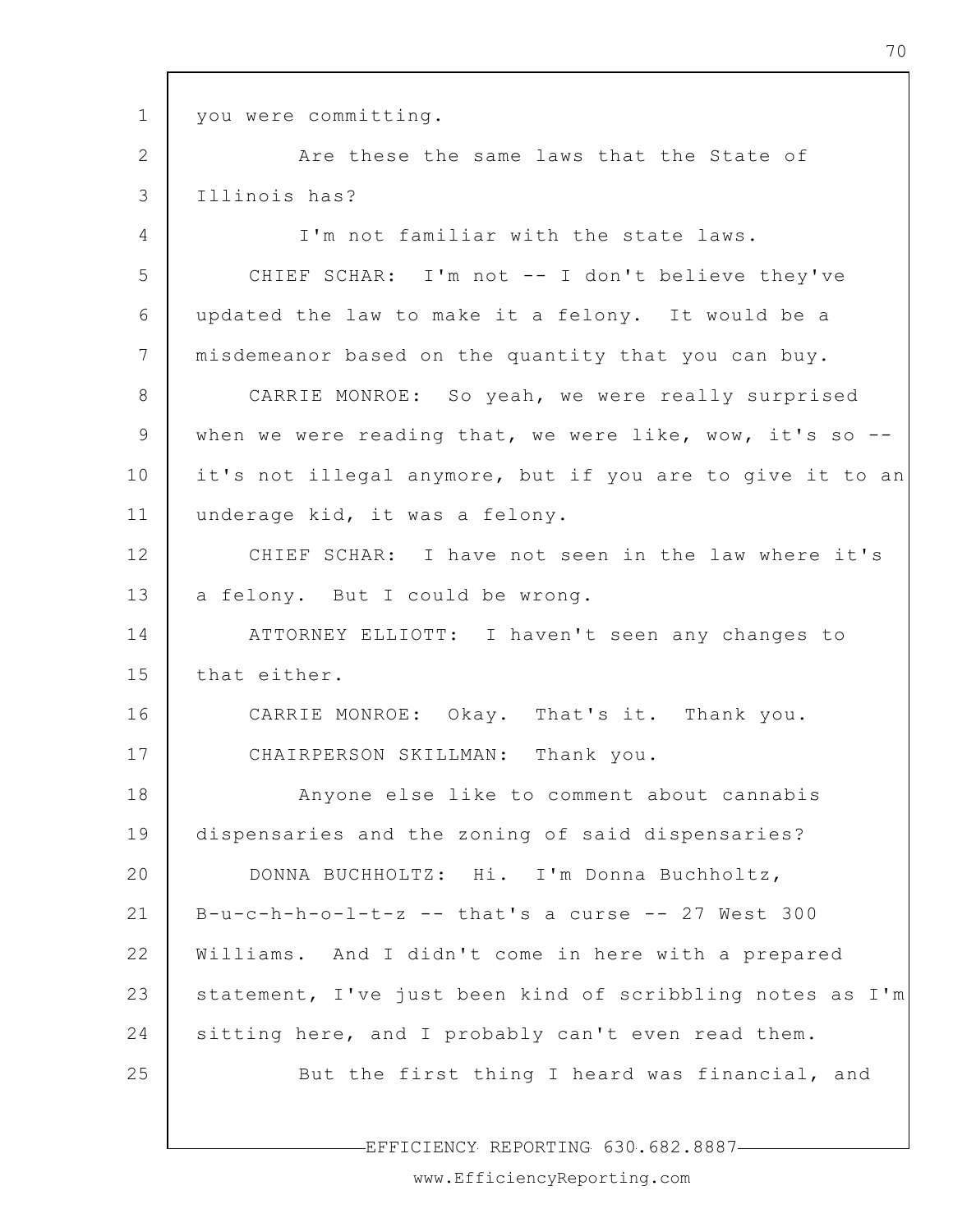1

you were committing.

2 3 Are these the same laws that the State of Illinois has?

4 5 6 7 8 9 10 11 12 13 14 15 16 17 18 19 20 21 22 23 24 25 I'm not familiar with the state laws. CHIEF SCHAR: I'm not -- I don't believe they've updated the law to make it a felony. It would be a misdemeanor based on the quantity that you can buy. CARRIE MONROE: So yeah, we were really surprised when we were reading that, we were like, wow, it's so  $-$ it's not illegal anymore, but if you are to give it to an underage kid, it was a felony. CHIEF SCHAR: I have not seen in the law where it's a felony. But I could be wrong. ATTORNEY ELLIOTT: I haven't seen any changes to that either. CARRIE MONROE: Okay. That's it. Thank you. CHAIRPERSON SKILLMAN: Thank you. Anyone else like to comment about cannabis dispensaries and the zoning of said dispensaries? DONNA BUCHHOLTZ: Hi. I'm Donna Buchholtz,  $B-u-c-h-h-o-l-t-z$  -- that's a curse -- 27 West 300 Williams. And I didn't come in here with a prepared statement, I've just been kind of scribbling notes as I'm sitting here, and I probably can't even read them. But the first thing I heard was financial, and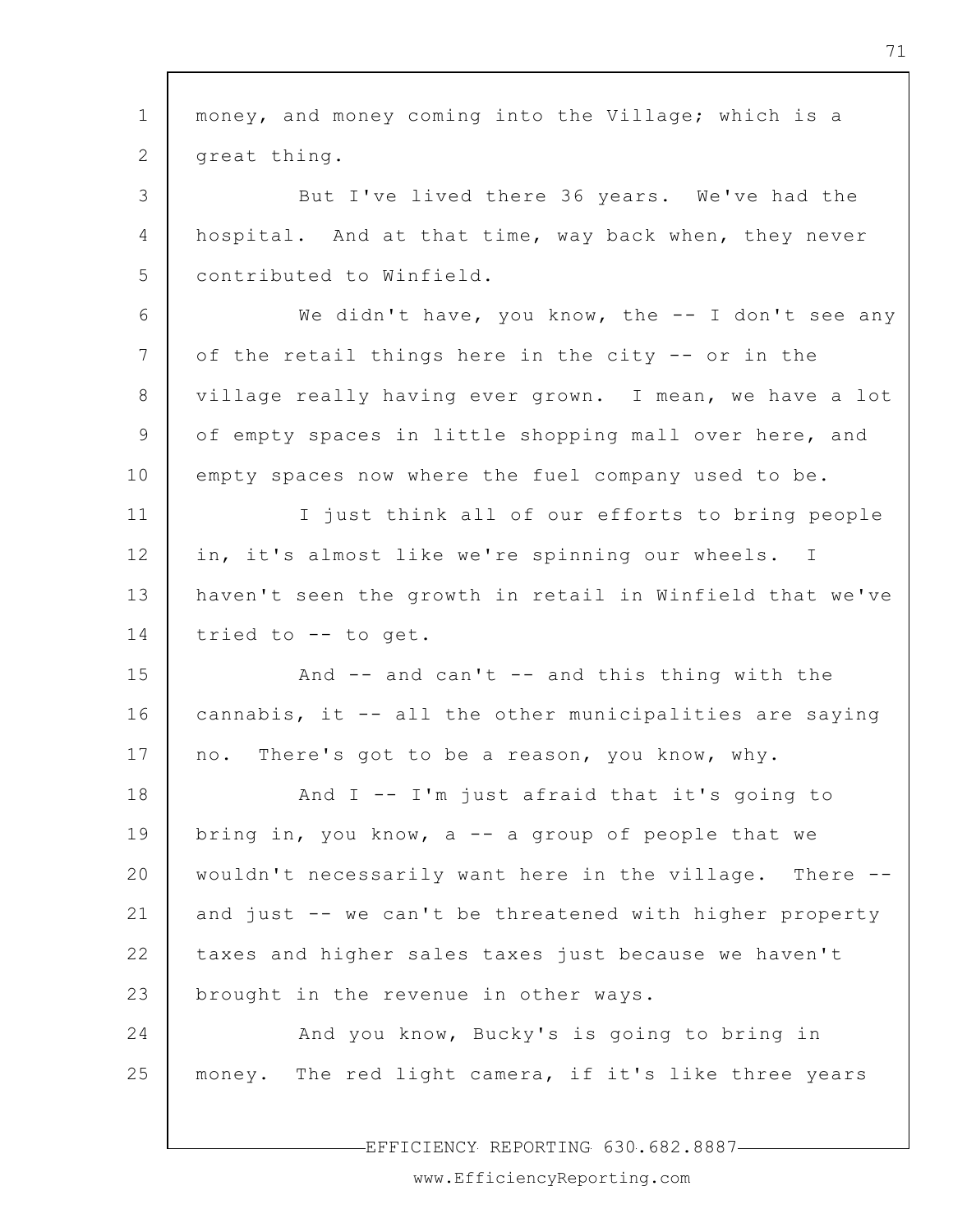| $\mathbf 1$     | money, and money coming into the Village; which is a     |
|-----------------|----------------------------------------------------------|
| 2               | great thing.                                             |
| 3               | But I've lived there 36 years. We've had the             |
| 4               | hospital. And at that time, way back when, they never    |
| 5               | contributed to Winfield.                                 |
| 6               | We didn't have, you know, the $-$ I don't see any        |
| $7\phantom{.0}$ | of the retail things here in the city -- or in the       |
| 8               | village really having ever grown. I mean, we have a lot  |
| 9               | of empty spaces in little shopping mall over here, and   |
| 10              | empty spaces now where the fuel company used to be.      |
| 11              | I just think all of our efforts to bring people          |
| 12              | in, it's almost like we're spinning our wheels. I        |
| 13              | haven't seen the growth in retail in Winfield that we've |
| 14              | tried to -- to get.                                      |
| 15              | And -- and can't -- and this thing with the              |
| 16              | cannabis, it -- all the other municipalities are saying  |
| 17              | There's got to be a reason, you know, why.<br>no.        |
| 18              | And I -- I'm just afraid that it's going to              |
| 19              | bring in, you know, $a - a$ group of people that we      |
| 20              | wouldn't necessarily want here in the village. There --  |
| 21              | and just -- we can't be threatened with higher property  |
| 22              | taxes and higher sales taxes just because we haven't     |
| 23              | brought in the revenue in other ways.                    |
| 24              | And you know, Bucky's is going to bring in               |
| 25              | money. The red light camera, if it's like three years    |
|                 |                                                          |

EFFICIENCY REPORTING 630.682.8887-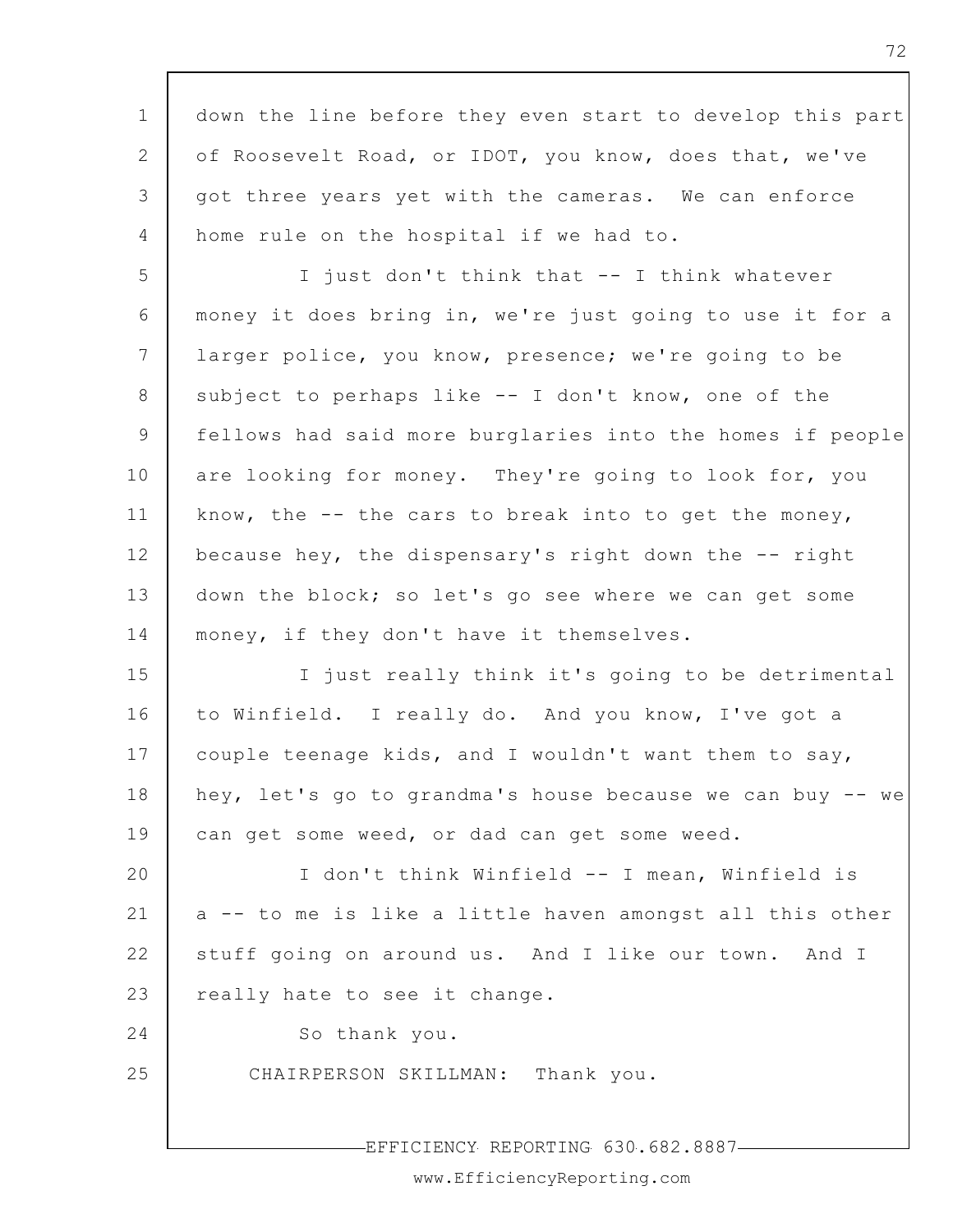1 2 3 4 5 6 7 8 9 10 11 12 13 14 15 16 17 18 19 20 21 22 23 24 25 EFFICIENCY REPORTING 630.682.8887 down the line before they even start to develop this part of Roosevelt Road, or IDOT, you know, does that, we've got three years yet with the cameras. We can enforce home rule on the hospital if we had to. I just don't think that -- I think whatever money it does bring in, we're just going to use it for a larger police, you know, presence; we're going to be subject to perhaps like -- I don't know, one of the fellows had said more burglaries into the homes if people are looking for money. They're going to look for, you know, the  $-$ - the cars to break into to get the money, because hey, the dispensary's right down the -- right down the block; so let's go see where we can get some money, if they don't have it themselves. I just really think it's going to be detrimental to Winfield. I really do. And you know, I've got a couple teenage kids, and I wouldn't want them to say, hey, let's go to grandma's house because we can buy -- we can get some weed, or dad can get some weed. I don't think Winfield -- I mean, Winfield is a -- to me is like a little haven amongst all this other stuff going on around us. And I like our town. And I really hate to see it change. So thank you. CHAIRPERSON SKILLMAN: Thank you.

www.EfficiencyReporting.com

72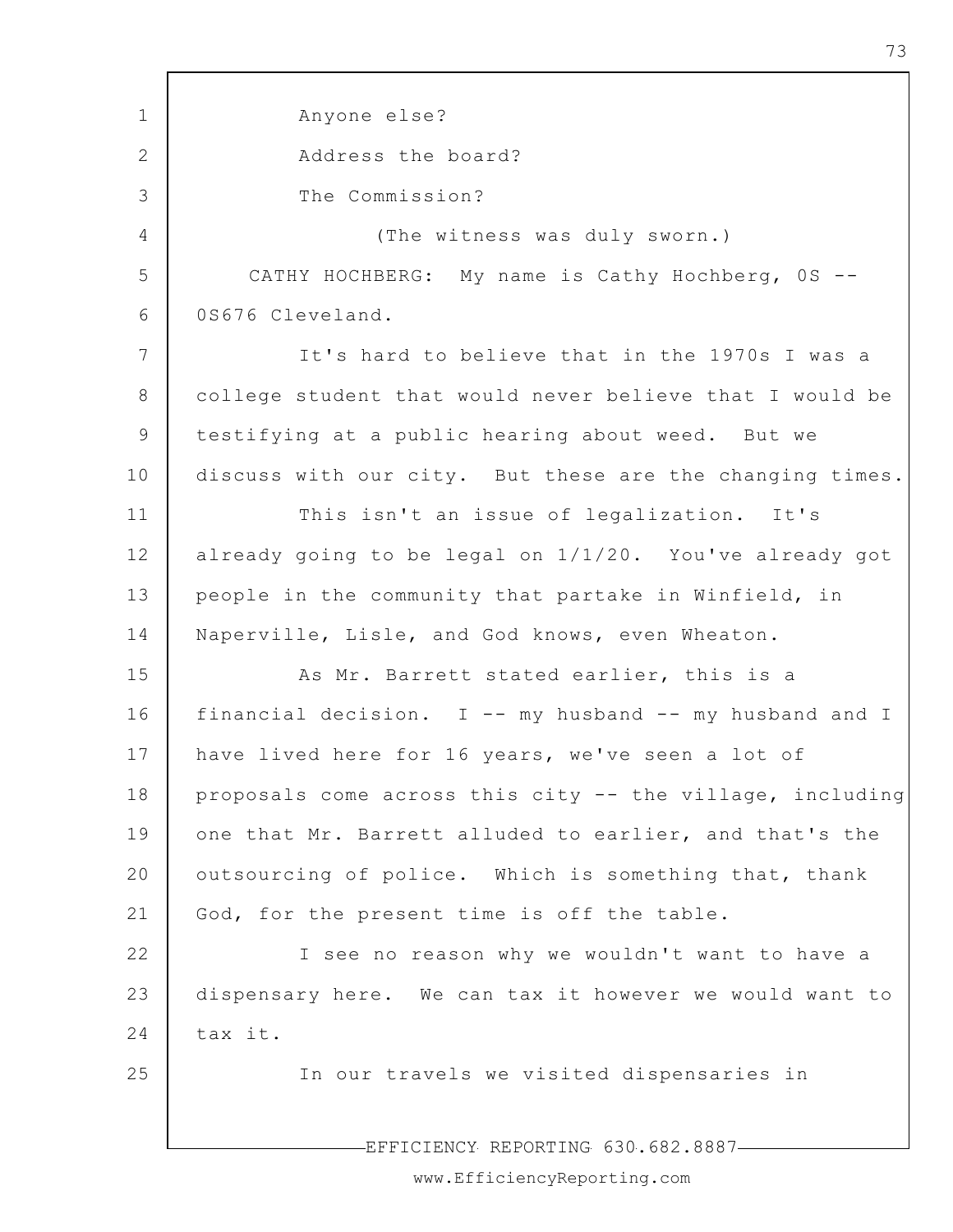1 2 3 4 5 6 7 8 9 10 11 12 13 14 15 16 17 18 19 20 21 22 23 24 25 EFFICIENCY REPORTING 630.682.8887 Anyone else? Address the board? The Commission? (The witness was duly sworn.) CATHY HOCHBERG: My name is Cathy Hochberg, 0S -- 0S676 Cleveland. It's hard to believe that in the 1970s I was a college student that would never believe that I would be testifying at a public hearing about weed. But we discuss with our city. But these are the changing times. This isn't an issue of legalization. It's already going to be legal on 1/1/20. You've already got people in the community that partake in Winfield, in Naperville, Lisle, and God knows, even Wheaton. As Mr. Barrett stated earlier, this is a financial decision. I -- my husband -- my husband and I have lived here for 16 years, we've seen a lot of proposals come across this city -- the village, including one that Mr. Barrett alluded to earlier, and that's the outsourcing of police. Which is something that, thank God, for the present time is off the table. I see no reason why we wouldn't want to have a dispensary here. We can tax it however we would want to tax it. In our travels we visited dispensaries in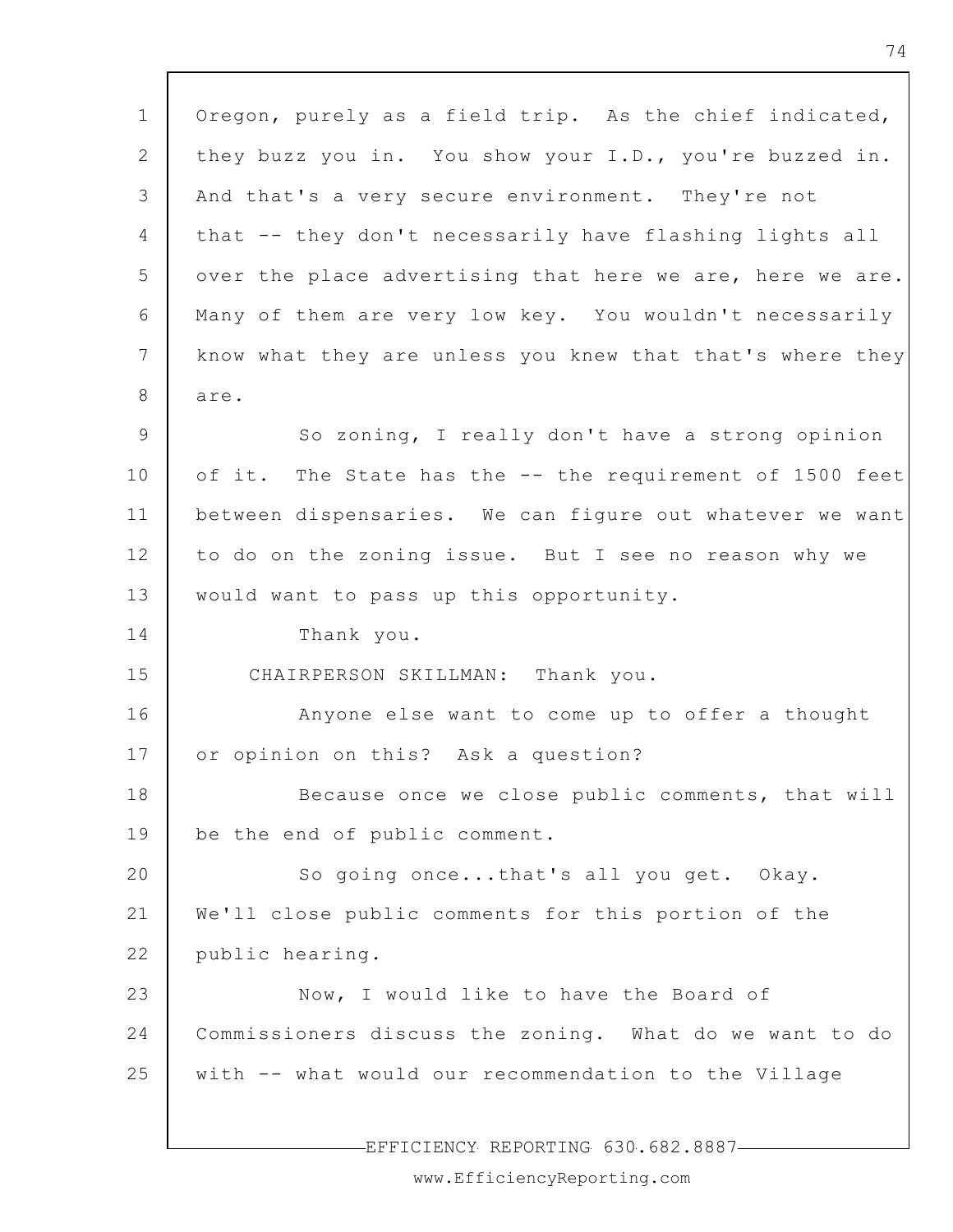1 2 3 4 5 6 7 8 9 10 11 12 13 14 15 16 17 18 19 20 21 22 23 24 25 EFFICIENCY REPORTING 630.682.8887 Oregon, purely as a field trip. As the chief indicated, they buzz you in. You show your I.D., you're buzzed in. And that's a very secure environment. They're not that -- they don't necessarily have flashing lights all over the place advertising that here we are, here we are. Many of them are very low key. You wouldn't necessarily know what they are unless you knew that that's where they are. So zoning, I really don't have a strong opinion of it. The State has the -- the requirement of 1500 feet between dispensaries. We can figure out whatever we want to do on the zoning issue. But I see no reason why we would want to pass up this opportunity. Thank you. CHAIRPERSON SKILLMAN: Thank you. Anyone else want to come up to offer a thought or opinion on this? Ask a question? Because once we close public comments, that will be the end of public comment. So going once...that's all you get. Okay. We'll close public comments for this portion of the public hearing. Now, I would like to have the Board of Commissioners discuss the zoning. What do we want to do with -- what would our recommendation to the Village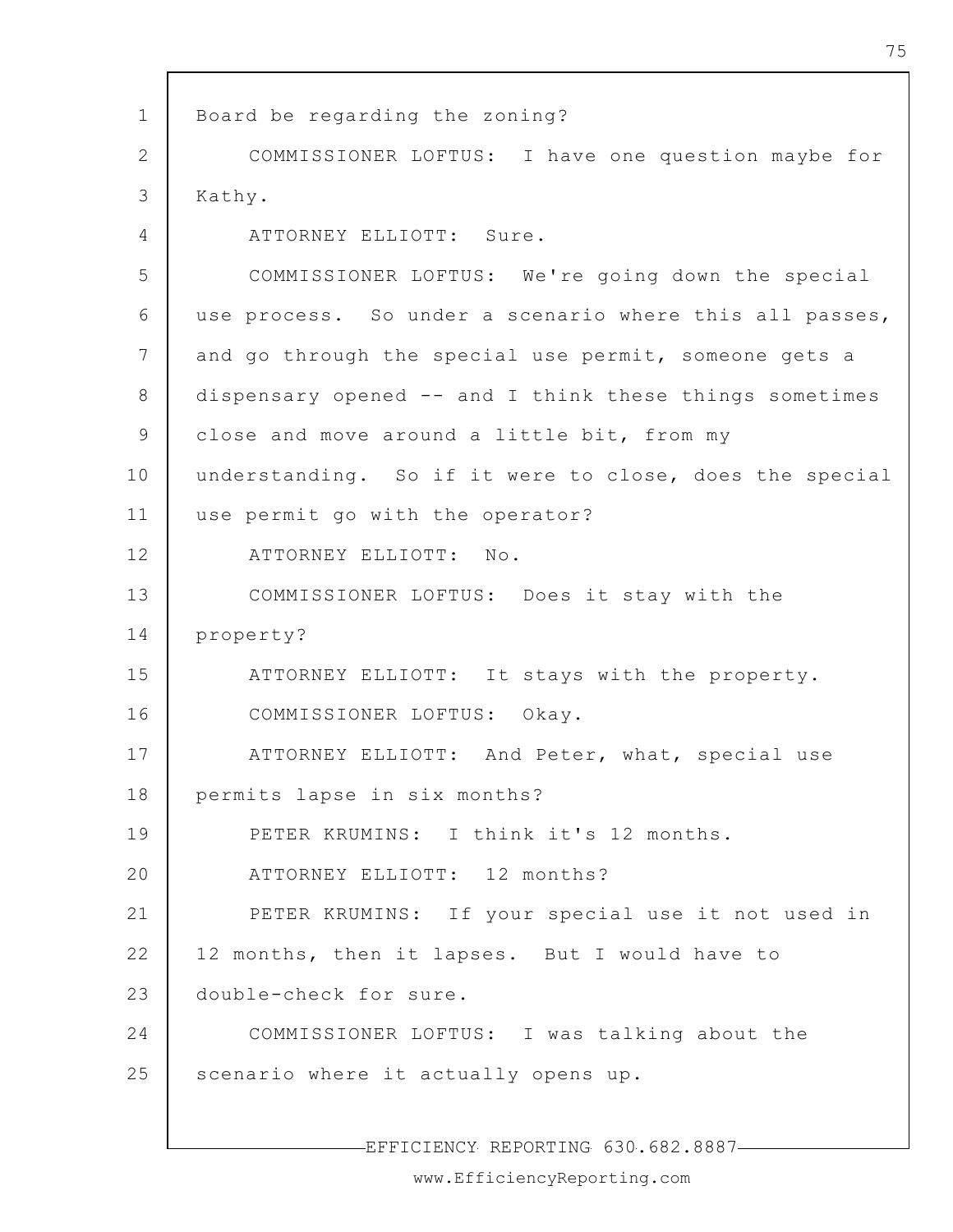1 2 3 4 5 6 7 8 9 10 11 12 13 14 15 16 17 18 19 20 21 22 23 24 25 Board be regarding the zoning? COMMISSIONER LOFTUS: I have one question maybe for Kathy. ATTORNEY ELLIOTT: Sure. COMMISSIONER LOFTUS: We're going down the special use process. So under a scenario where this all passes, and go through the special use permit, someone gets a dispensary opened -- and I think these things sometimes close and move around a little bit, from my understanding. So if it were to close, does the special use permit go with the operator? ATTORNEY ELLIOTT: No. COMMISSIONER LOFTUS: Does it stay with the property? ATTORNEY ELLIOTT: It stays with the property. COMMISSIONER LOFTUS: Okay. ATTORNEY ELLIOTT: And Peter, what, special use permits lapse in six months? PETER KRUMINS: I think it's 12 months. ATTORNEY ELLIOTT: 12 months? PETER KRUMINS: If your special use it not used in 12 months, then it lapses. But I would have to double-check for sure. COMMISSIONER LOFTUS: I was talking about the scenario where it actually opens up.

EFFICIENCY REPORTING 630.682.8887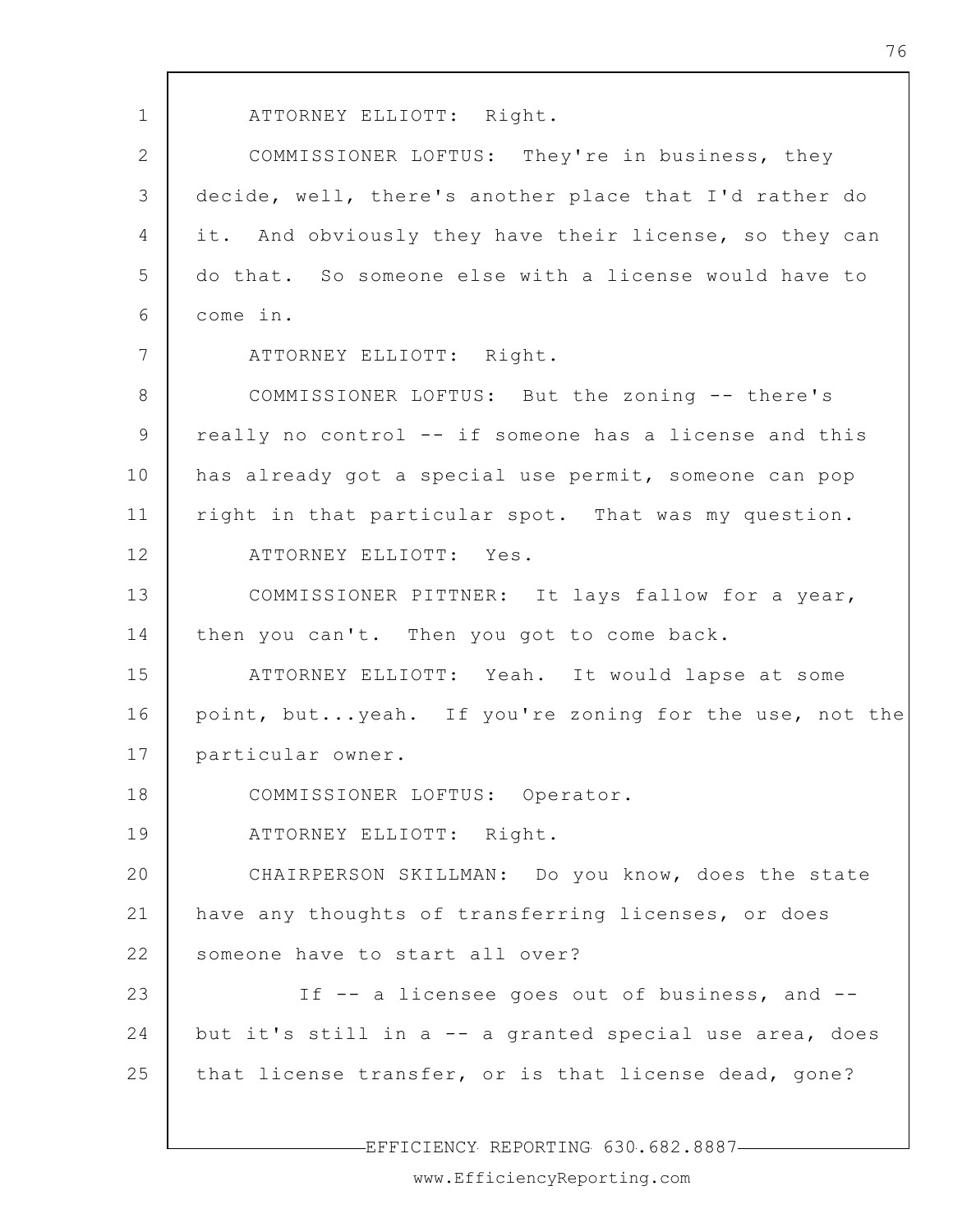1 2 3 4 5 6 7 8 9 10 11 12 13 14 15 16 17 18 19 20 21 22 23 24 25 ATTORNEY ELLIOTT: Right. COMMISSIONER LOFTUS: They're in business, they decide, well, there's another place that I'd rather do it. And obviously they have their license, so they can do that. So someone else with a license would have to come in. ATTORNEY ELLIOTT: Right. COMMISSIONER LOFTUS: But the zoning -- there's really no control -- if someone has a license and this has already got a special use permit, someone can pop right in that particular spot. That was my question. ATTORNEY ELLIOTT: Yes. COMMISSIONER PITTNER: It lays fallow for a year, then you can't. Then you got to come back. ATTORNEY ELLIOTT: Yeah. It would lapse at some point, but...yeah. If you're zoning for the use, not the particular owner. COMMISSIONER LOFTUS: Operator. ATTORNEY ELLIOTT: Right. CHAIRPERSON SKILLMAN: Do you know, does the state have any thoughts of transferring licenses, or does someone have to start all over? If -- a licensee goes out of business, and - but it's still in a -- a granted special use area, does that license transfer, or is that license dead, gone?

-EFFICIENCY REPORTING 630.682.8887-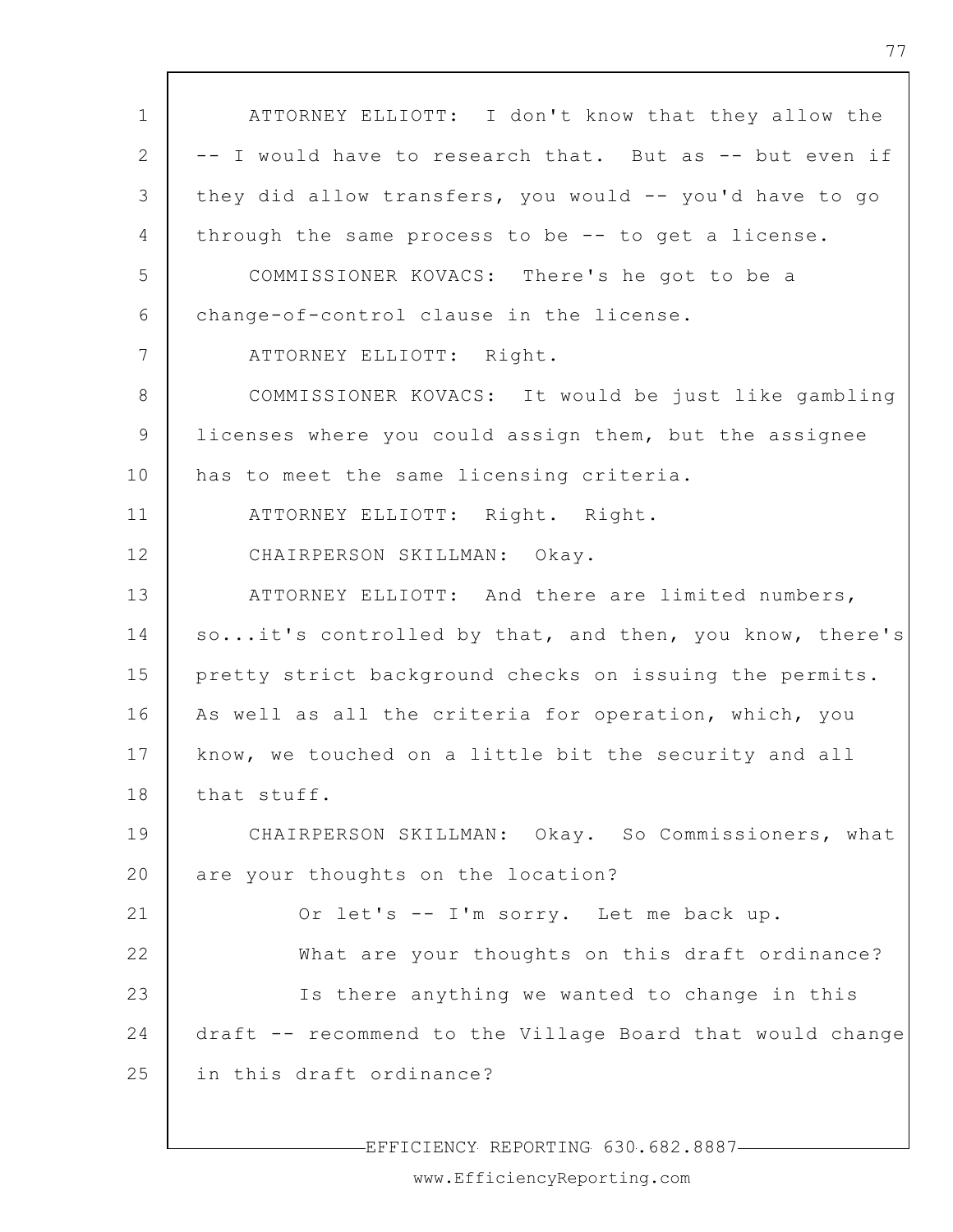1 2 3 4 5 6 7 8 9 10 11 12 13 14 15 16 17 18 19 20 21 22 23 24 25 ATTORNEY ELLIOTT: I don't know that they allow the -- I would have to research that. But as -- but even if they did allow transfers, you would -- you'd have to go through the same process to be -- to get a license. COMMISSIONER KOVACS: There's he got to be a change-of-control clause in the license. ATTORNEY ELLIOTT: Right. COMMISSIONER KOVACS: It would be just like gambling licenses where you could assign them, but the assignee has to meet the same licensing criteria. ATTORNEY ELLIOTT: Right. Right. CHAIRPERSON SKILLMAN: Okay. ATTORNEY ELLIOTT: And there are limited numbers, so...it's controlled by that, and then, you know, there's pretty strict background checks on issuing the permits. As well as all the criteria for operation, which, you know, we touched on a little bit the security and all that stuff. CHAIRPERSON SKILLMAN: Okay. So Commissioners, what are your thoughts on the location? Or let's -- I'm sorry. Let me back up. What are your thoughts on this draft ordinance? Is there anything we wanted to change in this draft -- recommend to the Village Board that would change in this draft ordinance?

EFFICIENCY REPORTING 630.682.8887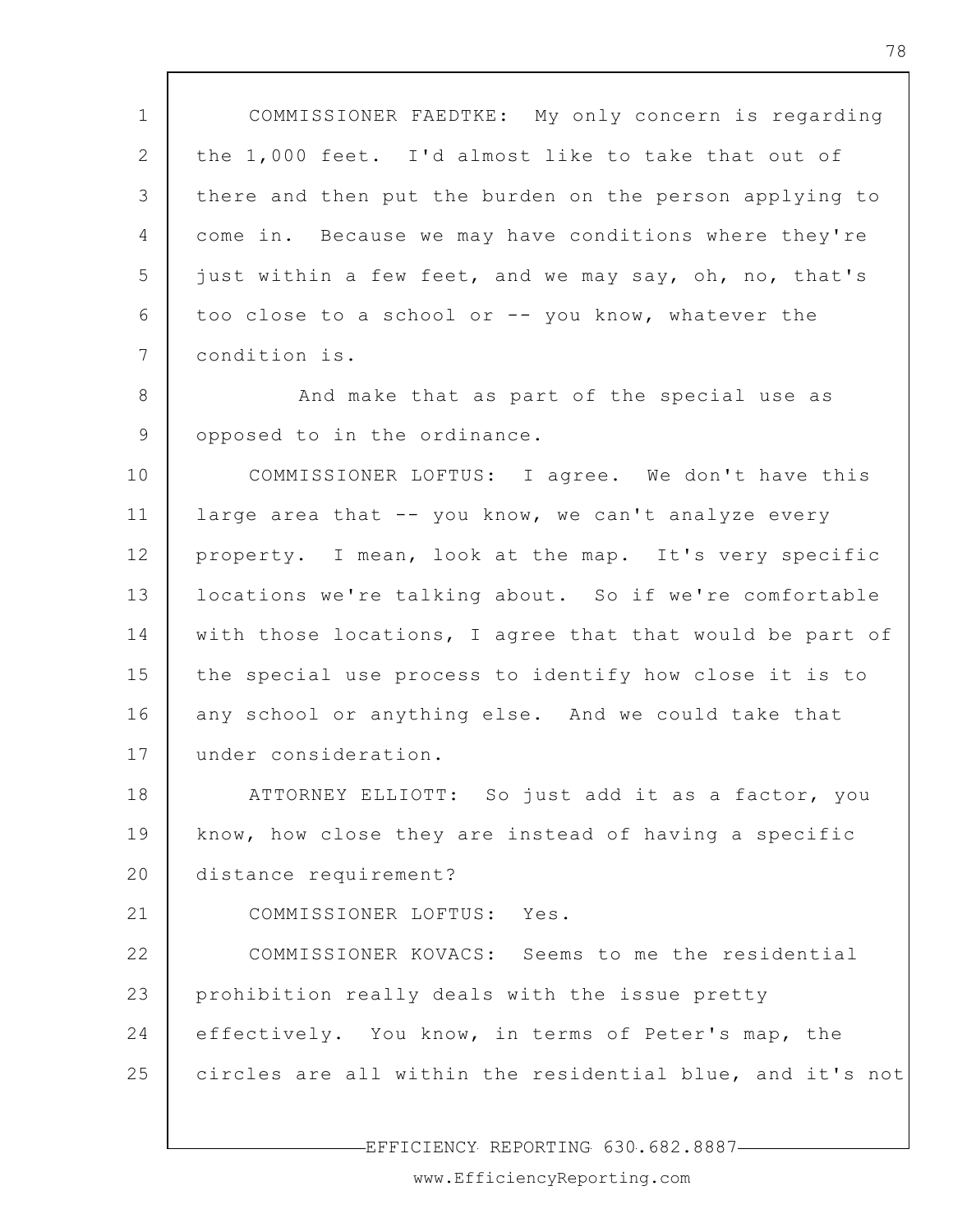1 2 3 4 5 6 7 8 9 10 11 12 13 14 15 16 17 18 19 20 21 22 23 24 25 COMMISSIONER FAEDTKE: My only concern is regarding the 1,000 feet. I'd almost like to take that out of there and then put the burden on the person applying to come in. Because we may have conditions where they're just within a few feet, and we may say, oh, no, that's too close to a school or -- you know, whatever the condition is. And make that as part of the special use as opposed to in the ordinance. COMMISSIONER LOFTUS: I agree. We don't have this large area that -- you know, we can't analyze every property. I mean, look at the map. It's very specific locations we're talking about. So if we're comfortable with those locations, I agree that that would be part of the special use process to identify how close it is to any school or anything else. And we could take that under consideration. ATTORNEY ELLIOTT: So just add it as a factor, you know, how close they are instead of having a specific distance requirement? COMMISSIONER LOFTUS: Yes. COMMISSIONER KOVACS: Seems to me the residential prohibition really deals with the issue pretty effectively. You know, in terms of Peter's map, the circles are all within the residential blue, and it's not

EFFICIENCY REPORTING 630.682.8887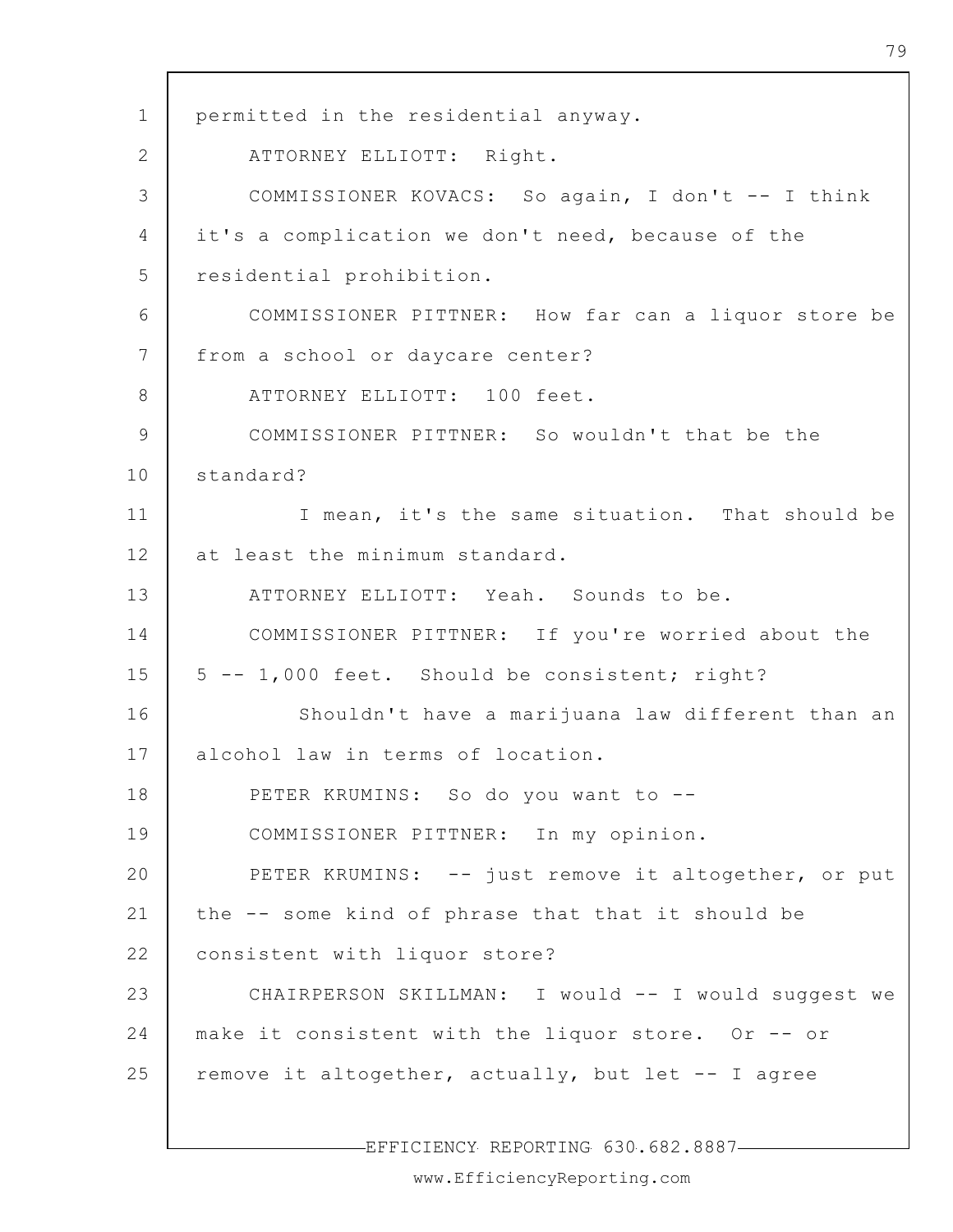1 2 3 4 5 6 7 8 9 10 11 12 13 14 15 16 17 18 19 20 21 22 23 24 25 permitted in the residential anyway. ATTORNEY ELLIOTT: Right. COMMISSIONER KOVACS: So again, I don't -- I think it's a complication we don't need, because of the residential prohibition. COMMISSIONER PITTNER: How far can a liquor store be from a school or daycare center? ATTORNEY ELLIOTT: 100 feet. COMMISSIONER PITTNER: So wouldn't that be the standard? I mean, it's the same situation. That should be at least the minimum standard. ATTORNEY ELLIOTT: Yeah. Sounds to be. COMMISSIONER PITTNER: If you're worried about the 5 -- 1,000 feet. Should be consistent; right? Shouldn't have a marijuana law different than an alcohol law in terms of location. PETER KRUMINS: So do you want to --COMMISSIONER PITTNER: In my opinion. PETER KRUMINS: -- just remove it altogether, or put the -- some kind of phrase that that it should be consistent with liquor store? CHAIRPERSON SKILLMAN: I would -- I would suggest we make it consistent with the liquor store. Or -- or remove it altogether, actually, but let -- I agree

EFFICIENCY REPORTING 630.682.8887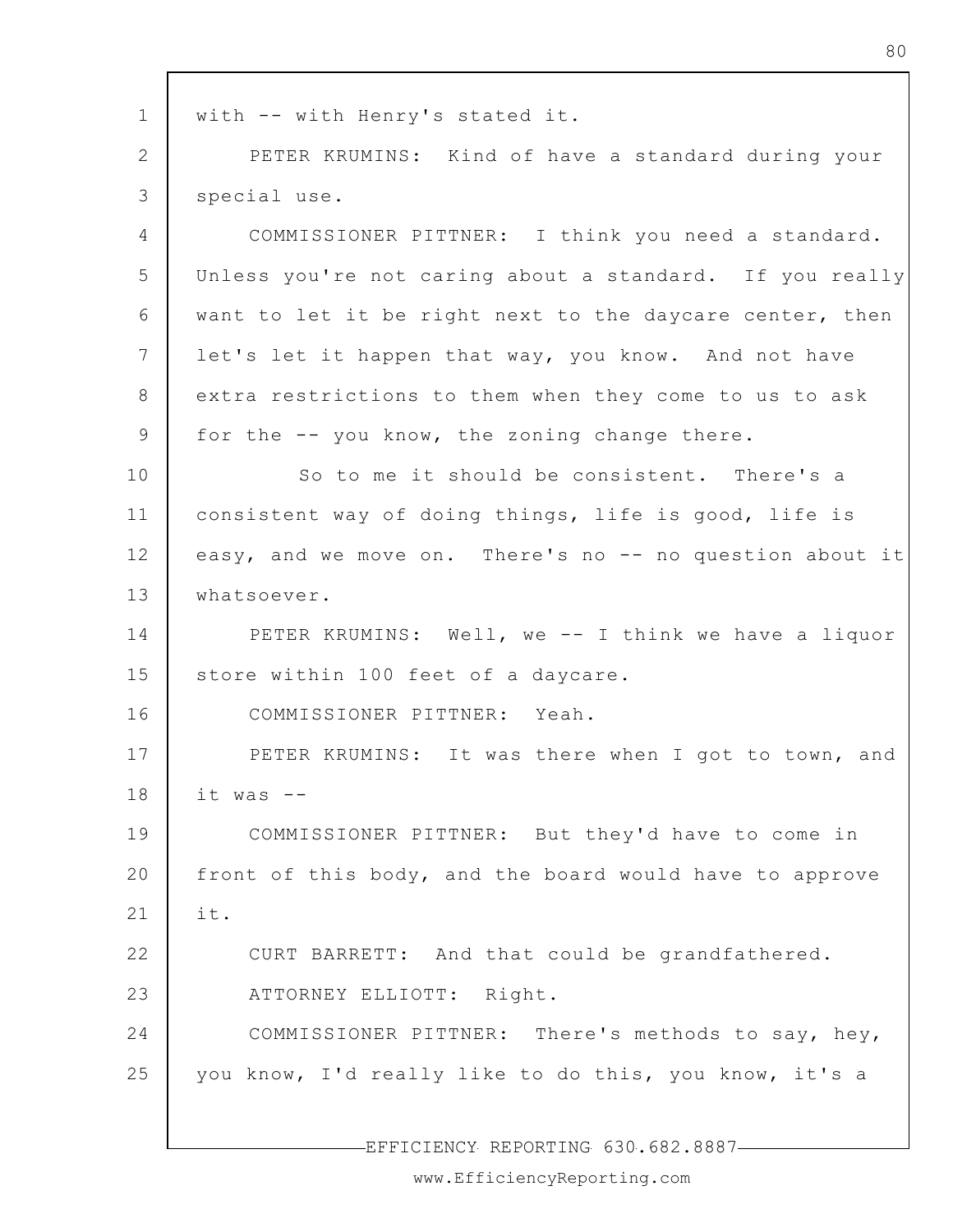1 2 3 4 5 6 7 8 9 10 11 12 13 14 15 16 17 18 19 20 21 22 23 24 25 with -- with Henry's stated it. PETER KRUMINS: Kind of have a standard during your special use. COMMISSIONER PITTNER: I think you need a standard. Unless you're not caring about a standard. If you really want to let it be right next to the daycare center, then let's let it happen that way, you know. And not have extra restrictions to them when they come to us to ask for the -- you know, the zoning change there. So to me it should be consistent. There's a consistent way of doing things, life is good, life is easy, and we move on. There's no -- no question about it whatsoever. PETER KRUMINS: Well, we -- I think we have a liquor store within 100 feet of a daycare. COMMISSIONER PITTNER: Yeah. PETER KRUMINS: It was there when I got to town, and it was -- COMMISSIONER PITTNER: But they'd have to come in front of this body, and the board would have to approve it. CURT BARRETT: And that could be grandfathered. ATTORNEY ELLIOTT: Right. COMMISSIONER PITTNER: There's methods to say, hey, you know, I'd really like to do this, you know, it's a

EFFICIENCY REPORTING 630.682.8887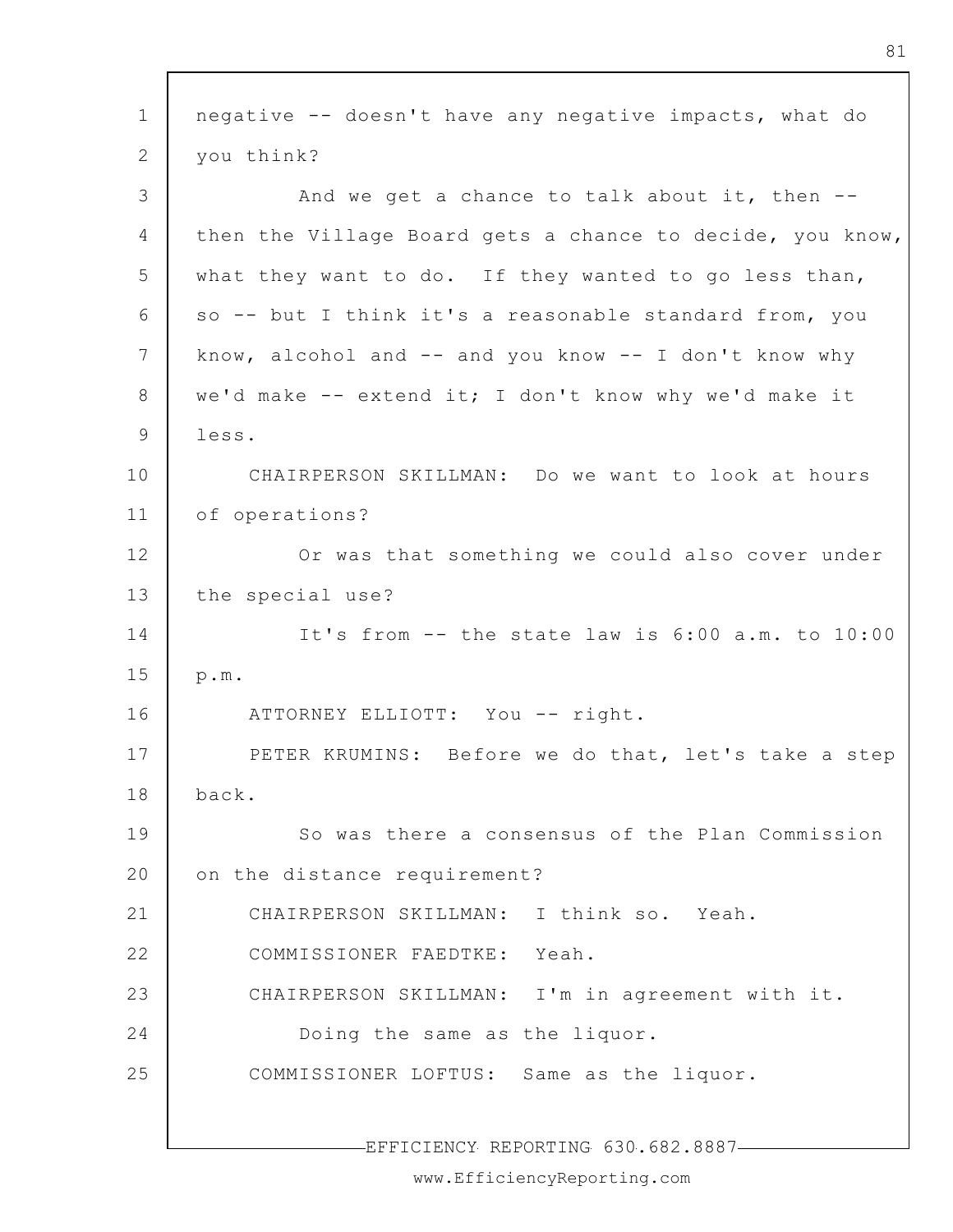| $\mathbf 1$<br>negative -- doesn't have any negative impacts, what do<br>you think?<br>2<br>3<br>And we get a chance to talk about it, then --<br>$\overline{4}$<br>then the Village Board gets a chance to decide, you know,<br>5<br>what they want to do. If they wanted to go less than,<br>6<br>so -- but I think it's a reasonable standard from, you<br>7<br>know, alcohol and -- and you know -- I don't know why<br>8<br>we'd make -- extend it; I don't know why we'd make it<br>9<br>less.<br>10<br>CHAIRPERSON SKILLMAN: Do we want to look at hours<br>11<br>of operations?<br>12<br>Or was that something we could also cover under<br>13<br>the special use?<br>14<br>It's from -- the state law is 6:00 a.m. to 10:00<br>15<br>p.m.<br>16<br>ATTORNEY ELLIOTT: You -- right.<br>17<br>PETER KRUMINS: Before we do that, let's take a step<br>back.<br>18 |  |
|-------------------------------------------------------------------------------------------------------------------------------------------------------------------------------------------------------------------------------------------------------------------------------------------------------------------------------------------------------------------------------------------------------------------------------------------------------------------------------------------------------------------------------------------------------------------------------------------------------------------------------------------------------------------------------------------------------------------------------------------------------------------------------------------------------------------------------------------------------------------------|--|
|                                                                                                                                                                                                                                                                                                                                                                                                                                                                                                                                                                                                                                                                                                                                                                                                                                                                         |  |
|                                                                                                                                                                                                                                                                                                                                                                                                                                                                                                                                                                                                                                                                                                                                                                                                                                                                         |  |
|                                                                                                                                                                                                                                                                                                                                                                                                                                                                                                                                                                                                                                                                                                                                                                                                                                                                         |  |
|                                                                                                                                                                                                                                                                                                                                                                                                                                                                                                                                                                                                                                                                                                                                                                                                                                                                         |  |
|                                                                                                                                                                                                                                                                                                                                                                                                                                                                                                                                                                                                                                                                                                                                                                                                                                                                         |  |
|                                                                                                                                                                                                                                                                                                                                                                                                                                                                                                                                                                                                                                                                                                                                                                                                                                                                         |  |
|                                                                                                                                                                                                                                                                                                                                                                                                                                                                                                                                                                                                                                                                                                                                                                                                                                                                         |  |
|                                                                                                                                                                                                                                                                                                                                                                                                                                                                                                                                                                                                                                                                                                                                                                                                                                                                         |  |
|                                                                                                                                                                                                                                                                                                                                                                                                                                                                                                                                                                                                                                                                                                                                                                                                                                                                         |  |
|                                                                                                                                                                                                                                                                                                                                                                                                                                                                                                                                                                                                                                                                                                                                                                                                                                                                         |  |
|                                                                                                                                                                                                                                                                                                                                                                                                                                                                                                                                                                                                                                                                                                                                                                                                                                                                         |  |
|                                                                                                                                                                                                                                                                                                                                                                                                                                                                                                                                                                                                                                                                                                                                                                                                                                                                         |  |
|                                                                                                                                                                                                                                                                                                                                                                                                                                                                                                                                                                                                                                                                                                                                                                                                                                                                         |  |
|                                                                                                                                                                                                                                                                                                                                                                                                                                                                                                                                                                                                                                                                                                                                                                                                                                                                         |  |
|                                                                                                                                                                                                                                                                                                                                                                                                                                                                                                                                                                                                                                                                                                                                                                                                                                                                         |  |
|                                                                                                                                                                                                                                                                                                                                                                                                                                                                                                                                                                                                                                                                                                                                                                                                                                                                         |  |
|                                                                                                                                                                                                                                                                                                                                                                                                                                                                                                                                                                                                                                                                                                                                                                                                                                                                         |  |
|                                                                                                                                                                                                                                                                                                                                                                                                                                                                                                                                                                                                                                                                                                                                                                                                                                                                         |  |
| 19<br>So was there a consensus of the Plan Commission                                                                                                                                                                                                                                                                                                                                                                                                                                                                                                                                                                                                                                                                                                                                                                                                                   |  |
| 20<br>on the distance requirement?                                                                                                                                                                                                                                                                                                                                                                                                                                                                                                                                                                                                                                                                                                                                                                                                                                      |  |
| 21<br>CHAIRPERSON SKILLMAN: I think so. Yeah.                                                                                                                                                                                                                                                                                                                                                                                                                                                                                                                                                                                                                                                                                                                                                                                                                           |  |
| 22<br>COMMISSIONER FAEDTKE: Yeah.                                                                                                                                                                                                                                                                                                                                                                                                                                                                                                                                                                                                                                                                                                                                                                                                                                       |  |
| 23<br>CHAIRPERSON SKILLMAN: I'm in agreement with it.                                                                                                                                                                                                                                                                                                                                                                                                                                                                                                                                                                                                                                                                                                                                                                                                                   |  |
| 24<br>Doing the same as the liquor.                                                                                                                                                                                                                                                                                                                                                                                                                                                                                                                                                                                                                                                                                                                                                                                                                                     |  |
| 25<br>COMMISSIONER LOFTUS: Same as the liquor.                                                                                                                                                                                                                                                                                                                                                                                                                                                                                                                                                                                                                                                                                                                                                                                                                          |  |
| -EFFICIENCY REPORTING 630.682.8887-                                                                                                                                                                                                                                                                                                                                                                                                                                                                                                                                                                                                                                                                                                                                                                                                                                     |  |

 $\Gamma$ 

www.EfficiencyReporting.com

٦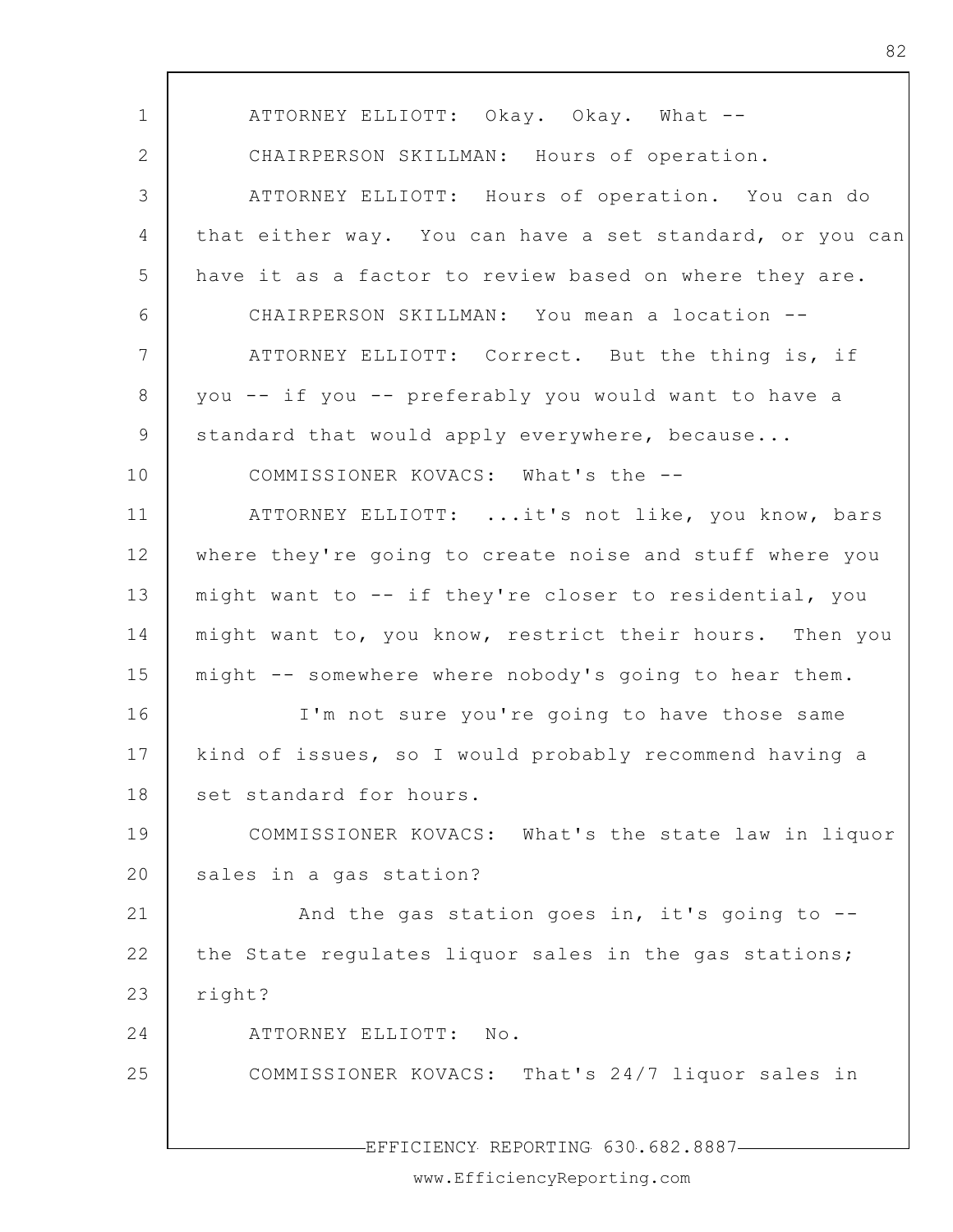| $\mathbf 1$     | ATTORNEY ELLIOTT: Okay. Okay. What --                    |
|-----------------|----------------------------------------------------------|
| 2               | CHAIRPERSON SKILLMAN: Hours of operation.                |
| 3               | ATTORNEY ELLIOTT: Hours of operation. You can do         |
| $\overline{4}$  | that either way. You can have a set standard, or you can |
| 5               | have it as a factor to review based on where they are.   |
| 6               | CHAIRPERSON SKILLMAN: You mean a location --             |
| $7\phantom{.0}$ | ATTORNEY ELLIOTT: Correct. But the thing is, if          |
| 8               | you -- if you -- preferably you would want to have a     |
| 9               | standard that would apply everywhere, because            |
| 10              | COMMISSIONER KOVACS: What's the --                       |
| 11              | ATTORNEY ELLIOTT:  it's not like, you know, bars         |
| 12              | where they're going to create noise and stuff where you  |
| 13              | might want to -- if they're closer to residential, you   |
| 14              | might want to, you know, restrict their hours. Then you  |
| 15              | might -- somewhere where nobody's going to hear them.    |
| 16              | I'm not sure you're going to have those same             |
| 17              | kind of issues, so I would probably recommend having a   |
| 18              | set standard for hours.                                  |
| 19              | COMMISSIONER KOVACS: What's the state law in liquor      |
| 20              | sales in a gas station?                                  |
| 21              | And the gas station goes in, it's going to --            |
| 22              | the State regulates liquor sales in the gas stations;    |
| 23              | right?                                                   |
| 24              | ATTORNEY ELLIOTT: No.                                    |
| 25              | COMMISSIONER KOVACS: That's 24/7 liquor sales in         |
|                 |                                                          |
|                 | EFFICIENCY REPORTING 630.682.8887-                       |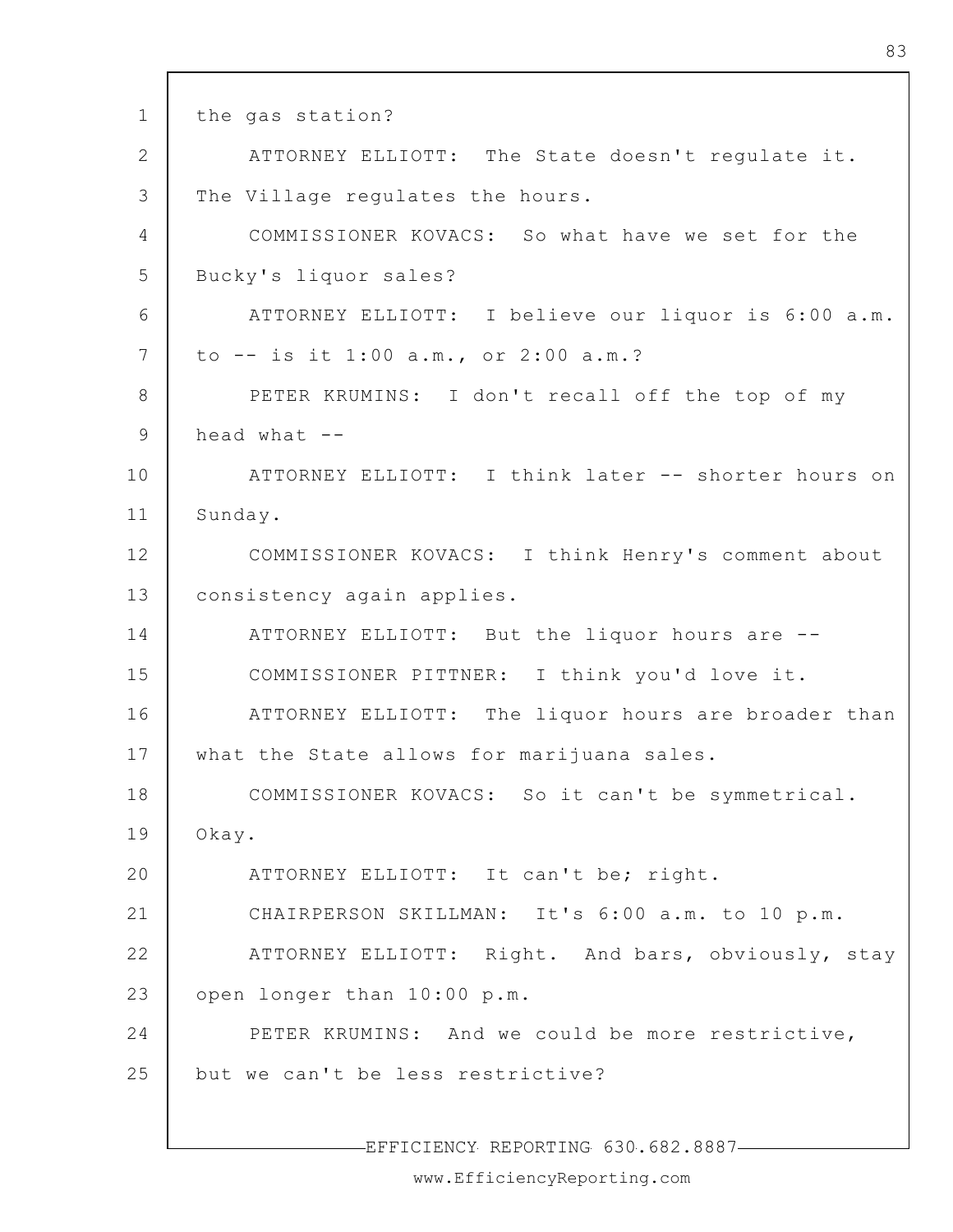1 2 3 4 5 6 7 8 9 10 11 12 13 14 15 16 17 18 19 20 21 22 23 24 25 the gas station? ATTORNEY ELLIOTT: The State doesn't regulate it. The Village regulates the hours. COMMISSIONER KOVACS: So what have we set for the Bucky's liquor sales? ATTORNEY ELLIOTT: I believe our liquor is 6:00 a.m. to -- is it 1:00 a.m., or 2:00 a.m.? PETER KRUMINS: I don't recall off the top of my head what  $-$ ATTORNEY ELLIOTT: I think later -- shorter hours on Sunday. COMMISSIONER KOVACS: I think Henry's comment about consistency again applies. ATTORNEY ELLIOTT: But the liquor hours are -- COMMISSIONER PITTNER: I think you'd love it. ATTORNEY ELLIOTT: The liquor hours are broader than what the State allows for marijuana sales. COMMISSIONER KOVACS: So it can't be symmetrical. Okay. ATTORNEY ELLIOTT: It can't be; right. CHAIRPERSON SKILLMAN: It's 6:00 a.m. to 10 p.m. ATTORNEY ELLIOTT: Right. And bars, obviously, stay open longer than 10:00 p.m. PETER KRUMINS: And we could be more restrictive, but we can't be less restrictive?

EFFICIENCY REPORTING 630.682.8887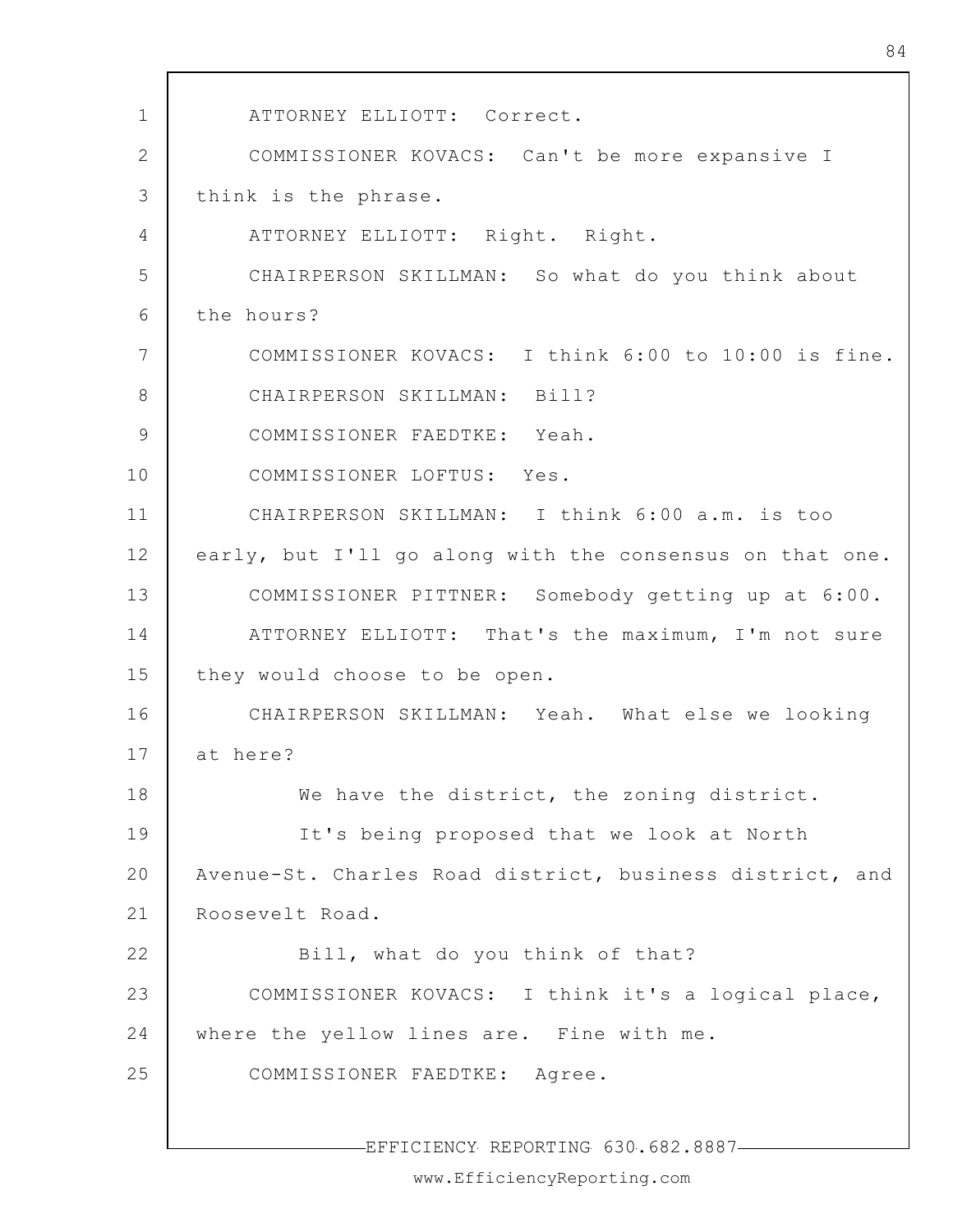1 2 3 4 5 6 7 8 9 10 11 12 13 14 15 16 17 18 19 20 21 22 23 24 25 ATTORNEY ELLIOTT: Correct. COMMISSIONER KOVACS: Can't be more expansive I think is the phrase. ATTORNEY ELLIOTT: Right. Right. CHAIRPERSON SKILLMAN: So what do you think about the hours? COMMISSIONER KOVACS: I think 6:00 to 10:00 is fine. CHAIRPERSON SKILLMAN: Bill? COMMISSIONER FAEDTKE: Yeah. COMMISSIONER LOFTUS: Yes. CHAIRPERSON SKILLMAN: I think 6:00 a.m. is too early, but I'll go along with the consensus on that one. COMMISSIONER PITTNER: Somebody getting up at 6:00. ATTORNEY ELLIOTT: That's the maximum, I'm not sure they would choose to be open. CHAIRPERSON SKILLMAN: Yeah. What else we looking at here? We have the district, the zoning district. It's being proposed that we look at North Avenue-St. Charles Road district, business district, and Roosevelt Road. Bill, what do you think of that? COMMISSIONER KOVACS: I think it's a logical place, where the yellow lines are. Fine with me. COMMISSIONER FAEDTKE: Agree.

EFFICIENCY REPORTING 630.682.8887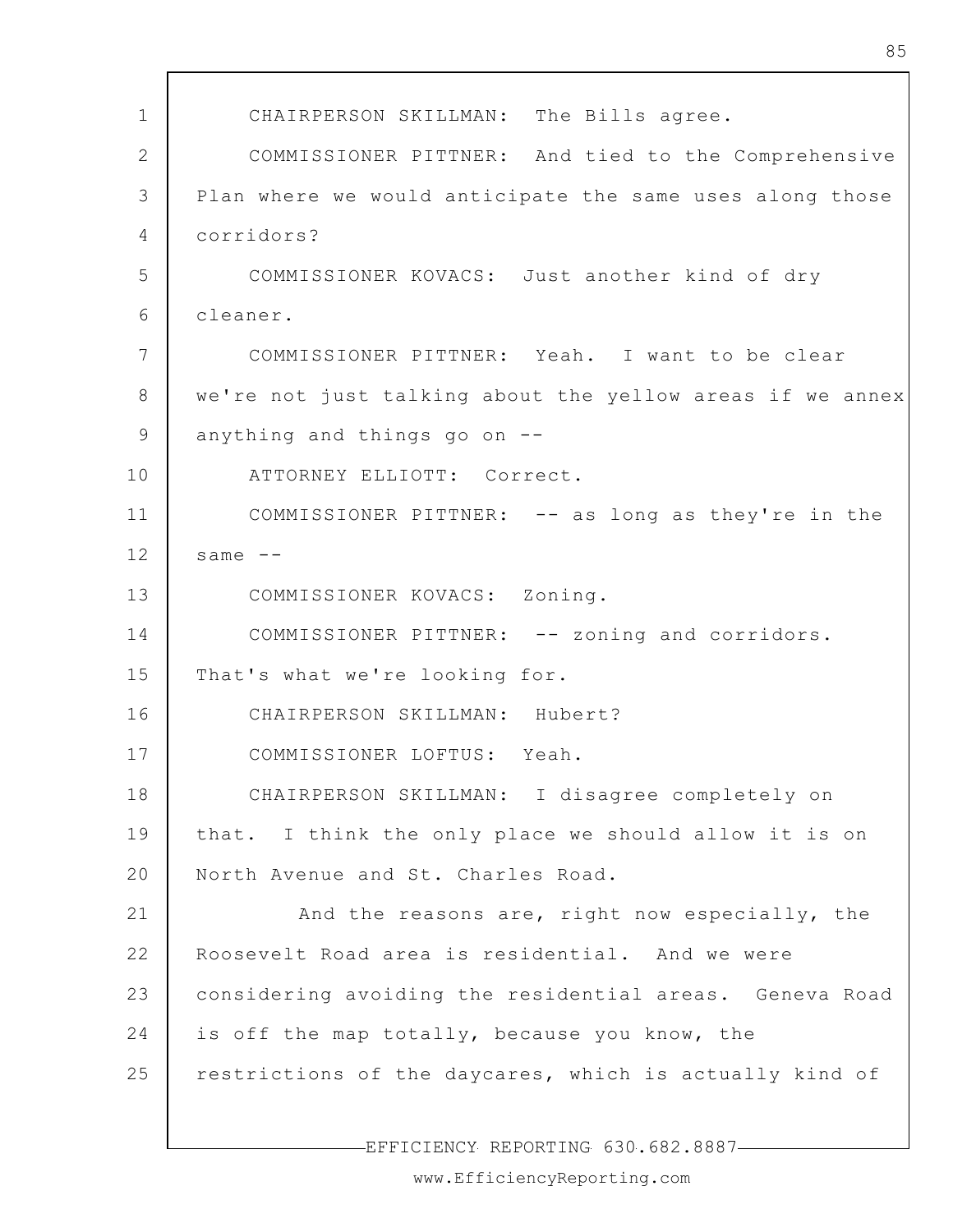| $\mathbf 1$    | CHAIRPERSON SKILLMAN: The Bills agree.                    |
|----------------|-----------------------------------------------------------|
| $\overline{2}$ | COMMISSIONER PITTNER: And tied to the Comprehensive       |
| 3              | Plan where we would anticipate the same uses along those  |
| 4              | corridors?                                                |
| 5              | COMMISSIONER KOVACS: Just another kind of dry             |
| 6              | cleaner.                                                  |
| 7              | COMMISSIONER PITTNER: Yeah. I want to be clear            |
| 8              | we're not just talking about the yellow areas if we annex |
| 9              | anything and things go on --                              |
| 10             | ATTORNEY ELLIOTT: Correct.                                |
| 11             | COMMISSIONER PITTNER: -- as long as they're in the        |
| 12             | same $--$                                                 |
| 13             | COMMISSIONER KOVACS: Zoning.                              |
| 14             | COMMISSIONER PITTNER: -- zoning and corridors.            |
| 15             | That's what we're looking for.                            |
| 16             | CHAIRPERSON SKILLMAN: Hubert?                             |
| 17             | COMMISSIONER LOFTUS: Yeah.                                |
| 18             | CHAIRPERSON SKILLMAN: I disagree completely on            |
| 19             | that. I think the only place we should allow it is on     |
| 20             | North Avenue and St. Charles Road.                        |
| 21             | And the reasons are, right now especially, the            |
| 22             | Roosevelt Road area is residential. And we were           |
| 23             | considering avoiding the residential areas. Geneva Road   |
| 24             | is off the map totally, because you know, the             |
| 25             | restrictions of the daycares, which is actually kind of   |
|                |                                                           |
|                | FFFICIFNCY REPORTING 630 682 8887                         |

-EFFICIENCY REPORTING 630.682.8887-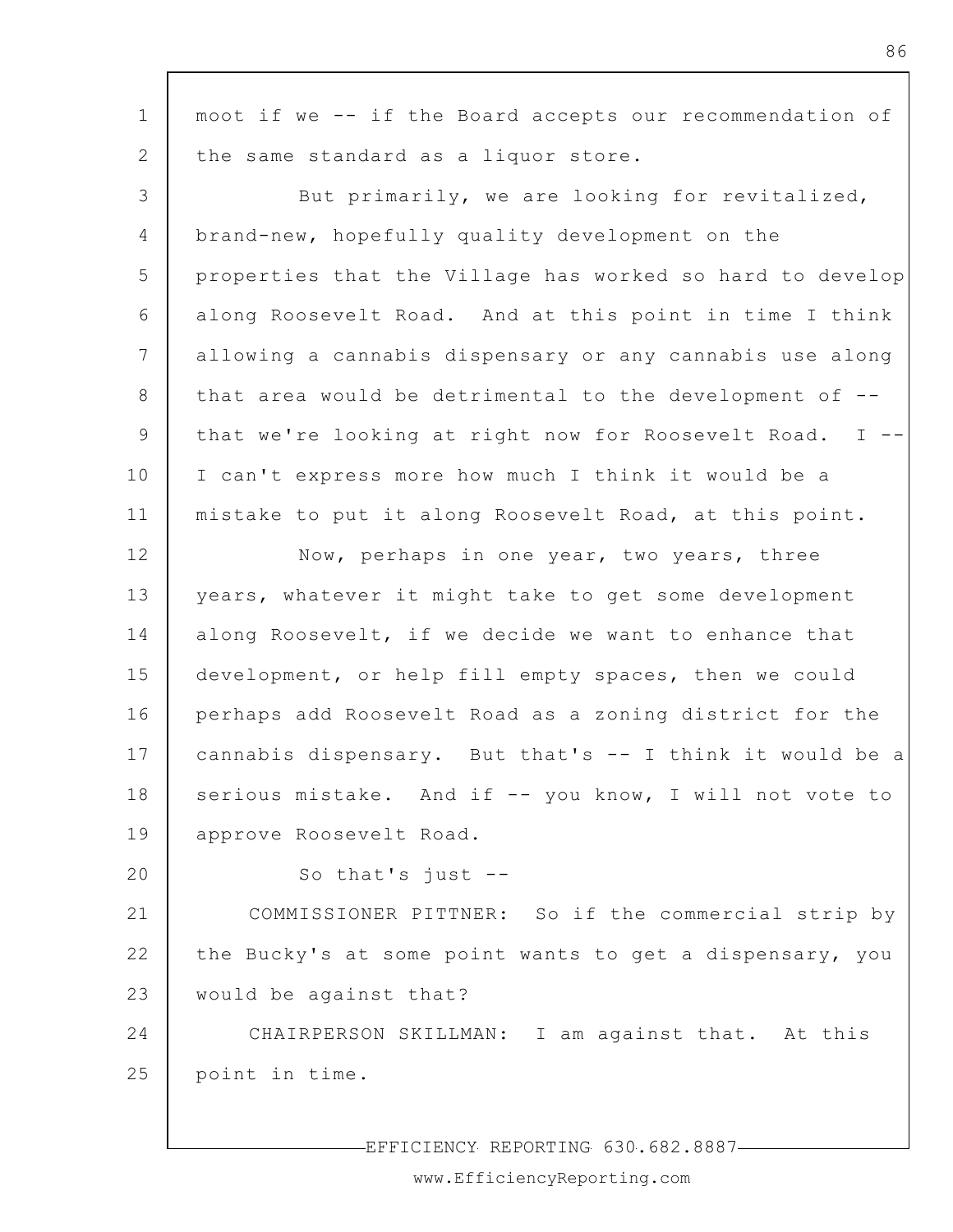| $\mathbf 1$    | moot if we -- if the Board accepts our recommendation of  |
|----------------|-----------------------------------------------------------|
| $\overline{2}$ | the same standard as a liquor store.                      |
| 3              | But primarily, we are looking for revitalized,            |
| $\overline{4}$ | brand-new, hopefully quality development on the           |
| 5              | properties that the Village has worked so hard to develop |
| 6              | along Roosevelt Road. And at this point in time I think   |
| 7              | allowing a cannabis dispensary or any cannabis use along  |
| 8              | that area would be detrimental to the development of --   |
| 9              | that we're looking at right now for Roosevelt Road. I --  |
| 10             | I can't express more how much I think it would be a       |
| 11             | mistake to put it along Roosevelt Road, at this point.    |
| 12             | Now, perhaps in one year, two years, three                |
| 13             | years, whatever it might take to get some development     |
| 14             | along Roosevelt, if we decide we want to enhance that     |
| 15             | development, or help fill empty spaces, then we could     |
| 16             | perhaps add Roosevelt Road as a zoning district for the   |
| 17             | cannabis dispensary. But that's -- I think it would be a  |
| 18             | serious mistake. And if -- you know, I will not vote to   |
| 19             | approve Roosevelt Road.                                   |
| 20             | So that's just $-$ -                                      |
| 21             | COMMISSIONER PITTNER: So if the commercial strip by       |
| 22             | the Bucky's at some point wants to get a dispensary, you  |
| 23             | would be against that?                                    |
| 24             | CHAIRPERSON SKILLMAN: I am against that. At this          |
| 25             | point in time.                                            |
|                |                                                           |

EFFICIENCY REPORTING 630.682.8887

86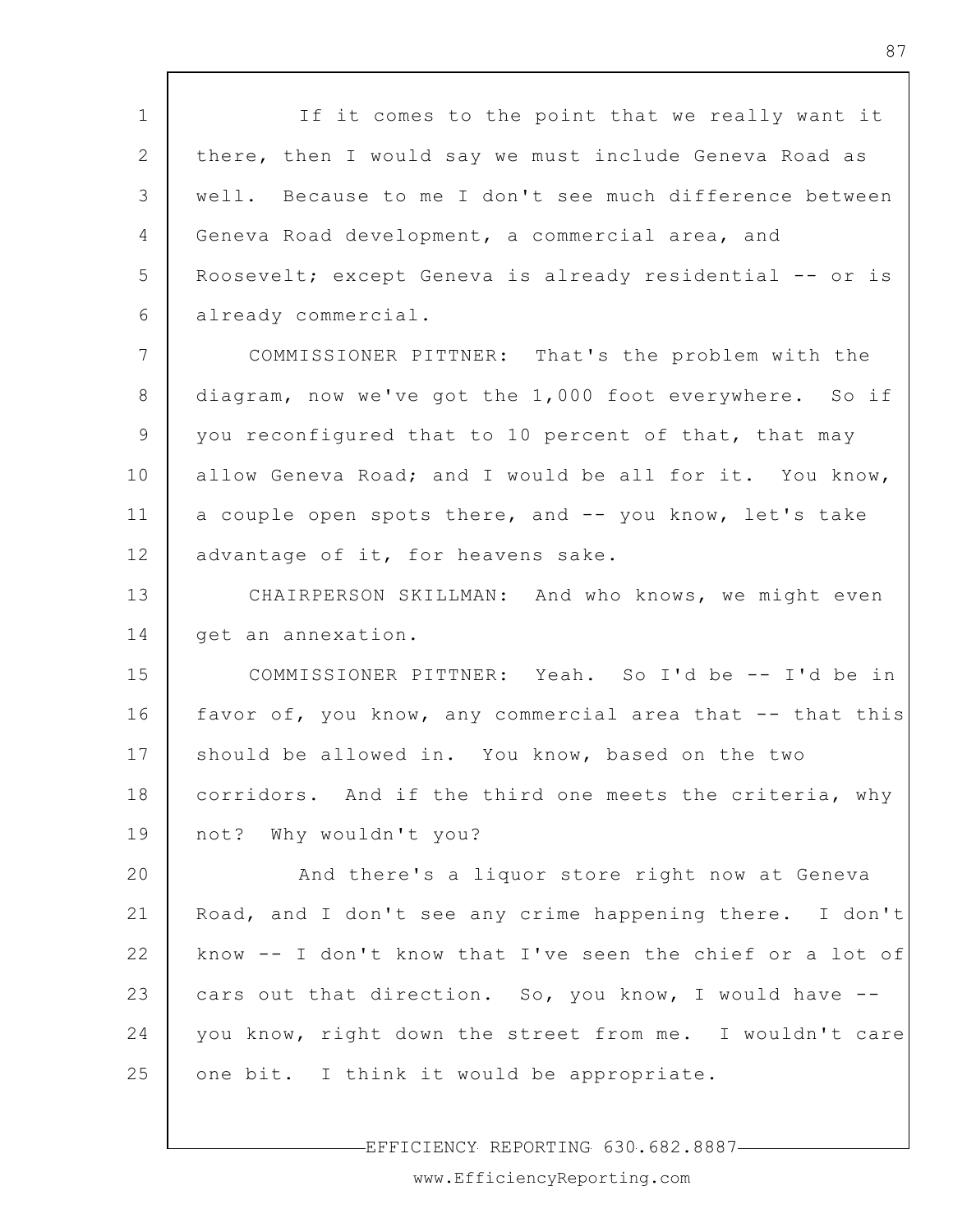1 2 3 4 5 6 If it comes to the point that we really want it there, then I would say we must include Geneva Road as well. Because to me I don't see much difference between Geneva Road development, a commercial area, and Roosevelt; except Geneva is already residential -- or is already commercial.

7 8 9 10 11 12 COMMISSIONER PITTNER: That's the problem with the diagram, now we've got the 1,000 foot everywhere. So if you reconfigured that to 10 percent of that, that may allow Geneva Road; and I would be all for it. You know, a couple open spots there, and -- you know, let's take advantage of it, for heavens sake.

13 14 CHAIRPERSON SKILLMAN: And who knows, we might even get an annexation.

15 16 17 18 19 COMMISSIONER PITTNER: Yeah. So I'd be -- I'd be in favor of, you know, any commercial area that -- that this should be allowed in. You know, based on the two corridors. And if the third one meets the criteria, why not? Why wouldn't you?

20 21 22 23 24 25 And there's a liquor store right now at Geneva Road, and I don't see any crime happening there. I don't know -- I don't know that I've seen the chief or a lot of cars out that direction. So, you know, I would have - you know, right down the street from me. I wouldn't care one bit. I think it would be appropriate.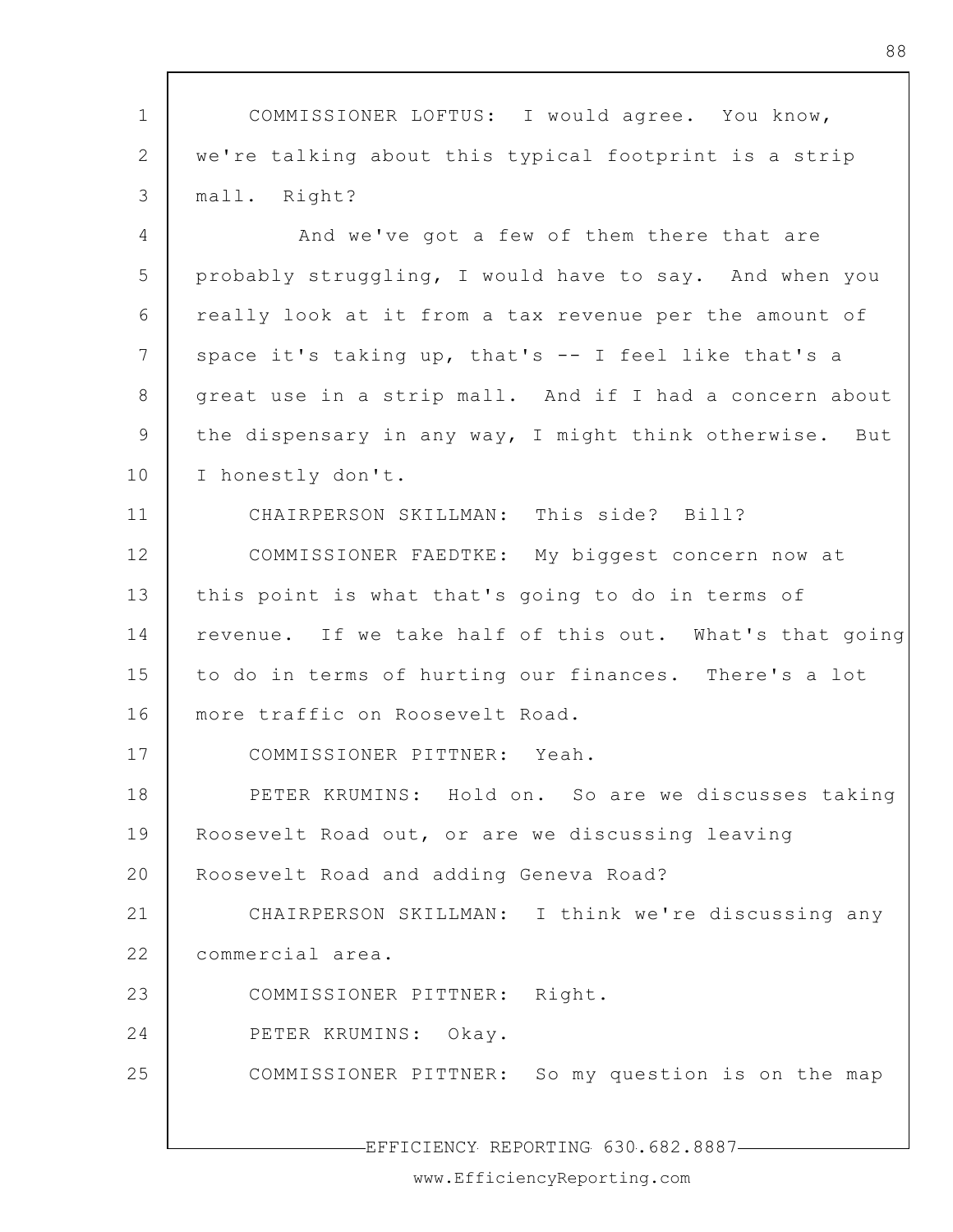1 2 3 4 5 6 7 8 9 10 11 12 13 14 15 16 17 18 19 20 21 22 23 24 25 COMMISSIONER LOFTUS: I would agree. You know, we're talking about this typical footprint is a strip mall. Right? And we've got a few of them there that are probably struggling, I would have to say. And when you really look at it from a tax revenue per the amount of space it's taking up, that's -- I feel like that's a great use in a strip mall. And if I had a concern about the dispensary in any way, I might think otherwise. But I honestly don't. CHAIRPERSON SKILLMAN: This side? Bill? COMMISSIONER FAEDTKE: My biggest concern now at this point is what that's going to do in terms of revenue. If we take half of this out. What's that going to do in terms of hurting our finances. There's a lot more traffic on Roosevelt Road. COMMISSIONER PITTNER: Yeah. PETER KRUMINS: Hold on. So are we discusses taking Roosevelt Road out, or are we discussing leaving Roosevelt Road and adding Geneva Road? CHAIRPERSON SKILLMAN: I think we're discussing any commercial area. COMMISSIONER PITTNER: Right. PETER KRUMINS: Okay. COMMISSIONER PITTNER: So my question is on the map

EFFICIENCY REPORTING 630.682.8887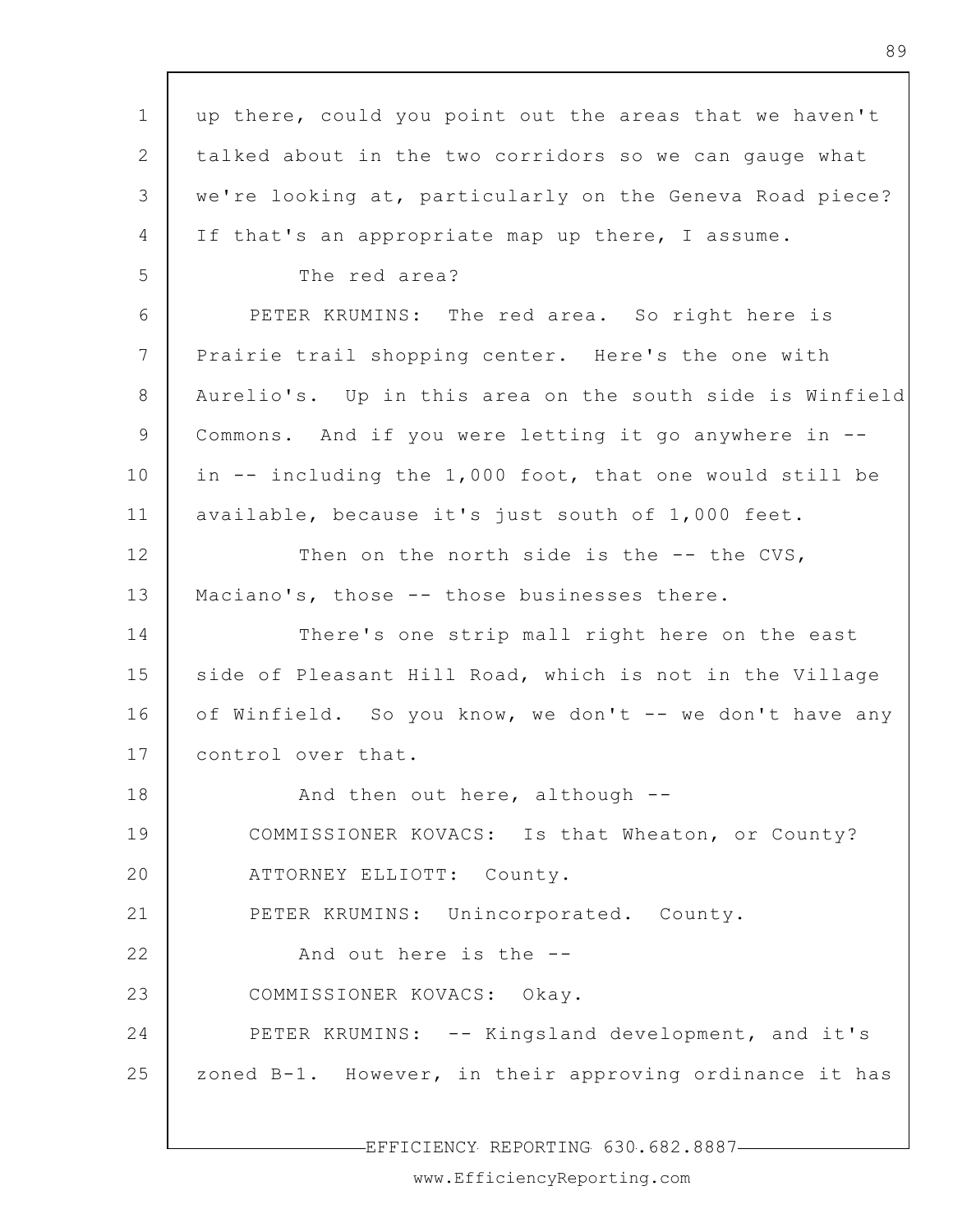1 2 3 4 5 6 7 8 9 10 11 12 13 14 15 16 17 18 19 20 21 22 23 24 25 up there, could you point out the areas that we haven't talked about in the two corridors so we can gauge what we're looking at, particularly on the Geneva Road piece? If that's an appropriate map up there, I assume. The red area? PETER KRUMINS: The red area. So right here is Prairie trail shopping center. Here's the one with Aurelio's. Up in this area on the south side is Winfield Commons. And if you were letting it go anywhere in - in -- including the 1,000 foot, that one would still be available, because it's just south of 1,000 feet. Then on the north side is the -- the CVS, Maciano's, those -- those businesses there. There's one strip mall right here on the east side of Pleasant Hill Road, which is not in the Village of Winfield. So you know, we don't -- we don't have any control over that. And then out here, although -- COMMISSIONER KOVACS: Is that Wheaton, or County? ATTORNEY ELLIOTT: County. PETER KRUMINS: Unincorporated. County. And out here is the -- COMMISSIONER KOVACS: Okay. PETER KRUMINS: -- Kingsland development, and it's zoned B-1. However, in their approving ordinance it has

EFFICIENCY REPORTING 630.682.8887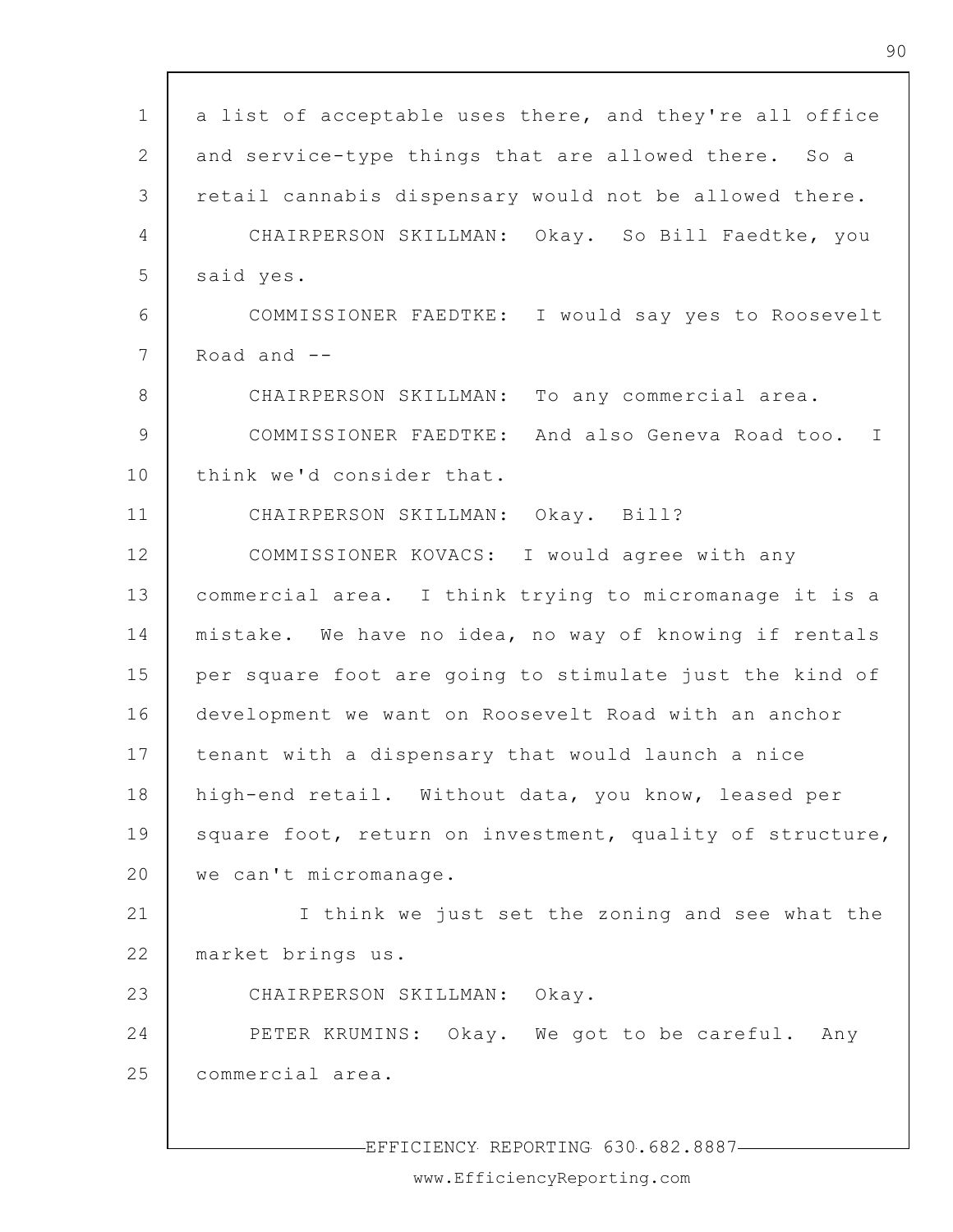| $\mathbf 1$     | a list of acceptable uses there, and they're all office         |
|-----------------|-----------------------------------------------------------------|
| 2               | and service-type things that are allowed there. So a            |
| 3               | retail cannabis dispensary would not be allowed there.          |
| 4               | CHAIRPERSON SKILLMAN: Okay. So Bill Faedtke, you                |
| 5               | said yes.                                                       |
| 6               | COMMISSIONER FAEDTKE: I would say yes to Roosevelt              |
| $7\phantom{.0}$ | Road and $-$                                                    |
| 8               | CHAIRPERSON SKILLMAN: To any commercial area.                   |
| $\mathcal{G}$   | COMMISSIONER FAEDTKE: And also Geneva Road too.<br>$\mathbf{I}$ |
| 10              | think we'd consider that.                                       |
| 11              | CHAIRPERSON SKILLMAN: Okay. Bill?                               |
| 12              | COMMISSIONER KOVACS: I would agree with any                     |
| 13              | commercial area. I think trying to micromanage it is a          |
| 14              | mistake. We have no idea, no way of knowing if rentals          |
| 15              | per square foot are going to stimulate just the kind of         |
| 16              | development we want on Roosevelt Road with an anchor            |
| 17              | tenant with a dispensary that would launch a nice               |
| 18              | high-end retail. Without data, you know, leased per             |
| 19              | square foot, return on investment, quality of structure,        |
| 20              | we can't micromanage.                                           |
| 21              | I think we just set the zoning and see what the                 |
| 22              | market brings us.                                               |
| 23              | CHAIRPERSON SKILLMAN: Okay.                                     |
| 24              | PETER KRUMINS: Okay. We got to be careful. Any                  |
| 25              | commercial area.                                                |
|                 |                                                                 |

 $\Gamma$ 

-EFFICIENCY REPORTING 630.682.8887-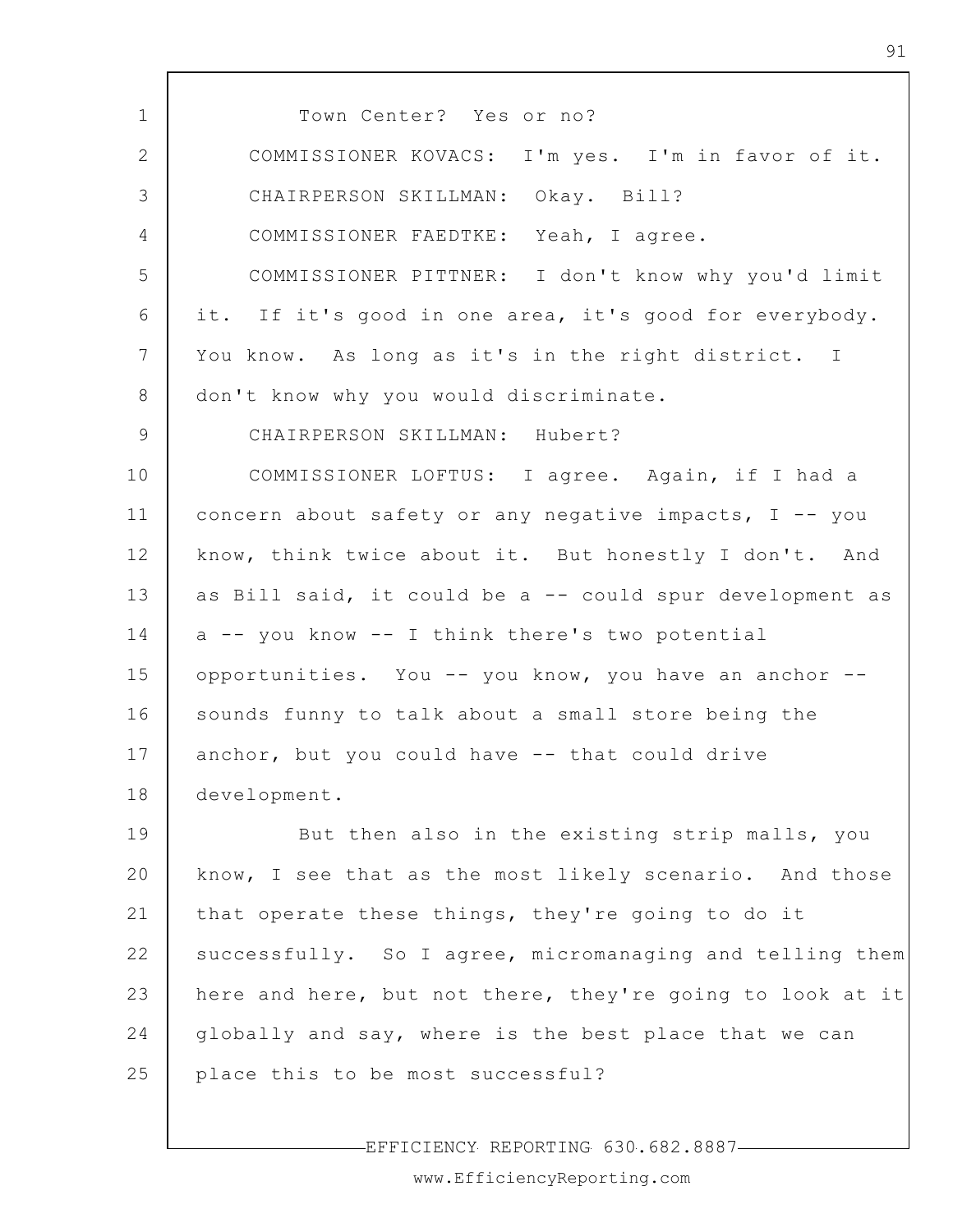1 2 3 4 5 6 7 8 9 10 11 12 13 14 15 16 17 18 19 20 21 22 23 24 25 Town Center? Yes or no? COMMISSIONER KOVACS: I'm yes. I'm in favor of it. CHAIRPERSON SKILLMAN: Okay. Bill? COMMISSIONER FAEDTKE: Yeah, I agree. COMMISSIONER PITTNER: I don't know why you'd limit it. If it's good in one area, it's good for everybody. You know. As long as it's in the right district. I don't know why you would discriminate. CHAIRPERSON SKILLMAN: Hubert? COMMISSIONER LOFTUS: I agree. Again, if I had a concern about safety or any negative impacts, I -- you know, think twice about it. But honestly I don't. And as Bill said, it could be a -- could spur development as a -- you know -- I think there's two potential opportunities. You -- you know, you have an anchor - sounds funny to talk about a small store being the anchor, but you could have -- that could drive development. But then also in the existing strip malls, you know, I see that as the most likely scenario. And those that operate these things, they're going to do it successfully. So I agree, micromanaging and telling them here and here, but not there, they're going to look at it globally and say, where is the best place that we can place this to be most successful?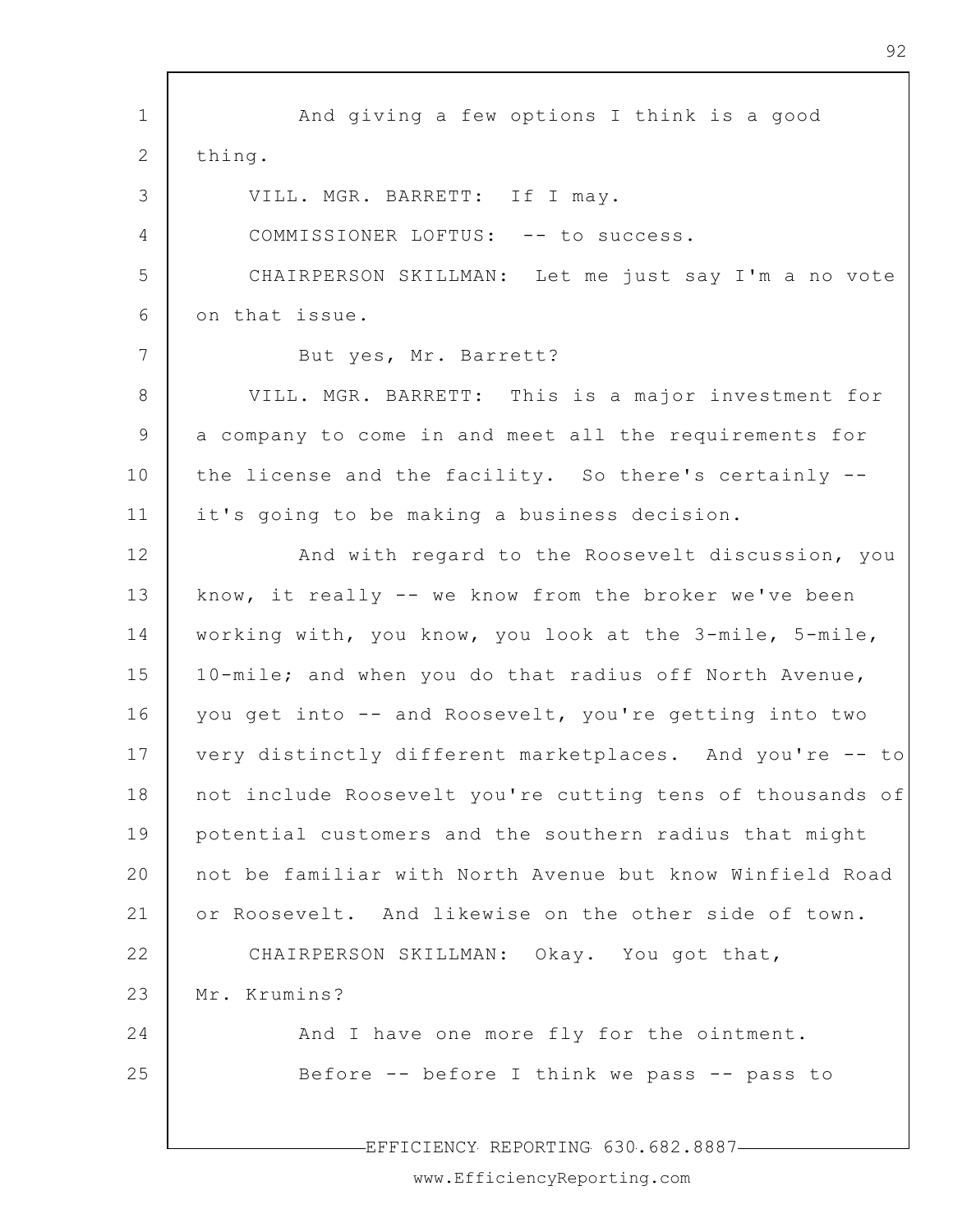1 2 3 4 5 6 7 8 9 10 11 12 13 14 15 16 17 18 19 20 21 22 23 24 25 EFFICIENCY REPORTING 630.682.8887 And giving a few options I think is a good thing. VILL. MGR. BARRETT: If I may. COMMISSIONER LOFTUS: -- to success. CHAIRPERSON SKILLMAN: Let me just say I'm a no vote on that issue. But yes, Mr. Barrett? VILL. MGR. BARRETT: This is a major investment for a company to come in and meet all the requirements for the license and the facility. So there's certainly - it's going to be making a business decision. And with regard to the Roosevelt discussion, you know, it really -- we know from the broker we've been working with, you know, you look at the 3-mile, 5-mile, 10-mile; and when you do that radius off North Avenue, you get into -- and Roosevelt, you're getting into two very distinctly different marketplaces. And you're -- to not include Roosevelt you're cutting tens of thousands of potential customers and the southern radius that might not be familiar with North Avenue but know Winfield Road or Roosevelt. And likewise on the other side of town. CHAIRPERSON SKILLMAN: Okay. You got that, Mr. Krumins? And I have one more fly for the ointment. Before -- before I think we pass -- pass to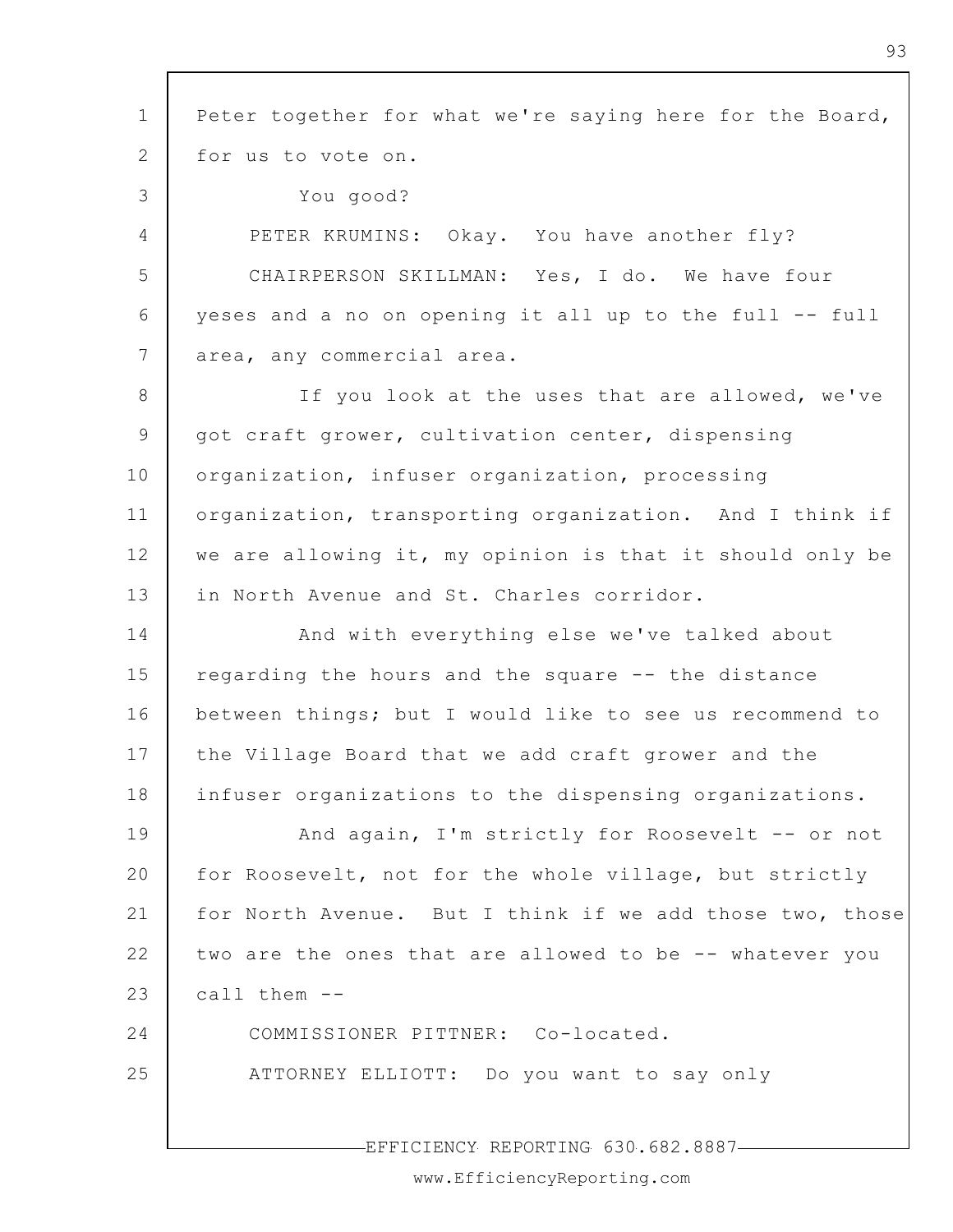1 2 3 4 5 6 7 8 9 10 11 12 13 14 15 16 17 18 19 20 21 22 23 24 25 Peter together for what we're saying here for the Board, for us to vote on. You good? PETER KRUMINS: Okay. You have another fly? CHAIRPERSON SKILLMAN: Yes, I do. We have four yeses and a no on opening it all up to the full -- full area, any commercial area. If you look at the uses that are allowed, we've got craft grower, cultivation center, dispensing organization, infuser organization, processing organization, transporting organization. And I think if we are allowing it, my opinion is that it should only be in North Avenue and St. Charles corridor. And with everything else we've talked about regarding the hours and the square -- the distance between things; but I would like to see us recommend to the Village Board that we add craft grower and the infuser organizations to the dispensing organizations. And again, I'm strictly for Roosevelt -- or not for Roosevelt, not for the whole village, but strictly for North Avenue. But I think if we add those two, those two are the ones that are allowed to be -- whatever you call them -- COMMISSIONER PITTNER: Co-located. ATTORNEY ELLIOTT: Do you want to say only

EFFICIENCY REPORTING 630.682.8887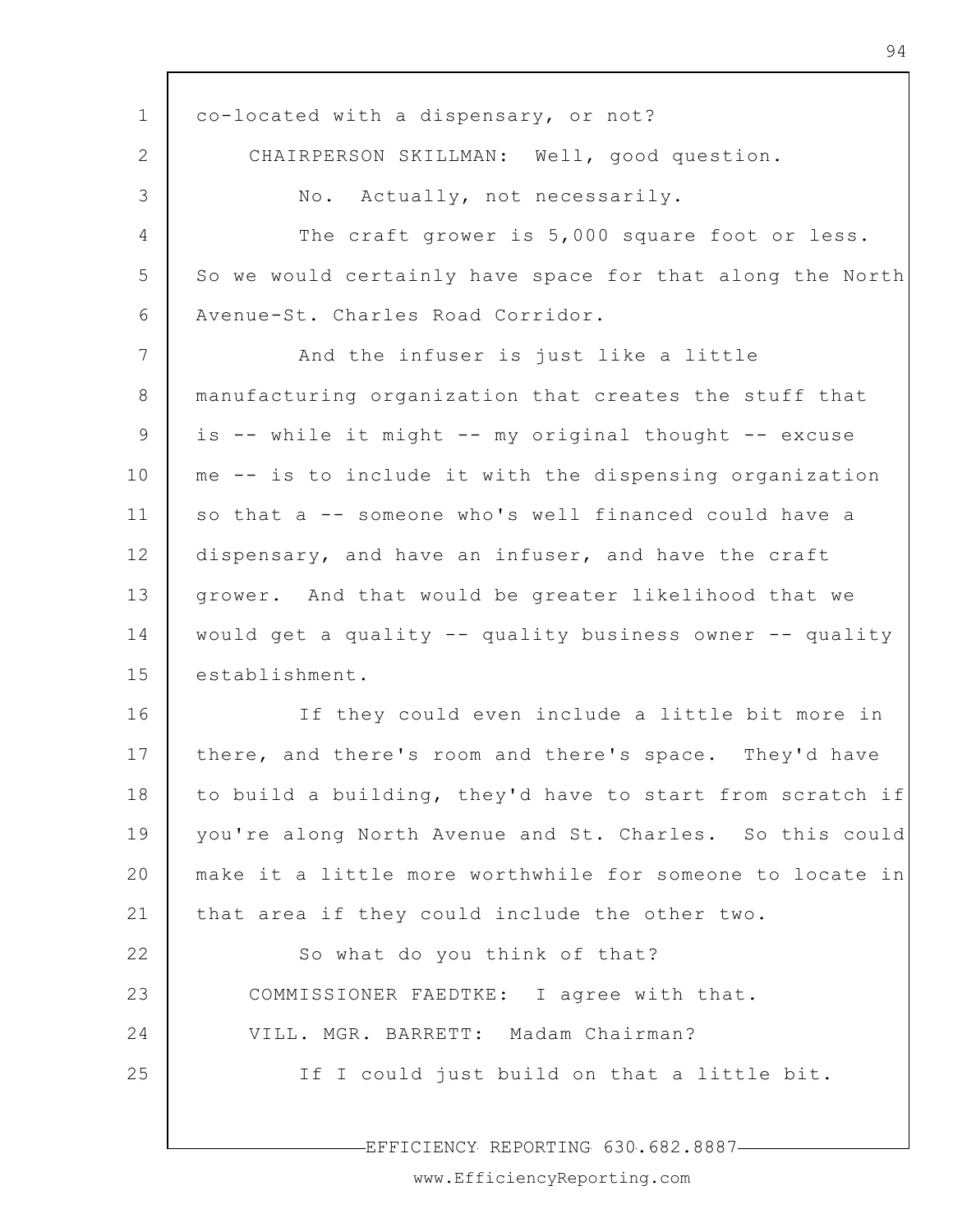1 2 3 4 5 6 7 8 9 10 11 12 13 14 15 16 17 18 19 20 21 22 23 24 25 co-located with a dispensary, or not? CHAIRPERSON SKILLMAN: Well, good question. No. Actually, not necessarily. The craft grower is 5,000 square foot or less. So we would certainly have space for that along the North Avenue-St. Charles Road Corridor. And the infuser is just like a little manufacturing organization that creates the stuff that is -- while it might -- my original thought -- excuse me -- is to include it with the dispensing organization so that a -- someone who's well financed could have a dispensary, and have an infuser, and have the craft grower. And that would be greater likelihood that we would get a quality -- quality business owner -- quality establishment. If they could even include a little bit more in there, and there's room and there's space. They'd have to build a building, they'd have to start from scratch if you're along North Avenue and St. Charles. So this could make it a little more worthwhile for someone to locate in that area if they could include the other two. So what do you think of that? COMMISSIONER FAEDTKE: I agree with that. VILL. MGR. BARRETT: Madam Chairman? If I could just build on that a little bit.

EFFICIENCY REPORTING 630.682.8887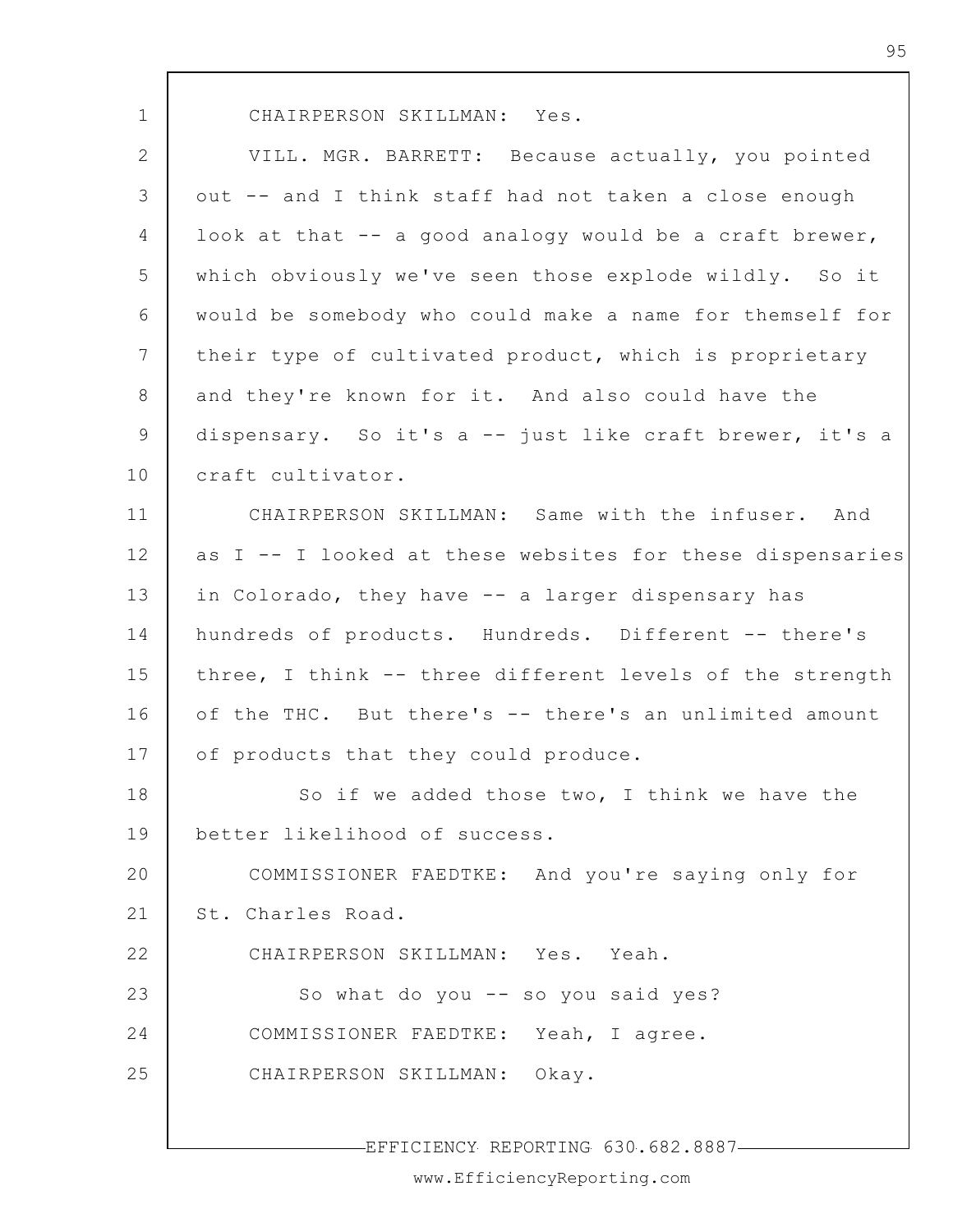CHAIRPERSON SKILLMAN: Yes.

2 3 4 5 6 7 8 9 10 11 12 13 14 15 16 17 18 19 20 21 22 23 24 25 VILL. MGR. BARRETT: Because actually, you pointed out -- and I think staff had not taken a close enough look at that -- a good analogy would be a craft brewer, which obviously we've seen those explode wildly. So it would be somebody who could make a name for themself for their type of cultivated product, which is proprietary and they're known for it. And also could have the dispensary. So it's a -- just like craft brewer, it's a craft cultivator. CHAIRPERSON SKILLMAN: Same with the infuser. And as I -- I looked at these websites for these dispensaries in Colorado, they have -- a larger dispensary has hundreds of products. Hundreds. Different -- there's three, I think -- three different levels of the strength of the THC. But there's -- there's an unlimited amount of products that they could produce. So if we added those two, I think we have the better likelihood of success. COMMISSIONER FAEDTKE: And you're saying only for St. Charles Road. CHAIRPERSON SKILLMAN: Yes. Yeah. So what do you -- so you said yes? COMMISSIONER FAEDTKE: Yeah, I agree. CHAIRPERSON SKILLMAN: Okay.

EFFICIENCY REPORTING 630.682.8887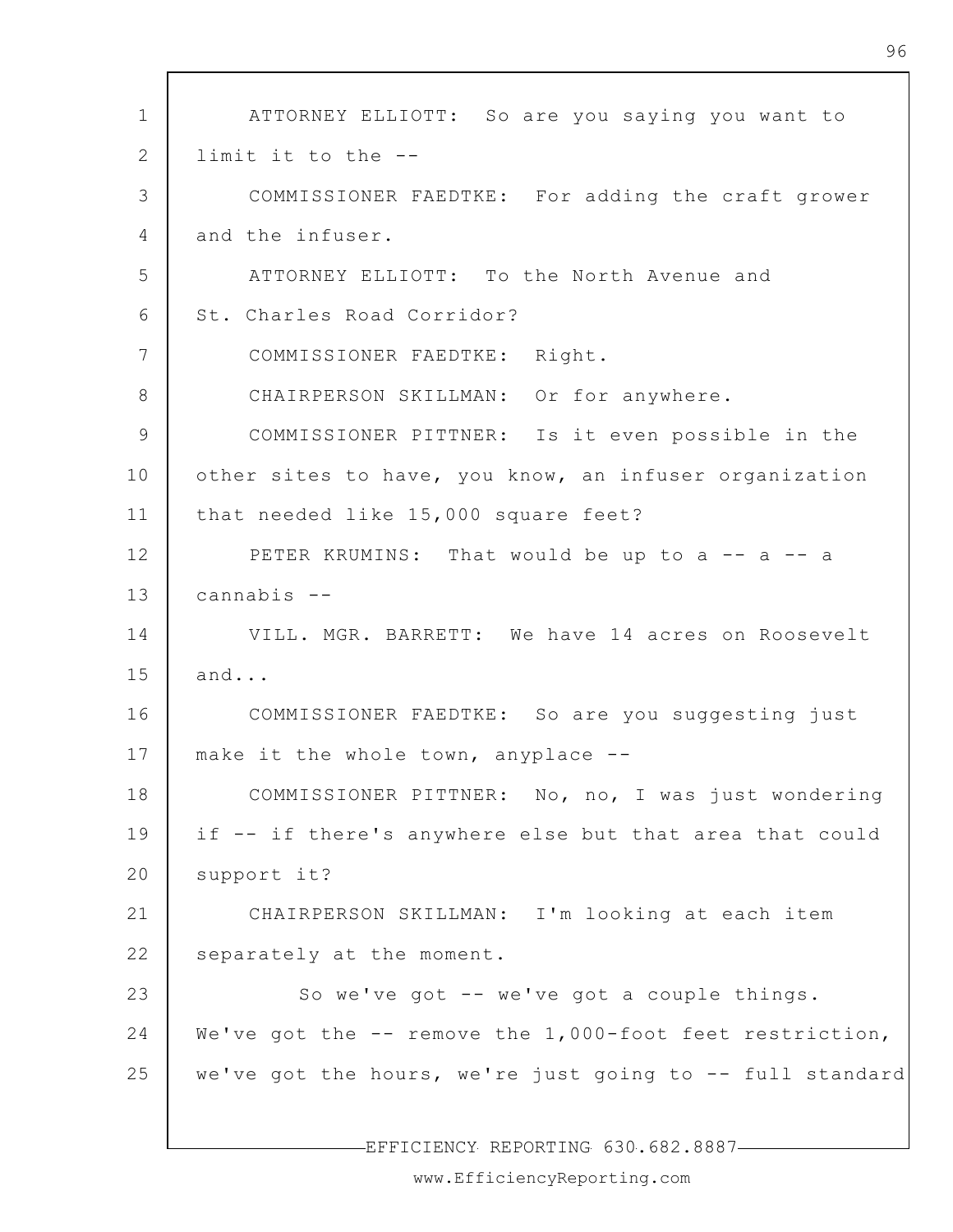1 2 3 4 5 6 7 8 9 10 11 12 13 14 15 16 17 18 19 20 21 22 23 24 25 ATTORNEY ELLIOTT: So are you saying you want to limit it to the -- COMMISSIONER FAEDTKE: For adding the craft grower and the infuser. ATTORNEY ELLIOTT: To the North Avenue and St. Charles Road Corridor? COMMISSIONER FAEDTKE: Right. CHAIRPERSON SKILLMAN: Or for anywhere. COMMISSIONER PITTNER: Is it even possible in the other sites to have, you know, an infuser organization that needed like 15,000 square feet? PETER KRUMINS: That would be up to a -- a -- a cannabis -- VILL. MGR. BARRETT: We have 14 acres on Roosevelt and... COMMISSIONER FAEDTKE: So are you suggesting just make it the whole town, anyplace -- COMMISSIONER PITTNER: No, no, I was just wondering if -- if there's anywhere else but that area that could support it? CHAIRPERSON SKILLMAN: I'm looking at each item separately at the moment. So we've got -- we've got a couple things. We've got the -- remove the 1,000-foot feet restriction, we've got the hours, we're just going to -- full standard

EFFICIENCY REPORTING 630.682.8887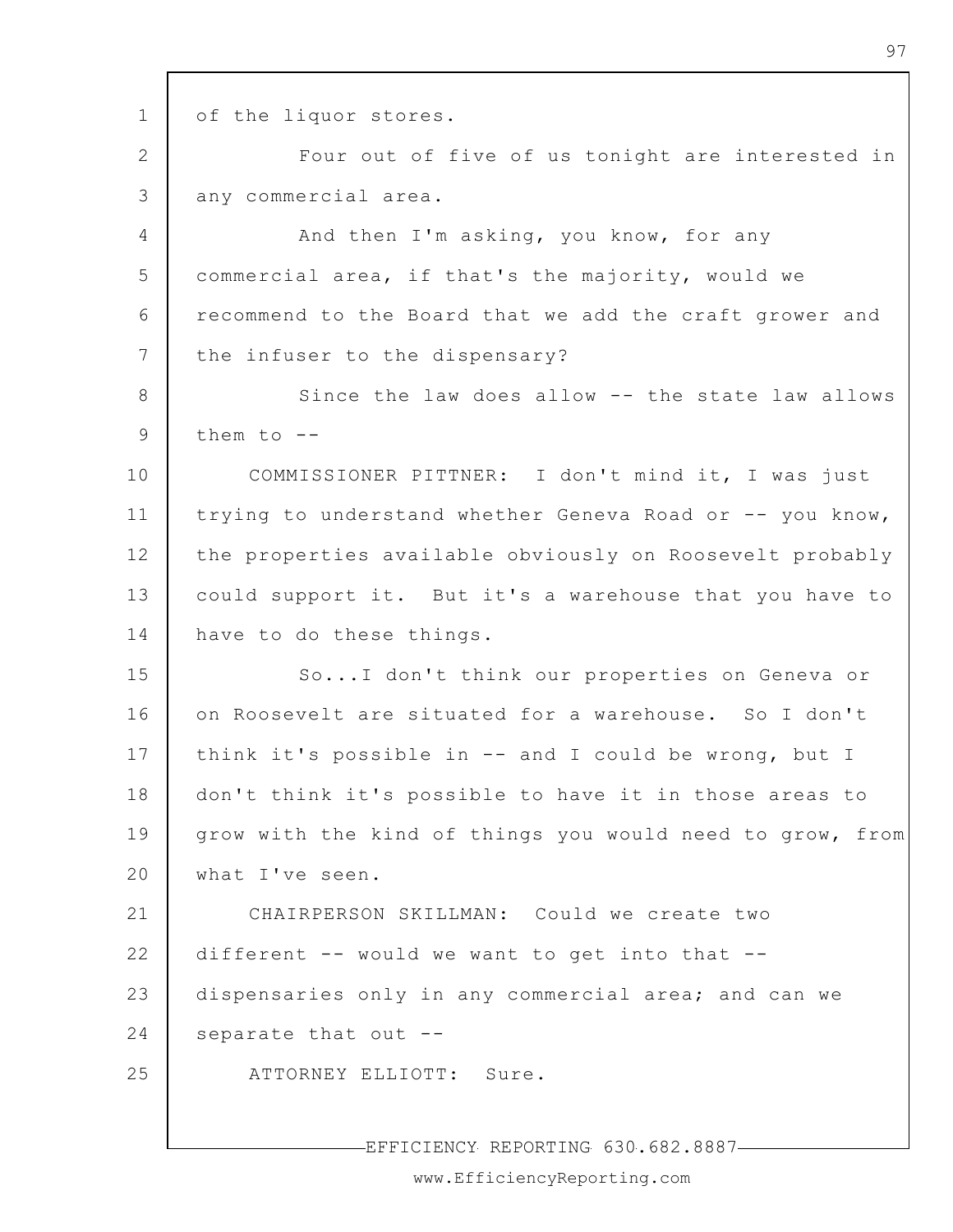1 2 3 4 5 6 7 8 9 10 11 12 13 14 15 16 17 18 19 20 21 22 23 24 25 of the liquor stores. Four out of five of us tonight are interested in any commercial area. And then I'm asking, you know, for any commercial area, if that's the majority, would we recommend to the Board that we add the craft grower and the infuser to the dispensary? Since the law does allow -- the state law allows them to  $-$ -COMMISSIONER PITTNER: I don't mind it, I was just trying to understand whether Geneva Road or -- you know, the properties available obviously on Roosevelt probably could support it. But it's a warehouse that you have to have to do these things. So...I don't think our properties on Geneva or on Roosevelt are situated for a warehouse. So I don't think it's possible in -- and I could be wrong, but I don't think it's possible to have it in those areas to grow with the kind of things you would need to grow, from what I've seen. CHAIRPERSON SKILLMAN: Could we create two different -- would we want to get into that - dispensaries only in any commercial area; and can we separate that out -- ATTORNEY ELLIOTT: Sure.

EFFICIENCY REPORTING 630.682.8887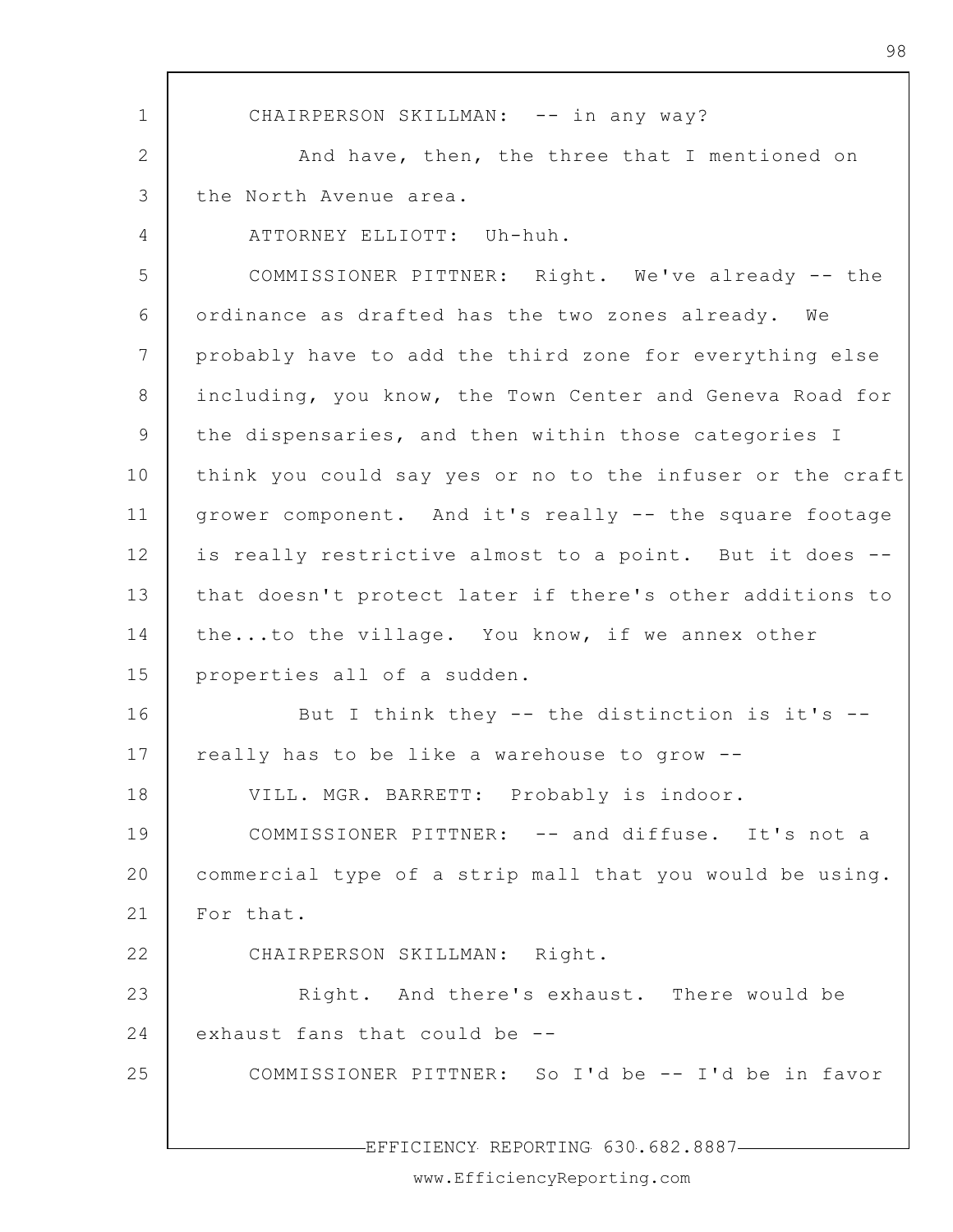1 2 3 4 5 6 7 8 9 10 11 12 13 14 15 16 17 18 19 20 21 22 23 24 25 CHAIRPERSON SKILLMAN: -- in any way? And have, then, the three that I mentioned on the North Avenue area. ATTORNEY ELLIOTT: Uh-huh. COMMISSIONER PITTNER: Right. We've already -- the ordinance as drafted has the two zones already. We probably have to add the third zone for everything else including, you know, the Town Center and Geneva Road for the dispensaries, and then within those categories I think you could say yes or no to the infuser or the craft grower component. And it's really -- the square footage is really restrictive almost to a point. But it does - that doesn't protect later if there's other additions to the...to the village. You know, if we annex other properties all of a sudden. But I think they -- the distinction is it's - really has to be like a warehouse to grow -- VILL. MGR. BARRETT: Probably is indoor. COMMISSIONER PITTNER: -- and diffuse. It's not a commercial type of a strip mall that you would be using. For that. CHAIRPERSON SKILLMAN: Right. Right. And there's exhaust. There would be exhaust fans that could be -- COMMISSIONER PITTNER: So I'd be -- I'd be in favor

98

EFFICIENCY REPORTING 630.682.8887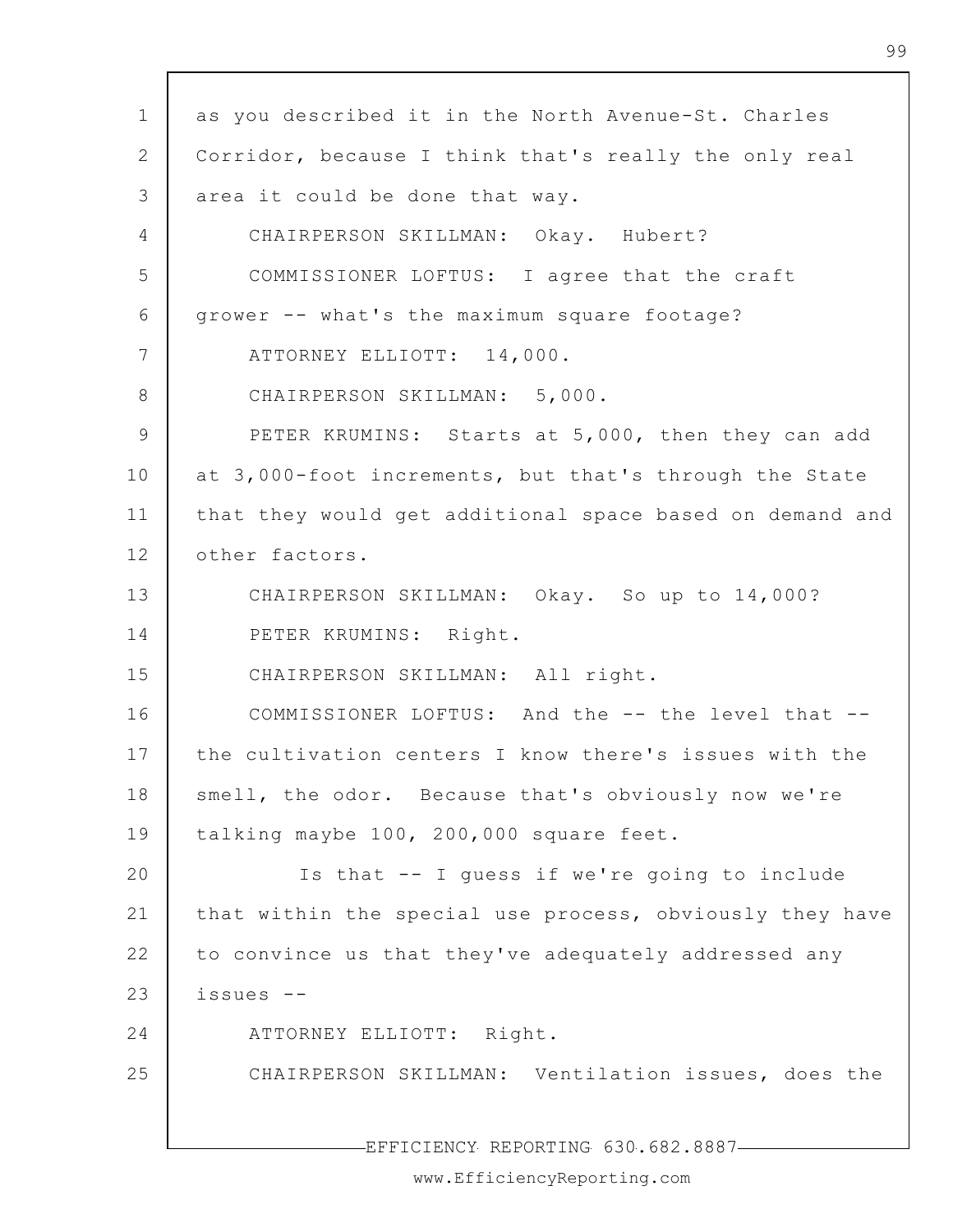1 2 3 4 5 6 7 8 9 10 11 12 13 14 15 16 17 18 19 20 21 22 23 24 25 EFFICIENCY REPORTING 630.682.8887 as you described it in the North Avenue-St. Charles Corridor, because I think that's really the only real area it could be done that way. CHAIRPERSON SKILLMAN: Okay. Hubert? COMMISSIONER LOFTUS: I agree that the craft grower -- what's the maximum square footage? ATTORNEY ELLIOTT: 14,000. CHAIRPERSON SKILLMAN: 5,000. PETER KRUMINS: Starts at 5,000, then they can add at 3,000-foot increments, but that's through the State that they would get additional space based on demand and other factors. CHAIRPERSON SKILLMAN: Okay. So up to 14,000? PETER KRUMINS: Right. CHAIRPERSON SKILLMAN: All right. COMMISSIONER LOFTUS: And the -- the level that - the cultivation centers I know there's issues with the smell, the odor. Because that's obviously now we're talking maybe 100, 200,000 square feet. Is that -- I guess if we're going to include that within the special use process, obviously they have to convince us that they've adequately addressed any issues -- ATTORNEY ELLIOTT: Right. CHAIRPERSON SKILLMAN: Ventilation issues, does the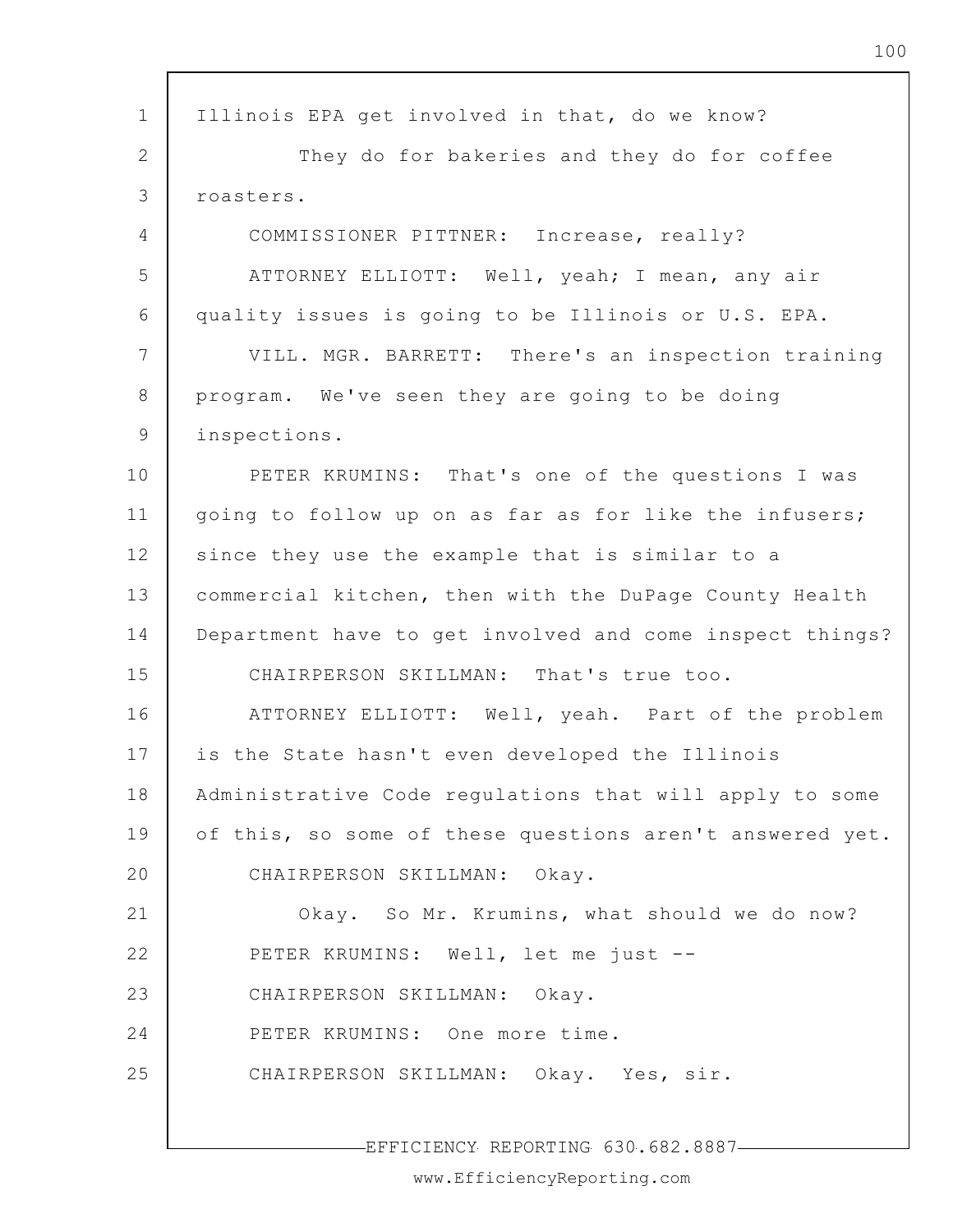| $\mathbf 1$ | Illinois EPA get involved in that, do we know?           |
|-------------|----------------------------------------------------------|
| 2           | They do for bakeries and they do for coffee              |
| 3           | roasters.                                                |
| 4           | COMMISSIONER PITTNER: Increase, really?                  |
| 5           | ATTORNEY ELLIOTT: Well, yeah; I mean, any air            |
| 6           | quality issues is going to be Illinois or U.S. EPA.      |
| 7           | VILL. MGR. BARRETT: There's an inspection training       |
| 8           | program. We've seen they are going to be doing           |
| 9           | inspections.                                             |
| 10          | PETER KRUMINS: That's one of the questions I was         |
| 11          | going to follow up on as far as for like the infusers;   |
| 12          | since they use the example that is similar to a          |
| 13          | commercial kitchen, then with the DuPage County Health   |
| 14          | Department have to get involved and come inspect things? |
| 15          | CHAIRPERSON SKILLMAN: That's true too.                   |
| 16          | ATTORNEY ELLIOTT: Well, yeah. Part of the problem        |
| 17          | is the State hasn't even developed the Illinois          |
| 18          | Administrative Code regulations that will apply to some  |
| 19          | of this, so some of these questions aren't answered yet. |
| 20          | CHAIRPERSON SKILLMAN: Okay.                              |
| 21          | Okay. So Mr. Krumins, what should we do now?             |
| 22          | PETER KRUMINS: Well, let me just --                      |
| 23          | CHAIRPERSON SKILLMAN:<br>Okay.                           |
| 24          | PETER KRUMINS: One more time.                            |
| 25          | CHAIRPERSON SKILLMAN: Okay. Yes, sir.                    |
|             |                                                          |
|             | -EFFICIENCY REPORTING 630.682.8887-                      |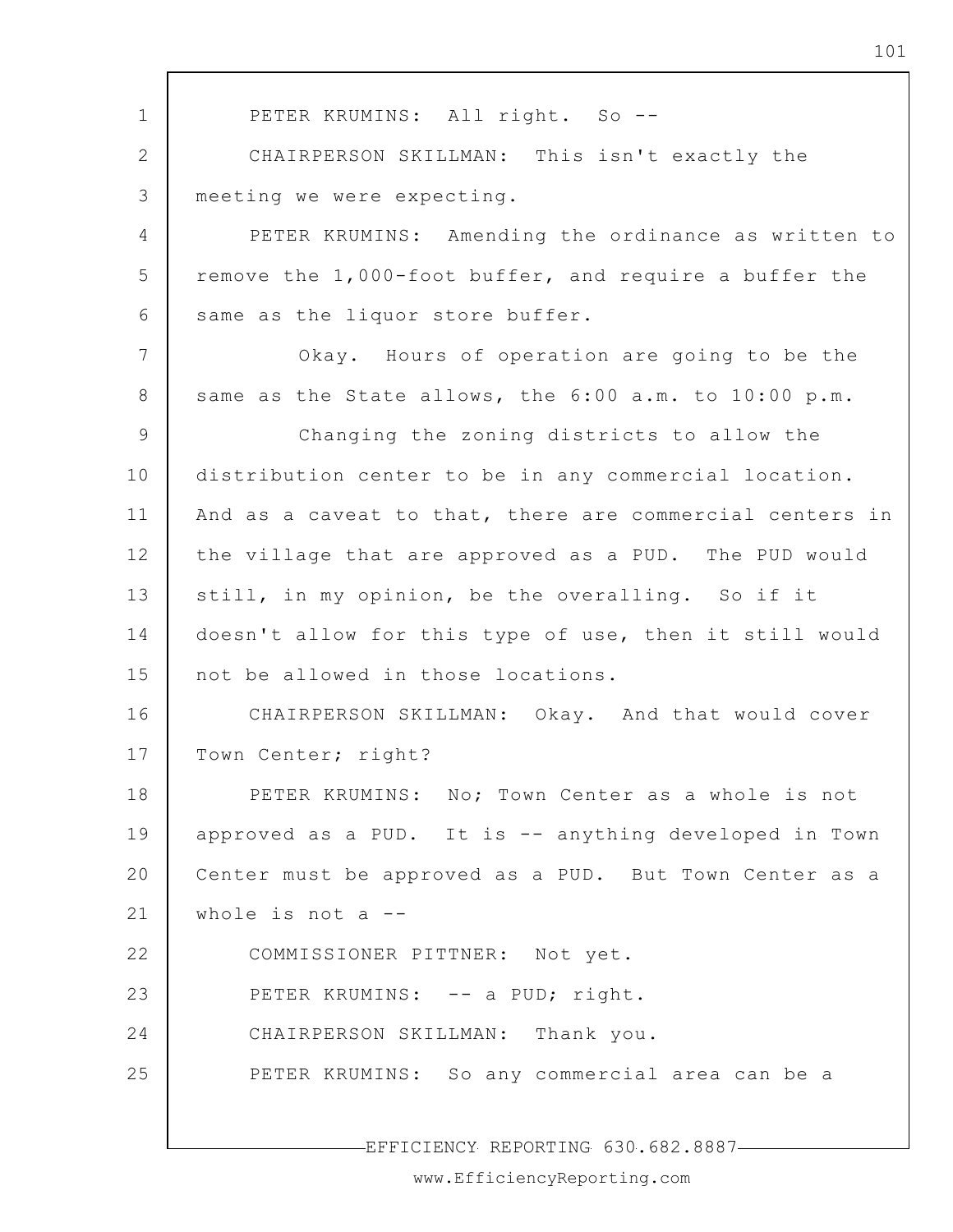1 2 3 4 5 6 7 8 9 10 11 12 13 14 15 16 17 18 19 20 21 22 23 24 25 PETER KRUMINS: All right. So --CHAIRPERSON SKILLMAN: This isn't exactly the meeting we were expecting. PETER KRUMINS: Amending the ordinance as written to remove the 1,000-foot buffer, and require a buffer the same as the liquor store buffer. Okay. Hours of operation are going to be the same as the State allows, the 6:00 a.m. to 10:00 p.m. Changing the zoning districts to allow the distribution center to be in any commercial location. And as a caveat to that, there are commercial centers in the village that are approved as a PUD. The PUD would still, in my opinion, be the overalling. So if it doesn't allow for this type of use, then it still would not be allowed in those locations. CHAIRPERSON SKILLMAN: Okay. And that would cover Town Center; right? PETER KRUMINS: No; Town Center as a whole is not approved as a PUD. It is -- anything developed in Town Center must be approved as a PUD. But Town Center as a whole is not  $a$  --COMMISSIONER PITTNER: Not yet. PETER KRUMINS: -- a PUD; right. CHAIRPERSON SKILLMAN: Thank you. PETER KRUMINS: So any commercial area can be a

101

EFFICIENCY REPORTING 630.682.8887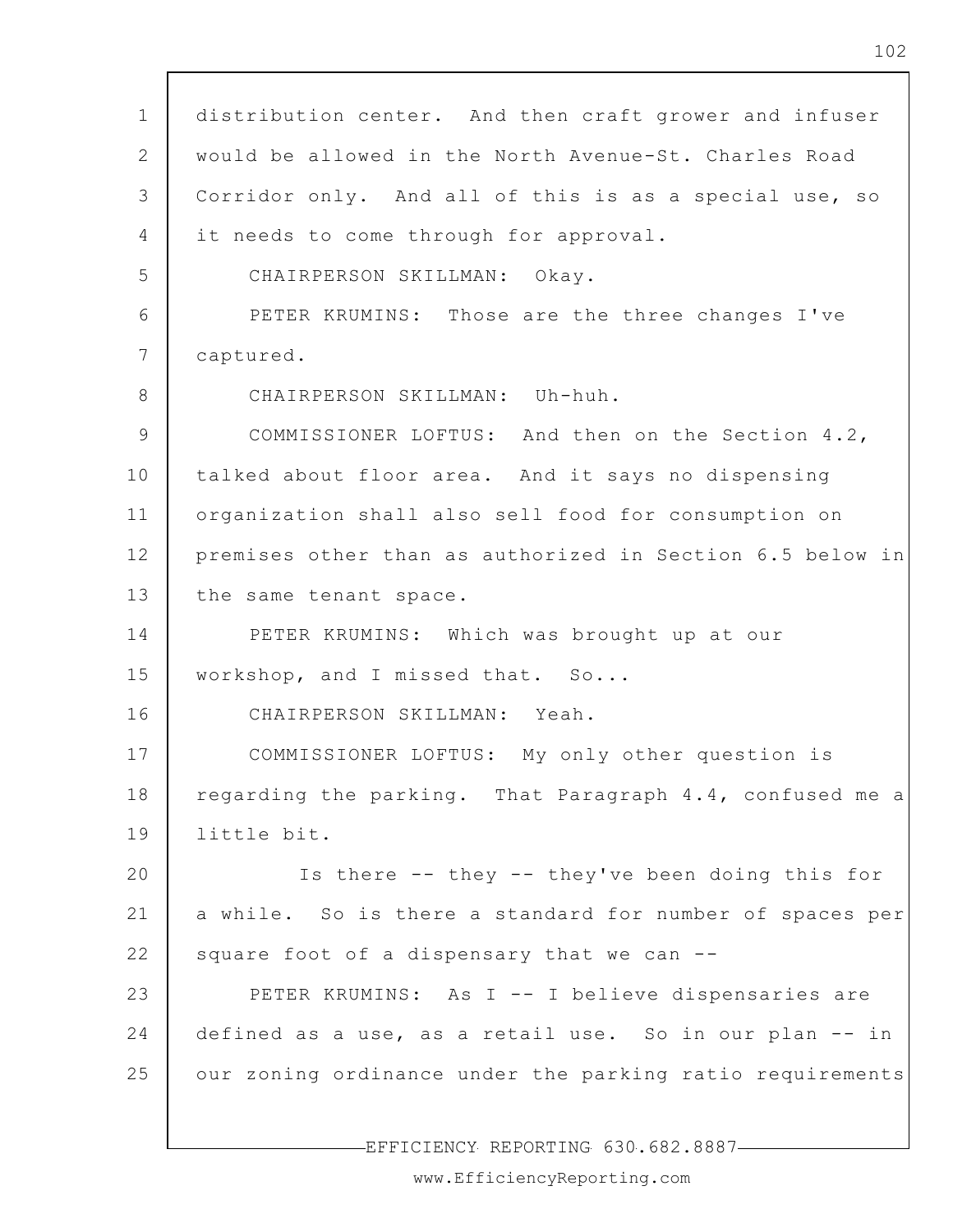1 2 3 4 5 6 7 8 9 10 11 12 13 14 15 16 17 18 19 20 21 22 23 24 25 distribution center. And then craft grower and infuser would be allowed in the North Avenue-St. Charles Road Corridor only. And all of this is as a special use, so it needs to come through for approval. CHAIRPERSON SKILLMAN: Okay. PETER KRUMINS: Those are the three changes I've captured. CHAIRPERSON SKILLMAN: Uh-huh. COMMISSIONER LOFTUS: And then on the Section 4.2, talked about floor area. And it says no dispensing organization shall also sell food for consumption on premises other than as authorized in Section 6.5 below in the same tenant space. PETER KRUMINS: Which was brought up at our workshop, and I missed that. So... CHAIRPERSON SKILLMAN: Yeah. COMMISSIONER LOFTUS: My only other question is regarding the parking. That Paragraph 4.4, confused me a little bit. Is there -- they -- they've been doing this for a while. So is there a standard for number of spaces per square foot of a dispensary that we can --PETER KRUMINS: As I -- I believe dispensaries are defined as a use, as a retail use. So in our plan -- in our zoning ordinance under the parking ratio requirements

EFFICIENCY REPORTING 630.682.8887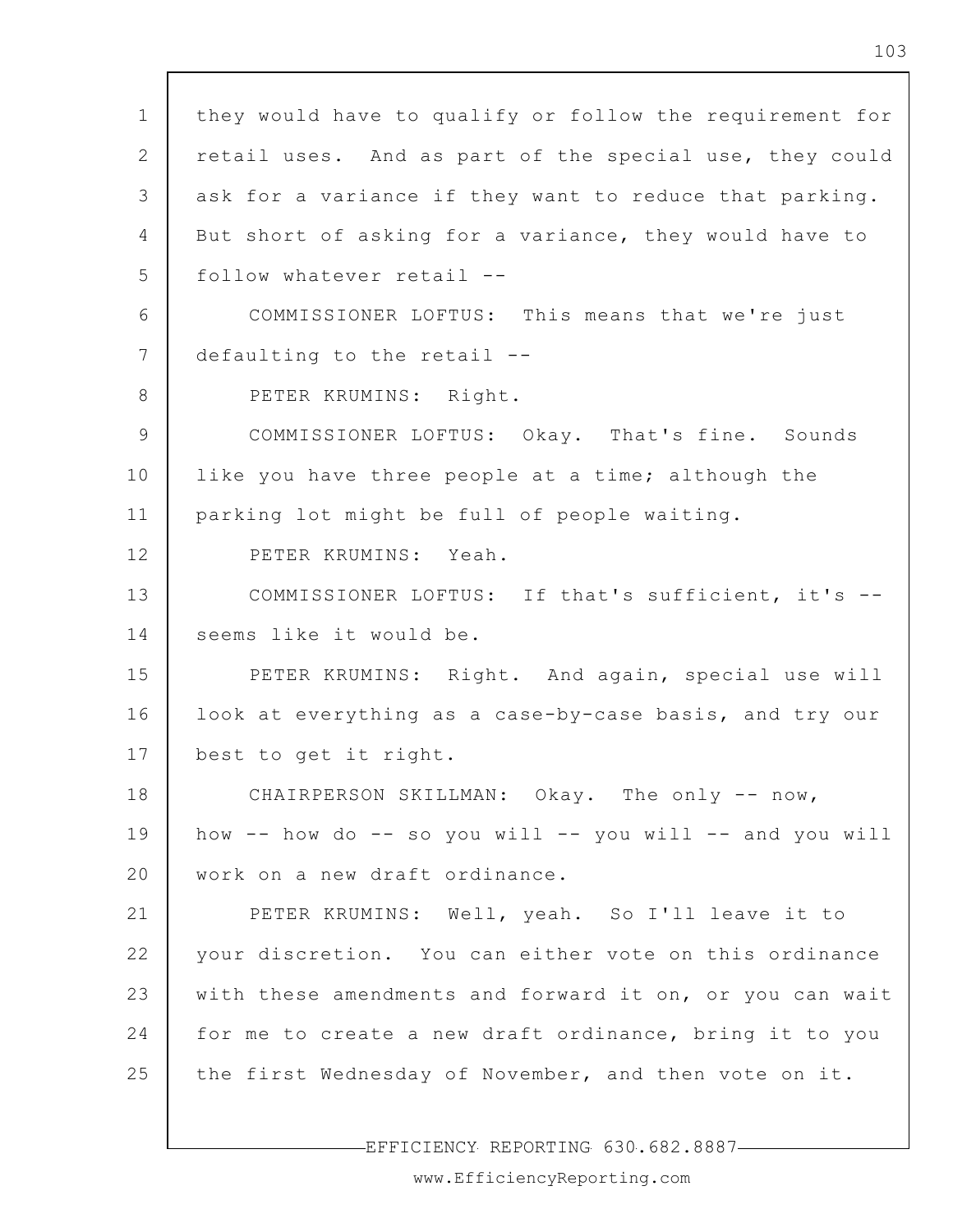1 2 3 4 5 6 7 8 9 10 11 12 13 14 15 16 17 18 19 20 21 22 23 24 25 they would have to qualify or follow the requirement for retail uses. And as part of the special use, they could ask for a variance if they want to reduce that parking. But short of asking for a variance, they would have to follow whatever retail -- COMMISSIONER LOFTUS: This means that we're just defaulting to the retail -- PETER KRUMINS: Right. COMMISSIONER LOFTUS: Okay. That's fine. Sounds like you have three people at a time; although the parking lot might be full of people waiting. PETER KRUMINS: Yeah. COMMISSIONER LOFTUS: If that's sufficient, it's - seems like it would be. PETER KRUMINS: Right. And again, special use will look at everything as a case-by-case basis, and try our best to get it right. CHAIRPERSON SKILLMAN: Okay. The only -- now, how  $--$  how do  $--$  so you will  $--$  you will  $--$  and you will work on a new draft ordinance. PETER KRUMINS: Well, yeah. So I'll leave it to your discretion. You can either vote on this ordinance with these amendments and forward it on, or you can wait for me to create a new draft ordinance, bring it to you the first Wednesday of November, and then vote on it.

-EFFICIENCY REPORTING 630.682.8887-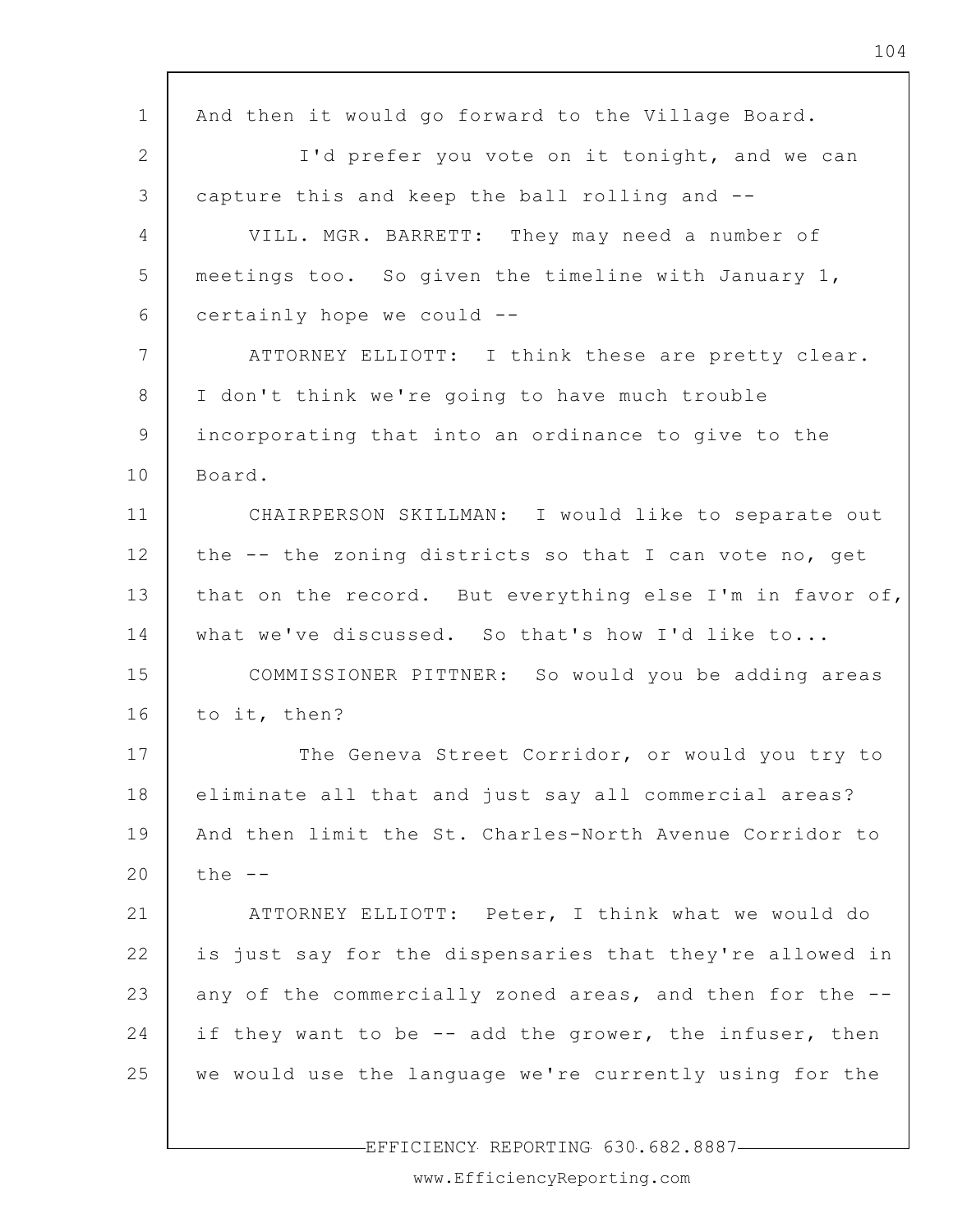| $\mathbf{1}$   | And then it would go forward to the Village Board.       |
|----------------|----------------------------------------------------------|
| $\overline{2}$ | I'd prefer you vote on it tonight, and we can            |
| 3              | capture this and keep the ball rolling and --            |
| $\overline{4}$ | VILL. MGR. BARRETT: They may need a number of            |
| 5              | meetings too. So given the timeline with January 1,      |
| 6              | certainly hope we could --                               |
| 7              | ATTORNEY ELLIOTT: I think these are pretty clear.        |
| 8              | I don't think we're going to have much trouble           |
| 9              | incorporating that into an ordinance to give to the      |
| 10             | Board.                                                   |
| 11             | CHAIRPERSON SKILLMAN: I would like to separate out       |
| 12             | the -- the zoning districts so that I can vote no, get   |
| 13             | that on the record. But everything else I'm in favor of, |
| 14             | what we've discussed. So that's how I'd like to          |
| 15             | COMMISSIONER PITTNER: So would you be adding areas       |
| 16             | to it, then?                                             |
| 17             | The Geneva Street Corridor, or would you try to          |
| 18             | eliminate all that and just say all commercial areas?    |
| 19             | And then limit the St. Charles-North Avenue Corridor to  |
| 20             | the $--$                                                 |
| 21             | ATTORNEY ELLIOTT: Peter, I think what we would do        |
| 22             | is just say for the dispensaries that they're allowed in |
| 23             | any of the commercially zoned areas, and then for the -- |
| 24             | if they want to be -- add the grower, the infuser, then  |
| 25             | we would use the language we're currently using for the  |
|                |                                                          |

 $\mathsf{r}$ 

EFFICIENCY REPORTING 630.682.8887

 $\overline{\phantom{a}}$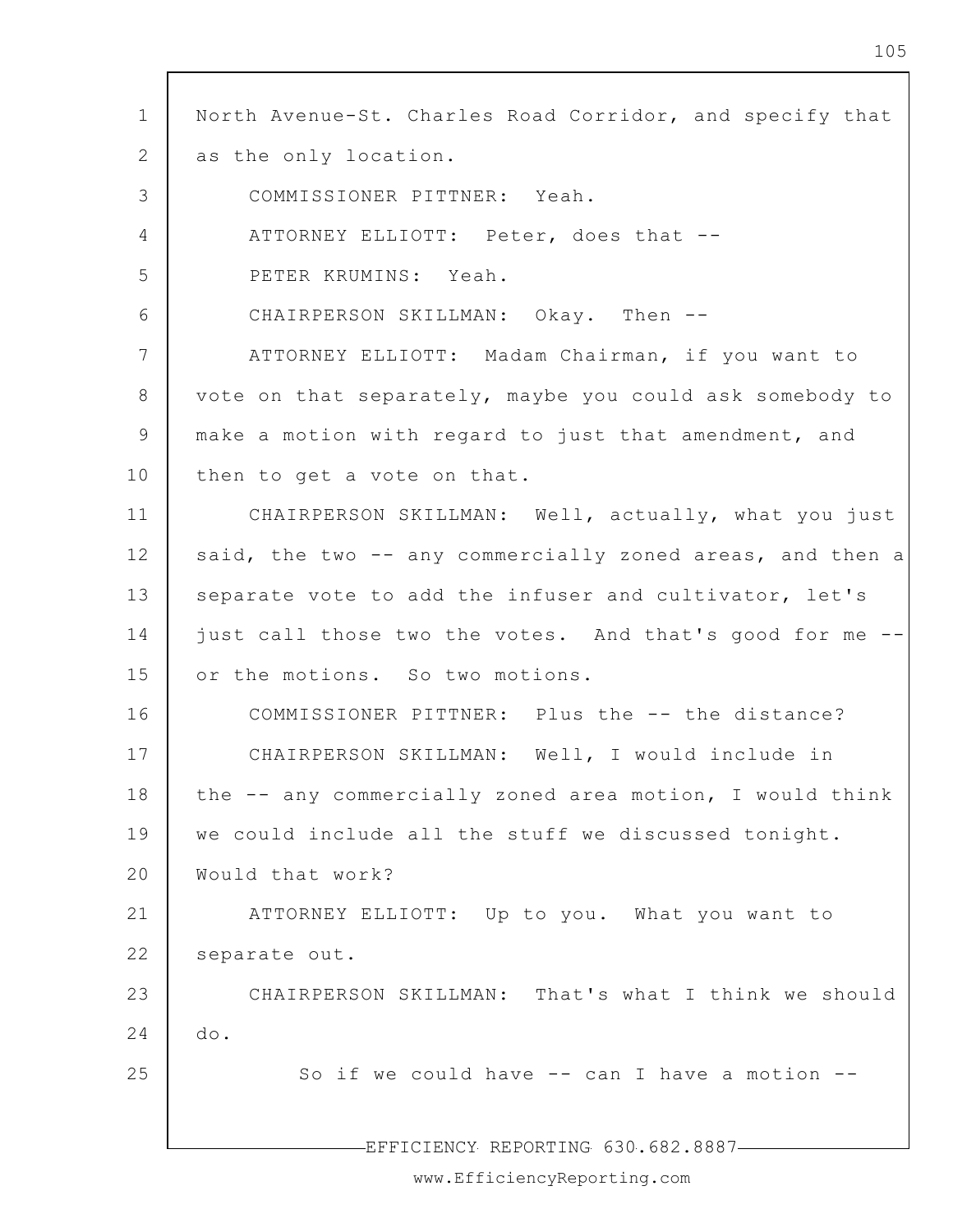| $\mathbf 1$     | North Avenue-St. Charles Road Corridor, and specify that  |
|-----------------|-----------------------------------------------------------|
| 2               | as the only location.                                     |
|                 |                                                           |
| 3               | COMMISSIONER PITTNER: Yeah.                               |
| $\overline{4}$  | ATTORNEY ELLIOTT: Peter, does that --                     |
| 5               | PETER KRUMINS: Yeah.                                      |
| 6               | CHAIRPERSON SKILLMAN: Okay. Then --                       |
| $7\phantom{.0}$ | ATTORNEY ELLIOTT: Madam Chairman, if you want to          |
| 8               | vote on that separately, maybe you could ask somebody to  |
| 9               | make a motion with regard to just that amendment, and     |
| 10              | then to get a vote on that.                               |
| 11              | CHAIRPERSON SKILLMAN: Well, actually, what you just       |
| 12              | said, the two -- any commercially zoned areas, and then a |
| 13              | separate vote to add the infuser and cultivator, let's    |
| 14              | just call those two the votes. And that's good for me --  |
| 15              | or the motions. So two motions.                           |
| 16              | COMMISSIONER PITTNER: Plus the -- the distance?           |
| 17              | CHAIRPERSON SKILLMAN: Well, I would include in            |
| 18              | the -- any commercially zoned area motion, I would think  |
| 19              | we could include all the stuff we discussed tonight.      |
| 20              | Would that work?                                          |
| 21              | ATTORNEY ELLIOTT: Up to you. What you want to             |
| 22              | separate out.                                             |
| 23              | CHAIRPERSON SKILLMAN: That's what I think we should       |
| 24              | do.                                                       |
| 25              | So if we could have -- can I have a motion --             |
|                 |                                                           |
|                 | EFFICIENCY REPORTING 630.682.8887-                        |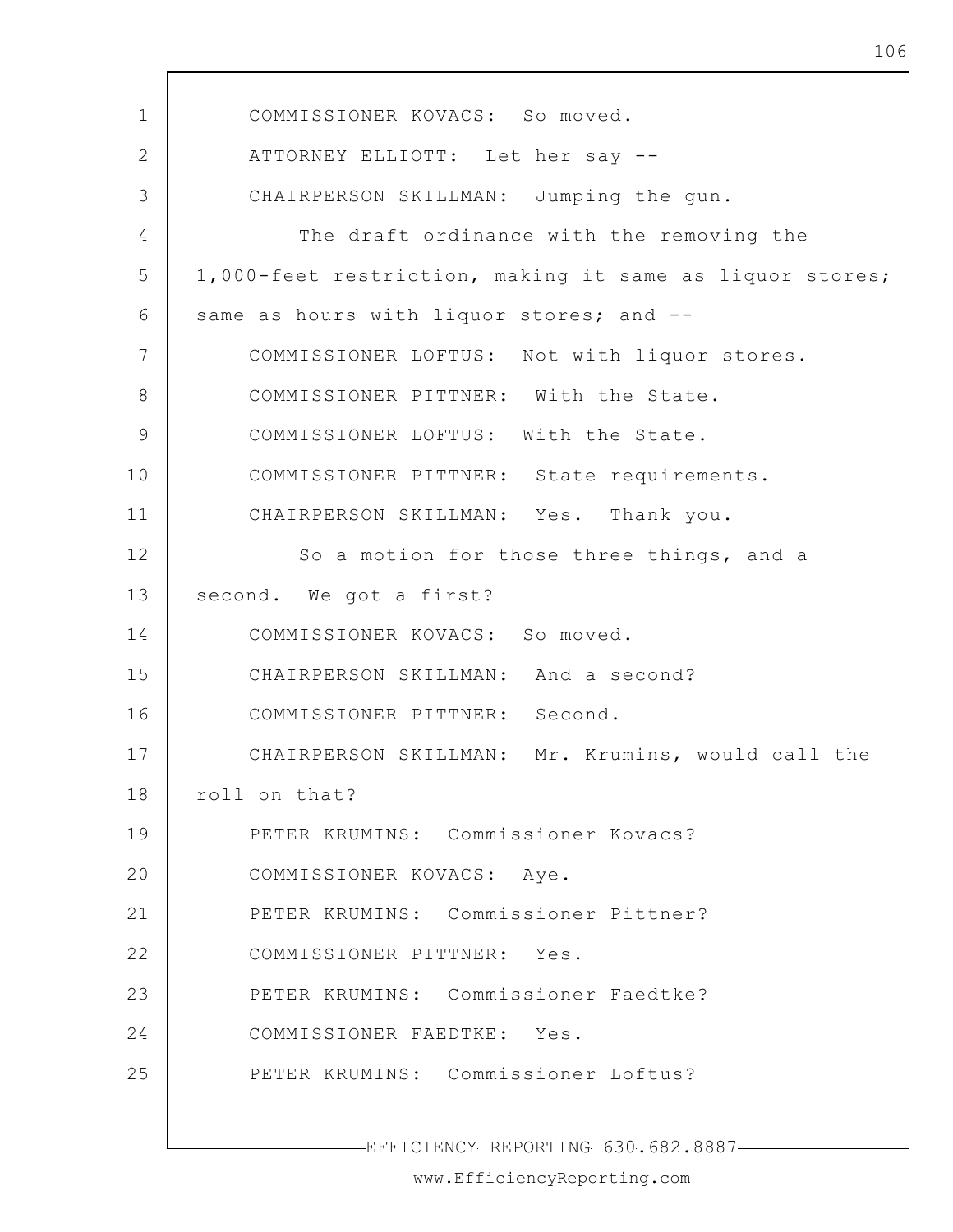1 2 3 4 5 6 7 8 9 10 11 12 13 14 15 16 17 18 19 20 21 22 23 24 25 COMMISSIONER KOVACS: So moved. ATTORNEY ELLIOTT: Let her say -- CHAIRPERSON SKILLMAN: Jumping the gun. The draft ordinance with the removing the 1,000-feet restriction, making it same as liquor stores; same as hours with liquor stores; and --COMMISSIONER LOFTUS: Not with liquor stores. COMMISSIONER PITTNER: With the State. COMMISSIONER LOFTUS: With the State. COMMISSIONER PITTNER: State requirements. CHAIRPERSON SKILLMAN: Yes. Thank you. So a motion for those three things, and a second. We got a first? COMMISSIONER KOVACS: So moved. CHAIRPERSON SKILLMAN: And a second? COMMISSIONER PITTNER: Second. CHAIRPERSON SKILLMAN: Mr. Krumins, would call the roll on that? PETER KRUMINS: Commissioner Kovacs? COMMISSIONER KOVACS: Aye. PETER KRUMINS: Commissioner Pittner? COMMISSIONER PITTNER: Yes. PETER KRUMINS: Commissioner Faedtke? COMMISSIONER FAEDTKE: Yes. PETER KRUMINS: Commissioner Loftus?

EFFICIENCY REPORTING 630.682.8887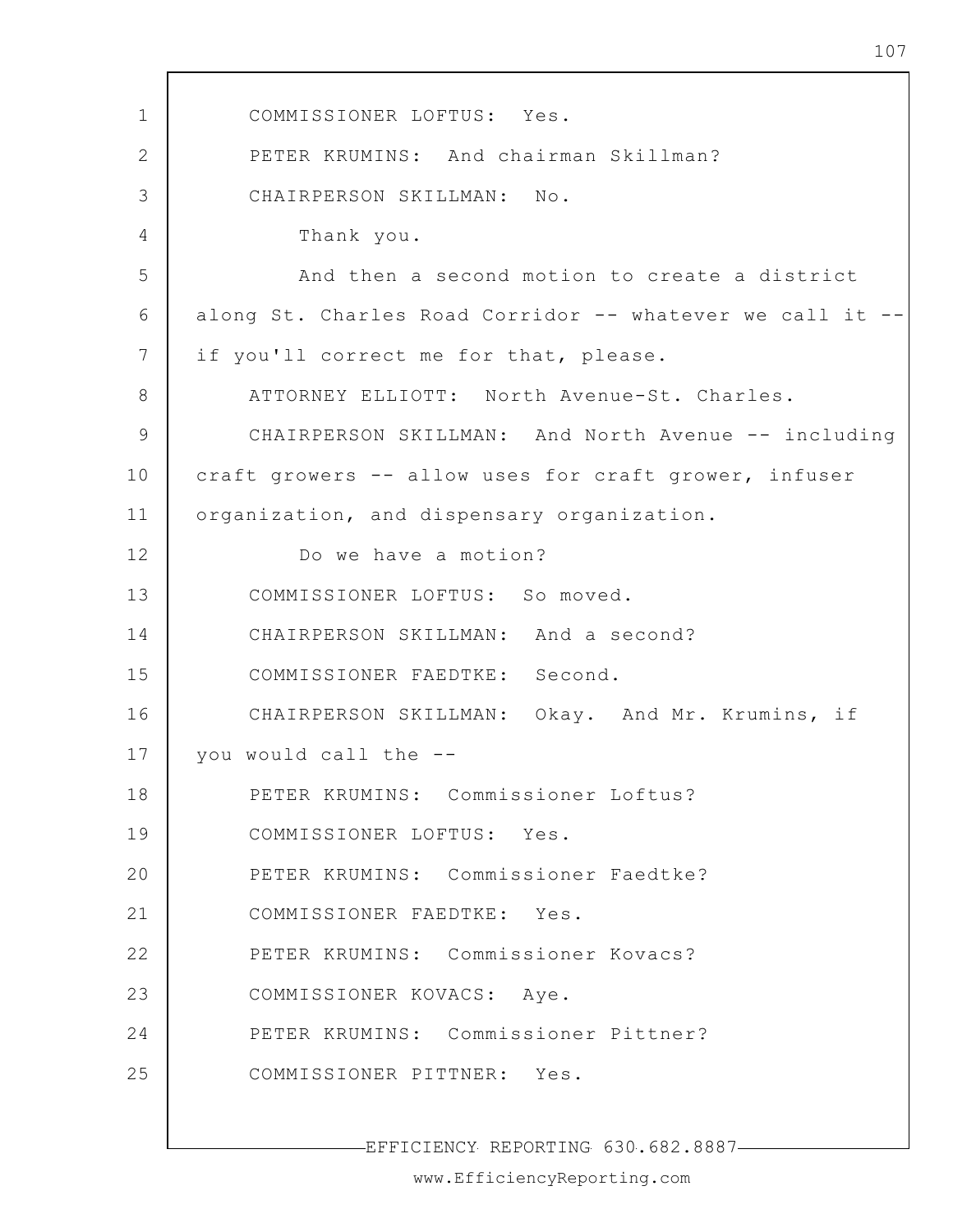1 2 3 4 5 6 7 8 9 10 11 12 13 14 15 16 17 18 19 20 21 22 23 24 25 EFFICIENCY REPORTING 630.682.8887 COMMISSIONER LOFTUS: Yes. PETER KRUMINS: And chairman Skillman? CHAIRPERSON SKILLMAN: No. Thank you. And then a second motion to create a district along St. Charles Road Corridor -- whatever we call it - if you'll correct me for that, please. ATTORNEY ELLIOTT: North Avenue-St. Charles. CHAIRPERSON SKILLMAN: And North Avenue -- including craft growers -- allow uses for craft grower, infuser organization, and dispensary organization. Do we have a motion? COMMISSIONER LOFTUS: So moved. CHAIRPERSON SKILLMAN: And a second? COMMISSIONER FAEDTKE: Second. CHAIRPERSON SKILLMAN: Okay. And Mr. Krumins, if you would call the -- PETER KRUMINS: Commissioner Loftus? COMMISSIONER LOFTUS: Yes. PETER KRUMINS: Commissioner Faedtke? COMMISSIONER FAEDTKE: Yes. PETER KRUMINS: Commissioner Kovacs? COMMISSIONER KOVACS: Aye. PETER KRUMINS: Commissioner Pittner? COMMISSIONER PITTNER: Yes.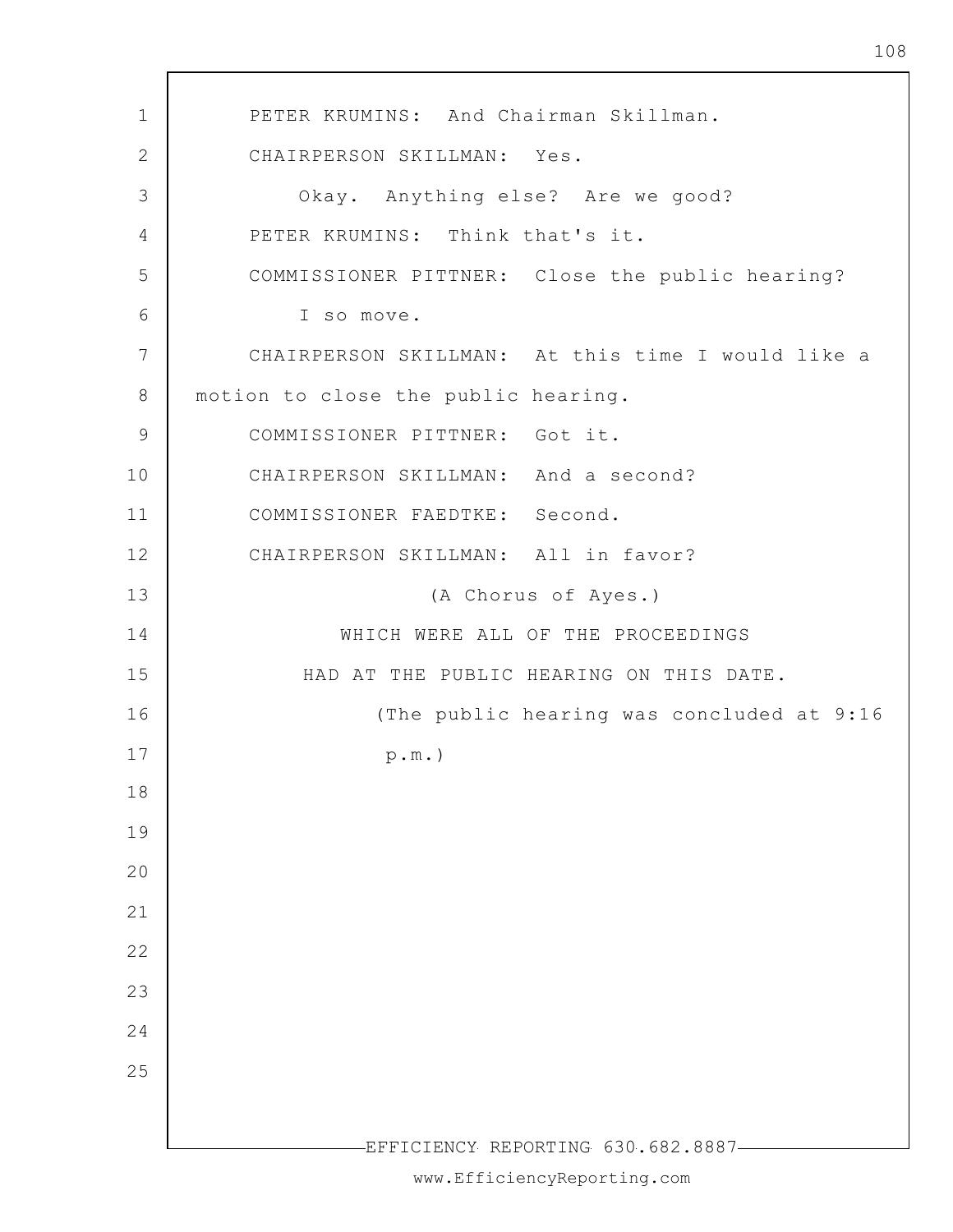1 2 3 4 5 6 7 8 9 10 11 12 13 14 15 16 17 18 19 20 21 22 23 24 25 -EFFICIENCY REPORTING 630.682.8887-PETER KRUMINS: And Chairman Skillman. CHAIRPERSON SKILLMAN: Yes. Okay. Anything else? Are we good? PETER KRUMINS: Think that's it. COMMISSIONER PITTNER: Close the public hearing? I so move. CHAIRPERSON SKILLMAN: At this time I would like a motion to close the public hearing. COMMISSIONER PITTNER: Got it. CHAIRPERSON SKILLMAN: And a second? COMMISSIONER FAEDTKE: Second. CHAIRPERSON SKILLMAN: All in favor? (A Chorus of Ayes.) WHICH WERE ALL OF THE PROCEEDINGS HAD AT THE PUBLIC HEARING ON THIS DATE. (The public hearing was concluded at 9:16 p.m.)